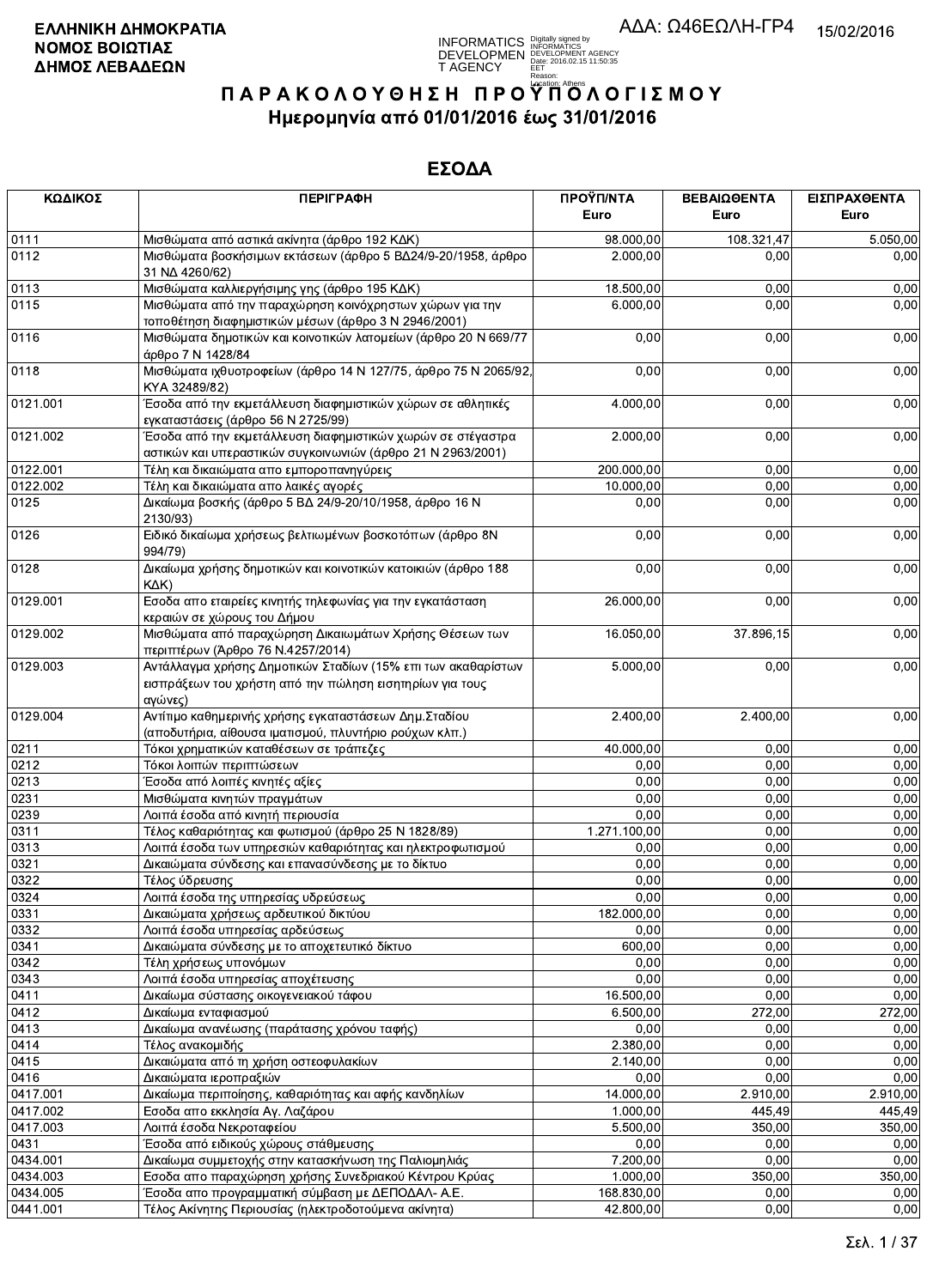**INFORMATICS** Digitally signed by<br>DEVELOPMEN DEVELOPMENT AGENCY<br>T AGENCY Early 2016.02.15 11:50:35<br>T AGENCY Early 2016.02.15 11:50:35

# ΠΑΡΑΚΟΛΟΥΘΗΣΗ ΠΡΟΥΠΌΛΟΓΙΣΜΟΥ Ημερομηνία από 01/01/2016 έως 31/01/2016

| ΚΩΔΙΚΟΣ  | <b>ПЕРІГРАФН</b>                                                                                                                    | ΠΡΟΫΠ/ΝΤΑ<br>Euro | ΒΕΒΑΙΩΘΕΝΤΑ<br>Euro | ΕΙΣΠΡΑΧΘΕΝΤΑ<br>Euro |
|----------|-------------------------------------------------------------------------------------------------------------------------------------|-------------------|---------------------|----------------------|
| 0111     | Μισθώματα από αστικά ακίνητα (άρθρο 192 ΚΔΚ)                                                                                        | 98.000,00         | 108.321,47          | 5.050,00             |
| 0112     | Μισθώματα βοσκήσιμων εκτάσεων (άρθρο 5 ΒΔ24/9-20/1958, άρθρο<br>31 NA 4260/62)                                                      | 2.000,00          | 0,00                | 0,00                 |
| 0113     | Μισθώματα καλλιεργήσιμης γης (άρθρο 195 ΚΔΚ)                                                                                        | 18.500,00         | 0,00                | 0,00                 |
| 0115     | Μισθώματα από την παραχώρηση κοινόχρηστων χώρων για την<br>τοποθέτηση διαφημιστικών μέσων (άρθρο 3 Ν 2946/2001)                     | 6.000,00          | 0,00                | 0,00                 |
| 0116     | Μισθώματα δημοτικών και κοινοτικών λατομείων (άρθρο 20 Ν 669/77<br>άρθρο 7 Ν 1428/84                                                | 0,00              | 0,00                | 0,00                 |
| 0118     | Μισθώματα ιχθυοτροφείων (άρθρο 14 Ν 127/75, άρθρο 75 Ν 2065/92<br>KYA 32489/82)                                                     | 0,00              | 0,00                | 0,00                 |
| 0121.001 | Έσοδα από την εκμετάλλευση διαφημιστικών χώρων σε αθλητικές<br>εγκαταστάσεις (άρθρο 56 Ν 2725/99)                                   | 4.000,00          | 0,00                | 0,00                 |
| 0121.002 | Έσοδα από την εκμετάλλευση διαφημιστικών χωρών σε στέγαστρα<br>αστικών και υπεραστικών συγκοινωνιών (άρθρο 21 Ν 2963/2001)          | 2.000,00          | 0,00                | 0,00                 |
| 0122.001 | Τέλη και δικαιώματα απο εμποροπανηγύρεις                                                                                            | 200.000,00        | 0,00                | 0,00                 |
| 0122.002 | Τέλη και δικαιώματα απο λαικές αγορές                                                                                               | 10.000,00         | 0,00                | 0,00                 |
| 0125     | Δικαίωμα βοσκής (άρθρο 5 ΒΔ 24/9-20/10/1958, άρθρο 16 Ν<br>2130/93)                                                                 | 0,00              | 0,00                | 0,00                 |
| 0126     | Ειδικό δικαίωμα χρήσεως βελτιωμένων βοσκοτόπων (άρθρο 8Ν<br>994/79)                                                                 | 0,00              | 0,00                | 0,00                 |
| 0128     | Δικαίωμα χρήσης δημοτικών και κοινοτικών κατοικιών (άρθρο 188<br>KAK)                                                               | 0,00              | 0,00                | 0,00                 |
| 0129.001 | Εσοδα απο εταιρείες κινητής τηλεφωνίας για την εγκατάσταση<br>κεραιών σε χώρους του Δήμου                                           | 26.000,00         | 0,00                | 0,00                 |
| 0129.002 | Μισθώματα από παραχώρηση Δικαιωμάτων Χρήσης Θέσεων των<br>περιπτέρων (Άρθρο 76 Ν.4257/2014)                                         | 16.050.00         | 37.896,15           | 0,00                 |
| 0129.003 | Αντάλλαγμα χρήσης Δημοτικών Σταδίων (15% επι των ακαθαρίστων<br>εισπράξεων του χρήστη από την πώληση εισητηρίων για τους<br>αγώνες) | 5.000,00          | 0,00                | 0,00                 |
| 0129.004 | Αντίτιμο καθημερινής χρήσης εγκαταστάσεων Δημ. Σταδίου<br>(αποδυτήρια, αίθουσα ιματισμού, πλυντήριο ρούχων κλπ.)                    | 2.400,00          | 2.400,00            | 0,00                 |
| 0211     | Τόκοι χρηματικών καταθέσεων σε τράπεζες                                                                                             | 40.000,00         | 0,00                | 0,00                 |
| 0212     | Τόκοι λοιπών περιπτώσεων                                                                                                            | 0,00              | 0,00                | 0,00                 |
| 0213     | Έσοδα από λοιπές κινητές αξίες                                                                                                      | 0,00              | 0,00                | 0,00                 |
| 0231     | Μισθώματα κινητών πραγμάτων                                                                                                         | 0,00              | 0,00                | 0,00                 |
| 0239     | Λοιπά έσοδα από κινητή περιουσία                                                                                                    | 0,00              | 0,00                | 0,00                 |
| 0311     | Τέλος καθαριότητας και φωτισμού (άρθρο 25 Ν 1828/89)                                                                                | 1.271.100,00      | 0,00                | 0,00                 |
| 0313     | Λοιπά έσοδα των υπηρεσιών καθαριότητας και ηλεκτροφωτισμού                                                                          | 0,00              | 0,00                | 0,00                 |
| 0321     | Δικαιώματα σύνδεσης και επανασύνδεσης με το δίκτυο                                                                                  | 0,00              | 0,00                | 0,00                 |
| 0322     | Τέλος ύδρευσης                                                                                                                      | 0,00              | 0,00                | 0,00                 |
| 0324     | Λοιπά έσοδα της υπηρεσίας υδρεύσεως                                                                                                 | 0,00              | 0,00                | 0,00                 |
| 0331     | Δικαιώματα χρήσεως αρδευτικού δικτύου                                                                                               | 182.000,00        | 0,00                | 0,00                 |
| 0332     | Λοιπά έσοδα υπηρεσίας αρδεύσεως                                                                                                     | 0,00              | 0,00                | 0,00                 |
| 0341     | Δικαιώματα σύνδεσης με το αποχετευτικό δίκτυο                                                                                       | 600,00            | 0,00                | 0,00                 |
| 0342     | Τέλη χρήσεως υπονόμων                                                                                                               | 0.00              | 0,00                | 0,00                 |
| 0343     | Λοιπά έσοδα υπηρεσίας αποχέτευσης                                                                                                   | 0,00              | 0,00                | 0,00                 |
| 0411     | Δικαίωμα σύστασης οικογενειακού τάφου                                                                                               | 16.500,00         | 0,00                | 0,00                 |
| 0412     | Δικαίωμα ενταφιασμού                                                                                                                | 6.500,00          | 272,00              | 272,00               |
| 0413     | Δικαίωμα ανανέωσης (παράτασης χρόνου ταφής)                                                                                         | 0,00              | 0,00                | 0.00                 |
| 0414     | Τέλος ανακομιδής                                                                                                                    | 2.380,00          | 0,00                | 0,00                 |
| 0415     | Δικαιώματα από τη χρήση οστεοφυλακίων                                                                                               | 2.140,00          | 0,00                | 0.00                 |
| 0416     | Δικαιώματα ιεροπραξιών                                                                                                              | 0,00              | 0,00                | 0,00                 |
| 0417.001 | Δικαίωμα περιποίησης, καθαριότητας και αφής κανδηλίων                                                                               | 14.000,00         | 2.910,00            | 2.910,00             |
| 0417.002 | Εσοδα απο εκκλησία Αγ. Λαζάρου                                                                                                      | 1.000,00          | 445,49              | 445,49               |
| 0417.003 | Λοιπά έσοδα Νεκροταφείου                                                                                                            | 5.500,00          | 350,00              | 350,00               |
| 0431     | Έσοδα από ειδικούς χώρους στάθμευσης                                                                                                | 0,00              | 0,00                | 0.00                 |
| 0434.001 | Δικαίωμα συμμετοχής στην κατασκήνωση της Παλιομηλιάς                                                                                | 7.200,00          | 0,00                | 0.00                 |
| 0434.003 | Εσοδα απο παραχώρηση χρήσης Συνεδριακού Κέντρου Κρύας                                                                               | 1.000,00          | 350,00              | 350,00               |
| 0434.005 | Έσοδα απο προγραμματική σύμβαση με ΔΕΠΟΔΑΛ- Α.Ε.                                                                                    | 168.830,00        | 0,00                | 0,00                 |
| 0441.001 | Τέλος Ακίνητης Περιουσίας (ηλεκτροδοτούμενα ακίνητα)                                                                                | 42.800,00         | 0,00                | 0,00                 |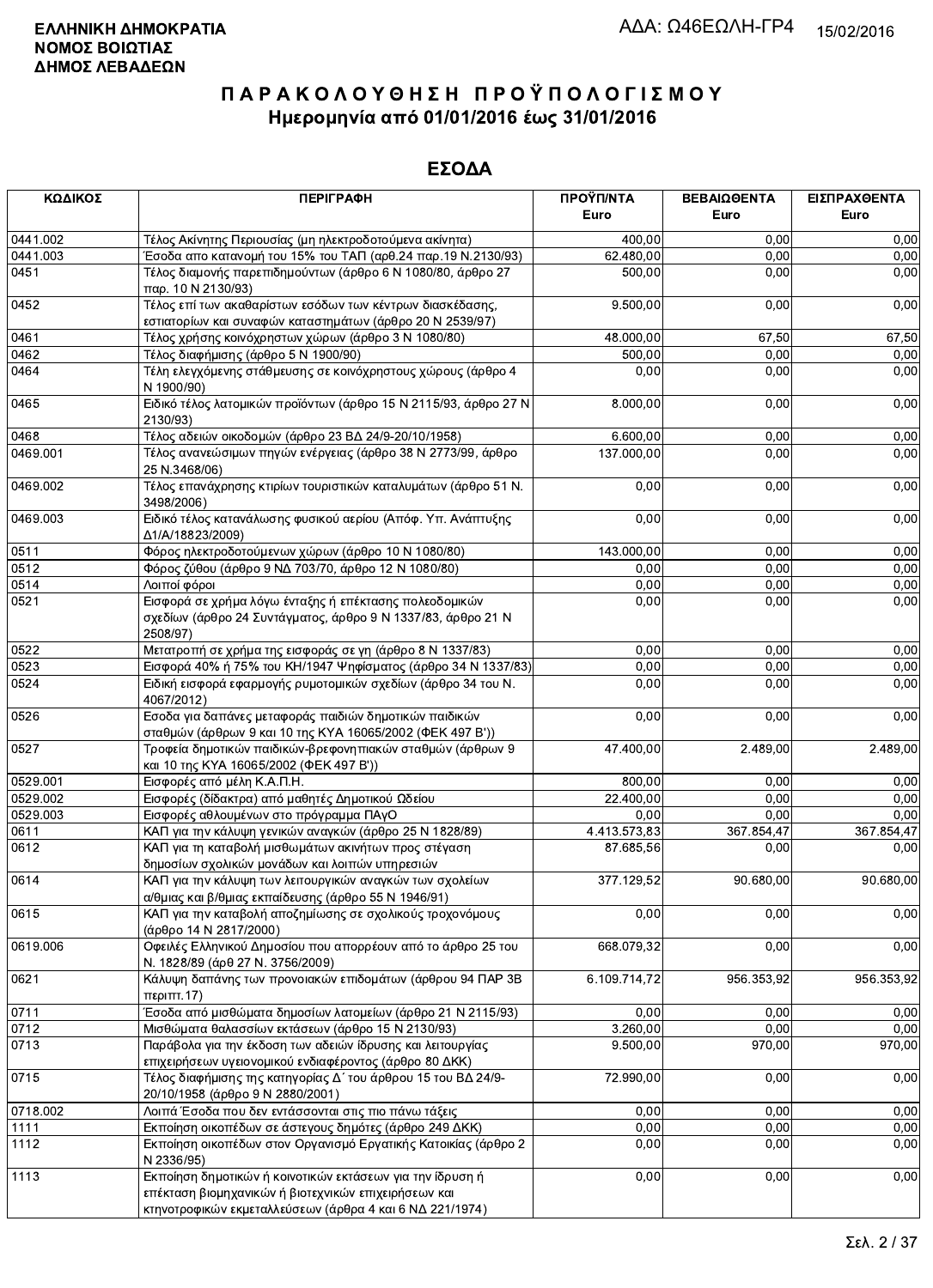| ΚΩΔΙΚΟΣ  | <b>ПЕРІГРАФН</b>                                                                                                                                                              | ΠΡΟΫΠ/ΝΤΑ    | ΒΕΒΑΙΩΘΕΝΤΑ | ΕΙΣΠΡΑΧΘΕΝΤΑ |
|----------|-------------------------------------------------------------------------------------------------------------------------------------------------------------------------------|--------------|-------------|--------------|
|          |                                                                                                                                                                               | Euro         | Euro        | Euro         |
| 0441.002 | Τέλος Ακίνητης Περιουσίας (μη ηλεκτροδοτούμενα ακίνητα)                                                                                                                       | 400,00       | 0,00        | 0,00         |
| 0441.003 | Έσοδα απο κατανομή του 15% του ΤΑΠ (αρθ.24 παρ.19 Ν.2130/93)                                                                                                                  | 62.480,00    | 0,00        | 0,00         |
| 0451     | Τέλος διαμονής παρεπιδημούντων (άρθρο 6 Ν 1080/80, άρθρο 27<br>παρ. 10 Ν 2130/93)                                                                                             | 500,00       | 0,00        | 0,00         |
| 0452     | Τέλος επί των ακαθαρίστων εσόδων των κέντρων διασκέδασης,<br>εστιατορίων και συναφών καταστημάτων (άρθρο 20 Ν 2539/97)                                                        | 9.500,00     | 0,00        | 0,00         |
| 0461     | Τέλος χρήσης κοινόχρηστων χώρων (άρθρο 3 Ν 1080/80)                                                                                                                           | 48.000,00    | 67,50       | 67,50        |
| 0462     | Τέλος διαφήμισης (άρθρο 5 Ν 1900/90)                                                                                                                                          | 500,00       | 0,00        | 0,00         |
| 0464     | Τέλη ελεγχόμενης στάθμευσης σε κοινόχρηστους χώρους (άρθρο 4<br>N 1900/90)                                                                                                    | 0,00         | 0,00        | 0,00         |
| 0465     | Ειδικό τέλος λατομικών προϊόντων (άρθρο 15 Ν 2115/93, άρθρο 27 Ν<br>2130/93)                                                                                                  | 8.000,00     | 0,00        | 0,00         |
| 0468     | Τέλος αδειών οικοδομών (άρθρο 23 ΒΔ 24/9-20/10/1958)                                                                                                                          | 6.600,00     | 0,00        | 0,00         |
| 0469.001 | Τέλος ανανεώσιμων πηγών ενέργειας (άρθρο 38 Ν 2773/99, άρθρο<br>25 N.3468/06)                                                                                                 | 137.000,00   | 0,00        | 0,00         |
| 0469.002 | Τέλος επανάχρησης κτιρίων τουριστικών καταλυμάτων (άρθρο 51 Ν.<br>3498/2006)                                                                                                  | 0,00         | 0,00        | 0,00         |
| 0469.003 | Ειδικό τέλος κατανάλωσης φυσικού αερίου (Απόφ. Υπ. Ανάπτυξης<br>Δ1/A/18823/2009)                                                                                              | 0,00         | 0,00        | 0,00         |
| 0511     | Φόρος ηλεκτροδοτούμενων χώρων (άρθρο 10 Ν 1080/80)                                                                                                                            | 143.000,00   | 0,00        | 0,00         |
| 0512     | Φόρος ζύθου (άρθρο 9 ΝΔ 703/70, άρθρο 12 Ν 1080/80)                                                                                                                           | 0,00         | 0,00        | 0,00         |
| 0514     | Λοιποί φόροι                                                                                                                                                                  | 0,00         | 0,00        | 0,00         |
| 0521     | Εισφορά σε χρήμα λόγω ένταξης ή επέκτασης πολεοδομικών<br>σχεδίων (άρθρο 24 Συντάγματος, άρθρο 9 Ν 1337/83, άρθρο 21 Ν<br>2508/97)                                            | 0,00         | 0,00        | 0,00         |
| 0522     | Μετατροπή σε χρήμα της εισφοράς σε γη (άρθρο 8 Ν 1337/83)                                                                                                                     | 0,00         | 0,00        | 0,00         |
| 0523     | Εισφορά 40% ή 75% του ΚΗ/1947 Ψηφίσματος (άρθρο 34 Ν 1337/83)                                                                                                                 | 0,00         | 0,00        | 0,00         |
| 0524     | Ειδική εισφορά εφαρμογής ρυμοτομικών σχεδίων (άρθρο 34 του Ν.<br>4067/2012)                                                                                                   | 0,00         | 0,00        | 0,00         |
| 0526     | Εσοδα για δαπάνες μεταφοράς παιδιών δημοτικών παιδικών<br>σταθμών (άρθρων 9 και 10 της ΚΥΑ 16065/2002 (ΦΕΚ 497 Β'))                                                           | 0,00         | 0,00        | 0,00         |
| 0527     | Τροφεία δημοτικών παιδικών-βρεφονηπιακών σταθμών (άρθρων 9<br>και 10 της ΚΥΑ 16065/2002 (ΦΕΚ 497 Β'))                                                                         | 47.400,00    | 2.489,00    | 2.489,00     |
| 0529.001 | Εισφορές από μέλη Κ.Α.Π.Η.                                                                                                                                                    | 800,00       | 0,00        | 0,00         |
| 0529.002 | Εισφορές (δίδακτρα) από μαθητές Δημοτικού Ωδείου                                                                                                                              | 22.400,00    | 0,00        | 0,00         |
| 0529.003 | Εισφορές αθλουμένων στο πρόγραμμα ΠΑγΟ                                                                                                                                        | 0,00         | 0.00        | 0,00         |
| 0611     | ΚΑΠ για την κάλυψη γενικών αναγκών (άρθρο 25 Ν 1828/89)                                                                                                                       | 4.413.573,83 | 367.854,47  | 367.854,47   |
| 0612     | ΚΑΠ για τη καταβολή μισθωμάτων ακινήτων προς στέγαση<br>δημοσίων σχολικών μονάδων και λοιπών υπηρεσιών                                                                        | 87.685,56    | 0,00        | 0,00         |
| 0614     | ΚΑΠ για την κάλυψη των λειτουργικών αναγκών των σχολείων<br>α/θμιας και β/θμιας εκπαίδευσης (άρθρο 55 Ν 1946/91)                                                              | 377.129,52   | 90.680,00   | 90.680,00    |
| 0615     | ΚΑΠ για την καταβολή αποζημίωσης σε σχολικούς τροχονόμους<br>(άρθρο 14 Ν 2817/2000)                                                                                           | 0,00         | 0,00        | 0,00         |
| 0619.006 | Οφειλές Ελληνικού Δημοσίου που απορρέουν από το άρθρο 25 του<br>Ν. 1828/89 (άρθ 27 Ν. 3756/2009)                                                                              | 668.079,32   | 0,00        | 0,00         |
| 0621     | Κάλυψη δαπάνης των προνοιακών επιδομάτων (άρθρου 94 ΠΑΡ 3Β<br>$\pi$ <sub>c</sub> om <sub><math>\pi</math></sub> .17)                                                          | 6.109.714,72 | 956.353,92  | 956.353,92   |
| 0711     | Έσοδα από μισθώματα δημοσίων λατομείων (άρθρο 21 Ν 2115/93)                                                                                                                   | 0,00         | 0,00        | 0,00         |
| 0712     | Μισθώματα θαλασσίων εκτάσεων (άρθρο 15 Ν 2130/93)                                                                                                                             | 3.260,00     | 0,00        | 0.00         |
| 0713     | Παράβολα για την έκδοση των αδειών ίδρυσης και λειτουργίας<br>επιχειρήσεων υγειονομικού ενδιαφέροντος (άρθρο 80 ΔΚΚ)                                                          | 9.500,00     | 970,00      | 970,00       |
| 0715     | Τέλος διαφήμισης της κατηγορίας Δ΄ του άρθρου 15 του ΒΔ 24/9-<br>20/10/1958 (άρθρο 9 Ν 2880/2001)                                                                             | 72.990,00    | 0,00        | 0,00         |
| 0718.002 | Λοιπά Έσοδα που δεν εντάσσονται στις πιο πάνω τάξεις                                                                                                                          | 0,00         | 0,00        | 0,00         |
| 1111     | Εκποίηση οικοπέδων σε άστεγους δημότες (άρθρο 249 ΔΚΚ)                                                                                                                        | 0,00         | 0,00        | 0,00         |
| 1112     | Εκποίηση οικοπέδων στον Οργανισμό Εργατικής Κατοικίας (άρθρο 2<br>N 2336/95)                                                                                                  | 0,00         | 0,00        | 0,00         |
| 1113     | Εκποίηση δημοτικών ή κοινοτικών εκτάσεων για την ίδρυση ή<br>επέκταση βιομηχανικών ή βιοτεχνικών επιχειρήσεων και<br>κτηνοτροφικών εκμεταλλεύσεων (άρθρα 4 και 6 ΝΔ 221/1974) | 0,00         | 0,00        | 0,00         |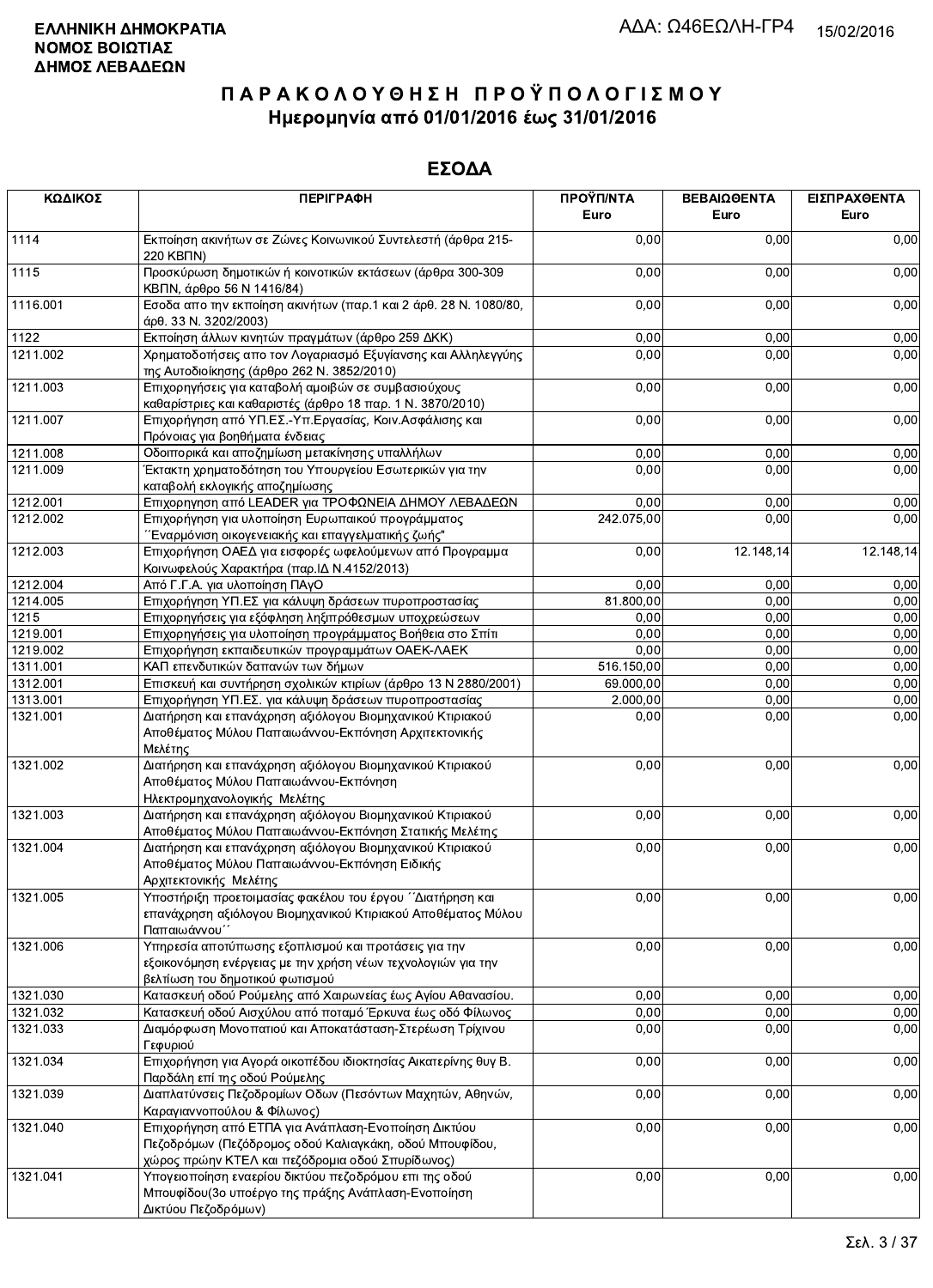| ΚΩΔΙΚΟΣ  | <b>ПЕРІГРАФН</b>                                                                                                                                                   | ΠΡΟΫΠ/ΝΤΑ<br>Euro | ΒΕΒΑΙΩΘΕΝΤΑ<br>Euro | ΕΙΣΠΡΑΧΘΕΝΤΑ<br>Euro |
|----------|--------------------------------------------------------------------------------------------------------------------------------------------------------------------|-------------------|---------------------|----------------------|
| 1114     | Εκποίηση ακινήτων σε Ζώνες Κοινωνικού Συντελεστή (άρθρα 215-<br>220 KBNN)                                                                                          | 0,00              | 0,00                | 0,00                 |
| 1115     | Προσκύρωση δημοτικών ή κοινοτικών εκτάσεων (άρθρα 300-309<br>ΚΒΠΝ, άρθρο 56 Ν 1416/84)                                                                             | 0,00              | 0,00                | 0,00                 |
| 1116.001 | Εσοδα απο την εκποίηση ακινήτων (παρ.1 και 2 άρθ. 28 Ν. 1080/80,<br>άρθ. 33 Ν. 3202/2003)                                                                          | 0,00              | 0,00                | 0,00                 |
| 1122     | Εκποίηση άλλων κινητών πραγμάτων (άρθρο 259 ΔΚΚ)                                                                                                                   | 0,00              | 0,00                | 0,00                 |
| 1211.002 | Χρηματοδοτήσεις απο τον Λογαριασμό Εξυγίανσης και Αλληλεγγύης<br>της Αυτοδιοίκησης (άρθρο 262 Ν. 3852/2010)                                                        | 0,00              | 0,00                | 0,00                 |
| 1211.003 | Επιχορηγήσεις για καταβολή αμοιβών σε συμβασιούχους<br>καθαρίστριες και καθαριστές (άρθρο 18 παρ. 1 Ν. 3870/2010)                                                  | 0,00              | 0,00                | 0,00                 |
| 1211.007 | Επιχορήγηση από ΥΠ.ΕΣ.-Υπ.Εργασίας, Κοιν.Ασφάλισης και<br>Πρόνοιας για βοηθήματα ένδειας                                                                           | 0,00              | 0,00                | 0,00                 |
| 1211.008 | Οδοιπορικά και αποζημίωση μετακίνησης υπαλλήλων                                                                                                                    | 0,00              | 0,00                | 0,00                 |
| 1211.009 | Έκτακτη χρηματοδότηση του Υπουργείου Εσωτερικών για την<br>καταβολή εκλογικής αποζημίωσης                                                                          | 0,00              | 0,00                | 0,00                 |
| 1212.001 | Επιχορηγηση από LEADER για ΤΡΟΦΩΝΕΙΑ ΔΗΜΟΥ ΛΕΒΑΔΕΩΝ                                                                                                                | 0,00              | 0,00                | 0,00                 |
| 1212.002 | Επιχορήγηση για υλοποίηση Ευρωπαικού προγράμματος<br>Έναρμόνιση οικογενειακής και επαγγελματικής ζωής"                                                             | 242.075,00        | 0,00                | 0,00                 |
| 1212.003 | Επιχορήγηση ΟΑΕΔ για εισφορές ωφελούμενων από Προγραμμα<br>Κοινωφελούς Χαρακτήρα (παρ. ΙΔ Ν.4152/2013)                                                             | 0,00              | 12.148,14           | 12.148,14            |
| 1212.004 | Από Γ.Γ.Α. για υλοποίηση ΠΑγΟ                                                                                                                                      | 0,00              | 0,00                | 0,00                 |
| 1214.005 | Επιχορήγηση ΥΠ.ΕΣ για κάλυψη δράσεων πυροπροστασίας                                                                                                                | 81.800,00         | 0,00                | 0,00                 |
| 1215     | Επιχορηγήσεις για εξόφληση ληξιπρόθεσμων υποχρεώσεων                                                                                                               | 0,00              | 0,00                | 0,00                 |
| 1219.001 | Επιχορηγήσεις για υλοποίηση προγράμματος Βοήθεια στο Σπίτι                                                                                                         | 0,00              | 0,00                | 0,00                 |
| 1219.002 | Επιχορήγηση εκπαιδευτικών προγραμμάτων ΟΑΕΚ-ΛΑΕΚ                                                                                                                   | 0,00              | 0,00                | 0,00                 |
| 1311.001 | ΚΑΠ επενδυτικών δαπανών των δήμων                                                                                                                                  | 516.150,00        | 0,00                | 0,00                 |
| 1312.001 | Επισκευή και συντήρηση σχολικών κτιρίων (άρθρο 13 Ν 2880/2001)                                                                                                     | 69.000,00         | 0,00                | 0,00                 |
| 1313.001 | Επιχορήγηση ΥΠ.ΕΣ. για κάλυψη δράσεων πυροπροστασίας                                                                                                               | 2.000,00          | 0,00                | 0,00                 |
| 1321.001 | Διατήρηση και επανάχρηση αξιόλογου Βιομηχανικού Κτιριακού<br>Αποθέματος Μύλου Παπαιωάννου-Εκπόνηση Αρχιτεκτονικής<br>Μελέτης                                       | 0,00              | 0,00                | 0,00                 |
| 1321.002 | Διατήρηση και επανάχρηση αξιόλογου Βιομηχανικού Κτιριακού<br>Αποθέματος Μύλου Παπαιωάννου-Εκπόνηση<br>Ηλεκτρομηχανολογικής Μελέτης                                 | 0,00              | 0,00                | 0,00                 |
| 1321.003 | Διατήρηση και επανάχρηση αξιόλογου Βιομηχανικού Κτιριακού<br>Αποθέματος Μύλου Παπαιωάννου-Εκπόνηση Στατικής Μελέτης                                                | 0,00              | 0,00                | 0,00                 |
| 1321.004 | Διατήρηση και επανάχρηση αξιόλογου Βιομηχανικού Κτιριακού<br>Αποθέματος Μύλου Παπαιωάννου-Εκπόνηση Ειδικής<br>Αρχιτεκτονικής Μελέτης                               | 0,00              | 0,00                | 0,00                 |
| 1321.005 | Υποστήριξη προετοιμασίας φακέλου του έργου ΄΄Διατήρηση και<br>επανάχρηση αξιόλογου Βιομηχανικού Κτιριακού Αποθέματος Μύλου<br>Παπαιωάννου΄                         | 0,00              | 0,00                | 0,00                 |
| 1321.006 | Υπηρεσία αποτύπωσης εξοπλισμού και προτάσεις για την<br>εξοικονόμηση ενέργειας με την χρήση νέων τεχνολογιών για την<br>βελτίωση του δημοτικού φωτισμού            | 0,00              | 0,00                | 0,00                 |
| 1321.030 | Κατασκευή οδού Ρούμελης από Χαιρωνείας έως Αγίου Αθανασίου.                                                                                                        | 0,00              | 0,00                | 0,00                 |
| 1321.032 | Κατασκευή οδού Αισχύλου από ποταμό Έρκυνα έως οδό Φίλωνος                                                                                                          | 0,00              | 0,00                | 0,00                 |
| 1321.033 | Διαμόρφωση Μονοπατιού και Αποκατάσταση-Στερέωση Τρίχινου<br>Γεφυριού                                                                                               | 0,00              | 0,00                | 0,00                 |
| 1321.034 | Επιχορήγηση για Αγορά οικοπέδου ιδιοκτησίας Αικατερίνης θυγ Β.<br>Παρδάλη επί της οδού Ρούμελης                                                                    | 0,00              | 0,00                | 0,00                 |
| 1321.039 | Διαπλατύνσεις Πεζοδρομίων Οδων (Πεσόντων Μαχητών, Αθηνών,<br>Καραγιαννοπούλου & Φίλωνος)                                                                           | 0,00              | 0,00                | 0,00                 |
| 1321.040 | Επιχορήγηση από ΕΤΠΑ για Ανάπλαση-Ενοποίηση Δικτύου<br>Πεζοδρόμων (Πεζόδρομος οδού Καλιαγκάκη, οδού Μπουφίδου,<br>χώρος πρώην ΚΤΕΛ και πεζόδρομια οδού Σπυρίδωνος) | 0,00              | 0,00                | 0,00                 |
| 1321.041 | Υπογειοποίηση εναερίου δικτύου πεζοδρόμου επι της οδού<br>Μπουφίδου (3ο υποέργο της πράξης Ανάπλαση-Ενοποίηση<br>Δικτύου Πεζοδρόμων)                               | 0,00              | 0,00                | 0,00                 |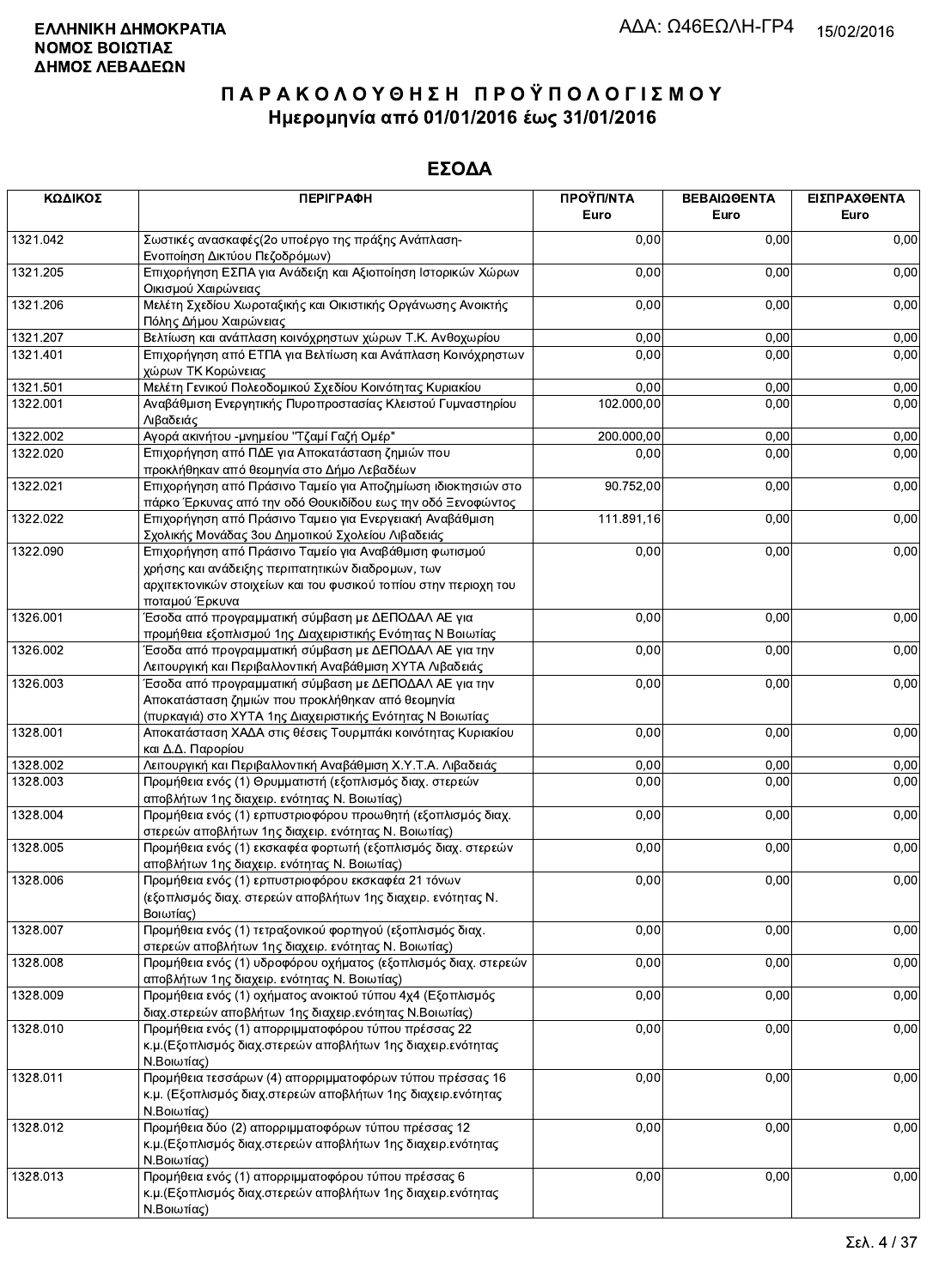| ΚΩΔΙΚΟΣ  | <b>ПЕРІГРАФН</b>                                                                                                                                                                                  | ΠΡΟΫΠ/ΝΤΑ<br>Euro | ΒΕΒΑΙΩΘΕΝΤΑ<br>Euro | ΕΙΣΠΡΑΧΘΕΝΤΑ<br>Euro |
|----------|---------------------------------------------------------------------------------------------------------------------------------------------------------------------------------------------------|-------------------|---------------------|----------------------|
| 1321.042 | Σωστικές ανασκαφές (2ο υποέργο της πράξης Ανάπλαση-<br>Ενοποίηση Δικτύου Πεζοδρόμων)                                                                                                              | 0,00              | 0,00                | 0,00                 |
| 1321.205 | Επιχορήγηση ΕΣΠΑ για Ανάδειξη και Αξιοποίηση Ιστορικών Χώρων<br>Οικισμού Χαιρώνειας                                                                                                               | 0,00              | 0,00                | 0,00                 |
| 1321.206 | Μελέτη Σχεδίου Χωροταξικής και Οικιστικής Οργάνωσης Ανοικτής<br>Πόλης Δήμου Χαιρώνειας                                                                                                            | 0,00              | 0,00                | 0,00                 |
| 1321.207 | Βελτίωση και ανάπλαση κοινόχρηστων χώρων Τ.Κ. Ανθοχωρίου                                                                                                                                          | 0,00              | 0,00                | 0,00                 |
| 1321.401 | Επιχορήγηση από ΕΤΠΑ για Βελτίωση και Ανάπλαση Κοινόχρηστων<br>χώρων ΤΚ Κορώνειας                                                                                                                 | 0,00              | 0,00                | 0,00                 |
| 1321.501 | Μελέτη Γενικού Πολεοδομικού Σχεδίου Κοινότητας Κυριακίου                                                                                                                                          | 0,00              | 0,00                | 0,00                 |
| 1322.001 | Αναβάθμιση Ενεργητικής Πυροπροστασίας Κλειστού Γυμναστηρίου<br>Λιβαδειάς                                                                                                                          | 102.000,00        | 0,00                | 0,00                 |
| 1322.002 | Αγορά ακινήτου -μνημείου "Τζαμί Γαζή Ομέρ"                                                                                                                                                        | 200.000,00        | 0,00                | 0,00                 |
| 1322.020 | Επιχορήγηση από ΠΔΕ για Αποκατάσταση ζημιών που<br>προκλήθηκαν από θεομηνία στο Δήμο Λεβαδέων                                                                                                     | 0,00              | 0,00                | 0,00                 |
| 1322.021 | Επιχορήγηση από Πράσινο Ταμείο για Αποζημίωση ιδιοκτησιών στο<br>πάρκο Έρκυνας από την οδό Θουκιδίδου εως την οδό Ξενοφώντος                                                                      | 90.752,00         | 0,00                | 0,00                 |
| 1322.022 | Επιχορήγηση από Πράσινο Ταμειο για Ενεργειακή Αναβάθμιση<br>Σχολικής Μονάδας 3ου Δημοτικού Σχολείου Λιβαδειάς                                                                                     | 111.891,16        | 0,00                | 0,00                 |
| 1322.090 | Επιχορήγηση από Πράσινο Ταμείο για Αναβάθμιση φωτισμού<br>χρήσης και ανάδειξης περιπατητικών διαδρομων, των<br>αρχιτεκτονικών στοιχείων και του φυσικού τοπίου στην περιοχη του<br>ποταμού Έρκυνα | 0,00              | 0,00                | 0,00                 |
| 1326.001 | Έσοδα από προγραμματική σύμβαση με ΔΕΠΟΔΑΛ ΑΕ για<br>προμήθεια εξοπλισμού 1ης Διαχειριστικής Ενότητας Ν Βοιωτίας                                                                                  | 0,00              | 0,00                | 0,00                 |
| 1326.002 | Έσοδα από προγραμματική σύμβαση με ΔΕΠΟΔΑΛ ΑΕ για την<br>Λειτουργική και Περιβαλλοντική Αναβάθμιση ΧΥΤΑ Λιβαδειάς                                                                                 | 0,00              | 0,00                | 0,00                 |
| 1326.003 | Έσοδα από προγραμματική σύμβαση με ΔΕΠΟΔΑΛ ΑΕ για την<br>Αποκατάσταση ζημιών που προκλήθηκαν από θεομηνία<br>(πυρκαγιά) στο XYTA 1ης Διαχειριστικής Ενότητας Ν Βοιωτίας                           | 0,00              | 0,00                | 0,00                 |
| 1328.001 | Αποκατάσταση ΧΑΔΑ στις θέσεις Τουρμπάκι κοινότητας Κυριακίου<br>και Δ.Δ. Παρορίου                                                                                                                 | 0,00              | 0,00                | 0,00                 |
| 1328.002 | Λειτουργική και Περιβαλλοντική Αναβάθμιση Χ.Υ.Τ.Α. Λιβαδειάς                                                                                                                                      | 0,00              | 0,00                | 0,00                 |
| 1328.003 | Προμήθεια ενός (1) Θρυμματιστή (εξοπλισμός διαχ. στερεών<br>αποβλήτων 1ης διαχειρ. ενότητας Ν. Βοιωτίας)                                                                                          | 0,00              | 0,00                | 0,00                 |
| 1328.004 | Προμήθεια ενός (1) ερπυστριοφόρου προωθητή (εξοπλισμός διαχ.<br>στερεών αποβλήτων 1ης διαχειρ. ενότητας Ν. Βοιωτίας)                                                                              | 0,00              | 0,00                | 0,00                 |
| 1328.005 | Προμήθεια ενός (1) εκσκαφέα φορτωτή (εξοπλισμός διαχ. στερεών<br>αποβλήτων 1ης διαχειρ. ενότητας Ν. Βοιωτίας)                                                                                     | 0,00              | 0,00                | 0,00                 |
| 1328.006 | Προμήθεια ενός (1) ερπυστριοφόρου εκσκαφέα 21 τόνων<br>(εξοπλισμός διαχ. στερεών αποβλήτων 1ης διαχειρ. ενότητας Ν.<br>Βοιωτίας)                                                                  | 0,00              | 0,00                | 0,00                 |
| 1328.007 | Προμήθεια ενός (1) τετραξονικού φορτηγού (εξοπλισμός διαχ.<br>στερεών αποβλήτων 1ης διαχειρ. ενότητας Ν. Βοιωτίας)                                                                                | 0,00              | 0,00                | 0,00                 |
| 1328.008 | Προμήθεια ενός (1) υδροφόρου οχήματος (εξοπλισμός διαχ. στερεών<br>αποβλήτων 1ης διαχειρ. ενότητας Ν. Βοιωτίας)                                                                                   | 0,00              | 0,00                | 0,00                 |
| 1328.009 | Προμήθεια ενός (1) οχήματος ανοικτού τύπου 4χ4 (Εξοπλισμός<br>διαχ.στερεών αποβλήτων 1ης διαχειρ.ενότητας Ν.Βοιωτίας)                                                                             | 0,00              | 0,00                | 0,00                 |
| 1328.010 | Προμήθεια ενός (1) απορριμματοφόρου τύπου πρέσσας 22<br>κ.μ. (Εξοπλισμός διαχ.στερεών αποβλήτων 1ης διαχειρ.ενότητας<br>Ν.Βοιωτίας)                                                               | 0,00              | 0,00                | 0,00                 |
| 1328.011 | Προμήθεια τεσσάρων (4) απορριμματοφόρων τύπου πρέσσας 16<br>κ.μ. (Εξοπλισμός διαχ.στερεών αποβλήτων 1ης διαχειρ.ενότητας<br>Ν.Βοιωτίας)                                                           | 0,00              | 0,00                | 0,00                 |
| 1328.012 | Προμήθεια δύο (2) απορριμματοφόρων τύπου πρέσσας 12<br>κ.μ. (Εξοπλισμός διαχ.στερεών αποβλήτων 1ης διαχειρ.ενότητας<br>Ν.Βοιωτίας)                                                                | 0,00              | 0,00                | 0,00                 |
| 1328.013 | Προμήθεια ενός (1) απορριμματοφόρου τύπου πρέσσας 6<br>κ.μ. (Εξοπλισμός διαχ. στερεών αποβλήτων 1ης διαχειρ. ενότητας<br>Ν.Βοιωτίας)                                                              | 0,00              | 0,00                | 0,00                 |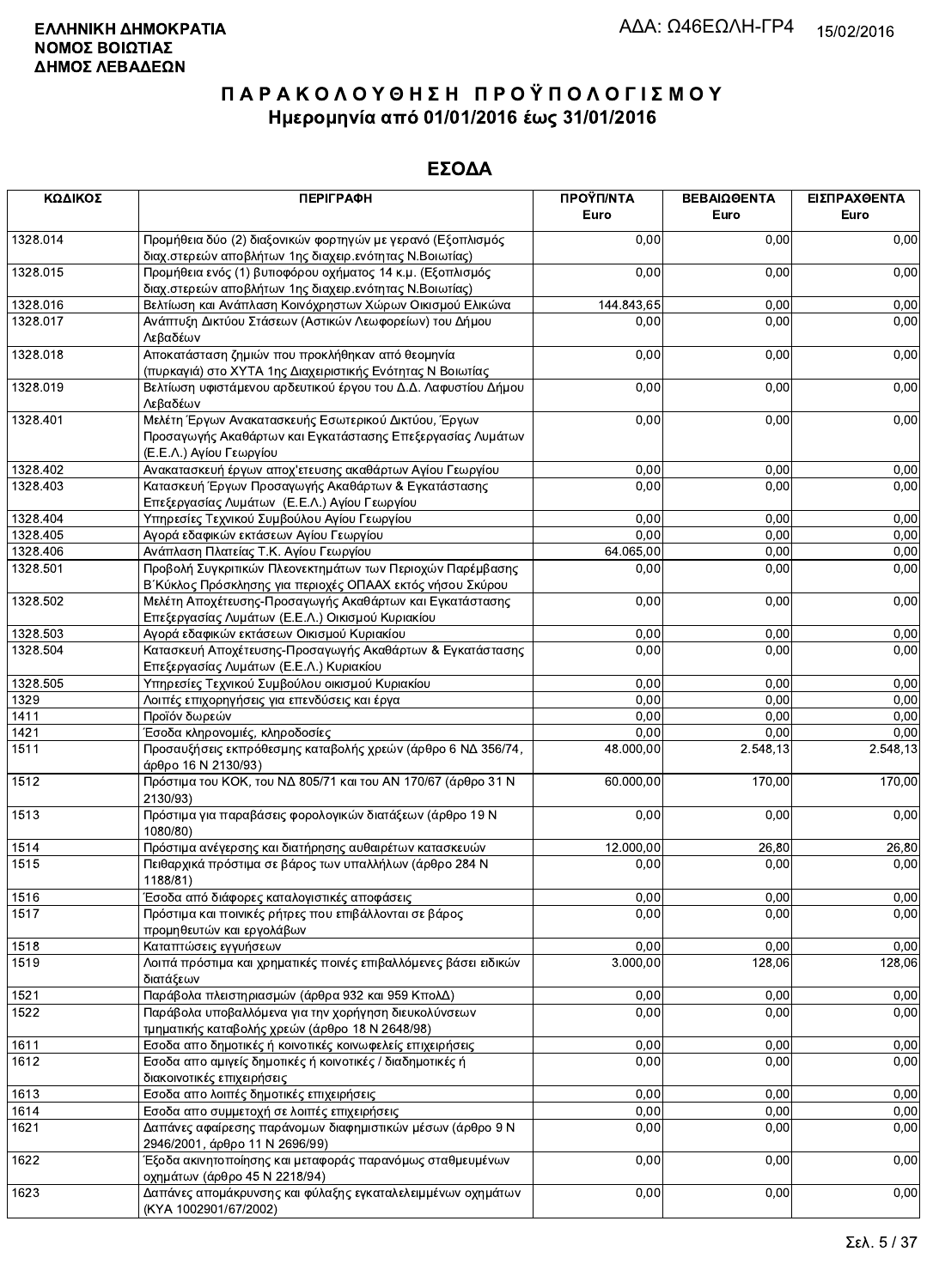| ΚΩΔΙΚΟΣ      | <b>ПЕРІГРАФН</b>                                                                                                                              | ΠΡΟΫΠ/ΝΤΑ<br>Euro | ΒΕΒΑΙΩΘΕΝΤΑ<br>Euro | ΕΙΣΠΡΑΧΘΕΝΤΑ<br>Euro |
|--------------|-----------------------------------------------------------------------------------------------------------------------------------------------|-------------------|---------------------|----------------------|
| 1328.014     | Προμήθεια δύο (2) διαξονικών φορτηγών με γερανό (Εξοπλισμός<br>διαχ.στερεών αποβλήτων 1ης διαχειρ.ενότητας Ν.Βοιωτίας)                        | 0.00              | 0,00                | 0,00                 |
| 1328.015     | Προμήθεια ενός (1) βυτιοφόρου οχήματος 14 κ.μ. (Εξοπλισμός<br>διαχ.στερεών αποβλήτων 1ης διαχειρ.ενότητας Ν.Βοιωτίας)                         | 0,00              | 0,00                | 0,00                 |
| 1328.016     | Βελτίωση και Ανάπλαση Κοινόχρηστων Χώρων Οικισμού Ελικώνα                                                                                     | 144.843,65        | 0,00                | 0,00                 |
| 1328.017     | Ανάπτυξη Δικτύου Στάσεων (Αστικών Λεωφορείων) του Δήμου<br>Λεβαδέων                                                                           | 0,00              | 0,00                | 0,00                 |
| 1328.018     | Αποκατάσταση ζημιών που προκλήθηκαν από θεομηνία<br>(πυρκαγιά) στο ΧΥΤΑ 1ης Διαχειριστικής Ενότητας Ν Βοιωτίας                                | 0,00              | 0,00                | 0,00                 |
| 1328.019     | Βελτίωση υφιστάμενου αρδευτικού έργου του Δ.Δ. Λαφυστίου Δήμου<br>Λεβαδέων                                                                    | 0,00              | 0,00                | 0,00                 |
| 1328.401     | Μελέτη Έργων Ανακατασκευής Εσωτερικού Δικτύου, Έργων<br>Προσαγωγής Ακαθάρτων και Εγκατάστασης Επεξεργασίας Λυμάτων<br>(Ε.Ε.Λ.) Αγίου Γεωργίου | 0,00              | 0,00                | 0,00                 |
| 1328.402     | Ανακατασκευή έργων αποχ'ετευσης ακαθάρτων Αγίου Γεωργίου                                                                                      | 0,00              | 0,00                | 0,00                 |
| 1328.403     | Κατασκευή Έργων Προσαγωγής Ακαθάρτων & Εγκατάστασης<br>Επεξεργασίας Λυμάτων (Ε.Ε.Λ.) Αγίου Γεωργίου                                           | 0,00              | 0,00                | 0,00                 |
| 1328.404     | Υπηρεσίες Τεχνικού Συμβούλου Αγίου Γεωργίου                                                                                                   | 0,00              | 0,00                | 0,00                 |
| 1328.405     | Αγορά εδαφικών εκτάσεων Αγίου Γεωργίου                                                                                                        | 0,00              | 0,00                | 0,00                 |
| 1328.406     | Ανάπλαση Πλατείας Τ.Κ. Αγίου Γεωργίου                                                                                                         | 64.065,00         | 0,00                | 0,00                 |
| 1328.501     | Προβολή Συγκριτικών Πλεονεκτημάτων των Περιοχών Παρέμβασης<br>Β΄ Κύκλος Πρόσκλησης για περιοχές ΟΠΑΑΧ εκτός νήσου Σκύρου                      | 0,00              | 0,00                | 0,00                 |
| 1328.502     | Μελέτη Αποχέτευσης-Προσαγωγής Ακαθάρτων και Εγκατάστασης<br>Επεξεργασίας Λυμάτων (Ε.Ε.Λ.) Οικισμού Κυριακίου                                  | 0,00              | 0,00                | 0,00                 |
| 1328.503     | Αγορά εδαφικών εκτάσεων Οικισμού Κυριακίου                                                                                                    | 0,00              | 0,00                | 0,00                 |
| 1328.504     | Κατασκευή Αποχέτευσης-Προσαγωγής Ακαθάρτων & Εγκατάστασης<br>Επεξεργασίας Λυμάτων (Ε.Ε.Λ.) Κυριακίου                                          | 0,00              | 0,00                | 0,00                 |
| 1328.505     |                                                                                                                                               |                   | 0,00                | 0,00                 |
| 1329         | Υπηρεσίες Τεχνικού Συμβούλου οικισμού Κυριακίου<br>Λοιπές επιχορηγήσεις για επενδύσεις και έργα                                               | 0,00<br>0,00      | 0,00                | 0,00                 |
| 1411         | Προϊόν δωρεών                                                                                                                                 | 0,00              | 0,00                | 0,00                 |
|              |                                                                                                                                               |                   | 0,00                |                      |
| 1421<br>1511 | Έσοδα κληρονομιές, κληροδοσίες<br>Προσαυξήσεις εκπρόθεσμης καταβολής χρεών (άρθρο 6 ΝΔ 356/74,<br>άρθρο 16 Ν 2130/93)                         | 0,00<br>48.000,00 | 2.548,13            | 0,00<br>2.548,13     |
| 1512         | Πρόστιμα του ΚΟΚ, του ΝΔ 805/71 και του ΑΝ 170/67 (άρθρο 31 Ν<br>2130/93)                                                                     | 60.000,00         | 170,00              | 170,00               |
| 1513         | Πρόστιμα για παραβάσεις φορολογικών διατάξεων (άρθρο 19 Ν<br>1080/80)                                                                         | 0,00              | 0,00                | 0,00                 |
| 1514         | Πρόστιμα ανέγερσης και διατήρησης αυθαιρέτων κατασκευών                                                                                       | 12.000,00         | 26,80               | 26,80                |
| 1515         | Πειθαρχικά πρόστιμα σε βάρος των υπαλλήλων (άρθρο 284 Ν<br>1188/81)                                                                           | 0,00              | 0,00                | 0,00                 |
|              | Έσοδα από διάφορες καταλογιστικές αποφάσεις                                                                                                   | 0,00              | 0,00                | 0,00                 |
| 1516<br>1517 | Πρόστιμα και ποινικές ρήτρες που επιβάλλονται σε βάρος<br>προμηθευτών και εργολάβων                                                           | 0,00              | 0,00                | 0,00                 |
| 1518         | Καταπτώσεις εγγυήσεων                                                                                                                         | 0,00              | 0,00                | 0,00                 |
| 1519         | Λοιπά πρόστιμα και χρηματικές ποινές επιβαλλόμενες βάσει ειδικών<br>διατάξεων                                                                 | 3.000,00          | 128,06              | 128,06               |
| 1521         | Παράβολα πλειστηριασμών (άρθρα 932 και 959 ΚπολΔ)                                                                                             | 0,00              | 0,00                |                      |
| 1522         | Παράβολα υποβαλλόμενα για την χορήγηση διευκολύνσεων                                                                                          | 0,00              | 0,00                | 0,00<br>0,00         |
|              | τμηματικής καταβολής χρεών (άρθρο 18 Ν 2648/98)                                                                                               |                   |                     |                      |
| 1611         | Εσοδα απο δημοτικές ή κοινοτικές κοινωφελείς επιχειρήσεις                                                                                     | 0,00              | 0,00                | 0,00                 |
| 1612         | Εσοδα απο αμιγείς δημοτικές ή κοινοτικές / διαδημοτικές ή<br>διακοινοτικές επιχειρήσεις                                                       | 0,00              | 0,00                | 0,00                 |
| 1613         | Εσοδα απο λοιπές δημοτικές επιχειρήσεις                                                                                                       | 0,00              | 0,00                | 0,00                 |
| 1614         | Εσοδα απο συμμετοχή σε λοιπές επιχειρήσεις                                                                                                    | 0,00              | 0,00                | 0,00                 |
| 1621         | Δαπάνες αφαίρεσης παράνομων διαφημιστικών μέσων (άρθρο 9 Ν<br>2946/2001, άρθρο 11 Ν 2696/99)                                                  | 0,00              | 0,00                | 0,00                 |
| 1622         | Έξοδα ακινητοποίησης και μεταφοράς παρανόμως σταθμευμένων<br>οχημάτων (άρθρο 45 Ν 2218/94)                                                    | 0,00              | 0,00                | 0,00                 |
| 1623         | Δαπάνες απομάκρυνσης και φύλαξης εγκαταλελειμμένων οχημάτων<br>(KYA 1002901/67/2002)                                                          | 0,00              | 0,00                | 0,00                 |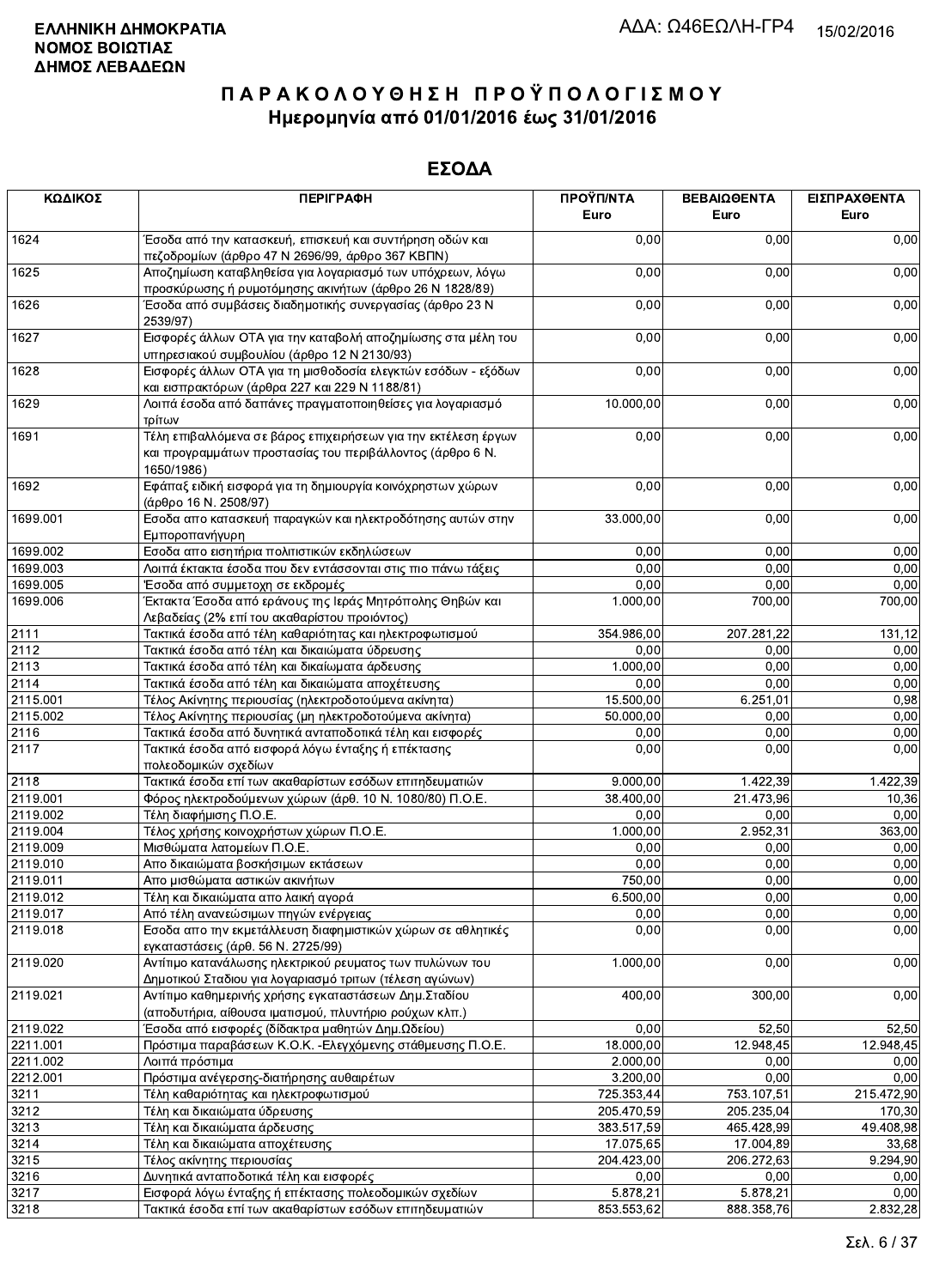| ΚΩΔΙΚΟΣ  | <b>ПЕРІГРАФН</b>                                                                                                                          | ΠΡΟΫΠ/ΝΤΑ<br>Euro | ΒΕΒΑΙΩΘΕΝΤΑ<br>Euro | ΕΙΣΠΡΑΧΘΕΝΤΑ<br>Euro |
|----------|-------------------------------------------------------------------------------------------------------------------------------------------|-------------------|---------------------|----------------------|
| 1624     | Έσοδα από την κατασκευή, επισκευή και συντήρηση οδών και<br>πεζοδρομίων (άρθρο 47 Ν 2696/99, άρθρο 367 ΚΒΠΝ)                              | 0,00              | 0,00                | 0,00                 |
| 1625     | Αποζημίωση καταβληθείσα για λογαριασμό των υπόχρεων, λόγω<br>προσκύρωσης ή ρυμοτόμησης ακινήτων (άρθρο 26 Ν 1828/89)                      | 0,00              | 0,00                | 0,00                 |
| 1626     | Έσοδα από συμβάσεις διαδημοτικής συνεργασίας (άρθρο 23 Ν<br>2539/97)                                                                      | 0,00              | 0,00                | 0,00                 |
| 1627     | Εισφορές άλλων ΟΤΑ για την καταβολή αποζημίωσης στα μέλη του<br>υπηρεσιακού συμβουλίου (άρθρο 12 Ν 2130/93)                               | 0,00              | 0,00                | 0,00                 |
| 1628     | Εισφορές άλλων ΟΤΑ για τη μισθοδοσία ελεγκτών εσόδων - εξόδων<br>και εισπρακτόρων (άρθρα 227 και 229 Ν 1188/81)                           | 0,00              | 0,00                | 0,00                 |
| 1629     | Λοιπά έσοδα από δαπάνες πραγματοποιηθείσες για λογαριασμό<br>τρίτων                                                                       | 10.000,00         | 0,00                | 0,00                 |
| 1691     | Τέλη επιβαλλόμενα σε βάρος επιχειρήσεων για την εκτέλεση έργων<br>και προγραμμάτων προστασίας του περιβάλλοντος (άρθρο 6 Ν.<br>1650/1986) | 0,00              | 0,00                | 0,00                 |
| 1692     | Εφάπαξ ειδική εισφορά για τη δημιουργία κοινόχρηστων χώρων<br>(άρθρο 16 Ν. 2508/97)                                                       | 0,00              | 0,00                | 0,00                 |
| 1699.001 | Εσοδα απο κατασκευή παραγκών και ηλεκτροδότησης αυτών στην<br>Εμποροπανήγυρη                                                              | 33.000,00         | 0,00                | 0,00                 |
| 1699.002 | Εσοδα απο εισητήρια πολιτιστικών εκδηλώσεων                                                                                               | 0,00              | 0,00                | 0,00                 |
| 1699.003 | Λοιπά έκτακτα έσοδα που δεν εντάσσονται στις πιο πάνω τάξεις                                                                              | 0,00              | 0,00                | 0,00                 |
| 1699.005 | Έσοδα από συμμετοχη σε εκδρομές                                                                                                           | 0,00              | 0,00                | 0,00                 |
| 1699.006 | Έκτακτα Έσοδα από εράνους της Ιεράς Μητρόπολης Θηβών και<br>Λεβαδείας (2% επί του ακαθαρίστου προιόντος)                                  | 1.000,00          | 700,00              | 700,00               |
| 2111     | Τακτικά έσοδα από τέλη καθαριότητας και ηλεκτροφωτισμού                                                                                   | 354.986,00        | 207.281,22          | 131,12               |
| 2112     | Τακτικά έσοδα από τέλη και δικαιώματα ύδρευσης                                                                                            | 0,00              | 0,00                | 0,00                 |
| 2113     | Τακτικά έσοδα από τέλη και δικαίωματα άρδευσης                                                                                            | 1.000,00          | 0,00                | 0,00                 |
| 2114     | Τακτικά έσοδα από τέλη και δικαιώματα αποχέτευσης                                                                                         | 0,00              | 0,00                | 0,00                 |
| 2115.001 | Τέλος Ακίνητης περιουσίας (ηλεκτροδοτούμενα ακίνητα)                                                                                      | 15.500,00         | 6.251,01            | 0,98                 |
| 2115.002 | Τέλος Ακίνητης περιουσίας (μη ηλεκτροδοτούμενα ακίνητα)                                                                                   | 50.000,00         | 0,00                | 0,00                 |
| 2116     | Τακτικά έσοδα από δυνητικά ανταποδοτικά τέλη και εισφορές                                                                                 | 0,00              | 0,00                | 0,00                 |
| 2117     | Τακτικά έσοδα από εισφορά λόγω ένταξης ή επέκτασης<br>πολεοδομικών σχεδίων                                                                | 0,00              | 0,00                | 0,00                 |
| 2118     | Τακτικά έσοδα επί των ακαθαρίστων εσόδων επιτηδευματιών                                                                                   | 9.000,00          | 1.422,39            | 1.422,39             |
| 2119.001 | Φόρος ηλεκτροδούμενων χώρων (άρθ. 10 Ν. 1080/80) Π.Ο.Ε.                                                                                   | 38.400,00         | 21.473,96           | 10,36                |
| 2119.002 | Τέλη διαφήμισης Π.Ο.Ε.                                                                                                                    | 0,00              | 0,00                | 0,00                 |
| 2119.004 | Τέλος χρήσης κοινοχρήστων χώρων Π.Ο.Ε.                                                                                                    | 1.000,00          | 2.952,31            | 363,00               |
| 2119.009 | Μισθώματα λατομείων Π.Ο.Ε.                                                                                                                | 0,00              | 0,00                | 0,00                 |
| 2119.010 | Απο δικαιώματα βοσκήσιμων εκτάσεων                                                                                                        | 0,00              | 0,00                | 0,00                 |
| 2119.011 | Απο μισθώματα αστικών ακινήτων                                                                                                            | 750,00            | 0.00                | 0,00                 |
| 2119.012 | Τέλη και δικαιώματα απο λαική αγορά                                                                                                       | 6.500,00          | 0,00                | 0,00                 |
| 2119.017 | Από τέλη ανανεώσιμων πηγών ενέργειας                                                                                                      | 0,00              | 0,00                | 0,00                 |
| 2119.018 | Εσοδα απο την εκμετάλλευση διαφημιστικών χώρων σε αθλητικές<br>εγκαταστάσεις (άρθ. 56 Ν. 2725/99)                                         | 0,00              | 0,00                | 0,00                 |
| 2119.020 | Αντίτιμο κατανάλωσης ηλεκτρικού ρευματος των πυλώνων του<br>Δημοτικού Σταδιου για λογαριασμό τριτων (τέλεση αγώνων)                       | 1.000,00          | 0,00                | 0,00                 |
| 2119.021 | Αντίτιμο καθημερινής χρήσης εγκαταστάσεων Δημ.Σταδίου<br>(αποδυτήρια, αίθουσα ιματισμού, πλυντήριο ρούχων κλπ.)                           | 400,00            | 300,00              | 0,00                 |
| 2119.022 | Έσοδα από εισφορές (δίδακτρα μαθητών Δημ.Ωδείου)                                                                                          | 0,00              | 52,50               | 52,50                |
| 2211.001 | Πρόστιμα παραβάσεων Κ.Ο.Κ. - Ελεγχόμενης στάθμευσης Π.Ο.Ε.                                                                                | 18.000,00         | 12.948,45           | 12.948,45            |
| 2211.002 | Λοιπά πρόστιμα                                                                                                                            | 2.000,00          | 0,00                | 0,00                 |
| 2212.001 | Πρόστιμα ανέγερσης-διατήρησης αυθαιρέτων                                                                                                  | 3.200,00          | 0,00                | 0,00                 |
| 3211     | Τέλη καθαριότητας και ηλεκτροφωτισμού                                                                                                     | 725.353,44        | 753.107,51          | 215.472,90           |
| 3212     | Τέλη και δικαιώματα ύδρευσης                                                                                                              | 205.470,59        | 205.235,04          | 170,30               |
| 3213     | Τέλη και δικαιώματα άρδευσης                                                                                                              | 383.517,59        | 465.428,99          | 49.408,98            |
| 3214     | Τέλη και δικαιώματα αποχέτευσης                                                                                                           | 17.075,65         | 17.004,89           | 33,68                |
| 3215     | Τέλος ακίνητης περιουσίας                                                                                                                 | 204.423,00        | 206.272,63          | 9.294,90             |
| 3216     | Δυνητικά ανταποδοτικά τέλη και εισφορές                                                                                                   | 0,00              | 0.00                | 0,00                 |
| 3217     | Εισφορά λόγω ένταξης ή επέκτασης πολεοδομικών σχεδίων                                                                                     | 5.878,21          | 5.878,21            | 0,00                 |
| 3218     | Τακτικά έσοδα επί των ακαθαρίστων εσόδων επιτηδευματιών                                                                                   | 853.553,62        | 888.358.76          | 2.832,28             |
|          |                                                                                                                                           |                   |                     |                      |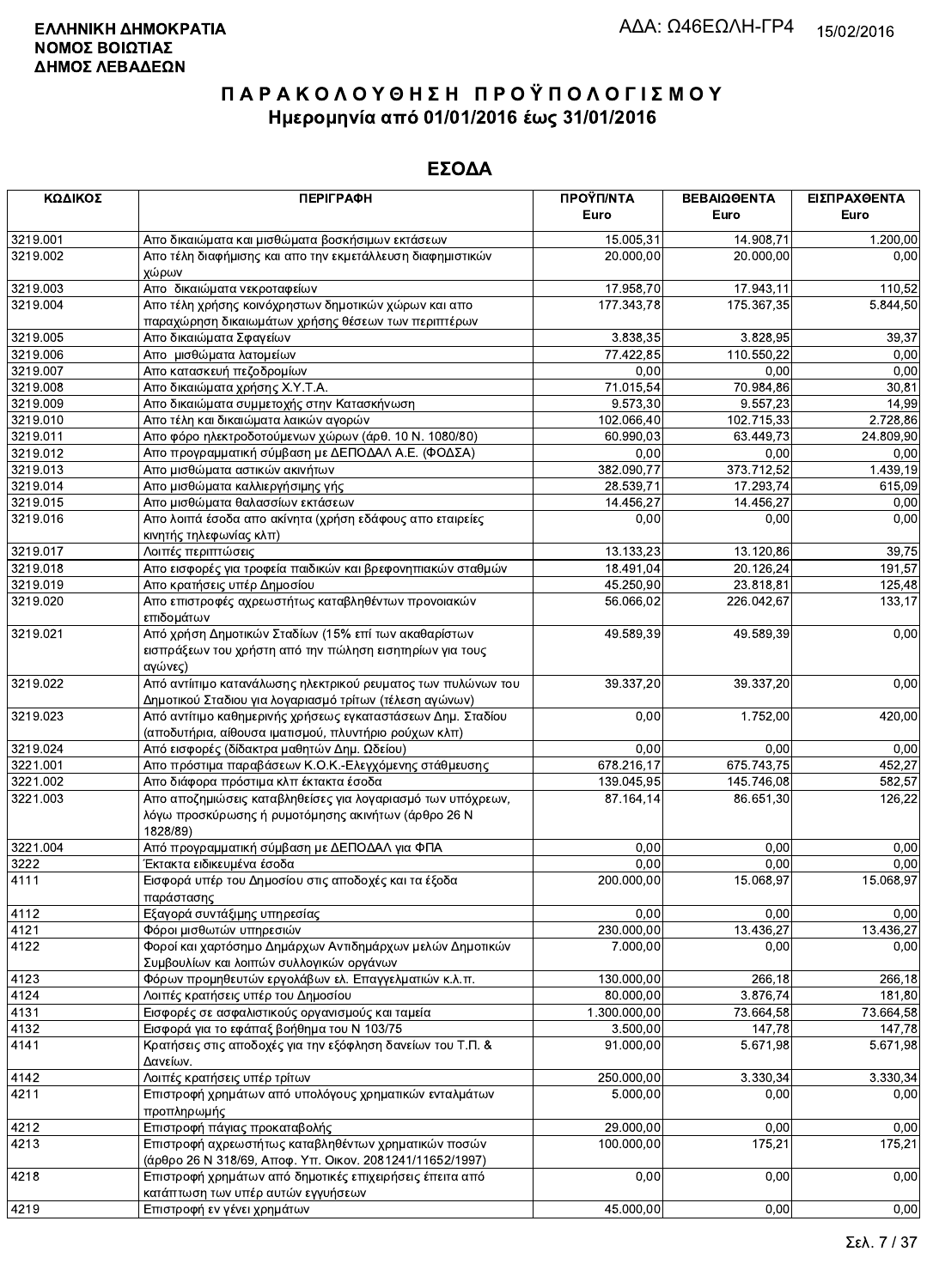| ΚΩΔΙΚΟΣ  | <b>ПЕРІГРАФН</b>                                                                                                               | ΠΡΟΫΠ/ΝΤΑ    | ΒΕΒΑΙΩΘΕΝΤΑ | ΕΙΣΠΡΑΧΘΕΝΤΑ |
|----------|--------------------------------------------------------------------------------------------------------------------------------|--------------|-------------|--------------|
|          |                                                                                                                                | Euro         | Euro        | Euro         |
| 3219.001 | Απο δικαιώματα και μισθώματα βοσκήσιμων εκτάσεων                                                                               | 15.005,31    | 14.908,71   | 1.200,00     |
| 3219.002 | Απο τέλη διαφήμισης και απο την εκμετάλλευση διαφημιστικών<br>χώρων                                                            | 20.000,00    | 20.000,00   | 0,00         |
| 3219.003 | Απο δικαιώματα νεκροταφείων                                                                                                    | 17.958,70    | 17.943,11   | 110,52       |
| 3219.004 | Απο τέλη χρήσης κοινόχρηστων δημοτικών χώρων και απο<br>παραχώρηση δικαιωμάτων χρήσης θέσεων των περιπτέρων                    | 177.343,78   | 175.367,35  | 5.844,50     |
| 3219.005 | Απο δικαιώματα Σφαγείων                                                                                                        | 3.838,35     | 3.828,95    | 39,37        |
| 3219.006 | Απο μισθώματα λατομείων                                                                                                        | 77.422,85    | 110.550,22  | 0,00         |
| 3219.007 | Απο κατασκευή πεζοδρομίων                                                                                                      | 0,00         | 0,00        | 0,00         |
| 3219.008 | Απο δικαιώματα χρήσης Χ.Υ.Τ.Α.                                                                                                 | 71.015,54    | 70.984,86   | 30,81        |
| 3219.009 | Απο δικαιώματα συμμετοχής στην Κατασκήνωση                                                                                     | 9.573,30     | 9.557,23    | 14,99        |
| 3219.010 | Απο τέλη και δικαιώματα λαικών αγορών                                                                                          | 102.066,40   | 102.715,33  | 2.728,86     |
| 3219.011 | Απο φόρο ηλεκτροδοτούμενων χώρων (άρθ. 10 Ν. 1080/80)                                                                          | 60.990,03    | 63.449,73   | 24.809,90    |
| 3219.012 | Απο προγραμματική σύμβαση με ΔΕΠΟΔΑΛ Α.Ε. (ΦΟΔΣΑ)                                                                              | 0,00         | 0,00        | 0,00         |
| 3219.013 | Απο μισθώματα αστικών ακινήτων                                                                                                 | 382.090,77   | 373.712,52  | 1.439,19     |
| 3219.014 | Απο μισθώματα καλλιεργήσιμης γής                                                                                               | 28.539,71    | 17.293,74   | 615,09       |
| 3219.015 | Απο μισθώματα θαλασσίων εκτάσεων                                                                                               | 14.456,27    | 14.456,27   | 0,00         |
| 3219.016 | Απο λοιπά έσοδα απο ακίνητα (χρήση εδάφους απο εταιρείες<br>κινητής τηλεφωνίας κλπ)                                            | 0,00         | 0,00        | 0,00         |
| 3219.017 | Λοιπές περιπτώσεις                                                                                                             | 13.133,23    | 13.120,86   | 39,75        |
| 3219.018 | Απο εισφορές για τροφεία παιδικών και βρεφονηπιακών σταθμών                                                                    | 18.491,04    | 20.126,24   | 191,57       |
| 3219.019 | Απο κρατήσεις υπέρ Δημοσίου                                                                                                    | 45.250,90    | 23.818,81   | 125,48       |
| 3219.020 | Απο επιστροφές αχρεωστήτως καταβληθέντων προνοιακών<br>επιδομάτων                                                              | 56.066,02    | 226.042,67  | 133,17       |
| 3219.021 | Από χρήση Δημοτικών Σταδίων (15% επί των ακαθαρίστων<br>εισπράξεων του χρήστη από την πώληση εισητηρίων για τους<br>αγώνες)    | 49.589,39    | 49.589,39   | 0,00         |
| 3219.022 | Από αντίιτιμο κατανάλωσης ηλεκτρικού ρευματος των πυλώνων του<br>Δημοτικού Σταδιου για λογαριασμό τρίτων (τέλεση αγώνων)       | 39.337,20    | 39.337,20   | 0,00         |
| 3219.023 | Από αντίτιμο καθημερινής χρήσεως εγκαταστάσεων Δημ. Σταδίου<br>(αποδυτήρια, αίθουσα ιματισμού, πλυντήριο ρούχων κλπ)           | 0,00         | 1.752,00    | 420,00       |
| 3219.024 | Από εισφορές (δίδακτρα μαθητών Δημ. Ωδείου)                                                                                    | 0,00         | 0,00        | 0,00         |
| 3221.001 | Απο πρόστιμα παραβάσεων Κ.Ο.Κ.-Ελεγχόμενης στάθμευσης                                                                          | 678.216,17   | 675.743,75  | 452,27       |
| 3221.002 | Απο διάφορα πρόστιμα κλπ έκτακτα έσοδα                                                                                         | 139.045,95   | 145.746,08  | 582,57       |
| 3221.003 | Απο αποζημιώσεις καταβληθείσες για λογαριασμό των υπόχρεων,<br>λόγω προσκύρωσης ή ρυμοτόμησης ακινήτων (άρθρο 26 Ν<br>1828/89) | 87.164,14    | 86.651,30   | 126,22       |
| 3221.004 | Από προγραμματική σύμβαση με ΔΕΠΟΔΑΛ για ΦΠΑ                                                                                   | 0,00         | 0,00        | 0,00         |
| 3222     | Έκτακτα ειδικευμένα έσοδα                                                                                                      | 0,00         | 0,00        | 0,00         |
| 4111     | Εισφορά υπέρ του Δημοσίου στις αποδοχές και τα έξοδα<br>παράστασης                                                             | 200.000,00   | 15.068,97   | 15.068,97    |
| 4112     | Εξαγορά συντάξιμης υπηρεσίας                                                                                                   | 0,00         | 0,00        | 0,00         |
| 4121     | Φόροι μισθωτών υπηρεσιών                                                                                                       | 230.000,00   | 13.436,27   | 13.436,27    |
| 4122     | Φοροί και χαρτόσημο Δημάρχων Αντιδημάρχων μελών Δημοτικών<br>Συμβουλίων και λοιπών συλλογικών οργάνων                          | 7.000,00     | 0,00        | 0,00         |
| 4123     | Φόρων προμηθευτών εργολάβων ελ. Επαγγελματιών κ.λ.π.                                                                           | 130.000,00   | 266,18      | 266,18       |
| 4124     | Λοιπές κρατήσεις υπέρ του Δημοσίου                                                                                             | 80.000,00    | 3.876,74    | 181,80       |
| 4131     | Εισφορές σε ασφαλιστικούς οργανισμούς και ταμεία                                                                               | 1.300.000,00 | 73.664,58   | 73.664,58    |
| 4132     | Εισφορά για το εφάπαξ βοήθημα του Ν 103/75                                                                                     | 3.500,00     | 147,78      | 147,78       |
| 4141     | Κρατήσεις στις αποδοχές για την εξόφληση δανείων του Τ.Π. &<br>Δανείων.                                                        | 91.000.00    | 5.671,98    | 5.671,98     |
| 4142     | Λοιπές κρατήσεις υπέρ τρίτων                                                                                                   | 250.000,00   | 3.330,34    | 3.330,34     |
| 4211     | Επιστροφή χρημάτων από υπολόγους χρηματικών ενταλμάτων<br>προπληρωμής                                                          | 5.000,00     | 0,00        | 0,00         |
| 4212     | Επιστροφή πάγιας προκαταβολής                                                                                                  | 29.000,00    | 0,00        | 0,00         |
| 4213     | Επιστροφή αχρεωστήτως καταβληθέντων χρηματικών ποσών<br>(άρθρο 26 Ν 318/69, Αποφ. Υπ. Οικον. 2081241/11652/1997)               | 100.000,00   | 175,21      | 175,21       |
| 4218     | Επιστροφή χρημάτων από δημοτικές επιχειρήσεις έπειτα από<br>κατάπτωση των υπέρ αυτών εγγυήσεων                                 | 0,00         | 0,00        | 0,00         |
| 4219     | Επιστροφή εν νένει χρημάτων                                                                                                    | 45.000,00    | 0.00        | 0,00         |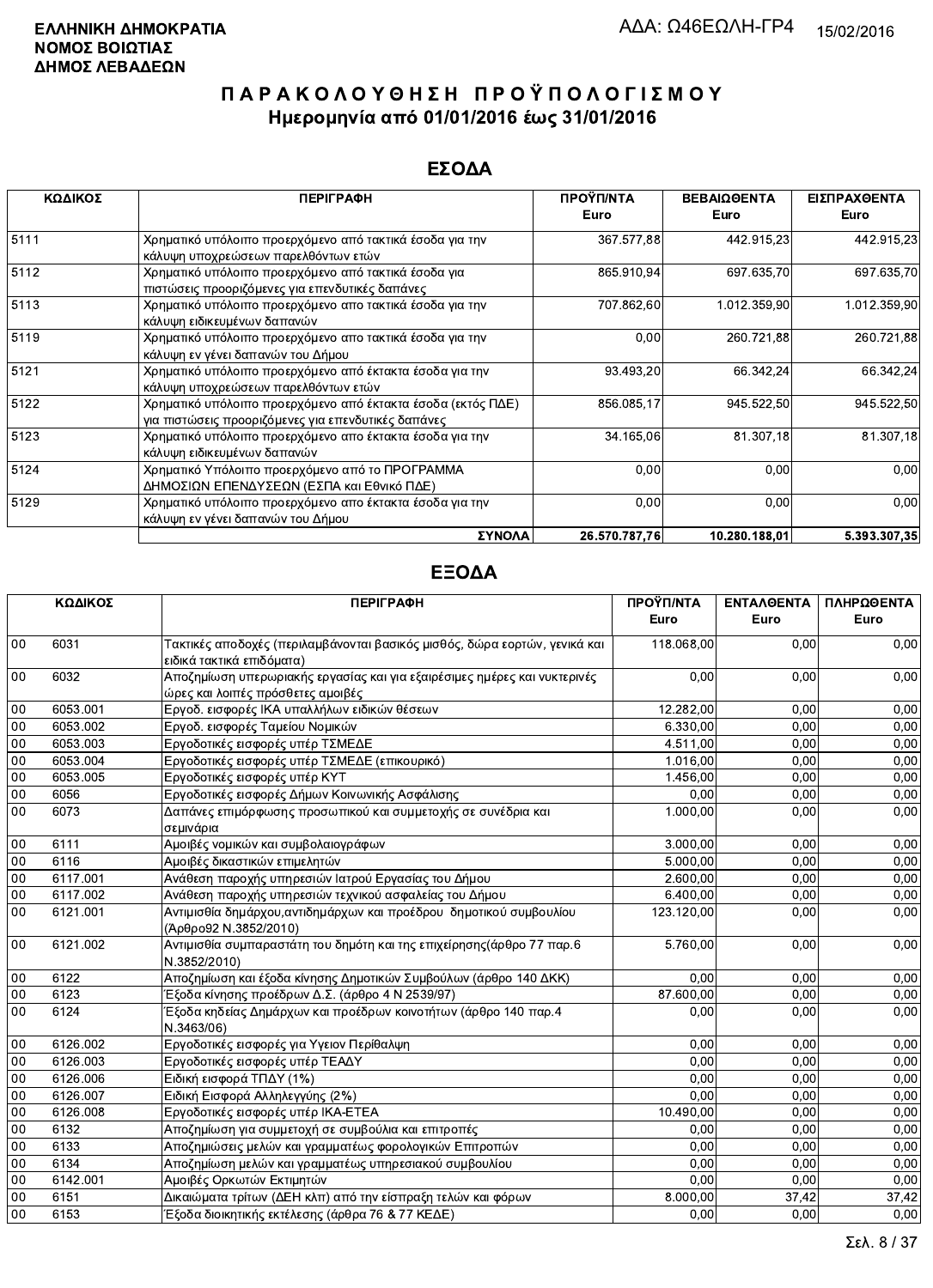### ΕΣΟΔΑ

| ΚΩΔΙΚΟΣ | <b>ПЕРІГРАФН</b>                                                                                                    | ΠΡΟΫΠ/ΝΤΑ<br>Euro | ΒΕΒΑΙΩΘΕΝΤΑ<br>Euro | ΕΙΣΠΡΑΧΘΕΝΤΑ<br>Euro |
|---------|---------------------------------------------------------------------------------------------------------------------|-------------------|---------------------|----------------------|
| 5111    | Χρηματικό υπόλοιπο προερχόμενο από τακτικά έσοδα για την<br>κάλυψη υποχρεώσεων παρελθόντων ετών                     | 367.577,88        | 442.915,23          | 442.915,23           |
| 5112    | Χρηματικό υπόλοιπο προερχόμενο από τακτικά έσοδα για<br>πιστώσεις προοριζόμενες για επενδυτικές δαπάνες             | 865.910,94        | 697 635,70          | 697.635,70           |
| 5113    | Χρηματικό υπόλοιπο προερχόμενο απο τακτικά έσοδα για την<br>κάλυψη ειδικευμένων δαπανών                             | 707.862,60        | 1.012.359,90        | 1.012.359,90         |
| 5119    | Χρηματικό υπόλοιπο προερχόμενο απο τακτικά έσοδα για την<br>κάλυψη εν γένει δαπανών του Δήμου                       | 0,00              | 260.721,88          | 260.721,88           |
| 5121    | Χρηματικό υπόλοιπο προερχόμενο από έκτακτα έσοδα για την<br>κάλυψη υποχρεώσεων παρελθόντων ετών                     | 93.493,20         | 66.342,24           | 66.342,24            |
| 5122    | Χρηματικό υπόλοιπο προερχόμενο από έκτακτα έσοδα (εκτός ΠΔΕ)<br>για πιστώσεις προοριζόμενες για επενδυτικές δαπάνες | 856.085,17        | 945.522,50          | 945.522,50           |
| 5123    | Χρηματικό υπόλοιπο προερχόμενο απο έκτακτα έσοδα για την<br>κάλυψη ειδικευμένων δαπανών                             | 34.165,06         | 81.307,18           | 81.307,18            |
| 5124    | Χρηματικό Υπόλοιπο προερχόμενο από το ΠΡΟΓΡΑΜΜΑ<br>ΔΗΜΟΣΙΩΝ ΕΠΕΝΔΥΣΕΩΝ (ΕΣΠΑ και Εθνικό ΠΔΕ)                        | 0,00              | 0,00                | 0,00                 |
| 5129    | Χρηματικό υπόλοιπο προερχόμενο απο έκτακτα έσοδα για την<br>κάλυψη εν γένει δαπανών του Δήμου                       | 0,00              | 0,00                | 0,00                 |
|         | ΣΥΝΟΛΑ                                                                                                              | 26.570.787.76     | 10.280.188.01       | 5.393.307.35         |

|        | ΚΩΔΙΚΟΣ  | <b>ПЕРІГРАФН</b>                                                                             | ΠΡΟΫΠ/ΝΤΑ  | ΕΝΤΑΛΘΕΝΤΑ | ΠΛΗΡΩΘΕΝΤΑ |
|--------|----------|----------------------------------------------------------------------------------------------|------------|------------|------------|
|        |          |                                                                                              | Euro       | Euro       | Euro       |
| 00     | 6031     | Τακτικές αποδοχές (περιλαμβάνονται βασικός μισθός, δώρα εορτών, γενικά και                   | 118.068,00 | 0,00       | 0,00       |
|        |          | ειδικά τακτικά επιδόματα)                                                                    |            |            |            |
| $00\,$ | 6032     | Αποζημίωση υπερωριακής εργασίας και για εξαιρέσιμες ημέρες και νυκτερινές                    | 0.00       | 0,00       | 0,00       |
|        |          | ώρες και λοιπές πρόσθετες αμοιβές                                                            |            |            |            |
| 00     | 6053.001 | Εργοδ. εισφορές ΙΚΑ υπαλλήλων ειδικών θέσεων                                                 | 12.282,00  | 0,00       | 0,00       |
| 00     | 6053.002 | Εργοδ. εισφορές Ταμείου Νομικών                                                              | 6.330,00   | 0,00       | 0,00       |
| 00     | 6053.003 | Εργοδοτικές εισφορές υπέρ ΤΣΜΕΔΕ                                                             | 4.511,00   | 0,00       | 0,00       |
| 00     | 6053.004 | Εργοδοτικές εισφορές υπέρ ΤΣΜΕΔΕ (επικουρικό)                                                | 1.016,00   | 0.00       | 0.00       |
| 00     | 6053.005 | Εργοδοτικές εισφορές υπέρ ΚΥΤ                                                                | 1.456,00   | 0,00       | 0,00       |
| 00     | 6056     | Εργοδοτικές εισφορές Δήμων Κοινωνικής Ασφάλισης                                              | 0.00       | 0,00       | 0,00       |
| 00     | 6073     | Δαπάνες επιμόρφωσης προσωπικού και συμμετοχής σε συνέδρια και                                | 1.000,00   | 0,00       | 0,00       |
|        |          | σεμινάρια                                                                                    |            |            |            |
| 00     | 6111     | Αμοιβές νομικών και συμβολαιογράφων                                                          | 3.000,00   | 0,00       | 0,00       |
| 00     | 6116     | Αμοιβές δικαστικών επιμελητών                                                                | 5.000,00   | 0,00       | 0,00       |
| $00\,$ | 6117.001 | Ανάθεση παροχής υπηρεσιών Ιατρού Εργασίας του Δήμου                                          | 2.600,00   | 0,00       | 0.00       |
| 00     | 6117.002 | Ανάθεση παροχής υπηρεσιών τεχνικού ασφαλείας του Δήμου                                       | 6.400,00   | 0,00       | 0,00       |
| 00     | 6121.001 | Αντιμισθία δημάρχου, αντιδημάρχων και προέδρου δημοτικού συμβουλίου<br>(Άρθρο92 Ν.3852/2010) | 123.120,00 | 0.00       | 0,00       |
| $00\,$ | 6121.002 | Αντιμισθία συμπαραστάτη του δημότη και της επιχείρησης (άρθρο 77 παρ.6<br>N.3852/2010)       | 5.760,00   | 0.00       | 0,00       |
| 00     | 6122     | Αποζημίωση και έξοδα κίνησης Δημοτικών Συμβούλων (άρθρο 140 ΔΚΚ)                             | 0,00       | 0.00       | 0,00       |
| 00     | 6123     | Έξοδα κίνησης προέδρων Δ.Σ. (άρθρο 4 Ν 2539/97)                                              | 87.600.00  | 0,00       | 0,00       |
| $00\,$ | 6124     | Έξοδα κηδείας Δημάρχων και προέδρων κοινοτήτων (άρθρο 140 παρ.4                              | 0,00       | 0,00       | 0,00       |
|        |          | N.3463/06)                                                                                   |            |            |            |
| 00     | 6126.002 | Εργοδοτικές εισφορές για Υγειον Περίθαλψη                                                    | 0.00       | 0,00       | 0,00       |
| 00     | 6126.003 | Εργοδοτικές εισφορές υπέρ ΤΕΑΔΥ                                                              | 0,00       | 0,00       | 0,00       |
| 00     | 6126.006 | Ειδική εισφορά ΤΠΔΥ (1%)                                                                     | 0,00       | 0,00       | 0,00       |
| 00     | 6126.007 | Ειδική Εισφορά Αλληλεγγύης (2%)                                                              | 0,00       | 0,00       | 0,00       |
| 00     | 6126.008 | Εργοδοτικές εισφορές υπέρ ΙΚΑ-ΕΤΕΑ                                                           | 10.490,00  | 0,00       | 0,00       |
| 00     | 6132     | Αποζημίωση για συμμετοχή σε συμβούλια και επιτροπές                                          | 0,00       | 0,00       | 0,00       |
| 00     | 6133     | Αποζημιώσεις μελών και γραμματέως φορολογικών Επιτροπών                                      | 0.00       | 0,00       | 0,00       |
| 00     | 6134     | Αποζημίωση μελών και γραμματέως υπηρεσιακού συμβουλίου                                       | 0.00       | 0,00       | 0,00       |
| 00     | 6142.001 | Αμοιβές Ορκωτών Εκτιμητών                                                                    | 0.00       | 0,00       | 0,00       |
| 00     | 6151     | Δικαιώματα τρίτων (ΔΕΗ κλπ) από την είσπραξη τελών και φόρων                                 | 8.000,00   | 37,42      | 37,42      |
| 00     | 6153     | Έξοδα διοικητικής εκτέλεσης (άρθρα 76 & 77 ΚΕΔΕ)                                             | 0.00       | 0,00       | 0.00       |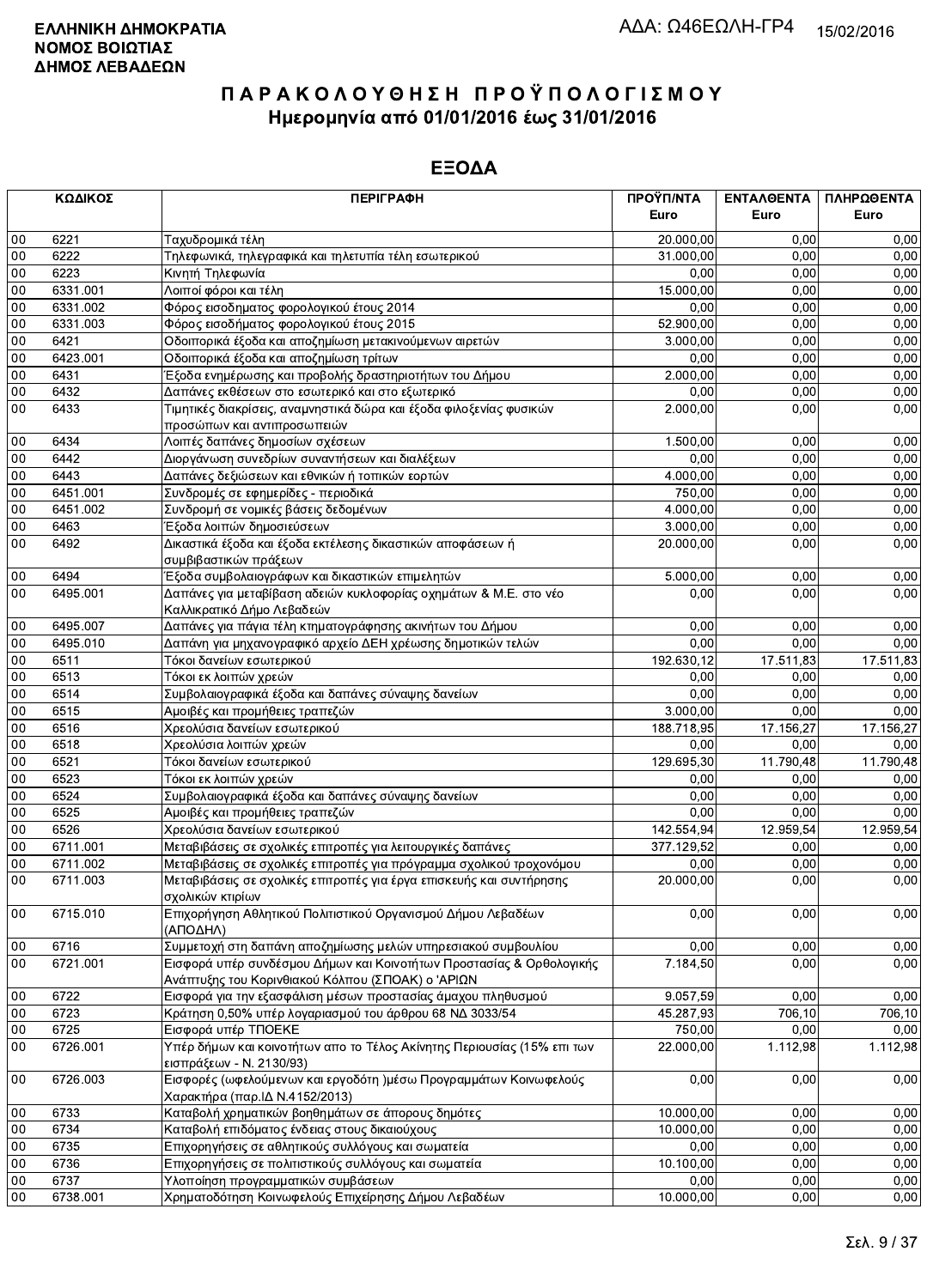|        | ΚΩΔΙΚΟΣ  | <b>ПЕРІГРАФН</b>                                                                                                          | ΠΡΟΫΠ/ΝΤΑ<br>Euro | ΕΝΤΑΛΘΕΝΤΑ<br>Euro | ΠΛΗΡΩΘΕΝΤΑ<br>Euro |
|--------|----------|---------------------------------------------------------------------------------------------------------------------------|-------------------|--------------------|--------------------|
| 00     | 6221     | Ταχυδρομικά τέλη                                                                                                          | 20.000,00         | 0.00               | 0,00               |
| 00     | 6222     | Τηλεφωνικά, τηλεγραφικά και τηλετυπία τέλη εσωτερικού                                                                     | 31.000,00         | 0.00               | 0,00               |
| $00\,$ | 6223     | Κινητή Τηλεφωνία                                                                                                          | 0,00              | 0,00               | 0,00               |
| 00     | 6331.001 | Λοιποί φόροι και τέλη                                                                                                     | 15.000,00         | 0,00               | 0,00               |
| 00     | 6331.002 | Φόρος εισοδηματος φορολογικού έτους 2014                                                                                  | 0.00              | 0,00               | 0,00               |
| 00     | 6331.003 | Φόρος εισοδήματος φορολογικού έτους 2015                                                                                  | 52.900,00         | 0,00               | 0,00               |
| 00     | 6421     | Οδοιπορικά έξοδα και αποζημίωση μετακινούμενων αιρετών                                                                    | 3.000,00          | 0,00               | 0,00               |
| 00     | 6423.001 | Οδοιπορικά έξοδα και αποζημίωση τρίτων                                                                                    | 0,00              | 0.00               | 0,00               |
| 00     | 6431     | Έξοδα ενημέρωσης και προβολής δραστηριοτήτων του Δήμου                                                                    | 2.000,00          | 0,00               | 0,00               |
| 00     | 6432     | Δαπάνες εκθέσεων στο εσωτερικό και στο εξωτερικό                                                                          | 0,00              | 0,00               | 0,00               |
| 00     | 6433     | Τιμητικές διακρίσεις, αναμνηστικά δώρα και έξοδα φιλοξενίας φυσικών                                                       | 2.000,00          | 0,00               | 0,00               |
|        |          | προσώπων και αντιπροσωπειών                                                                                               |                   |                    |                    |
| 00     | 6434     | Λοιπές δαπάνες δημοσίων σχέσεων                                                                                           | 1.500,00          | 0,00               | 0,00               |
| 00     | 6442     | Διοργάνωση συνεδρίων συναντήσεων και διαλέξεων                                                                            | 0,00              | 0,00               | 0,00               |
| 00     | 6443     | Δαπάνες δεξιώσεων και εθνικών ή τοπικών εορτών                                                                            | 4.000,00          | 0,00               | 0,00               |
| 00     | 6451.001 | Συνδρομές σε εφημερίδες - περιοδικά                                                                                       | 750,00            | 0,00               | 0,00               |
| 00     | 6451.002 | Συνδρομή σε νομικές βάσεις δεδομένων                                                                                      | 4.000,00          | 0,00               | 0,00               |
| 00     | 6463     | Έξοδα λοιπών δημοσιεύσεων                                                                                                 | 3.000,00          | 0,00               | 0,00               |
| 00     | 6492     | Δικαστικά έξοδα και έξοδα εκτέλεσης δικαστικών αποφάσεων ή                                                                | 20.000,00         | 0,00               | 0,00               |
|        |          | συμβιβαστικών πράξεων                                                                                                     |                   |                    |                    |
| 00     | 6494     | Έξοδα συμβολαιογράφων και δικαστικών επιμελητών                                                                           | 5.000,00          | 0,00               | 0,00               |
| $00\,$ | 6495.001 | Δαπάνες για μεταβίβαση αδειών κυκλοφορίας οχημάτων & Μ.Ε. στο νέο                                                         | 0,00              | 0,00               | 0,00               |
|        |          | Καλλικρατικό Δήμο Λεβαδεών                                                                                                |                   |                    |                    |
| $00\,$ | 6495.007 | Δαπάνες για πάγια τέλη κτηματογράφησης ακινήτων του Δήμου                                                                 | 0,00              | 0,00               | 0,00               |
| 00     | 6495.010 | Δαπάνη για μηχανογραφικό αρχείο ΔΕΗ χρέωσης δημοτικών τελών                                                               | 0,00              | 0,00               | 0,00               |
| 00     | 6511     | Τόκοι δανείων εσωτερικού                                                                                                  | 192.630,12        | 17.511,83          | 17.511,83          |
| 00     | 6513     | Τόκοι εκ λοιπών χρεών                                                                                                     | 0,00              | 0.00               | 0,00               |
| 00     | 6514     | Συμβολαιογραφικά έξοδα και δαπάνες σύναψης δανείων                                                                        | 0,00              | 0,00               | 0,00               |
| 00     | 6515     | Αμοιβές και προμήθειες τραπεζών                                                                                           | 3.000,00          | 0,00               | 0,00               |
| 00     | 6516     | Χρεολύσια δανείων εσωτερικού                                                                                              | 188.718,95        | 17.156,27          | 17.156,27          |
| 00     | 6518     | Χρεολύσια λοιπών χρεών                                                                                                    | 0,00              | 0,00               | 0,00               |
| 00     | 6521     | Τόκοι δανείων εσωτερικού                                                                                                  | 129.695,30        | 11.790,48          | 11.790,48          |
| 00     | 6523     | Τόκοι εκ λοιπών χρεών                                                                                                     | 0,00              | 0,00               | 0,00               |
| 00     | 6524     | Συμβολαιογραφικά έξοδα και δαπάνες σύναψης δανείων                                                                        | 0,00              | 0,00               | 0,00               |
| 00     | 6525     | Αμοιβές και προμήθειες τραπεζών                                                                                           | 0,00              | 0,00               | 0,00               |
| 00     | 6526     | Χρεολύσια δανείων εσωτερικού                                                                                              | 142.554,94        | 12.959,54          | 12.959,54          |
| 00     | 6711.001 | Μεταβιβάσεις σε σχολικές επιτροπές για λειτουργικές δαπάνες                                                               | 377.129,52        | 0,00               | 0,00               |
| 00     | 6711.002 | Μεταβιβάσεις σε σχολικές επιτροπές για πρόγραμμα σχολικού τροχονόμου                                                      | 0,00              | 0,00               | 0,00               |
| 00     | 6711.003 | Μεταβιβάσεις σε σχολικές επιτροπές για έργα επισκευής και συντήρησης                                                      | 20.000,00         | 0,00               | 0,00               |
|        |          | σχολικών κτιρίων                                                                                                          |                   |                    |                    |
| 00     | 6715.010 | Επιχορήγηση Αθλητικού Πολιτιστικού Οργανισμού Δήμου Λεβαδέων<br>(ΑΠΟΔΗΛ)                                                  | 0,00              | 0,00               | 0,00               |
| $00\,$ | 6716     | Συμμετοχή στη δαπάνη αποζημίωσης μελών υπηρεσιακού συμβουλίου                                                             | 0,00              | 0,00               | 0.00               |
| $00\,$ | 6721.001 | Εισφορά υπέρ συνδέσμου Δήμων και Κοινοτήτων Προστασίας & Ορθολογικής<br>Ανάπτυξης του Κορινθιακού Κόλπου (ΣΠΟΑΚ) ο 'ΑΡΙΩΝ | 7.184,50          | 0,00               | 0,00               |
| 00     | 6722     | Εισφορά για την εξασφάλιση μέσων προστασίας άμαχου πληθυσμού                                                              | 9.057,59          | 0,00               | 0,00               |
| 00     | 6723     | Κράτηση 0,50% υπέρ λογαριασμού του άρθρου 68 ΝΔ 3033/54                                                                   | 45.287,93         | 706,10             | 706,10             |
| 00     | 6725     | Εισφορά υπέρ ΤΠΟΕΚΕ                                                                                                       | 750,00            | 0,00               | 0,00               |
| $00\,$ | 6726.001 | Υπέρ δήμων και κοινοτήτων απο το Τέλος Ακίνητης Περιουσίας (15% επι των                                                   | 22.000,00         | 1.112,98           | 1.112,98           |
| 00     | 6726.003 | εισπράξεων - Ν. 2130/93)<br>Εισφορές (ωφελούμενων και εργοδότη )μέσω Προγραμμάτων Κοινωφελούς                             | 0,00              | 0,00               | 0,00               |
|        |          | Χαρακτήρα (παρ.ΙΔ Ν.4152/2013)                                                                                            |                   |                    |                    |
| 00     | 6733     | Καταβολή χρηματικών βοηθημάτων σε άπορους δημότες                                                                         | 10.000,00         | 0,00               | 0,00               |
| $00\,$ | 6734     | Καταβολή επιδόματος ένδειας στους δικαιούχους                                                                             | 10.000,00         | 0,00               | 0,00               |
| 00     | 6735     | Επιχορηγήσεις σε αθλητικούς συλλόγους και σωματεία                                                                        | 0,00              | 0,00               | 0,00               |
| 00     | 6736     | Επιχορηγήσεις σε πολιτιστικούς συλλόγους και σωματεία                                                                     | 10.100,00         | 0,00               | 0,00               |
| 00     | 6737     | Υλοποίηση προγραμματικών συμβάσεων                                                                                        | 0,00              | 0.00               | 0,00               |
| $00\,$ | 6738.001 | Χρηματοδότηση Κοινωφελούς Επιχείρησης Δήμου Λεβαδέων                                                                      | 10.000,00         | 0,00               | 0,00               |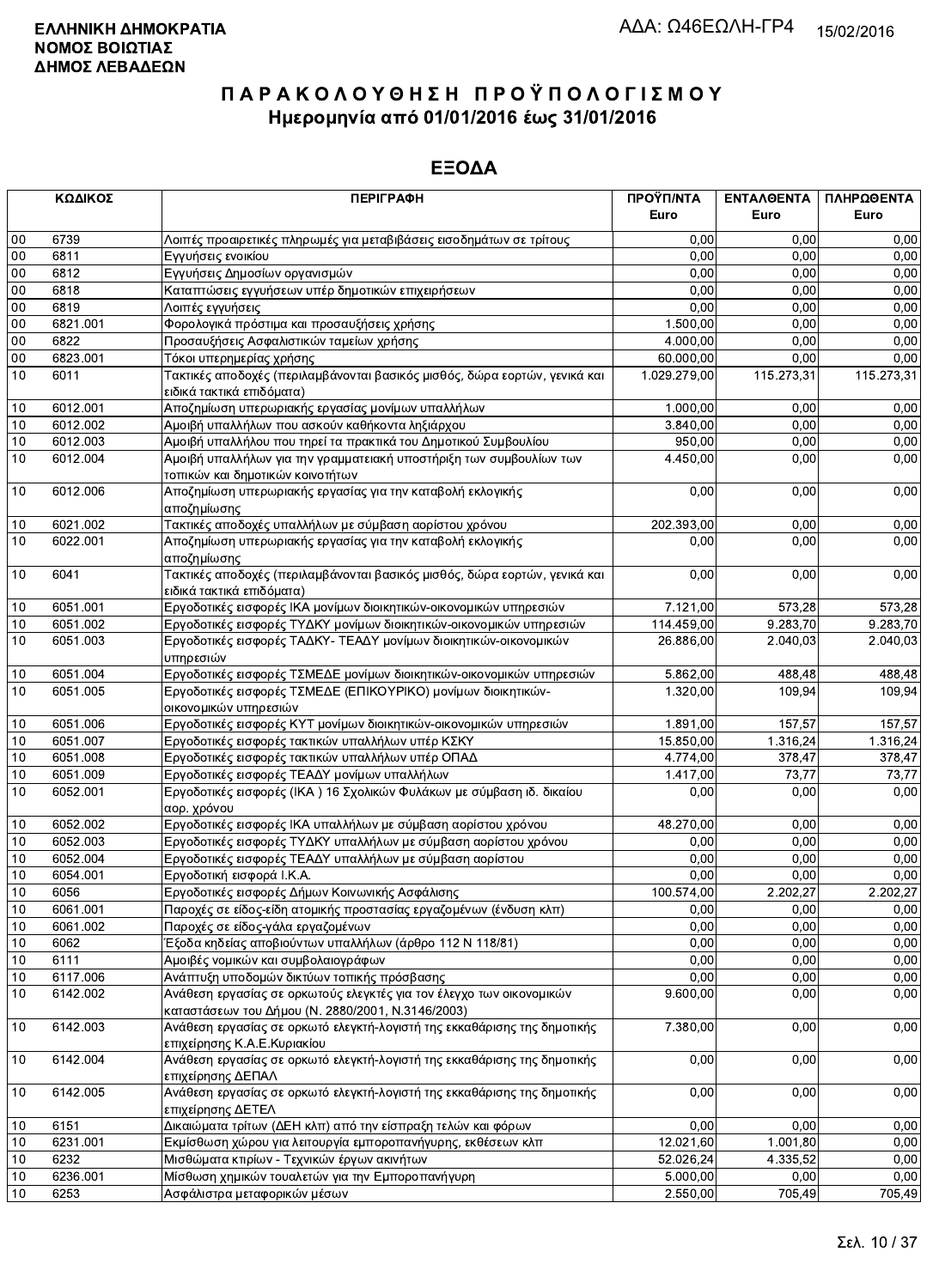|        | ΚΩΔΙΚΟΣ  | <b>ПЕРІГРАФН</b>                                                                                                          | ΠΡΟΫΠ/ΝΤΑ<br>Euro | ΕΝΤΑΛΘΕΝΤΑ<br>Euro | ΠΛΗΡΩΘΕΝΤΑ<br>Euro |
|--------|----------|---------------------------------------------------------------------------------------------------------------------------|-------------------|--------------------|--------------------|
| $00\,$ | 6739     | Λοιπές προαιρετικές πληρωμές για μεταβιβάσεις εισοδημάτων σε τρίτους                                                      | 0,00              | 0.00               | 0,00               |
| 00     | 6811     |                                                                                                                           | 0,00              | 0.00               | 0,00               |
| $00\,$ | 6812     | Εγγυήσεις ενοικίου<br>Εγγυήσεις Δημοσίων οργανισμών                                                                       | 0,00              | 0,00               | 0,00               |
| 00     | 6818     | Καταπτώσεις εγγυήσεων υπέρ δημοτικών επιχειρήσεων                                                                         | 0,00              | 0,00               | 0,00               |
| 00     | 6819     | Λοιπές εγγυήσεις                                                                                                          | 0,00              | 0,00               | 0,00               |
| 00     | 6821.001 | Φορολογικά πρόστιμα και προσαυξήσεις χρήσης                                                                               | 1.500,00          | 0,00               | 0,00               |
| $00\,$ | 6822     | Προσαυξήσεις Ασφαλιστικών ταμείων χρήσης                                                                                  | 4.000,00          | 0,00               | 0,00               |
| $00\,$ | 6823.001 | Τόκοι υπερημερίας χρήσης                                                                                                  | 60.000,00         | 0,00               | 0,00               |
| 10     | 6011     | Τακτικές αποδοχές (περιλαμβάνονται βασικός μισθός, δώρα εορτών, γενικά και                                                | 1.029.279,00      | 115.273,31         | 115.273,31         |
|        |          | ειδικά τακτικά επιδόματα)                                                                                                 |                   |                    |                    |
| 10     | 6012.001 | Αποζημίωση υπερωριακής εργασίας μονίμων υπαλλήλων                                                                         | 1.000.00          | 0,00               | 0,00               |
| 10     | 6012.002 | Αμοιβή υπαλλήλων που ασκούν καθήκοντα ληξιάρχου                                                                           | 3.840,00          | 0,00               | 0,00               |
| 10     | 6012.003 | Αμοιβή υπαλλήλου που τηρεί τα πρακτικά του Δημοτικού Συμβουλίου                                                           | 950,00            | 0,00               | 0,00               |
| 10     | 6012.004 | Αμοιβή υπαλλήλων για την γραμματειακή υποστήριξη των συμβουλίων των                                                       | 4.450,00          | 0,00               | 0,00               |
|        |          | τοπικών και δημοτικών κοινοτήτων                                                                                          |                   |                    |                    |
| 10     | 6012.006 | Αποζημίωση υπερωριακής εργασίας για την καταβολή εκλογικής                                                                | 0,00              | 0,00               | 0,00               |
|        |          | αποζημίωσης                                                                                                               |                   |                    |                    |
| 10     | 6021.002 | Τακτικές αποδοχές υπαλλήλων με σύμβαση αορίστου χρόνου                                                                    | 202.393,00        | 0,00               | 0,00               |
| 10     | 6022.001 | Αποζημίωση υπερωριακής εργασίας για την καταβολή εκλογικής                                                                | 0.00              | 0,00               | 0,00               |
|        |          | αποζημίωσης                                                                                                               |                   |                    |                    |
| 10     | 6041     | Τακτικές αποδοχές (περιλαμβάνονται βασικός μισθός, δώρα εορτών, γενικά και                                                | 0,00              | 0,00               | 0,00               |
|        |          | ειδικά τακτικά επιδόματα)                                                                                                 |                   |                    |                    |
| 10     | 6051.001 | Εργοδοτικές εισφορές ΙΚΑ μονίμων διοικητικών-οικονομικών υπηρεσιών                                                        | 7.121,00          | 573,28             | 573,28             |
| 10     | 6051.002 | Εργοδοτικές εισφορές ΤΥΔΚΥ μονίμων διοικητικών-οικονομικών υπηρεσιών                                                      | 114.459,00        | 9.283,70           | 9.283,70           |
| 10     | 6051.003 | Εργοδοτικές εισφορές ΤΑΔΚΥ- ΤΕΑΔΥ μονίμων διοικητικών-οικονομικών                                                         | 26.886,00         | 2.040,03           | 2.040,03           |
|        |          | υπηρεσιών                                                                                                                 |                   |                    |                    |
| 10     | 6051.004 | Εργοδοτικές εισφορές ΤΣΜΕΔΕ μονίμων διοικητικών-οικονομικών υπηρεσιών                                                     | 5.862,00          | 488,48             | 488,48             |
| 10     | 6051.005 | Εργοδοτικές εισφορές ΤΣΜΕΔΕ (ΕΠΙΚΟΥΡΙΚΟ) μονίμων διοικητικών-                                                             | 1.320,00          | 109,94             | 109,94             |
|        |          | οικονομικών υπηρεσιών                                                                                                     |                   |                    |                    |
| 10     | 6051.006 | Εργοδοτικές εισφορές ΚΥΤ μονίμων διοικητικών-οικονομικών υπηρεσιών                                                        | 1.891,00          | 157,57             | 157,57             |
| 10     | 6051.007 | Εργοδοτικές εισφορές τακτικών υπαλλήλων υπέρ ΚΣΚΥ                                                                         | 15.850,00         | 1.316,24           | 1.316,24           |
| 10     | 6051.008 | Εργοδοτικές εισφορές τακτικών υπαλλήλων υπέρ ΟΠΑΔ                                                                         | 4.774,00          | 378,47             | 378,47             |
| 10     | 6051.009 | Εργοδοτικές εισφορές ΤΕΑΔΥ μονίμων υπαλλήλων                                                                              | 1.417,00          | 73,77              | 73,77              |
| 10     | 6052.001 | Εργοδοτικές εισφορές (ΙΚΑ) 16 Σχολικών Φυλάκων με σύμβαση ιδ. δικαίου                                                     | 0,00              | 0,00               | 0,00               |
|        |          | αορ. χρόνου                                                                                                               |                   |                    |                    |
| 10     | 6052.002 | Εργοδοτικές εισφορές ΙΚΑ υπαλλήλων με σύμβαση αορίστου χρόνου                                                             | 48.270,00         | 0.00               | 0,00               |
| 10     | 6052.003 | Εργοδοτικές εισφορές ΤΥΔΚΥ υπαλλήλων με σύμβαση αορίστου χρόνου                                                           | 0,00              | 0,00               | 0,00               |
| 10     | 6052.004 | Εργοδοτικές εισφορές ΤΕΑΔΥ υπαλλήλων με σύμβαση αορίστου                                                                  | 0,00              | 0,00               | 0,00               |
| 10     | 6054.001 | Εργοδοτική εισφορά Ι.Κ.Α.                                                                                                 | 0,00              | 0,00               | 0,00               |
| 10     | 6056     | Εργοδοτικές εισφορές Δήμων Κοινωνικής Ασφάλισης                                                                           | 100.574,00        | 2.202,27           | 2.202,27           |
| 10     | 6061.001 | Παροχές σε είδος-είδη ατομικής προστασίας εργαζομένων (ένδυση κλπ)                                                        | 0,00              | 0,00               | 0,00               |
| 10     | 6061.002 | Παροχές σε είδος-γάλα εργαζομένων                                                                                         | 0,00              | 0,00               | 0,00               |
| 10     | 6062     | Έξοδα κηδείας αποβιούντων υπαλλήλων (άρθρο 112 Ν 118/81)                                                                  | 0,00              | 0,00               | 0,00               |
| 10     | 6111     | Αμοιβές νομικών και συμβολαιογράφων                                                                                       | 0,00              | 0,00               | 0,00               |
| 10     | 6117.006 | Ανάπτυξη υποδομών δικτύων τοπικής πρόσβασης                                                                               | 0,00              | 0,00               | 0,00               |
| 10     | 6142.002 | Ανάθεση εργασίας σε ορκωτούς ελεγκτές για τον έλεγχο των οικονομικών<br>καταστάσεων του Δήμου (Ν. 2880/2001, Ν.3146/2003) | 9.600,00          | 0,00               | 0,00               |
| 10     | 6142.003 | Ανάθεση εργασίας σε ορκωτό ελεγκτή-λογιστή της εκκαθάρισης της δημοτικής<br>επιχείρησης Κ.Α.Ε.Κυριακίου                   | 7.380,00          | 0,00               | 0,00               |
| 10     | 6142.004 | Ανάθεση εργασίας σε ορκωτό ελεγκτή-λογιστή της εκκαθάρισης της δημοτικής<br>επιχείρησης ΔΕΠΑΛ                             | 0,00              | 0,00               | 0,00               |
| 10     | 6142.005 | Ανάθεση εργασίας σε ορκωτό ελεγκτή-λογιστή της εκκαθάρισης της δημοτικής<br>επιχείρησης ΔΕΤΕΛ                             | 0,00              | 0,00               | 0,00               |
| 10     | 6151     | Δικαιώματα τρίτων (ΔΕΗ κλπ) από την είσπραξη τελών και φόρων                                                              | 0,00              | 0,00               | 0,00               |
| 10     | 6231.001 | Εκμίσθωση χώρου για λειτουργία εμποροπανήγυρης, εκθέσεων κλπ                                                              | 12.021,60         | 1.001,80           | 0,00               |
| 10     | 6232     | Μισθώματα κτιρίων - Τεχνικών έργων ακινήτων                                                                               | 52.026,24         | 4.335,52           | 0,00               |
| 10     | 6236.001 | Μίσθωση χημικών τουαλετών για την Εμποροπανήγυρη                                                                          | 5.000,00          | 0,00               | 0,00               |
| 10     | 6253     | Ασφάλιστρα μεταφορικών μέσων                                                                                              | 2.550,00          | 705,49             | 705,49             |
|        |          |                                                                                                                           |                   |                    |                    |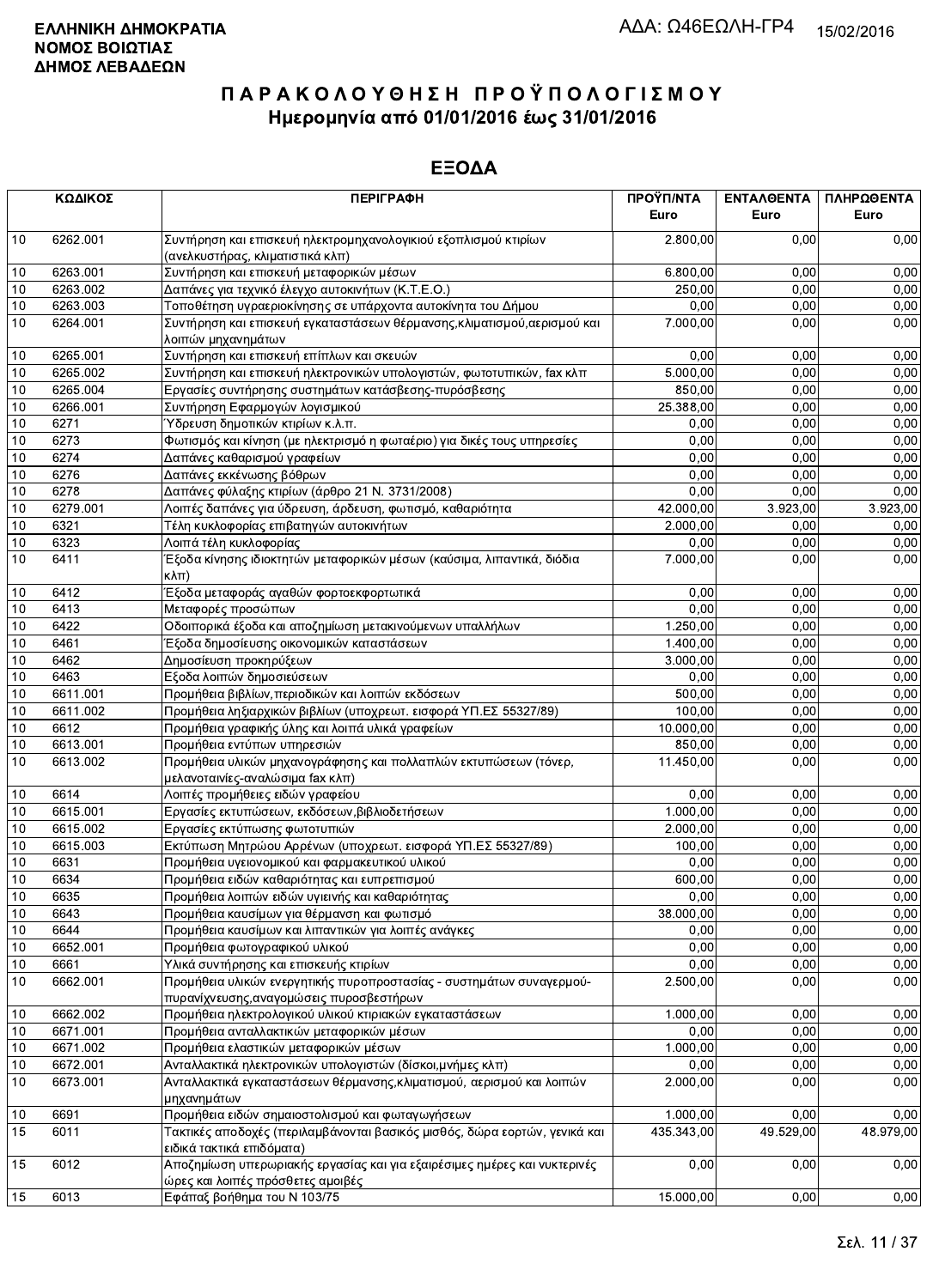|      | ΚΩΔΙΚΟΣ  | <b>ПЕРІГРАФН</b>                                                                                               | ΠΡΟΫΠ/ΝΤΑ<br>Euro | ΕΝΤΑΛΘΕΝΤΑ<br>Euro | ΠΛΗΡΩΘΕΝΤΑ<br>Euro |
|------|----------|----------------------------------------------------------------------------------------------------------------|-------------------|--------------------|--------------------|
| 10   | 6262.001 | Συντήρηση και επισκευή ηλεκτρομηχανολογικιού εξοπλισμού κτιρίων<br>(ανελκυστήρας, κλιματιστικά κλπ)            | 2.800,00          | 0,00               | 0,00               |
| 10   | 6263.001 | Συντήρηση και επισκευή μεταφορικών μέσων                                                                       | 6.800,00          | 0,00               | 0,00               |
| 10   | 6263.002 | Δαπάνες για τεχνικό έλεγχο αυτοκινήτων (Κ.Τ.Ε.Ο.)                                                              | 250,00            | 0,00               | 0,00               |
| 10   | 6263.003 | Τοποθέτηση υγραεριοκίνησης σε υπάρχοντα αυτοκίνητα του Δήμου                                                   | 0,00              | 0,00               | 0,00               |
| 10   | 6264.001 | Συντήρηση και επισκευή εγκαταστάσεων θέρμανσης, κλιματισμού, αερισμού και<br>λοιπών μηχανημάτων                | 7.000,00          | 0,00               | 0,00               |
| 10   | 6265.001 | Συντήρηση και επισκευή επίπλων και σκευών                                                                      | 0,00              | 0,00               | 0,00               |
| 10   | 6265.002 | Συντήρηση και επισκευή ηλεκτρονικών υπολογιστών, φωτοτυπικών, fax κλπ                                          | 5.000,00          | 0,00               | 0,00               |
| 10   | 6265.004 | Εργασίες συντήρησης συστημάτων κατάσβεσης-πυρόσβεσης                                                           | 850,00            | 0,00               | 0,00               |
| 10   | 6266.001 | Συντήρηση Εφαρμογών λογισμικού                                                                                 | 25.388,00         | 0,00               | 0.00               |
| 10   | 6271     | Ύδρευση δημοτικών κτιρίων κ.λ.π.                                                                               | 0,00              | 0,00               | 0,00               |
| 10   | 6273     | Φωτισμός και κίνηση (με ηλεκτρισμό η φωταέριο) για δικές τους υπηρεσίες                                        | 0,00              | 0,00               | 0,00               |
| 10   | 6274     | Δαπάνες καθαρισμού γραφείων                                                                                    | 0,00              | 0,00               | 0,00               |
| 10   | 6276     | Δαπάνες εκκένωσης βόθρων                                                                                       | 0,00              | 0,00               | 0,00               |
| 10   | 6278     | Δαπάνες φύλαξης κτιρίων (άρθρο 21 Ν. 3731/2008)                                                                | 0,00              | 0,00               | 0,00               |
| 10   | 6279.001 | Λοιπές δαπάνες για ύδρευση, άρδευση, φωτισμό, καθαριότητα                                                      | 42.000,00         | 3.923,00           | 3.923,00           |
| 10   | 6321     | Τέλη κυκλοφορίας επιβατηγών αυτοκινήτων                                                                        | 2.000,00          | 0,00               | 0,00               |
| 10   | 6323     |                                                                                                                | 0,00              | 0,00               | 0,00               |
| 10   | 6411     | Λοιπά τέλη κυκλοφορίας<br>Έξοδα κίνησης ιδιοκτητών μεταφορικών μέσων (καύσιμα, λιπαντικά, διόδια<br>κλπ)       | 7.000,00          | 0,00               | 0,00               |
| 10   | 6412     | Έξοδα μεταφοράς αγαθών φορτοεκφορτωτικά                                                                        | 0,00              | 0,00               | 0,00               |
| 10   | 6413     | Μεταφορές προσώπων                                                                                             | 0,00              | 0,00               | 0,00               |
| 10   | 6422     | Οδοιπορικά έξοδα και αποζημίωση μετακινούμενων υπαλλήλων                                                       | 1.250,00          | 0,00               | 0,00               |
| 10   | 6461     | Έξοδα δημοσίευσης οικονομικών καταστάσεων                                                                      | 1.400,00          | 0,00               | 0,00               |
| 10   | 6462     | Δημοσίευση προκηρύξεων                                                                                         | 3.000,00          | 0,00               | 0,00               |
| 10   | 6463     | Εξοδα λοιπών δημοσιεύσεων                                                                                      | 0,00              | 0,00               | 0,00               |
| 10   | 6611.001 | Προμήθεια βιβλίων, περιοδικών και λοιπών εκδόσεων                                                              | 500,00            | 0,00               | 0,00               |
| 10   | 6611.002 | Προμήθεια ληξιαρχικών βιβλίων (υποχρεωτ. εισφορά ΥΠ.ΕΣ 55327/89)                                               | 100,00            | 0,00               | 0,00               |
| 10   | 6612     | Προμήθεια γραφικής ύλης και λοιπά υλικά γραφείων                                                               | 10.000,00         | 0,00               | 0,00               |
| 10   | 6613.001 | Προμήθεια εντύπων υπηρεσιών                                                                                    | 850,00            | 0,00               | 0,00               |
| 10   | 6613.002 | Προμήθεια υλικών μηχανογράφησης και πολλαπλών εκτυπώσεων (τόνερ,<br>μελανοταινίες-αναλώσιμα fax κλπ)           | 11.450,00         | 0,00               | 0,00               |
| 10   | 6614     | Λοιπές προμήθειες ειδών γραφείου                                                                               | 0,00              | 0.00               | 0,00               |
| 10   | 6615.001 | Εργασίες εκτυπώσεων, εκδόσεων, βιβλιοδετήσεων                                                                  | 1.000,00          | 0,00               | 0,00               |
| 10   | 6615.002 | Εργασίες εκτύπωσης φωτοτυπιών                                                                                  | 2.000,00          | 0.00               | 0,00               |
| 10   | 6615.003 | Εκτύπωση Μητρώου Αρρένων (υποχρεωτ. εισφορά ΥΠ.ΕΣ 55327/89)                                                    | 100,00            | 0,00               | 0,00               |
| 10   | 6631     | Προμήθεια υγειονομικού και φαρμακευτικού υλικού                                                                | 0,00              | 0,00               | 0,00               |
| 10   | 6634     | Προμήθεια ειδών καθαριότητας και ευπρεπισμού                                                                   | 600,00            | 0,00               | 0,00               |
| 10   | 6635     | Προμήθεια λοιπών ειδών υγιεινής και καθαριότητας                                                               | 0,00              | 0,00               | 0,00               |
| 10   | 6643     | Προμήθεια καυσίμων για θέρμανση και φωτισμό                                                                    | 38.000,00         | 0,00               | 0,00               |
| 10   | 6644     | Προμήθεια καυσίμων και λιπαντικών για λοιπές ανάγκες                                                           | 0,00              | 0,00               | 0,00               |
| 10   | 6652.001 | Προμήθεια φωτογραφικού υλικού                                                                                  | 0,00              | 0,00               | 0,00               |
| 10   | 6661     | Υλικά συντήρησης και επισκευής κτιρίων                                                                         | 0,00              | 0,00               | 0,00               |
| $10$ | 6662.001 | Προμήθεια υλικών ενεργητικής πυροπροστασίας - συστημάτων συναγερμού-                                           | 2.500,00          | 0,00               | 0,00               |
|      |          | πυρανίχνευσης, αναγομώσεις πυροσβεστήρων                                                                       |                   |                    |                    |
| 10   | 6662.002 | Προμήθεια ηλεκτρολογικού υλικού κτιριακών εγκαταστάσεων                                                        | 1.000,00          | 0,00               | 0,00               |
| 10   | 6671.001 | Προμήθεια ανταλλακτικών μεταφορικών μέσων                                                                      | 0,00              | 0,00               | 0.00               |
| 10   | 6671.002 | Προμήθεια ελαστικών μεταφορικών μέσων                                                                          | 1.000,00          | 0,00               | 0,00               |
| 10   | 6672.001 | Ανταλλακτικά ηλεκτρονικών υπολογιστών (δίσκοι, μνήμες κλπ)                                                     | 0,00              | 0,00               | 0,00               |
| 10   | 6673.001 | Ανταλλακτικά εγκαταστάσεων θέρμανσης, κλιματισμού, αερισμού και λοιπών<br>μηχανημάτων                          | 2.000,00          | 0,00               | 0,00               |
| 10   | 6691     | Προμήθεια ειδών σημαιοστολισμού και φωταγωγήσεων                                                               | 1.000,00          | 0.00               | 0,00               |
| 15   | 6011     | Τακτικές αποδοχές (περιλαμβάνονται βασικός μισθός, δώρα εορτών, γενικά και<br>ειδικά τακτικά επιδόματα)        | 435.343,00        | 49.529,00          | 48.979,00          |
| 15   | 6012     | Αποζημίωση υπερωριακής εργασίας και για εξαιρέσιμες ημέρες και νυκτερινές<br>ώρες και λοιπές πρόσθετες αμοιβές | 0,00              | 0,00               | 0,00               |
| 15   | 6013     | Εφάπαξ βοήθημα του Ν 103/75                                                                                    | 15.000,00         | 0,00               | 0,00               |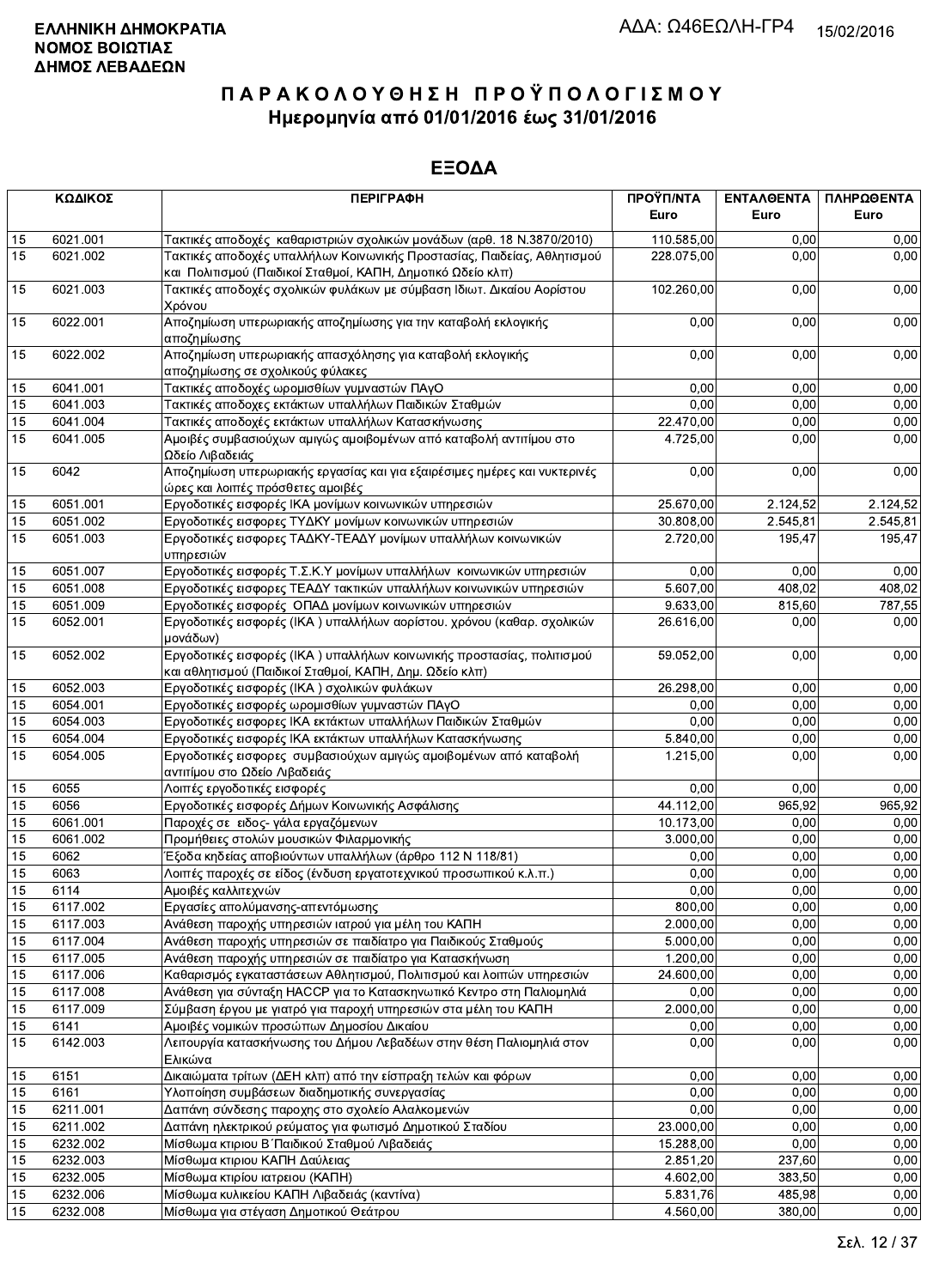|             | ΚΩΔΙΚΟΣ          | <b>ПЕРІГРАФН</b>                                                                                                                       | ΠΡΟΫΠ/ΝΤΑ<br>Euro | ΕΝΤΑΛΘΕΝΤΑ<br>Euro | ΠΛΗΡΩΘΕΝΤΑ<br>Euro |
|-------------|------------------|----------------------------------------------------------------------------------------------------------------------------------------|-------------------|--------------------|--------------------|
| 15          | 6021.001         | Τακτικές αποδοχές  καθαριστριών σχολικών μονάδων (αρθ. 18 Ν.3870/2010)                                                                 | 110.585,00        | 0.00               | 0,00               |
| 15          | 6021.002         | Τακτικές αποδοχές υπαλλήλων Κοινωνικής Προστασίας, Παιδείας, Αθλητισμού<br>και Πολιτισμού (Παιδικοί Σταθμοί, ΚΑΠΗ, Δημοτικό Ωδείο κλπ) | 228.075,00        | 0.00               | 0,00               |
| 15          | 6021.003         | Τακτικές αποδοχές σχολικών φυλάκων με σύμβαση Ιδιωτ. Δικαίου Αορίστου<br>Χρόνου                                                        | 102.260,00        | 0,00               | 0,00               |
| 15          | 6022.001         | Αποζημίωση υπερωριακής αποζημίωσης για την καταβολή εκλογικής<br>αποζημίωσης                                                           | 0,00              | 0,00               | 0,00               |
| 15          | 6022.002         | Αποζημίωση υπερωριακής απασχόλησης για καταβολή εκλογικής<br>αποζημίωσης σε σχολικούς φύλακες                                          | 0,00              | 0,00               | 0,00               |
| 15          | 6041.001         | Τακτικές αποδοχές ωρομισθίων γυμναστών ΠΑγΟ                                                                                            | 0,00              | 0,00               | 0,00               |
| 15          | 6041.003         | Τακτικές αποδοχες εκτάκτων υπαλλήλων Παιδικών Σταθμών                                                                                  | 0,00              | 0,00               | 0,00               |
| 15          | 6041.004         | Τακτικές αποδοχές εκτάκτων υπαλλήλων Κατασκήνωσης                                                                                      | 22.470,00         | 0,00               | 0,00               |
| 15          | 6041.005         | Αμοιβές συμβασιούχων αμιγώς αμοιβομένων από καταβολή αντιτίμου στο<br>Ωδείο Λιβαδειάς                                                  | 4.725,00          | 0,00               | 0,00               |
| 15          | 6042             | Αποζημίωση υπερωριακής εργασίας και για εξαιρέσιμες ημέρες και νυκτερινές<br>ώρες και λοιπές πρόσθετες αμοιβές                         | 0,00              | 0,00               | 0,00               |
| 15          | 6051.001         | Εργοδοτικές εισφορές ΙΚΑ μονίμων κοινωνικών υπηρεσιών                                                                                  | 25.670,00         | 2.124,52           | 2.124,52           |
| 15          | 6051.002         | Εργοδοτικές εισφορες ΤΥΔΚΥ μονίμων κοινωνικών υπηρεσιών                                                                                | 30.808,00         | 2.545,81           | 2.545,81           |
| 15          | 6051.003         | Εργοδοτικές εισφορες ΤΑΔΚΥ-ΤΕΑΔΥ μονίμων υπαλλήλων κοινωνικών<br>υπηρεσιών                                                             | 2.720,00          | 195,47             | 195,47             |
| 15          | 6051.007         | Εργοδοτικές εισφορές Τ.Σ.Κ.Υ μονίμων υπαλλήλων κοινωνικών υπηρεσιών                                                                    | 0,00              | 0.00               | 0,00               |
| 15          | 6051.008         | Εργοδοτικές εισφορες ΤΕΑΔΥ τακτικών υπαλλήλων κοινωνικών υπηρεσιών                                                                     | 5.607,00          | 408,02             | 408,02             |
| 15          | 6051.009         | Εργοδοτικές εισφορές ΟΠΑΔ μονίμων κοινωνικών υπηρεσιών                                                                                 | 9.633,00          | 815,60             | 787.55             |
| 15          | 6052.001         | Εργοδοτικές εισφορές (ΙΚΑ) υπαλλήλων αορίστου. χρόνου (καθαρ. σχολικών<br>μονάδων)                                                     | 26.616,00         | 0,00               | 0,00               |
| 15          | 6052.002         | Εργοδοτικές εισφορές (ΙΚΑ) υπαλλήλων κοινωνικής προστασίας, πολιτισμού<br>και αθλητισμού (Παιδικοί Σταθμοί, ΚΑΠΗ, Δημ. Ωδείο κλπ)      | 59.052,00         | 0,00               | 0,00               |
| 15          | 6052.003         | Εργοδοτικές εισφορές (ΙΚΑ ) σχολικών φυλάκων                                                                                           | 26.298,00         | 0,00               | 0,00               |
| 15          | 6054.001         | Εργοδοτικές εισφορές ωρομισθίων γυμναστών ΠΑγΟ                                                                                         | 0,00              | 0,00               | 0,00               |
| 15          | 6054.003         | Εργοδοτικές εισφορες ΙΚΑ εκτάκτων υπαλλήλων Παιδικών Σταθμών                                                                           | 0,00              | 0,00               | 0,00               |
| 15          | 6054.004         | Εργοδοτικές εισφορές ΙΚΑ εκτάκτων υπαλλήλων Κατασκήνωσης                                                                               | 5.840,00          | 0,00               | 0,00               |
| 15          | 6054.005         | Εργοδοτικές εισφορες συμβασιούχων αμιγώς αμοιβομένων από καταβολή<br>αντιτίμου στο Ωδείο Λιβαδειάς                                     | 1.215,00          | 0,00               | 0,00               |
| 15          | 6055             | Λοιπές εργοδοτικές εισφορές                                                                                                            | 0,00              | 0,00               | 0,00               |
| 15          | 6056             | Εργοδοτικές εισφορές Δήμων Κοινωνικής Ασφάλισης                                                                                        | 44.112,00         | 965,92             | 965,92             |
| 15          | 6061.001         | Παροχές σε ειδος- γάλα εργαζόμενων                                                                                                     | 10.173,00         | 0,00               | 0,00               |
| 15          | 6061.002         | Προμήθειες στολών μουσικών Φιλαρμονικής                                                                                                | 3.000,00          | 0,00               | 0,00               |
| 15          | 6062             | Έξοδα κηδείας αποβιούντων υπαλλήλων (άρθρο 112 Ν 118/81)                                                                               | 0,00              | 0.00               | 0.00               |
| 15          | 6063             | Λοιπές παροχές σε είδος (ένδυση εργατοτεχνικού προσωπικού κ.λ.π.)                                                                      | 0,00              | 0,00               | 0,00               |
| $\sqrt{15}$ | 6114             | Αμοιβές καλλιτεχνών                                                                                                                    | 0,00              | 0,00               | 0,00               |
| 15          | 6117.002         | Εργασίες απολύμανσης-απεντόμωσης                                                                                                       | 800,00            | 0,00               | 0,00               |
| 15          | 6117.003         | Ανάθεση παροχής υπηρεσιών ιατρού για μέλη του ΚΑΠΗ                                                                                     | 2.000,00          | 0,00               | 0,00               |
| 15          | 6117.004         | Ανάθεση παροχής υπηρεσιών σε παιδίατρο για Παιδικούς Σταθμούς                                                                          | 5.000,00          | 0,00               | 0,00               |
| 15          | 6117.005         | Ανάθεση παροχής υπηρεσιών σε παιδίατρο για Κατασκήνωση                                                                                 | 1.200,00          | 0,00               | 0,00               |
| 15          | 6117.006         | Καθαρισμός εγκαταστάσεων Αθλητισμού, Πολιτισμού και λοιπών υπηρεσιών                                                                   | 24.600,00         | 0,00               | 0,00               |
|             | 6117.008         | Ανάθεση για σύνταξη ΗΑCCP για το Κατασκηνωτικό Κεντρο στη Παλιομηλιά                                                                   | 0,00              | 0,00               | 0,00               |
| 15          |                  |                                                                                                                                        | 2.000,00          | 0,00               | 0,00               |
| 15          | 6117.009         | Σύμβαση έργου με γιατρό για παροχή υπηρεσιών στα μέλη του ΚΑΠΗ<br>Αμοιβές νομικών προσώπων Δημοσίου Δικαίου                            |                   |                    | 0,00               |
| 15<br>15    | 6141<br>6142.003 | Λειτουργία κατασκήνωσης του Δήμου Λεβαδέων στην θέση Παλιομηλιά στον                                                                   | 0,00<br>0,00      | 0,00<br>0,00       | 0,00               |
|             | 6151             | Ελικώνα<br>Δικαιώματα τρίτων (ΔΕΗ κλπ) από την είσπραξη τελών και φόρων                                                                | 0,00              | 0,00               | 0,00               |
| 15          | 6161             | Υλοποίηση συμβάσεων διαδημοτικής συνεργασίας                                                                                           | 0,00              |                    | 0,00               |
| 15          |                  |                                                                                                                                        | 0,00              | 0,00<br>0,00       | 0,00               |
| 15          | 6211.001         | Δαπάνη σύνδεσης παροχης στο σχολείο Αλαλκομενών                                                                                        |                   | 0,00               |                    |
| 15          | 6211.002         | Δαπάνη ηλεκτρικού ρεύματος για φωτισμό Δημοτικού Σταδίου                                                                               | 23.000,00         |                    | 0,00               |
| 15          | 6232.002         | Μίσθωμα κτιριου Β΄ Παιδικού Σταθμού Λιβαδειάς                                                                                          | 15.288,00         | 0,00               | 0,00               |
| 15          | 6232.003         | Μίσθωμα κτιριου ΚΑΠΗ Δαύλειας                                                                                                          | 2.851,20          | 237,60             | 0,00               |
| 15          | 6232.005         | Μίσθωμα κτιρίου ιατρειου (ΚΑΠΗ)                                                                                                        | 4.602,00          | 383,50             | 0,00               |
| 15          | 6232.006         | Μίσθωμα κυλικείου ΚΑΠΗ Λιβαδειάς (καντίνα)                                                                                             | 5.831,76          | 485,98             | 0,00               |
| 15          | 6232.008         | Μίσθωμα για στέγαση Δημοτικού Θεάτρου                                                                                                  | 4.560,00          | 380,00             | 0,00               |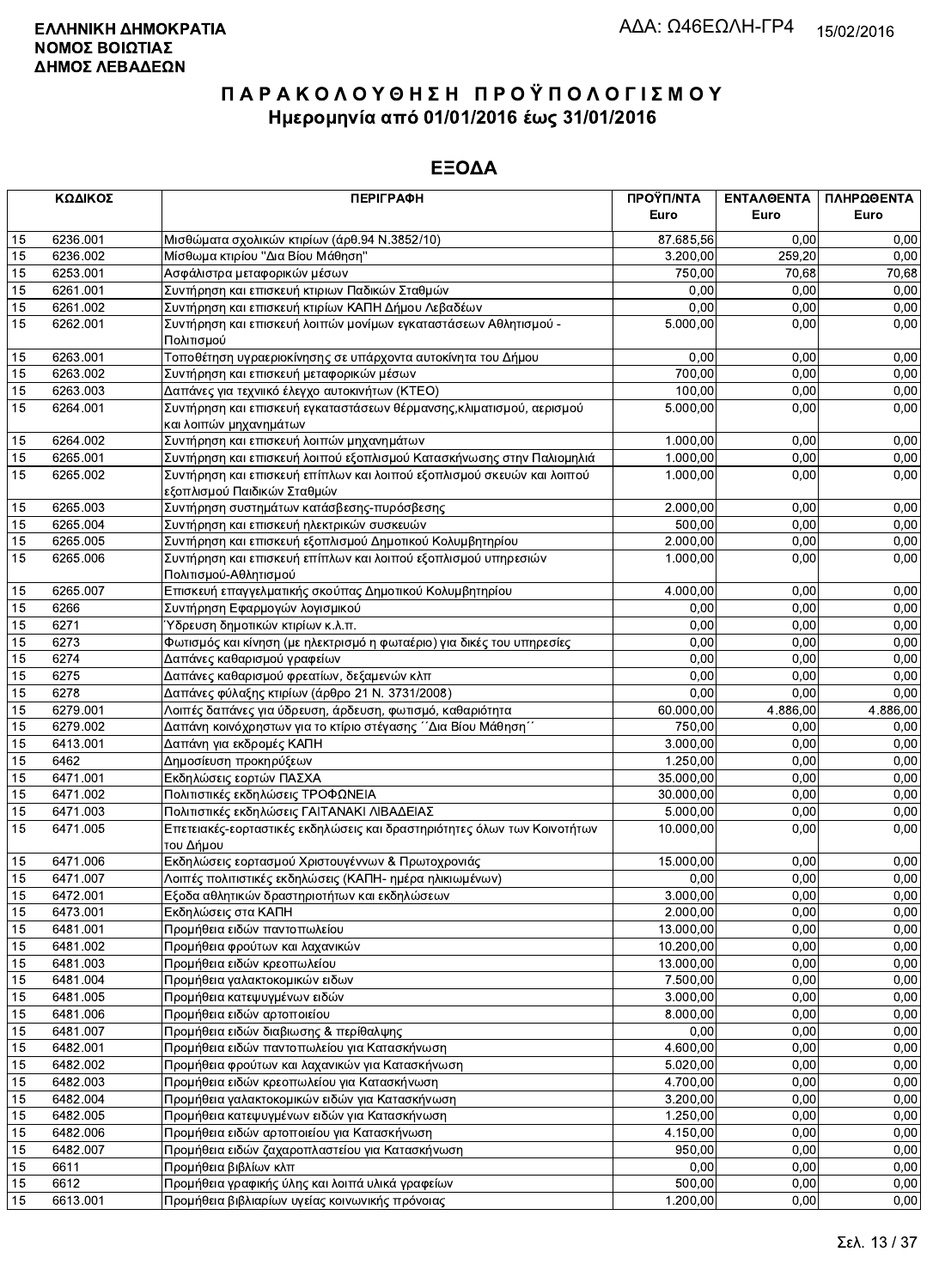|    | ΚΩΔΙΚΟΣ  | <b>ПЕРІГРАФН</b>                                                                        | ΠΡΟΫΠ/ΝΤΑ<br>Euro | ΕΝΤΑΛΘΕΝΤΑ<br>Euro | ΠΛΗΡΩΘΕΝΤΑ<br>Euro |
|----|----------|-----------------------------------------------------------------------------------------|-------------------|--------------------|--------------------|
|    |          |                                                                                         |                   |                    |                    |
| 15 | 6236.001 | Μισθώματα σχολικών κτιρίων (άρθ.94 Ν.3852/10)                                           | 87.685,56         | 0.00               | 0,00               |
| 15 | 6236.002 | Μίσθωμα κτιρίου "Δια Βίου Μάθηση"                                                       | 3.200,00          | 259.20             | 0,00               |
| 15 | 6253.001 | Ασφάλιστρα μεταφορικών μέσων                                                            | 750,00            | 70,68              | 70,68              |
| 15 | 6261.001 | Συντήρηση και επισκευή κτιριων Παδικών Σταθμών                                          | 0,00              | 0,00               | 0,00               |
| 15 | 6261.002 | Συντήρηση και επισκευή κτιρίων ΚΑΠΗ Δήμου Λεβαδέων                                      | 0,00              | 0,00               | 0,00               |
| 15 | 6262.001 | Συντήρηση και επισκευή λοιπών μονίμων εγκαταστάσεων Αθλητισμού -<br>Πολιτισμού          | 5.000,00          | 0,00               | 0,00               |
| 15 | 6263.001 | Τοποθέτηση υγραεριοκίνησης σε υπάρχοντα αυτοκίνητα του Δήμου                            | 0,00              | 0,00               | 0,00               |
| 15 | 6263.002 | Συντήρηση και επισκευή μεταφορικών μέσων                                                | 700,00            | 0,00               | 0,00               |
| 15 | 6263.003 | Δαπάνες για τεχνιικό έλεγχο αυτοκινήτων (ΚΤΕΟ)                                          | 100,00            | 0,00               | 0,00               |
| 15 | 6264.001 | Συντήρηση και επισκευή εγκαταστάσεων θέρμανσης, κλιματισμού, αερισμού                   | 5.000,00          | 0,00               | 0,00               |
|    |          | και λοιπών μηχανημάτων                                                                  |                   |                    |                    |
| 15 | 6264.002 | Συντήρηση και επισκευή λοιπών μηχανημάτων                                               | 1.000,00          | 0,00               | 0,00               |
| 15 | 6265.001 | Συντήρηση και επισκευή λοιπού εξοπλισμού Κατασκήνωσης στην Παλιομηλιά                   | 1.000,00          | 0,00               | 0,00               |
| 15 | 6265.002 | Συντήρηση και επισκευή επίπλων και λοιπού εξοπλισμού σκευών και λοιπού                  | 1.000,00          | 0,00               | 0,00               |
|    |          | εξοπλισμού Παιδικών Σταθμών                                                             |                   |                    |                    |
| 15 | 6265.003 | Συντήρηση συστημάτων κατάσβεσης-πυρόσβεσης                                              | 2.000,00          | 0,00               | 0,00               |
| 15 | 6265.004 | Συντήρηση και επισκευή ηλεκτρικών συσκευών                                              | 500,00            | 0,00               | 0,00               |
| 15 | 6265.005 | Συντήρηση και επισκευή εξοπλισμού Δημοτικού Κολυμβητηρίου                               | 2.000,00          | 0,00               | 0,00               |
| 15 | 6265.006 | Συντήρηση και επισκευή επίπλων και λοιπού εξοπλισμού υπηρεσιών<br>Πολιτισμού-Αθλητισμού | 1.000,00          | 0,00               | 0,00               |
| 15 | 6265.007 | Επισκευή επαγγελματικής σκούπας Δημοτικού Κολυμβητηρίου                                 | 4.000,00          | 0,00               | 0,00               |
| 15 | 6266     | Συντήρηση Εφαρμογών λογισμικού                                                          | 0,00              | 0,00               | 0,00               |
| 15 | 6271     | Ύδρευση δημοτικών κτιρίων κ.λ.π.                                                        | 0,00              | 0,00               | 0,00               |
| 15 | 6273     | Φωτισμός και κίνηση (με ηλεκτρισμό η φωταέριο) για δικές του υπηρεσίες                  | 0,00              | 0,00               | 0,00               |
| 15 | 6274     | Δαπάνες καθαρισμού γραφείων                                                             | 0,00              | 0,00               | 0,00               |
| 15 | 6275     | Δαπάνες καθαρισμού φρεατίων, δεξαμενών κλπ                                              | 0,00              | 0,00               | 0,00               |
| 15 | 6278     | Δαπάνες φύλαξης κτιρίων (άρθρο 21 Ν. 3731/2008)                                         | 0,00              | 0,00               | 0,00               |
| 15 | 6279.001 | Λοιπές δαπάνες για ύδρευση, άρδευση, φωτισμό, καθαριότητα                               | 60.000,00         | 4.886,00           | 4.886,00           |
| 15 | 6279.002 | Δαπάνη κοινόχρηστων για το κτίριο στέγασης ΄ Δια Βίου Μάθηση''                          | 750,00            | 0,00               | 0,00               |
| 15 | 6413.001 | Δαπάνη για εκδρομές ΚΑΠΗ                                                                | 3.000,00          | 0,00               | 0,00               |
| 15 | 6462     | Δημοσίευση προκηρύξεων                                                                  | 1.250,00          | 0,00               | 0,00               |
| 15 | 6471.001 | Εκδηλώσεις εορτών ΠΑΣΧΑ                                                                 | 35.000,00         | 0,00               | 0,00               |
| 15 | 6471.002 | Πολιτιστικές εκδηλώσεις ΤΡΟΦΩΝΕΙΑ                                                       | 30.000,00         | 0,00               | 0,00               |
| 15 | 6471.003 | Πολιτιστικές εκδηλώσεις ΓΑΙΤΑΝΑΚΙ ΛΙΒΑΔΕΙΑΣ                                             | 5.000,00          | 0.00               | 0,00               |
| 15 | 6471.005 | Επετειακές-εορταστικές εκδηλώσεις και δραστηριότητες όλων των Κοινοτήτων<br> του Δήμου  | 10.000,00         | 0,00               | 0,00               |
| 15 | 6471.006 | Εκδηλώσεις εορτασμού Χριστουγέννων & Πρωτοχρονιάς                                       | 15.000,00         | 0,00               | 0,00               |
| 15 | 6471.007 | Λοιπές πολιτιστικές εκδηλώσεις (ΚΑΠΗ- ημέρα ηλικιωμένων)                                | 0,00              | 0,00               | 0,00               |
| 15 | 6472.001 | Εξοδα αθλητικών δραστηριοτήτων και εκδηλώσεων                                           | 3.000,00          | 0,00               | 0,00               |
| 15 | 6473.001 | Εκδηλώσεις στα ΚΑΠΗ                                                                     | 2.000,00          | 0,00               | 0,00               |
| 15 | 6481.001 | Προμήθεια ειδών παντοπωλείου                                                            | 13.000,00         | 0,00               | 0,00               |
| 15 | 6481.002 | Προμήθεια φρούτων και λαχανικών                                                         | 10.200,00         | 0,00               | 0,00               |
| 15 | 6481.003 | Προμήθεια ειδών κρεοπωλείου                                                             | 13.000,00         | 0,00               | 0,00               |
| 15 | 6481.004 | Προμήθεια γαλακτοκομικών ειδων                                                          | 7.500,00          | 0,00               | 0,00               |
| 15 | 6481.005 | Προμήθεια κατεψυγμένων ειδών                                                            | 3.000,00          | 0,00               | 0,00               |
| 15 | 6481.006 | Προμήθεια ειδών αρτοποιείου                                                             | 8.000,00          | 0,00               | 0,00               |
| 15 | 6481.007 | Προμήθεια ειδών διαβιωσης & περίθαλψης                                                  | 0,00              | 0,00               | 0,00               |
| 15 | 6482.001 | Προμήθεια ειδών παντοπωλείου για Κατασκήνωση                                            | 4.600,00          | 0,00               | 0,00               |
| 15 | 6482.002 | Προμήθεια φρούτων και λαχανικών για Κατασκήνωση                                         | 5.020,00          | 0,00               | 0,00               |
| 15 | 6482.003 | Προμήθεια ειδών κρεοπωλείου για Κατασκήνωση                                             | 4.700,00          | 0,00               | 0,00               |
| 15 | 6482.004 | Προμήθεια γαλακτοκομικών ειδών για Κατασκήνωση                                          | 3.200,00          | 0,00               | 0,00               |
| 15 | 6482.005 | Προμήθεια κατεψυγμένων ειδών για Κατασκήνωση                                            | 1.250,00          | 0,00               | 0,00               |
| 15 | 6482.006 | Προμήθεια ειδών αρτοποιείου για Κατασκήνωση                                             | 4.150,00          | 0,00               | 0,00               |
| 15 | 6482.007 | Προμήθεια ειδών ζαχαροπλαστείου για Κατασκήνωση                                         | 950,00            | 0,00               | 0,00               |
| 15 | 6611     | Προμήθεια βιβλίων κλπ                                                                   | 0,00              | 0,00               | 0,00               |
| 15 | 6612     | Προμήθεια γραφικής ύλης και λοιπά υλικά γραφείων                                        | 500,00            | 0,00               | 0,00               |
| 15 | 6613.001 | Προμήθεια βιβλιαρίων υγείας κοινωνικής πρόνοιας                                         | 1.200,00          | 0,00               | 0,00               |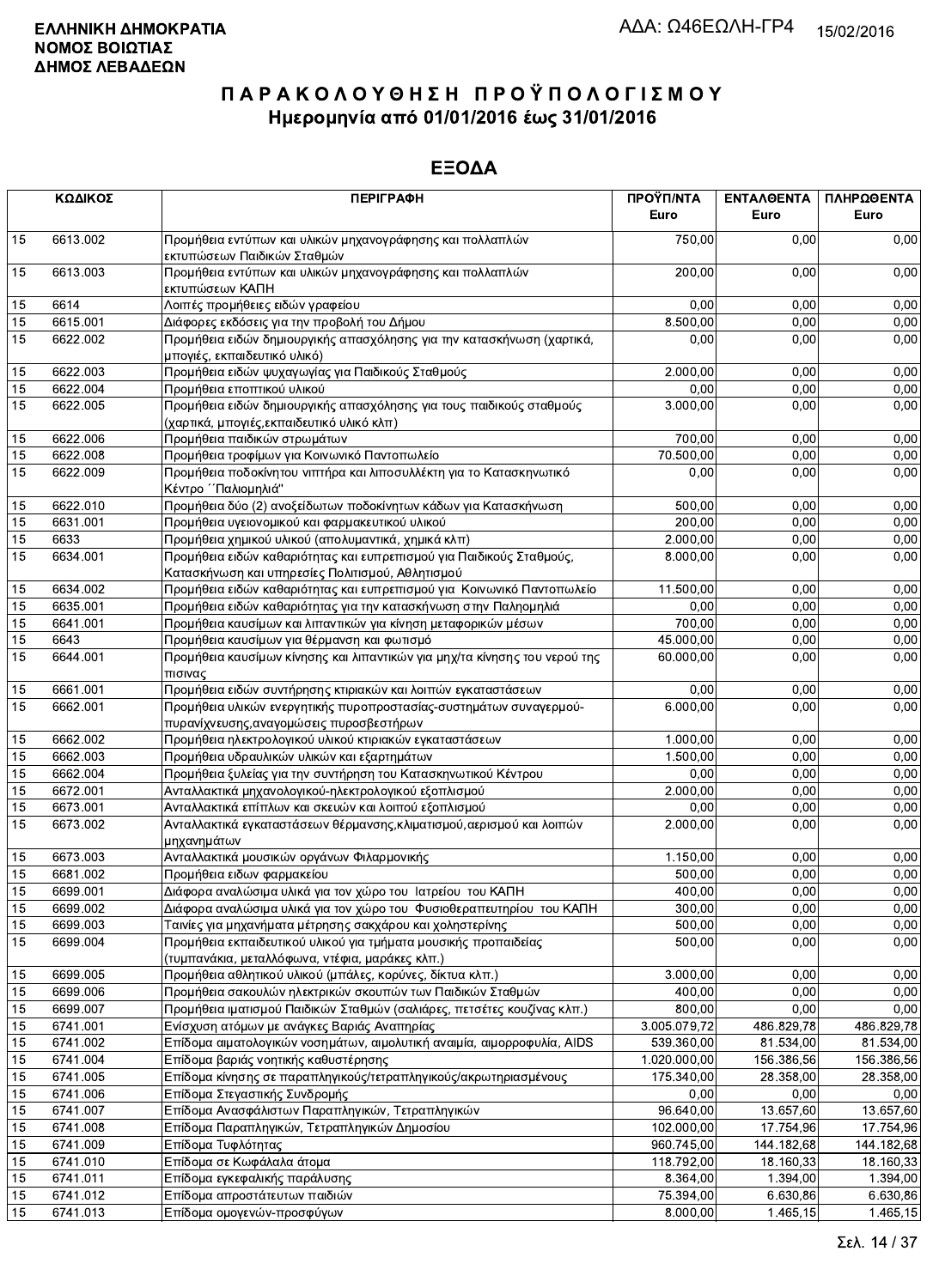|                 | ΚΩΔΙΚΟΣ  | <b>ПЕРІГРАФН</b>                                                                                                         | ΠΡΟΫΠ/ΝΤΑ<br>Euro     | <b>ENTAA@ENTA</b><br>Euro | ΠΛΗΡΩΘΕΝΤΑ<br>Euro |
|-----------------|----------|--------------------------------------------------------------------------------------------------------------------------|-----------------------|---------------------------|--------------------|
| 15              | 6613.002 | Προμήθεια εντύπων και υλικών μηχανογράφησης και πολλαπλών                                                                | 750,00                | 0.00                      | 0,00               |
| 15              | 6613.003 | εκτυπώσεων Παιδικών Σταθμών<br>Προμήθεια εντύπων και υλικών μηχανογράφησης και πολλαπλών<br>εκτυπώσεων ΚΑΠΗ              | 200,00                | 0,00                      | 0,00               |
| 15              | 6614     | Λοιπές προμήθειες ειδών γραφείου                                                                                         | 0,00                  | 0,00                      | 0,00               |
| 15              | 6615.001 | Διάφορες εκδόσεις για την προβολή του Δήμου                                                                              | 8.500,00              | 0,00                      | 0,00               |
| 15              | 6622.002 | Προμήθεια ειδών δημιουργικής απασχόλησης για την κατασκήνωση (χαρτικά,<br>μπογιές, εκπαιδευτικό υλικό)                   | 0,00                  | 0,00                      | 0,00               |
| 15              | 6622.003 | Προμήθεια ειδών ψυχαγωγίας για Παιδικούς Σταθμούς                                                                        | 2.000.00              | 0,00                      | 0,00               |
| 15              | 6622.004 | Προμήθεια εποπτικού υλικού                                                                                               | 0,00                  | 0,00                      | 0,00               |
| 15              | 6622.005 | Προμήθεια ειδών δημιουργικής απασχόλησης για τους παιδικούς σταθμούς<br>(χαρτικά, μπογιές,εκπαιδευτικό υλικό κλπ)        | 3.000,00              | 0,00                      | 0,00               |
| 15              | 6622.006 | Προμήθεια παιδικών στρωμάτων                                                                                             | 700,00                | 0,00                      | 0,00               |
| 15              | 6622.008 | Προμήθεια τροφίμων για Κοινωνικό Παντοπωλείο                                                                             | 70.500,00             | 0,00                      | 0,00               |
| 15              | 6622.009 | Προμήθεια ποδοκίνητου νιπτήρα και λιποσυλλέκτη για το Κατασκηνωτικό<br>Κέντρο ΄΄Παλιομηλιά"                              | 0,00                  | 0,00                      | 0,00               |
| 15              | 6622.010 | Προμήθεια δύο (2) ανοξείδωτων ποδοκίνητων κάδων για Κατασκήνωση                                                          | 500,00                | 0.00                      | 0,00               |
| 15              | 6631.001 | Προμήθεια υγειονομικού και φαρμακευτικού υλικού                                                                          | 200,00                | 0,00                      | 0,00               |
| 15              | 6633     | Προμήθεια χημικού υλικού (απολυμαντικά, χημικά κλπ)                                                                      | $\overline{2.000,00}$ | 0,00                      | 0,00               |
| 15              | 6634.001 | Προμήθεια ειδών καθαριότητας και ευπρεπισμού για Παιδικούς Σταθμούς,<br>Κατασκήνωση και υπηρεσίες Πολιτισμού, Αθλητισμού | 8.000,00              | 0,00                      | 0,00               |
| 15              | 6634.002 | Προμήθεια ειδών καθαριότητας και ευπρεπισμού για Κοινωνικό Παντοπωλείο                                                   | 11.500,00             | 0,00                      | 0,00               |
| 15              | 6635.001 | Προμήθεια ειδών καθαριότητας για την κατασκήνωση στην Παληομηλιά                                                         | 0,00                  | 0,00                      | 0,00               |
| 15              | 6641.001 | Προμήθεια καυσίμων και λιπαντικών για κίνηση μεταφορικών μέσων                                                           | 700,00                | 0,00                      | 0,00               |
| 15              | 6643     | Προμήθεια καυσίμων για θέρμανση και φωτισμό                                                                              | 45.000,00             | 0,00                      | 0,00               |
| 15              | 6644.001 | Προμήθεια καυσίμων κίνησης και λιπαντικών για μηχ/τα κίνησης του νερού της<br>πισινας                                    | 60.000,00             | 0,00                      | 0,00               |
| 15              | 6661.001 | Προμήθεια ειδών συντήρησης κτιριακών και λοιπών εγκαταστάσεων                                                            | 0,00                  | 0.00                      | 0,00               |
| 15              | 6662.001 | Προμήθεια υλικών ενεργητικής πυροπροστασίας-συστημάτων συναγερμού-<br>πυρανίχνευσης, αναγομώσεις πυροσβεστήρων           | 6.000,00              | 0,00                      | 0,00               |
| 15              | 6662.002 | Προμήθεια ηλεκτρολογικού υλικού κτιριακών εγκαταστάσεων                                                                  | 1.000,00              | 0,00                      | 0,00               |
| 15              | 6662.003 | Προμήθεια υδραυλικών υλικών και εξαρτημάτων                                                                              | 1.500,00              | 0,00                      | 0,00               |
| 15              | 6662.004 | Προμήθεια ξυλείας για την συντήρηση του Κατασκηνωτικού Κέντρου                                                           | 0.00                  | 0.00                      | 0,00               |
| 15              | 6672.001 | Ανταλλακτικά μηχανολογικού-ηλεκτρολογικού εξοπλισμού                                                                     | 2.000,00              | 0,00                      | 0,00               |
| 15              | 6673.001 | Ανταλλακτικά επίπλων και σκευών και λοιπού εξοπλισμού                                                                    | 0,00                  | 0,00                      | 0,00               |
| 15              | 6673.002 | Ανταλλακτικά εγκαταστάσεων θέρμανσης, κλιματισμού, αερισμού και λοιπών<br>μηχανημάτων                                    | 2.000,00              | 0,00                      | 0,00               |
| 15              | 6673.003 | Ανταλλακτικά μουσικών οργάνων Φιλαρμονικής                                                                               | 1.150,00              | 0.00                      | 0,00               |
| 15              | 6681.002 | Προμήθεια ειδων φαρμακείου                                                                                               | 500,00                | 0,00                      | 0,00               |
| $\overline{15}$ | 6699.001 | Διάφορα αναλώσιμα υλικά για τον χώρο του Ιατρείου του ΚΑΠΗ                                                               | 400,00                | 0,00                      | 0,00               |
| 15              | 6699.002 | Διάφορα αναλώσιμα υλικά για τον χώρο του Φυσιοθεραπευτηρίου του ΚΑΠΗ                                                     | 300,00                | 0,00                      | 0,00               |
| 15              | 6699.003 | Ταινίες για μηχανήματα μέτρησης σακχάρου και χοληστερίνης                                                                | 500,00                | 0,00                      | 0,00               |
| 15              | 6699.004 | Προμήθεια εκπαιδευτικού υλικού για τμήματα μουσικής προπαιδείας<br>(τυμπανάκια, μεταλλόφωνα, ντέφια, μαράκες κλπ.)       | 500,00                | 0,00                      | 0,00               |
| 15              | 6699.005 | Προμήθεια αθλητικού υλικού (μπάλες, κορύνες, δίκτυα κλπ.)                                                                | 3.000,00              | 0,00                      | 0,00               |
| 15              | 6699.006 | Προμήθεια σακουλών ηλεκτρικών σκουπών των Παιδικών Σταθμών                                                               | 400,00                | 0,00                      | 0,00               |
| 15              | 6699.007 | Προμήθεια ιματισμού Παιδικών Σταθμών (σαλιάρες, πετσέτες κουζίνας κλπ.)                                                  | $\overline{800,00}$   | 0,00                      | 0,00               |
| 15              | 6741.001 | Ενίσχυση ατόμων με ανάγκες Βαριάς Αναπηρίας                                                                              | 3.005.079,72          | 486.829,78                | 486.829,78         |
| 15              | 6741.002 | Επίδομα αιματολογικών νοσημάτων, αιμολυτική αναιμία, αιμορροφυλία, AIDS                                                  | 539.360,00            | 81.534,00                 | 81.534,00          |
| 15              | 6741.004 | Επίδομα βαριάς νοητικής καθυστέρησης                                                                                     | 1.020.000,00          | 156.386,56                | 156.386,56         |
| 15              | 6741.005 | Επίδομα κίνησης σε παραπληγικούς/τετραπληγικούς/ακρωτηριασμένους                                                         | 175.340,00            | 28.358,00                 | 28.358,00          |
| 15              | 6741.006 | Επίδομα Στεγαστικής Συνδρομής                                                                                            | 0,00                  | 0,00                      | 0,00               |
| 15              | 6741.007 | Επίδομα Ανασφάλιστων Παραπληγικών, Τετραπληγικών                                                                         | 96.640,00             | 13.657,60                 | 13.657,60          |
| 15              | 6741.008 | Επίδομα Παραπληγικών, Τετραπληγικών Δημοσίου                                                                             | 102.000,00            | 17.754,96                 | 17.754,96          |
| 15              | 6741.009 | Επίδομα Τυφλότητας                                                                                                       | 960.745,00            | 144.182,68                | 144.182,68         |
| 15              | 6741.010 | Επίδομα σε Κωφάλαλα άτομα                                                                                                | 118.792,00            | 18.160,33                 | 18.160,33          |
| 15              | 6741.011 | Επίδομα εγκεφαλικής παράλυσης                                                                                            | 8.364,00              | 1.394,00                  | 1.394,00           |
| 15              | 6741.012 | Επίδομα απροστάτευτων παιδιών                                                                                            | 75.394,00             | 6.630,86                  | 6.630,86           |
| 15              | 6741.013 | Επίδομα ομογενών-προσφύγων                                                                                               | 8.000,00              | 1.465, 15                 | 1.465,15           |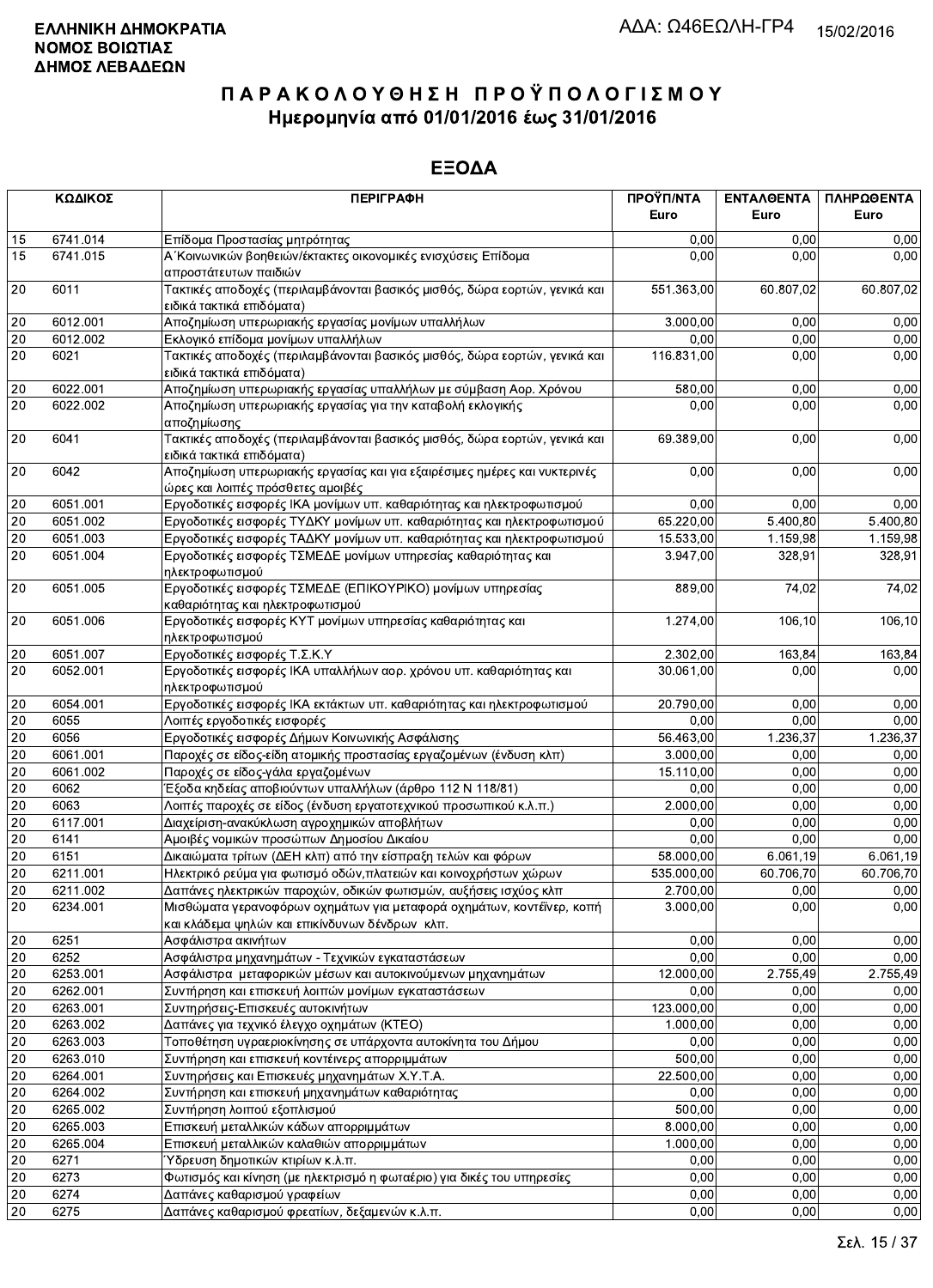|        | ΚΩΔΙΚΟΣ                                                  | <b>ПЕРІГРАФН</b>                                                                                                        | ΠΡΟΫΠ/ΝΤΑ<br>Euro | ΕΝΤΑΛΘΕΝΤΑ<br>Euro  | ΠΛΗΡΩΘΕΝΤΑ<br>Euro |
|--------|----------------------------------------------------------|-------------------------------------------------------------------------------------------------------------------------|-------------------|---------------------|--------------------|
|        |                                                          |                                                                                                                         |                   |                     |                    |
| 15     | 6741.014                                                 | Επίδομα Προστασίας μητρότητας                                                                                           | 0,00              | 0.00                | 0,00               |
| 15     | 6741.015                                                 | Α΄ Κοινωνικών βοηθειών/έκτακτες οικονομικές ενισχύσεις Επίδομα<br>απροστάτευτων παιδιών                                 | 0,00              | 0.00                | 0,00               |
| 20     | 6011                                                     | Τακτικές αποδοχές (περιλαμβάνονται βασικός μισθός, δώρα εορτών, γενικά και<br>ειδικά τακτικά επιδόματα)                 | 551.363,00        | 60.807,02           | 60.807,02          |
| 20     | 6012.001                                                 | Αποζημίωση υπερωριακής εργασίας μονίμων υπαλλήλων                                                                       | 3.000,00          | 0.00                | 0,00               |
| 20     | 6012.002                                                 | Εκλογικό επίδομα μονίμων υπαλλήλων                                                                                      | 0,00              | 0,00                | 0,00               |
| 20     | 6021                                                     | Τακτικές αποδοχές (περιλαμβάνονται βασικός μισθός, δώρα εορτών, γενικά και<br>ειδικά τακτικά επιδόματα)                 | 116.831.00        | 0,00                | 0,00               |
| 20     | 6022.001                                                 | Αποζημίωση υπερωριακής εργασίας υπαλλήλων με σύμβαση Αορ. Χρόνου                                                        | 580,00            | 0,00                | 0,00               |
| 20     | 6022.002                                                 | Αποζημίωση υπερωριακής εργασίας για την καταβολή εκλογικής<br>αποζημίωσης                                               | 0,00              | 0,00                | 0,00               |
| 20     | 6041                                                     | Τακτικές αποδοχές (περιλαμβάνονται βασικός μισθός, δώρα εορτών, γενικά και<br>ειδικά τακτικά επιδόματα)                 | 69.389,00         | 0,00                | 0,00               |
| 20     | 6042                                                     | Αποζημίωση υπερωριακής εργασίας και για εξαιρέσιμες ημέρες και νυκτερινές<br>ώρες και λοιπές πρόσθετες αμοιβές          | 0,00              | 0,00                | 0,00               |
| 20     | 6051.001                                                 | Εργοδοτικές εισφορές ΙΚΑ μονίμων υπ. καθαριότητας και ηλεκτροφωτισμού                                                   | 0,00              | 0,00                | 0,00               |
| $20\,$ | 6051.002<br>6051.003<br>6051.004<br>6051.005<br>6051.006 | Εργοδοτικές εισφορές ΤΥΔΚΥ μονίμων υπ. καθαριότητας και ηλεκτροφωτισμού                                                 | 65.220,00         | 5.400,80            | 5.400,80           |
| 20     |                                                          | Εργοδοτικές εισφορές ΤΑΔΚΥ μονίμων υπ. καθαριότητας και ηλεκτροφωτισμού                                                 | 15.533,00         | 1.159,98            | 1.159,98           |
| 20     |                                                          | Εργοδοτικές εισφορές ΤΣΜΕΔΕ μονίμων υπηρεσίας καθαριότητας και<br>ηλεκτροφωτισμού                                       | 3.947,00          | 328,91              | 328,91             |
| 20     |                                                          | Εργοδοτικές εισφορές ΤΣΜΕΔΕ (ΕΠΙΚΟΥΡΙΚΟ) μονίμων υπηρεσίας<br>καθαριότητας και ηλεκτροφωτισμού                          | 889,00            | $\overline{7}$ 4,02 | 74,02              |
| 20     |                                                          | Εργοδοτικές εισφορές ΚΥΤ μονίμων υπηρεσίας καθαριότητας και<br>ηλεκτροφωτισμού                                          | 1.274,00          | 106, 10             | 106,10             |
| 20     | 6051.007                                                 | Εργοδοτικές εισφορές Τ.Σ.Κ.Υ                                                                                            | 2.302,00          | 163.84              | 163,84             |
| 20     | 6052.001                                                 | Εργοδοτικές εισφορές ΙΚΑ υπαλλήλων αορ. χρόνου υπ. καθαριότητας και<br>ηλεκτροφωτισμού                                  | 30.061,00         | 0,00                | 0,00               |
| 20     | 6054.001                                                 | Εργοδοτικές εισφορές ΙΚΑ εκτάκτων υπ. καθαριότητας και ηλεκτροφωτισμού                                                  | 20.790,00         | 0,00                | 0,00               |
| 20     | 6055                                                     | Λοιπές εργοδοτικές εισφορές                                                                                             | 0,00              | 0,00                | 0,00               |
| 20     | 6056                                                     | Εργοδοτικές εισφορές Δήμων Κοινωνικής Ασφάλισης                                                                         | 56.463,00         | 1.236,37            | 1.236,37           |
| $20\,$ | 6061.001                                                 | Παροχές σε είδος-είδη ατομικής προστασίας εργαζομένων (ένδυση κλπ)                                                      | 3.000,00          | 0,00                | 0,00               |
| 20     | 6061.002                                                 | Παροχές σε είδος-γάλα εργαζομένων                                                                                       | 15.110,00         | 0.00                | 0,00               |
| 20     | 6062                                                     | Έξοδα κηδείας αποβιούντων υπαλλήλων (άρθρο 112 Ν 118/81)                                                                | 0,00              | 0,00                | 0,00               |
| 20     | 6063                                                     | Λοιπές παροχές σε είδος (ένδυση εργατοτεχνικού προσωπικού κ.λ.π.)                                                       | 2.000,00          | 0,00                | 0,00               |
| 20     | 6117.001                                                 | Διαχείριση-ανακύκλωση αγροχημικών αποβλήτων                                                                             | 0,00              | 0,00                | 0,00               |
| 20     | 6141                                                     | Αμοιβές νομικών προσώπων Δημοσίου Δικαίου                                                                               | 0,00              | 0,00                | 0,00               |
| 20     | 6151                                                     | Δικαιώματα τρίτων (ΔΕΗ κλπ) από την είσπραξη τελών και φόρων                                                            | 58.000,00         | 6.061,19            | 6.061,19           |
| 20     | 6211.001                                                 | Ηλεκτρικό ρεύμα για φωτισμό οδών, πλατειών και κοινοχρήστων χώρων                                                       | 535.000,00        | 60.706,70           | 60.706,70          |
| $20\,$ | 6211.002                                                 | Δαπάνες ηλεκτρικών παροχών, οδικών φωτισμών, αυξήσεις ισχύος κλπ                                                        | 2.700,00          | 0,00                | 0,00               |
| 20     | 6234.001                                                 | Μισθώματα γερανοφόρων οχημάτων για μεταφορά οχημάτων, κοντέϊνερ, κοπή<br>και κλάδεμα ψηλών και επικίνδυνων δένδρων κλπ. | 3.000,00          | 0,00                | 0,00               |
| 20     | 6251                                                     | Ασφάλιστρα ακινήτων                                                                                                     | 0,00              | 0,00                | 0,00               |
| 20     | 6252                                                     | Ασφάλιστρα μηχανημάτων - Τεχνικών εγκαταστάσεων                                                                         | 0,00              | 0,00                | 0,00               |
| 20     | 6253.001                                                 | Ασφάλιστρα μεταφορικών μέσων και αυτοκινούμενων μηχανημάτων                                                             | 12.000,00         | 2.755,49            | 2.755,49           |
| 20     | 6262.001                                                 | Συντήρηση και επισκευή λοιπών μονίμων εγκαταστάσεων                                                                     | 0,00              | 0,00                | 0,00               |
| 20     | 6263.001                                                 | Συντηρήσεις-Επισκευές αυτοκινήτων                                                                                       | 123.000,00        | 0,00                | 0,00               |
| 20     | 6263.002                                                 | Δαπάνες για τεχνικό έλεγχο οχημάτων (ΚΤΕΟ)                                                                              | 1.000,00          | 0.00                | 0,00               |
| 20     | 6263.003                                                 | Τοποθέτηση υγραεριοκίνησης σε υπάρχοντα αυτοκίνητα του Δήμου                                                            | 0,00              | 0,00                | 0,00               |
| 20     | 6263.010                                                 | Συντήρηση και επισκευή κοντέινερς απορριμμάτων                                                                          | 500,00            | 0,00                | 0,00               |
| 20     | 6264.001                                                 | Συντηρήσεις και Επισκευές μηχανημάτων Χ.Υ.Τ.Α.                                                                          | 22.500,00         | 0,00                | 0,00               |
| 20     | 6264.002                                                 | Συντήρηση και επισκευή μηχανημάτων καθαριότητας                                                                         | 0,00              | 0,00                | 0,00               |
| 20     | 6265.002                                                 | Συντήρηση λοιπού εξοπλισμού                                                                                             | 500,00            | 0,00                | 0,00               |
| 20     | 6265.003                                                 | Επισκευή μεταλλικών κάδων απορριμμάτων                                                                                  | 8.000,00          | 0,00                | 0,00               |
| 20     | 6265.004                                                 | Επισκευή μεταλλικών καλαθιών απορριμμάτων                                                                               | 1.000,00          | 0,00                | 0,00               |
| 20     | 6271                                                     | Ύδρευση δημοτικών κτιρίων κ.λ.π.                                                                                        | 0,00              | 0,00                | 0,00               |
| 20     | 6273                                                     | Φωτισμός και κίνηση (με ηλεκτρισμό η φωταέριο) για δικές του υπηρεσίες                                                  | 0,00              | 0,00                | 0,00               |
| 20     | 6274<br>6275                                             | Δαπάνες καθαρισμού γραφείων                                                                                             | 0,00<br>0,00      | 0,00<br>0,00        | 0,00               |
| 20     |                                                          | Δαπάνες καθαρισμού φρεατίων, δεξαμενών κ.λ.π.                                                                           |                   |                     | 0,00               |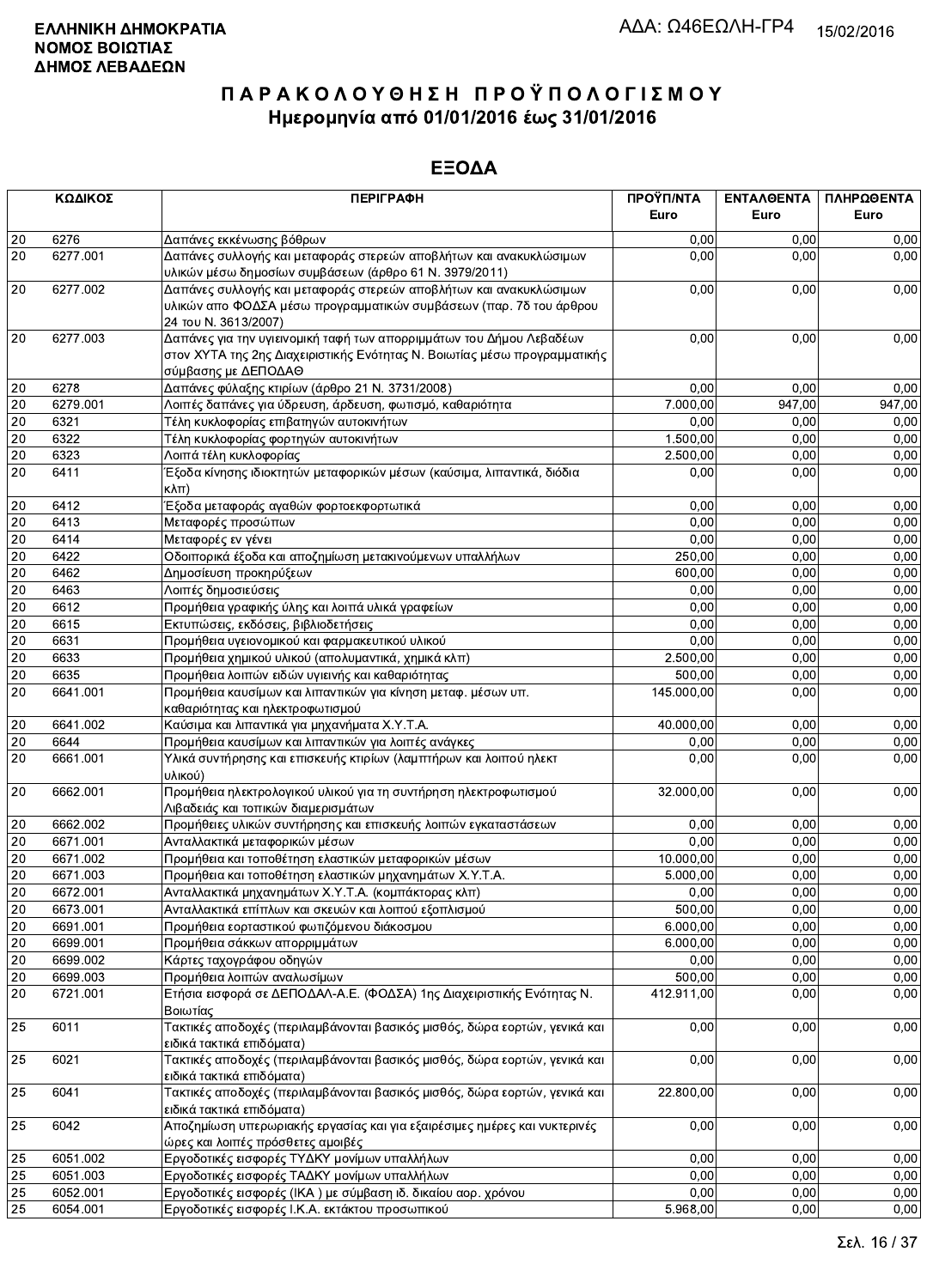|                 | ΚΩΔΙΚΟΣ              | <b>ПЕРІГРАФН</b>                                                                                                                                                         | ΠΡΟΫΠ/ΝΤΑ        | ΕΝΤΑΛΘΕΝΤΑ   | ΠΛΗΡΩΘΕΝΤΑ   |
|-----------------|----------------------|--------------------------------------------------------------------------------------------------------------------------------------------------------------------------|------------------|--------------|--------------|
|                 |                      |                                                                                                                                                                          | Euro             | Euro         | Euro         |
| $20\,$          | 6276                 | Δαπάνες εκκένωσης βόθρων                                                                                                                                                 | 0,00             | 0.00         | 0,00         |
| 20              | 6277.001             | Δαπάνες συλλογής και μεταφοράς στερεών αποβλήτων και ανακυκλώσιμων<br>υλικών μέσω δημοσίων συμβάσεων (άρθρο 61 Ν. 3979/2011)                                             | 0,00             | 0,00         | 0,00         |
| 20              | 6277.002             | Δαπάνες συλλογής και μεταφοράς στερεών αποβλήτων και ανακυκλώσιμων<br>υλικών απο ΦΟΔΣΑ μέσω προγραμματικών συμβάσεων (παρ. 7δ του άρθρου<br>24 TOU N. 3613/2007)         | 0,00             | 0,00         | 0,00         |
| 20              | 6277.003             | Δαπάνες για την υγιεινομική ταφή των απορριμμάτων του Δήμου Λεβαδέων<br>στον ΧΥΤΑ της 2ης Διαχειριστικής Ενότητας Ν. Βοιωτίας μέσω προγραμματικής<br>σύμβασης με ΔΕΠΟΔΑΘ | 0,00             | 0,00         | 0,00         |
| 20              | 6278                 | Δαπάνες φύλαξης κτιρίων (άρθρο 21 Ν. 3731/2008)                                                                                                                          | 0,00             | 0,00         | 0,00         |
| 20              | 6279.001             | Λοιπές δαπάνες για ύδρευση, άρδευση, φωτισμό, καθαριότητα                                                                                                                | 7.000,00         | 947,00       | 947,00       |
| 20              | 6321                 | Τέλη κυκλοφορίας επιβατηγών αυτοκινήτων                                                                                                                                  | 0,00             | 0,00         | 0,00         |
| $20\,$          | 6322                 | Τέλη κυκλοφορίας φορτηγών αυτοκινήτων                                                                                                                                    | 1.500,00         | 0,00         | 0,00         |
| $20\,$<br>20    | 6323<br>6411         | Λοιπά τέλη κυκλοφορίας<br>Έξοδα κίνησης ιδιοκτητών μεταφορικών μέσων (καύσιμα, λιπαντικά, διόδια<br>$K\lambda\pi$ )                                                      | 2.500,00<br>0,00 | 0,00<br>0,00 | 0,00<br>0,00 |
| 20              | 6412                 | Έξοδα μεταφοράς αγαθών φορτοεκφορτωτικά                                                                                                                                  | 0,00             | 0,00         | 0,00         |
| 20              | 6413                 | Μεταφορές προσώπων                                                                                                                                                       | 0,00             | 0,00         | 0,00         |
| $\overline{20}$ | 6414                 | Μεταφορές εν γένει                                                                                                                                                       | 0,00             | 0,00         | 0,00         |
| $20\,$          | 6422                 | Οδοιπορικά έξοδα και αποζημίωση μετακινούμενων υπαλλήλων                                                                                                                 | 250,00           | 0,00         | 0,00         |
| $20\,$          | 6462                 | Δημοσίευση προκηρύξεων                                                                                                                                                   | 600,00           | 0,00         | 0,00         |
| 20              | 6463                 | Λοιπές δημοσιεύσεις                                                                                                                                                      | 0.00             | 0,00         | 0,00         |
| 20<br>$20\,$    | 6612<br>6615         | Προμήθεια γραφικής ύλης και λοιπά υλικά γραφείων                                                                                                                         | 0,00<br>0,00     | 0,00<br>0.00 | 0,00<br>0,00 |
| $20\,$          | 6631                 | Εκτυπώσεις, εκδόσεις, βιβλιοδετήσεις<br>Προμήθεια υγειονομικού και φαρμακευτικού υλικού                                                                                  | 0,00             | 0,00         | 0,00         |
| $20\,$          | 6633                 | Προμήθεια χημικού υλικού (απολυμαντικά, χημικά κλπ)                                                                                                                      | 2.500,00         | 0,00         | 0,00         |
| 20              | 6635                 | Προμήθεια λοιπών ειδών υγιεινής και καθαριότητας                                                                                                                         | 500,00           | 0,00         | 0,00         |
| 20              | 6641.001             | Προμήθεια καυσίμων και λιπαντικών για κίνηση μεταφ. μέσων υπ.<br>καθαριότητας και ηλεκτροφωτισμού                                                                        | 145.000,00       | 0,00         | 0,00         |
| 20              | 6641.002             | Καύσιμα και λιπαντικά για μηχανήματα Χ.Υ.Τ.Α.                                                                                                                            | 40.000,00        | 0,00         | 0,00         |
| 20              | 6644                 | Προμήθεια καυσίμων και λιπαντικών για λοιπές ανάγκες                                                                                                                     | 0,00             | 0.00         | 0,00         |
| 20              | 6661.001             | Υλικά συντήρησης και επισκευής κτιρίων (λαμπτήρων και λοιπού ηλεκτ<br>υλικού)                                                                                            | 0,00             | 0,00         | 0,00         |
| 20              | 6662.001             | Προμήθεια ηλεκτρολογικού υλικού για τη συντήρηση ηλεκτροφωτισμού<br>Λιβαδειάς και τοπικών διαμερισμάτων                                                                  | 32.000,00        | 0,00         | 0,00         |
| 20              | 6662.002             | Προμήθειες υλικών συντήρησης και επισκευής λοιπών εγκαταστάσεων                                                                                                          | 0,00             | 0,00         | 0,00         |
| 20              | 6671.001             | Ανταλλακτικά μεταφορικών μέσων                                                                                                                                           | 0,00             | 0,00         | 0,00         |
| 20              | 6671.002             | Προμήθεια και τοποθέτηση ελαστικών μεταφορικών μέσων                                                                                                                     | 10.000,00        | 0,00         | 0,00         |
| 20              | 6671.003             | Προμήθεια και τοποθέτηση ελαστικών μηχανημάτων Χ.Υ.Τ.Α.                                                                                                                  | 5.000,00         | 0,00         | 0,00         |
| 20              | 6672.001             | Ανταλλακτικά μηχανημάτων Χ.Υ.Τ.Α. (κομπάκτορας κλπ)                                                                                                                      | 0,00             | 0,00         | 0,00         |
| 20              | 6673.001             | Ανταλλακτικά επίπλων και σκευών και λοιπού εξοπλισμού                                                                                                                    | 500,00           | 0,00         | 0.00         |
| 20              | 6691.001             | Προμήθεια εορταστικού φωτιζόμενου διάκοσμου                                                                                                                              | 6.000,00         | 0,00         | 0,00         |
| 20<br>$20\,$    | 6699.001<br>6699.002 | Προμήθεια σάκκων απορριμμάτων<br>Κάρτες ταχογράφου οδηγών                                                                                                                | 6.000,00<br>0,00 | 0,00<br>0,00 | 0,00<br>0,00 |
| $20\,$          | 6699.003             | Προμήθεια λοιπών αναλωσίμων                                                                                                                                              | 500.00           | 0,00         | 0,00         |
| 20              | 6721.001             | Ετήσια εισφορά σε ΔΕΠΟΔΑΛ-Α.Ε. (ΦΟΔΣΑ) 1ης Διαχειριστικής Ενότητας Ν.<br>Βοιωτίας                                                                                        | 412.911,00       | 0,00         | 0,00         |
| 25              | 6011                 | Τακτικές αποδοχές (περιλαμβάνονται βασικός μισθός, δώρα εορτών, γενικά και<br>ειδικά τακτικά επιδόματα)                                                                  | 0,00             | 0,00         | 0,00         |
| 25              | 6021                 | Τακτικές αποδοχές (περιλαμβάνονται βασικός μισθός, δώρα εορτών, γενικά και<br>ειδικά τακτικά επιδόματα)                                                                  | 0,00             | 0,00         | 0,00         |
| 25              | 6041                 | Τακτικές αποδοχές (περιλαμβάνονται βασικός μισθός, δώρα εορτών, γενικά και<br>ειδικά τακτικά επιδόματα)                                                                  | 22.800,00        | 0,00         | 0,00         |
| 25              | 6042                 | Αποζημίωση υπερωριακής εργασίας και για εξαιρέσιμες ημέρες και νυκτερινές<br>ώρες και λοιπές πρόσθετες αμοιβές                                                           | 0,00             | 0,00         | 0,00         |
| 25              | 6051.002             | Εργοδοτικές εισφορές ΤΥΔΚΥ μονίμων υπαλλήλων                                                                                                                             | 0,00             | 0,00         | 0,00         |
| 25              | 6051.003             | Εργοδοτικές εισφορές ΤΑΔΚΥ μονίμων υπαλλήλων                                                                                                                             | 0,00             | 0,00         | 0.00         |
| $\overline{25}$ | 6052.001             | Εργοδοτικές εισφορές (ΙΚΑ) με σύμβαση ιδ. δικαίου αορ. χρόνου                                                                                                            | 0,00             | 0,00         | 0,00         |
| 25              | 6054.001             | Εργοδοτικές εισφορές Ι.Κ.Α. εκτάκτου προσωπικού                                                                                                                          | 5.968,00         | 0,00         | 0,00         |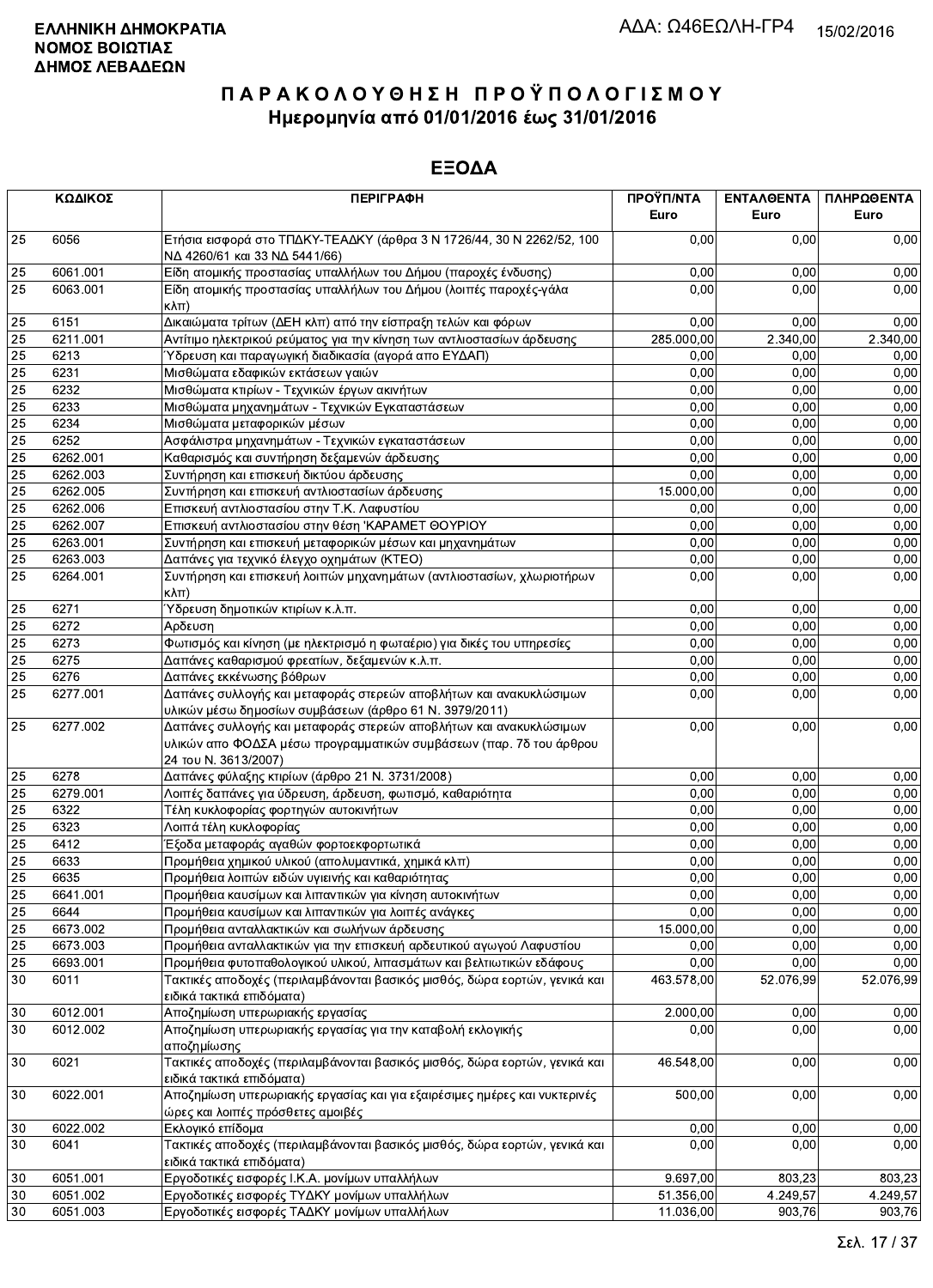|                 | ΚΩΔΙΚΟΣ  | <b>ПЕРІГРАФН</b>                                                                                                                                                 | ΠΡΟΫΠ/ΝΤΑ<br>Euro | ΕΝΤΑΛΘΕΝΤΑ<br>Euro | ΠΛΗΡΩΘΕΝΤΑ<br>Euro |
|-----------------|----------|------------------------------------------------------------------------------------------------------------------------------------------------------------------|-------------------|--------------------|--------------------|
| 25              | 6056     | Ετήσια εισφορά στο ΤΠΔΚΥ-ΤΕΑΔΚΥ (άρθρα 3 Ν 1726/44, 30 Ν 2262/52, 100<br>ΝΔ 4260/61 και 33 ΝΔ 5441/66)                                                           | 0,00              | 0.00               | 0,00               |
| 25              | 6061.001 | Είδη ατομικής προστασίας υπαλλήλων του Δήμου (παροχές ένδυσης)                                                                                                   | 0.00              | 0,00               | 0,00               |
| 25              | 6063.001 | Είδη ατομικής προστασίας υπαλλήλων του Δήμου (λοιπές παροχές-γάλα<br>$\kappa\lambda\pi$ )                                                                        | 0,00              | 0.00               | 0,00               |
| 25              | 6151     | Δικαιώματα τρίτων (ΔΕΗ κλπ) από την είσπραξη τελών και φόρων                                                                                                     | 0,00              | 0,00               | 0,00               |
| 25              | 6211.001 | Αντίτιμο ηλεκτρικού ρεύματος για την κίνηση των αντλιοστασίων άρδευσης                                                                                           | 285.000,00        | 2.340,00           | 2.340,00           |
| 25              | 6213     | Ύδρευση και παραγωγική διαδικασία (αγορά απο ΕΥΔΑΠ)                                                                                                              | 0,00              | 0,00               | 0,00               |
| 25              | 6231     | Μισθώματα εδαφικών εκτάσεων γαιών                                                                                                                                | 0,00              | 0,00               | 0,00               |
| 25              | 6232     | Μισθώματα κτιρίων - Τεχνικών έργων ακινήτων                                                                                                                      | 0,00              | 0,00               | 0,00               |
| 25              | 6233     | Μισθώματα μηχανημάτων - Τεχνικών Εγκαταστάσεων                                                                                                                   | 0,00              | 0,00               | 0,00               |
| 25              | 6234     | Μισθώματα μεταφορικών μέσων                                                                                                                                      | 0,00              | 0,00               | 0,00               |
| 25              | 6252     | Ασφάλιστρα μηχανημάτων - Τεχνικών εγκαταστάσεων                                                                                                                  | 0,00              | 0,00               | 0,00               |
| 25              | 6262.001 | Καθαρισμός και συντήρηση δεξαμενών άρδευσης                                                                                                                      | 0,00              | 0,00               | 0,00               |
| 25              | 6262.003 | Συντήρηση και επισκευή δικτύου άρδευσης                                                                                                                          | 0,00              | 0,00               | 0,00               |
| 25              | 6262.005 | Συντήρηση και επισκευή αντλιοστασίων άρδευσης                                                                                                                    | 15.000,00         | 0,00               | 0,00               |
| 25              | 6262.006 | Επισκευή αντλιοστασίου στην Τ.Κ. Λαφυστίου                                                                                                                       | 0,00              | 0,00               | 0,00               |
| 25              | 6262.007 | Επισκευή αντλιοστασίου στην θέση 'ΚΑΡΑΜΕΤ ΘΟΥΡΙΟΥ                                                                                                                | 0,00              | 0,00               | 0,00               |
| 25              | 6263.001 | Συντήρηση και επισκευή μεταφορικών μέσων και μηχανημάτων                                                                                                         | 0,00              | 0,00               | 0,00               |
| 25              | 6263.003 | Δαπάνες για τεχνικό έλεγχο οχημάτων (ΚΤΕΟ)                                                                                                                       | 0,00              | 0,00               | 0,00               |
| 25              | 6264.001 | Συντήρηση και επισκευή λοιπών μηχανημάτων (αντλιοστασίων, χλωριοτήρων<br>κλπ)                                                                                    | 0,00              | 0,00               | 0,00               |
| 25              | 6271     | Ύδρευση δημοτικών κτιρίων κ.λ.π.                                                                                                                                 | 0,00              | 0,00               | 0,00               |
| 25              | 6272     | Αρδευση                                                                                                                                                          | 0,00              | 0,00               | 0,00               |
| 25              | 6273     | Φωτισμός και κίνηση (με ηλεκτρισμό η φωταέριο) για δικές του υπηρεσίες                                                                                           | 0,00              | 0,00               | 0,00               |
| 25              | 6275     | Δαπάνες καθαρισμού φρεατίων, δεξαμενών κ.λ.π.                                                                                                                    | 0,00              | 0,00               | 0,00               |
| 25              | 6276     | Δαπάνες εκκένωσης βόθρων                                                                                                                                         | 0,00              | 0,00               | 0,00               |
| $\overline{25}$ | 6277.001 | Δαπάνες συλλογής και μεταφοράς στερεών αποβλήτων και ανακυκλώσιμων<br>υλικών μέσω δημοσίων συμβάσεων (άρθρο 61 Ν. 3979/2011)                                     | 0,00              | 0,00               | 0,00               |
| 25              | 6277.002 | Δαπάνες συλλογής και μεταφοράς στερεών αποβλήτων και ανακυκλώσιμων<br>υλικών απο ΦΟΔΣΑ μέσω προγραμματικών συμβάσεων (παρ. 7δ του άρθρου<br>24 TOU N. 3613/2007) | 0,00              | 0,00               | 0,00               |
| 25              | 6278     | Δαπάνες φύλαξης κτιρίων (άρθρο 21 Ν. 3731/2008)                                                                                                                  | 0,00              | 0,00               | 0,00               |
| 25              | 6279.001 | Λοιπές δαπάνες για ύδρευση, άρδευση, φωτισμό, καθαριότητα                                                                                                        | 0,00              | 0,00               | 0,00               |
| 25              | 6322     | Τέλη κυκλοφορίας φορτηγών αυτοκινήτων                                                                                                                            | 0,00              | 0,00               | 0,00               |
| 25              | 6323     | Λοιπά τέλη κυκλοφορίας                                                                                                                                           | 0,00              | 0,00               | 0,00               |
| 25              | 6412     | Έξοδα μεταφοράς αγαθών φορτοεκφορτωτικά                                                                                                                          | 0,00              | 0,00               | 0,00               |
| 25              | 6633     | Προμήθεια χημικού υλικού (απολυμαντικά, χημικά κλπ)                                                                                                              | 0,00              | 0.00               | 0,00               |
| 25              | 6635     | Προμήθεια λοιπών ειδών υγιεινής και καθαριότητας                                                                                                                 | 0,00              | 0.00               | 0,00               |
| 25              | 6641.001 | Προμήθεια καυσίμων και λιπαντικών για κίνηση αυτοκινήτων                                                                                                         | 0,00              | 0,00               | 0,00               |
| 25              | 6644     | Προμήθεια καυσίμων και λιπαντικών για λοιπές ανάγκες                                                                                                             | 0,00              | 0,00               | 0,00               |
| 25              | 6673.002 | Προμήθεια ανταλλακτικών και σωλήνων άρδευσης                                                                                                                     | 15.000,00         | 0,00               | 0,00               |
| 25              | 6673.003 | Προμήθεια ανταλλακτικών για την επισκευή αρδευτικού αγωγού Λαφυστίου                                                                                             | 0,00              | 0,00               | 0,00               |
| 25              | 6693.001 | Προμήθεια φυτοπαθολογικού υλικού, λιπασμάτων και βελτιωτικών εδάφους                                                                                             | 0,00              | 0,00               | 0.00               |
| 30              | 6011     | Τακτικές αποδοχές (περιλαμβάνονται βασικός μισθός, δώρα εορτών, γενικά και<br>ειδικά τακτικά επιδόματα)                                                          | 463.578,00        | 52.076,99          | 52.076,99          |
| 30              | 6012.001 | Αποζημίωση υπερωριακής εργασίας                                                                                                                                  | 2.000,00          | 0,00               | 0,00               |
| 30              | 6012.002 | Αποζημίωση υπερωριακής εργασίας για την καταβολή εκλογικής<br>αποζημίωσης                                                                                        | 0,00              | 0,00               | 0,00               |
| 30              | 6021     | Τακτικές αποδοχές (περιλαμβάνονται βασικός μισθός, δώρα εορτών, γενικά και<br>ειδικά τακτικά επιδόματα)                                                          | 46.548,00         | 0,00               | 0,00               |
| 30              | 6022.001 | Αποζημίωση υπερωριακής εργασίας και για εξαιρέσιμες ημέρες και νυκτερινές<br>ώρες και λοιπές πρόσθετες αμοιβές                                                   | 500,00            | 0,00               | 0,00               |
| 30              | 6022.002 | Εκλογικό επίδομα                                                                                                                                                 | 0,00              | 0,00               | 0,00               |
| 30              | 6041     | Τακτικές αποδοχές (περιλαμβάνονται βασικός μισθός, δώρα εορτών, γενικά και<br>ειδικά τακτικά επιδόματα)                                                          | 0,00              | 0,00               | 0,00               |
| 30              | 6051.001 | Εργοδοτικές εισφορές Ι.Κ.Α. μονίμων υπαλλήλων                                                                                                                    | 9.697,00          | 803,23             | 803,23             |
| 30              | 6051.002 | Εργοδοτικές εισφορές ΤΥΔΚΥ μονίμων υπαλλήλων                                                                                                                     | 51.356,00         | 4.249,57           | 4.249,57           |
| 30              | 6051.003 | Εργοδοτικές εισφορές ΤΑΔΚΥ μονίμων υπαλλήλων                                                                                                                     | 11.036,00         | 903,76             | 903,76             |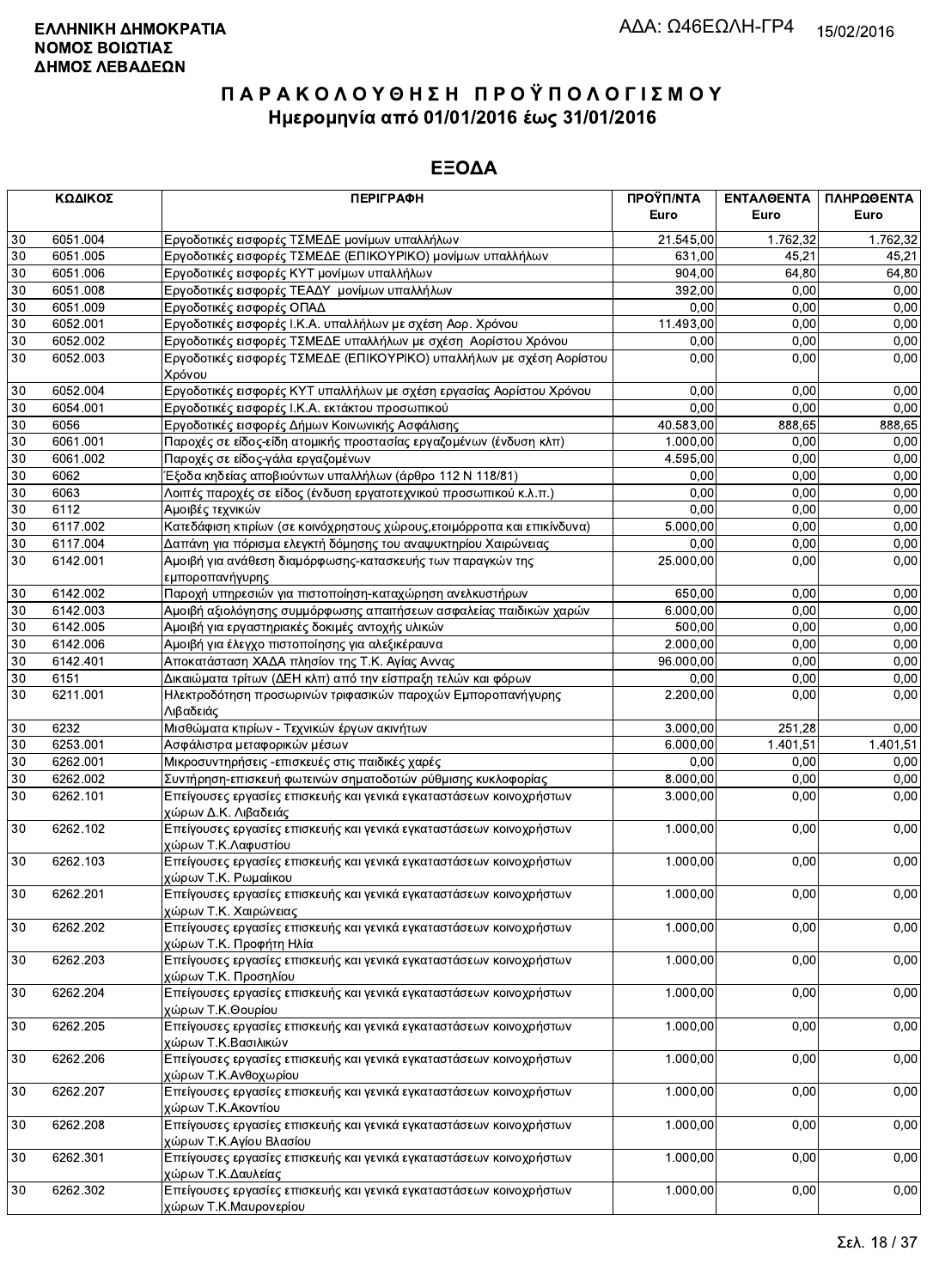|        | ΚΩΔΙΚΟΣ  | <b>ПЕРІГРАФН</b>                                                                               | ΠΡΟΫΠ/ΝΤΑ | ΕΝΤΑΛΘΕΝΤΑ | ΠΛΗΡΩΘΕΝΤΑ |
|--------|----------|------------------------------------------------------------------------------------------------|-----------|------------|------------|
|        |          |                                                                                                | Euro      | Euro       | Euro       |
| 30     | 6051.004 | Εργοδοτικές εισφορές ΤΣΜΕΔΕ μονίμων υπαλλήλων                                                  | 21.545,00 | 1.762.32   | 1.762,32   |
| 30     | 6051.005 | Εργοδοτικές εισφορές ΤΣΜΕΔΕ (ΕΠΙΚΟΥΡΙΚΟ) μονίμων υπαλλήλων                                     | 631,00    | 45,21      | 45,21      |
| $30\,$ | 6051.006 | Εργοδοτικές εισφορές ΚΥΤ μονίμων υπαλλήλων                                                     | 904,00    | 64,80      | 64,80      |
| 30     | 6051.008 | Εργοδοτικές εισφορές ΤΕΑΔΥ μονίμων υπαλλήλων                                                   | 392.00    | 0,00       | 0,00       |
| 30     | 6051.009 | Εργοδοτικές εισφορές ΟΠΑΔ                                                                      | 0,00      | 0,00       | 0,00       |
| 30     | 6052.001 | Εργοδοτικές εισφορές Ι.Κ.Α. υπαλλήλων με σχέση Αορ. Χρόνου                                     | 11.493,00 | 0.00       | 0,00       |
| 30     | 6052.002 | Εργοδοτικές εισφορές ΤΣΜΕΔΕ υπαλλήλων με σχέση Αορίστου Χρόνου                                 | 0,00      | 0,00       | 0,00       |
| 30     | 6052.003 | Εργοδοτικές εισφορές ΤΣΜΕΔΕ (ΕΠΙΚΟΥΡΙΚΟ) υπαλλήλων με σχέση Αορίστου<br>Χρόνου                 | 0,00      | 0,00       | 0,00       |
| 30     | 6052.004 | Εργοδοτικές εισφορές ΚΥΤ υπαλλήλων με σχέση εργασίας Αορίστου Χρόνου                           | 0,00      | 0.00       | 0,00       |
| 30     | 6054.001 | Εργοδοτικές εισφορές Ι.Κ.Α. εκτάκτου προσωπικού                                                | 0,00      | 0,00       | 0,00       |
| 30     | 6056     | Εργοδοτικές εισφορές Δήμων Κοινωνικής Ασφάλισης                                                | 40.583,00 | 888,65     | 888,65     |
| 30     | 6061.001 | Παροχές σε είδος-είδη ατομικής προστασίας εργαζομένων (ένδυση κλπ)                             | 1.000,00  | 0,00       | 0,00       |
| 30     | 6061.002 | Παροχές σε είδος-γάλα εργαζομένων                                                              | 4.595,00  | 0,00       | 0,00       |
| 30     | 6062     | Έξοδα κηδείας αποβιούντων υπαλλήλων (άρθρο 112 Ν 118/81)                                       | 0,00      | 0,00       | 0,00       |
| 30     | 6063     | Λοιπές παροχές σε είδος (ένδυση εργατοτεχνικού προσωπικού κ.λ.π.)                              | 0,00      | 0,00       | 0,00       |
| 30     | 6112     | Αμοιβές τεχνικών                                                                               | 0,00      | 0.00       | 0,00       |
| $30\,$ | 6117.002 | Κατεδάφιση κτιρίων (σε κοινόχρηστους χώρους, ετοιμόρροπα και επικίνδυνα)                       | 5.000,00  | 0,00       | 0,00       |
| 30     | 6117.004 | Δαπάνη για πόρισμα ελεγκτή δόμησης του αναψυκτηρίου Χαιρώνειας                                 | 0,00      | 0,00       | 0,00       |
| 30     | 6142.001 | Αμοιβή για ανάθεση διαμόρφωσης-κατασκευής των παραγκών της<br>εμποροπανήγυρης                  | 25.000,00 | 0,00       | 0,00       |
| 30     | 6142.002 | Παροχή υπηρεσιών για πιστοποίηση-καταχώρηση ανελκυστήρων                                       | 650,00    | 0,00       | 0,00       |
| 30     | 6142.003 | Αμοιβή αξιολόγησης συμμόρφωσης απαιτήσεων ασφαλείας παιδικών χαρών                             | 6.000,00  | 0,00       | 0,00       |
| 30     | 6142.005 | Αμοιβή για εργαστηριακές δοκιμές αντοχής υλικών                                                | 500,00    | 0,00       | 0,00       |
| 30     | 6142.006 | Αμοιβή για έλεγχο πιστοποίησης για αλεξικέραυνα                                                | 2.000,00  | 0.00       | 0,00       |
| $30\,$ | 6142.401 | Αποκατάσταση ΧΑΔΑ πλησίον της Τ.Κ. Αγίας Αννας                                                 | 96.000,00 | 0,00       | 0,00       |
| 30     | 6151     | Δικαιώματα τρίτων (ΔΕΗ κλπ) από την είσπραξη τελών και φόρων                                   | 0,00      | 0,00       | 0,00       |
| 30     | 6211.001 | Ηλεκτροδότηση προσωρινών τριφασικών παροχών Εμποροπανήγυρης<br>Λιβαδειάς                       | 2.200,00  | 0,00       | 0,00       |
| $30\,$ | 6232     | Μισθώματα κτιρίων - Τεχνικών έργων ακινήτων                                                    | 3.000,00  | 251,28     | 0,00       |
| 30     | 6253.001 | Ασφάλιστρα μεταφορικών μέσων                                                                   | 6.000,00  | 1.401,51   | 1.401,51   |
| 30     | 6262.001 | Μικροσυντηρήσεις - επισκευές στις παιδικές χαρές                                               | 0,00      | 0,00       | 0,00       |
| 30     | 6262.002 | Συντήρηση-επισκευή φωτεινών σηματοδοτών ρύθμισης κυκλοφορίας                                   | 8.000,00  | 0,00       | 0,00       |
| 30     | 6262.101 | Επείγουσες εργασίες επισκευής και γενικά εγκαταστάσεων κοινοχρήστων<br>χώρων Δ.Κ. Λιβαδειάς    | 3.000,00  | 0,00       | 0,00       |
| 30     | 6262.102 | Επείγουσες εργασίες επισκευής και γενικά εγκαταστάσεων κοινοχρήστων<br>χώρων Τ.Κ.Λαφυστίου     | 1.000,00  | 0,00       | 0,00       |
| 30     | 6262.103 | Επείγουσες εργασίες επισκευής και γενικά εγκαταστάσεων κοινοχρήστων<br>χώρων Τ.Κ. Ρωμαίικου    | 1.000,00  | 0,00       | 0,00       |
| $30\,$ | 6262.201 | Επείγουσες εργασίες επισκευής και γενικά εγκαταστάσεων κοινοχρήστων<br>χώρων Τ.Κ. Χαιρώνειας   | 1.000,00  | 0,00       | 0,00       |
| 30     | 6262.202 | Επείγουσες εργασίες επισκευής και γενικά εγκαταστάσεων κοινοχρήστων<br>χώρων Τ.Κ. Προφήτη Ηλία | 1.000,00  | 0,00       | 0,00       |
| 30     | 6262.203 | Επείγουσες εργασίες επισκευής και γενικά εγκαταστάσεων κοινοχρήστων<br>χώρων Τ.Κ. Προσηλίου    | 1.000,00  | 0,00       | 0,00       |
| 30     | 6262.204 | Επείγουσες εργασίες επισκευής και γενικά εγκαταστάσεων κοινοχρήστων<br>χώρων Τ.Κ.Θουρίου       | 1.000,00  | 0,00       | 0,00       |
| 30     | 6262.205 | Επείγουσες εργασίες επισκευής και γενικά εγκαταστάσεων κοινοχρήστων<br>χώρων Τ.Κ.Βασιλικών     | 1.000,00  | 0,00       | 0,00       |
| 30     | 6262.206 | Επείγουσες εργασίες επισκευής και γενικά εγκαταστάσεων κοινοχρήστων<br>χώρων Τ.Κ.Ανθοχωρίου    | 1.000,00  | 0,00       | 0,00       |
| 30     | 6262.207 | Επείγουσες εργασίες επισκευής και γενικά εγκαταστάσεων κοινοχρήστων<br>χώρων Τ.Κ.Ακοντίου      | 1.000,00  | 0,00       | 0,00       |
| 30     | 6262.208 | Επείγουσες εργασίες επισκευής και γενικά εγκαταστάσεων κοινοχρήστων<br>χώρων Τ.Κ.Αγίου Βλασίου | 1.000,00  | 0,00       | 0,00       |
| 30     | 6262.301 | Επείγουσες εργασίες επισκευής και γενικά εγκαταστάσεων κοινοχρήστων<br>χώρων Τ.Κ.Δαυλείας      | 1.000,00  | 0,00       | 0,00       |
| 30     | 6262.302 | Επείγουσες εργασίες επισκευής και γενικά εγκαταστάσεων κοινοχρήστων<br>γώρων Τ.Κ.Μαυρονερίου.  | 1.000,00  | 0,00       | 0,00       |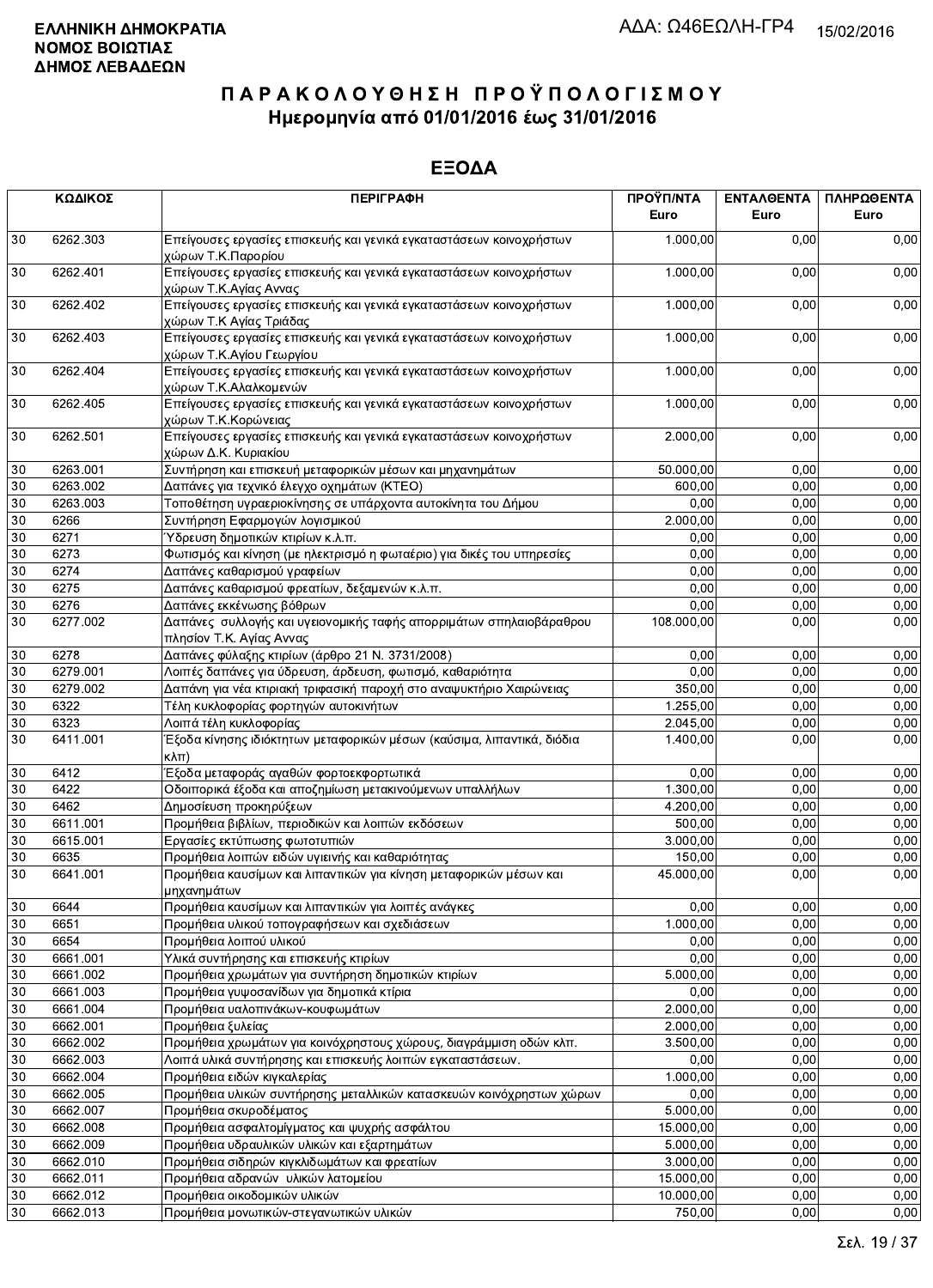|    | ΚΩΔΙΚΟΣ  | <b>ПЕРІГРАФН</b>                                                                                | ΠΡΟΫΠ/ΝΤΑ<br>Euro | ΕΝΤΑΛΘΕΝΤΑ<br>Euro | ΠΛΗΡΩΘΕΝΤΑ<br>Euro |
|----|----------|-------------------------------------------------------------------------------------------------|-------------------|--------------------|--------------------|
| 30 | 6262.303 | Επείγουσες εργασίες επισκευής και γενικά εγκαταστάσεων κοινοχρήστων<br>χώρων Τ.Κ.Παρορίου       | 1.000,00          | 0.00               | 0,00               |
| 30 | 6262.401 | Επείγουσες εργασίες επισκευής και γενικά εγκαταστάσεων κοινοχρήστων<br>χώρων Τ.Κ.Αγίας Αννας    | 1.000,00          | 0,00               | 0,00               |
| 30 | 6262.402 | Επείγουσες εργασίες επισκευής και γενικά εγκαταστάσεων κοινοχρήστων<br>χώρων Τ.Κ Αγίας Τριάδας  | 1.000,00          | 0,00               | 0,00               |
| 30 | 6262.403 | Επείγουσες εργασίες επισκευής και γενικά εγκαταστάσεων κοινοχρήστων<br>χώρων Τ.Κ.Αγίου Γεωργίου | 1.000,00          | 0,00               | 0,00               |
| 30 | 6262.404 | Επείγουσες εργασίες επισκευής και γενικά εγκαταστάσεων κοινοχρήστων<br>χώρων Τ.Κ.Αλαλκομενών    | 1.000,00          | 0,00               | 0,00               |
| 30 | 6262.405 | Επείγουσες εργασίες επισκευής και γενικά εγκαταστάσεων κοινοχρήστων<br>χώρων Τ.Κ.Κορώνειας      | 1.000,00          | 0,00               | 0,00               |
| 30 | 6262.501 | Επείγουσες εργασίες επισκευής και γενικά εγκαταστάσεων κοινοχρήστων<br>χώρων Δ.Κ. Κυριακίου     | 2.000,00          | 0,00               | 0,00               |
| 30 | 6263.001 | Συντήρηση και επισκευή μεταφορικών μέσων και μηχανημάτων                                        | 50.000,00         | 0,00               | 0,00               |
| 30 | 6263.002 | Δαπάνες για τεχνικό έλεγχο οχημάτων (ΚΤΕΟ)                                                      | 600,00            | 0,00               | 0,00               |
| 30 | 6263.003 | Τοποθέτηση υγραεριοκίνησης σε υπάρχοντα αυτοκίνητα του Δήμου                                    | 0,00              | 0,00               | 0,00               |
| 30 | 6266     | Συντήρηση Εφαρμογών λογισμικού                                                                  | 2.000,00          | 0,00               | 0,00               |
| 30 | 6271     | Ύδρευση δημοτικών κτιρίων κ.λ.π.                                                                | 0,00              | 0,00               | 0,00               |
| 30 | 6273     | Φωτισμός και κίνηση (με ηλεκτρισμό η φωταέριο) για δικές του υπηρεσίες                          | 0,00              | 0,00               | 0,00               |
| 30 | 6274     | Δαπάνες καθαρισμού γραφείων                                                                     | 0,00              | 0,00               | 0,00               |
| 30 | 6275     | Δαπάνες καθαρισμού φρεατίων, δεξαμενών κ.λ.π.                                                   | 0,00              | 0,00               | 0,00               |
| 30 | 6276     | Δαπάνες εκκένωσης βόθρων                                                                        | 0,00              | 0,00               | 0,00               |
| 30 | 6277.002 | Δαπάνες συλλογής και υγειονομικής ταφής απορριμάτων σπηλαιοβάραθρου<br>πλησίον Τ.Κ. Αγίας Αννας | 108.000,00        | 0,00               | 0,00               |
| 30 | 6278     | Δαπάνες φύλαξης κτιρίων (άρθρο 21 Ν. 3731/2008)                                                 | 0,00              | 0,00               | 0,00               |
| 30 | 6279.001 | Λοιπές δαπάνες για ύδρευση, άρδευση, φωτισμό, καθαριότητα                                       | 0.00              | 0,00               | 0,00               |
| 30 | 6279.002 | Δαπάνη για νέα κτιριακή τριφασική παροχή στο αναψυκτήριο Χαιρώνειας                             | 350,00            | 0,00               | 0,00               |
| 30 | 6322     | Τέλη κυκλοφορίας φορτηγών αυτοκινήτων                                                           | 1.255,00          | 0,00               | 0,00               |
| 30 | 6323     | Λοιπά τέλη κυκλοφορίας                                                                          | 2.045,00          | 0,00               | 0,00               |
| 30 | 6411.001 | Έξοδα κίνησης ιδιόκτητων μεταφορικών μέσων (καύσιμα, λιπαντικά, διόδια<br>$\kappa\lambda\pi$ )  | 1.400,00          | 0,00               | 0,00               |
| 30 | 6412     | Έξοδα μεταφοράς αγαθών φορτοεκφορτωτικά                                                         | 0,00              | 0,00               | 0,00               |
| 30 | 6422     | Οδοιπορικά έξοδα και αποζημίωση μετακινούμενων υπαλλήλων                                        | 1.300,00          | 0,00               | 0,00               |
| 30 | 6462     | Δημοσίευση προκηρύξεων                                                                          | 4.200,00          | 0,00               | 0,00               |
| 30 | 6611.001 | Προμήθεια βιβλίων, περιοδικών και λοιπών εκδόσεων                                               | 500,00            | 0,00               | 0,00               |
| 30 | 6615.001 | Εργασίες εκτύπωσης φωτοτυπιών                                                                   | 3.000,00          | 0.00               | 0,00               |
| 30 | 6635     | Προμήθεια λοιπών ειδών υγιεινής και καθαριότητας                                                | 150,00            | 0,00               | 0,00               |
| 30 | 6641.001 | Προμήθεια καυσίμων και λιπαντικών για κίνηση μεταφορικών μέσων και<br>μηχανημάτων               | 45.000,00         | 0,00               | 0,00               |
| 30 | 6644     | Προμήθεια καυσίμων και λιπαντικών για λοιπές ανάγκες                                            | 0,00              | 0,00               | 0,00               |
| 30 | 6651     | Προμήθεια υλικού τοπογραφήσεων και σχεδιάσεων                                                   | 1.000,00          | 0,00               | 0,00               |
| 30 | 6654     | Προμήθεια λοιπού υλικού                                                                         | 0,00              | 0,00               | 0,00               |
| 30 | 6661.001 | Υλικά συντήρησης και επισκευής κτιρίων                                                          | 0,00              | 0,00               | 0,00               |
| 30 | 6661.002 | Προμήθεια χρωμάτων για συντήρηση δημοτικών κτιρίων                                              | 5.000,00          | 0,00               | 0,00               |
| 30 | 6661.003 | Προμήθεια γυψοσανίδων για δημοτικά κτίρια                                                       | 0,00              | 0,00               | 0,00               |
| 30 | 6661.004 | Προμήθεια υαλοπινάκων-κουφωμάτων                                                                | 2.000,00          | 0,00               | 0,00               |
| 30 | 6662.001 | Προμήθεια ξυλείας                                                                               | 2.000,00          | 0,00               | 0,00               |
| 30 | 6662.002 | Προμήθεια χρωμάτων για κοινόχρηστους χώρους, διαγράμμιση οδών κλπ.                              | 3.500,00          | 0,00               | 0,00               |
| 30 | 6662.003 | Λοιπά υλικά συντήρησης και επισκευής λοιπών εγκαταστάσεων.                                      | 0,00              | 0,00               | 0,00               |
| 30 | 6662.004 |                                                                                                 | 1.000,00          | 0,00               | 0,00               |
|    |          | Προμήθεια ειδών κιγκαλερίας                                                                     |                   |                    |                    |
| 30 | 6662.005 | Προμήθεια υλικών συντήρησης μεταλλικών κατασκευών κοινόχρηστων χώρων                            | 0,00              | 0,00               | 0,00               |
| 30 | 6662.007 | Προμήθεια σκυροδέματος                                                                          | 5.000,00          | 0,00               | 0,00               |
| 30 | 6662.008 | Προμήθεια ασφαλτομίγματος και ψυχρής ασφάλτου                                                   | 15.000,00         | 0,00               | 0,00               |
| 30 | 6662.009 | Προμήθεια υδραυλικών υλικών και εξαρτημάτων                                                     | 5.000,00          | 0,00               | 0,00               |
| 30 | 6662.010 | Προμήθεια σιδηρών κιγκλιδωμάτων και φρεατίων                                                    | 3.000,00          | 0,00               | 0,00               |
| 30 | 6662.011 | Προμήθεια αδρανών υλικών λατομείου                                                              | 15.000,00         | 0,00               | 0,00               |
| 30 | 6662.012 | Προμήθεια οικοδομικών υλικών                                                                    | 10.000,00         | 0,00               | 0,00               |
| 30 | 6662.013 | Προμήθεια μονωτικών-στεγανωτικών υλικών                                                         | 750,00            | 0,00               | 0,00               |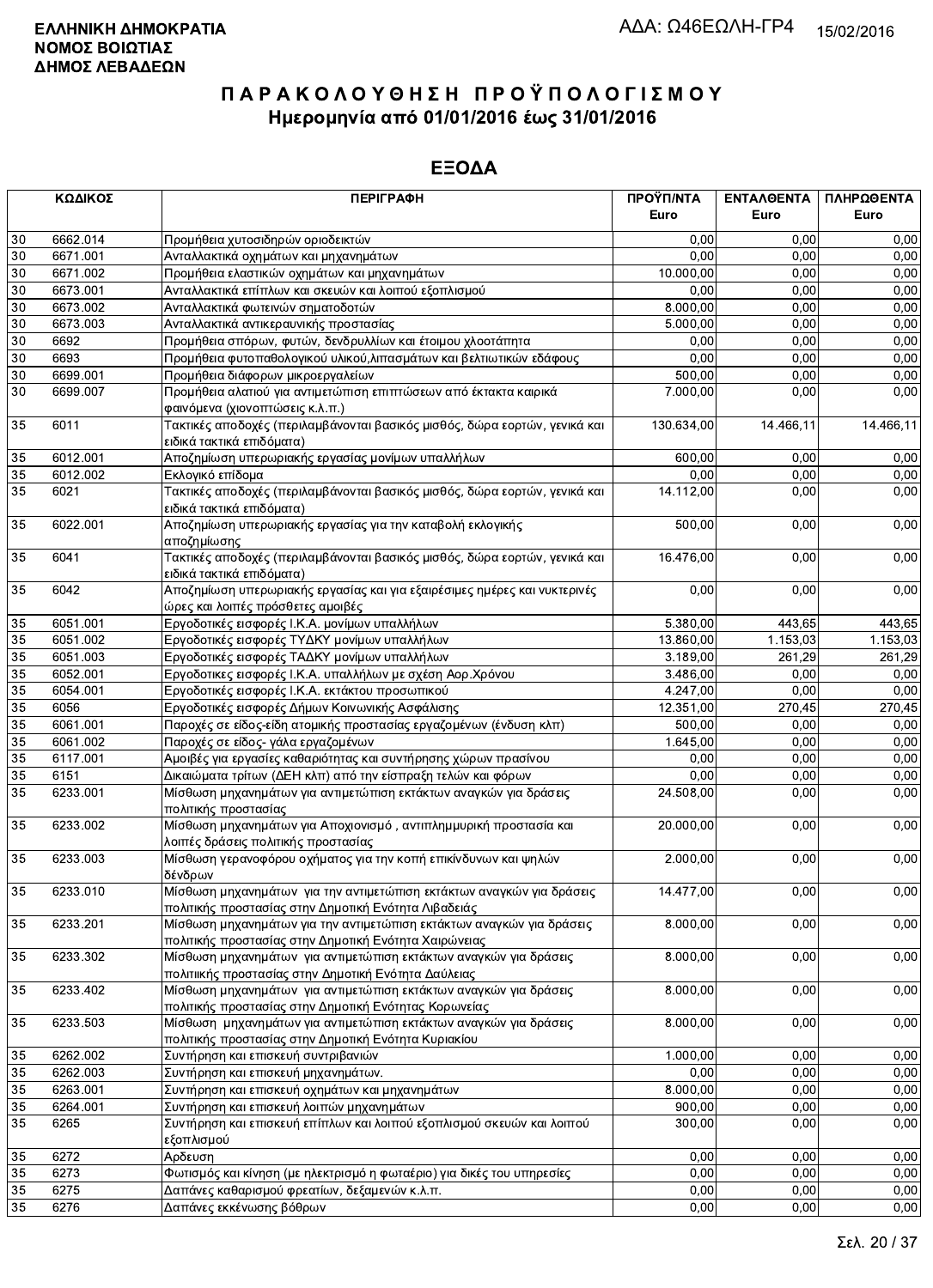|                 | ΚΩΔΙΚΟΣ      | <b>ПЕРІГРАФН</b>                                                                                                               | ΠΡΟΫΠ/ΝΤΑ<br>Euro | ΕΝΤΑΛΘΕΝΤΑ<br>Euro | ΠΛΗΡΩΘΕΝΤΑ<br>Euro |
|-----------------|--------------|--------------------------------------------------------------------------------------------------------------------------------|-------------------|--------------------|--------------------|
|                 |              |                                                                                                                                |                   |                    |                    |
| 30              | 6662.014     | Προμήθεια χυτοσιδηρών οριοδεικτών                                                                                              | 0,00              | 0,00               | 0,00               |
| 30              | 6671.001     | Ανταλλακτικά οχημάτων και μηχανημάτων                                                                                          | 0,00              | 0,00               | 0,00               |
| 30              | 6671.002     | Προμήθεια ελαστικών οχημάτων και μηχανημάτων                                                                                   | 10.000,00         | 0,00               | 0,00               |
| 30              | 6673.001     | Ανταλλακτικά επίπλων και σκευών και λοιπού εξοπλισμού                                                                          | 0,00              | 0,00               | 0,00               |
| 30              | 6673.002     | Ανταλλακτικά φωτεινών σηματοδοτών                                                                                              | 8.000,00          | 0,00               | 0,00               |
| 30              | 6673.003     | Ανταλλακτικά αντικεραυνικής προστασίας                                                                                         | 5.000,00          | 0,00               | 0,00               |
| 30<br>$30\,$    | 6692<br>6693 | Προμήθεια σπόρων, φυτών, δενδρυλλίων και έτοιμου χλοοτάπητα                                                                    | 0,00<br>0,00      | 0,00<br>0,00       | 0,00<br>0,00       |
| 30              | 6699.001     | Προμήθεια φυτοπαθολογικού υλικού, λιπασμάτων και βελτιωτικών εδάφους<br>Προμήθεια διάφορων μικροεργαλείων                      | 500,00            | 0,00               | 0,00               |
| 30              | 6699.007     | Προμήθεια αλατιού για αντιμετώπιση επιπτώσεων από έκτακτα καιρικά                                                              | 7.000,00          | 0,00               | 0,00               |
|                 |              | φαινόμενα (χιονοπτώσεις κ.λ.π.)                                                                                                |                   |                    |                    |
| 35              | 6011         | Τακτικές αποδοχές (περιλαμβάνονται βασικός μισθός, δώρα εορτών, γενικά και<br>ειδικά τακτικά επιδόματα)                        | 130.634,00        | 14.466,11          | 14.466,11          |
| 35              | 6012.001     | Αποζημίωση υπερωριακής εργασίας μονίμων υπαλλήλων                                                                              | 600,00            | 0,00               | 0,00               |
| 35              | 6012.002     | Εκλογικό επίδομα                                                                                                               | 0,00              | 0,00               | 0,00               |
| 35              | 6021         | Τακτικές αποδοχές (περιλαμβάνονται βασικός μισθός, δώρα εορτών, γενικά και<br>ειδικά τακτικά επιδόματα)                        | 14.112,00         | 0,00               | 0,00               |
| 35              | 6022.001     | Αποζημίωση υπερωριακής εργασίας για την καταβολή εκλογικής<br>αποζημίωσης                                                      | 500,00            | 0,00               | 0,00               |
| 35              | 6041         | Τακτικές αποδοχές (περιλαμβάνονται βασικός μισθός, δώρα εορτών, γενικά και<br>ειδικά τακτικά επιδόματα)                        | 16.476,00         | 0,00               | 0,00               |
| 35              | 6042         | <del>Αποζημίωση υπερωριακής εργασίας και για εξαιρέσιμες ημέρες και νυκτερινές</del><br>ώρες και λοιπές πρόσθετες αμοιβές      | 0,00              | 0,00               | 0,00               |
| 35              | 6051.001     | Εργοδοτικές εισφορές Ι.Κ.Α. μονίμων υπαλλήλων                                                                                  | 5.380,00          | 443,65             | 443,65             |
| 35              | 6051.002     | Εργοδοτικές εισφορές ΤΥΔΚΥ μονίμων υπαλλήλων                                                                                   | 13.860,00         | 1.153,03           | 1.153,03           |
| 35              | 6051.003     | Εργοδοτικές εισφορές ΤΑΔΚΥ μονίμων υπαλλήλων                                                                                   | 3.189,00          | 261,29             | 261,29             |
| 35              | 6052.001     | Εργοδοτικες εισφορές Ι.Κ.Α. υπαλλήλων με σχέση Αορ.Χρόνου                                                                      | 3.486,00          | 0,00               | 0,00               |
| 35              | 6054.001     | Εργοδοτικές εισφορές Ι.Κ.Α. εκτάκτου προσωπικού                                                                                | 4.247,00          | 0,00               | 0,00               |
| 35              | 6056         | Εργοδοτικές εισφορές Δήμων Κοινωνικής Ασφάλισης                                                                                | 12.351,00         | 270,45             | 270,45             |
| 35              | 6061.001     | Παροχές σε είδος-είδη ατομικής προστασίας εργαζομένων (ένδυση κλπ)                                                             | 500,00            | 0,00               | 0,00               |
| 35              | 6061.002     | Παροχές σε είδος- γάλα εργαζομένων                                                                                             | 1.645,00          | 0,00               | 0,00               |
| 35              | 6117.001     | Αμοιβές για εργασίες καθαριότητας και συντήρησης χώρων πρασίνου                                                                | 0,00              | 0,00               | 0,00               |
| 35              | 6151         | Δικαιώματα τρίτων (ΔΕΗ κλπ) από την είσπραξη τελών και φόρων                                                                   | 0,00              | 0,00               | 0,00               |
| 35              | 6233.001     | Μίσθωση μηχανημάτων για αντιμετώπιση εκτάκτων αναγκών για δράσεις<br>πολιτικής προστασίας                                      | 24.508,00         | 0,00               | 0,00               |
| 35              | 6233.002     | Μίσθωση μηχανημάτων για Αποχιονισμό, αντιπλημμυρική προστασία και<br>λοιπές δράσεις πολιτικής προστασίας                       | 20.000,00         | 0,00               | 0,00               |
| 35              | 6233.003     | Μίσθωση γερανοφόρου οχήματος για την κοπή επικίνδυνων και ψηλών<br>δένδρων                                                     | 2.000,00          | 0,00               | 0,00               |
| $\overline{35}$ | 6233.010     | Μίσθωση μηχανημάτων  για την αντιμετώπιση εκτάκτων αναγκών για δράσεις<br>πολιτικής προστασίας στην Δημοτική Ενότητα Λιβαδειάς | 14.477,00         | 0,00               | 0,00               |
| 35              | 6233.201     | Μίσθωση μηχανημάτων για την αντιμετώπιση εκτάκτων αναγκών για δράσεις<br>πολιτικής προστασίας στην Δημοτική Ενότητα Χαιρώνειας | 8.000,00          | 0,00               | 0,00               |
| 35              | 6233.302     | Μίσθωση μηχανημάτων για αντιμετώπιση εκτάκτων αναγκών για δράσεις<br>πολιτιικής προστασίας στην Δημοτική Ενότητα Δαύλειας      | 8.000,00          | 0,00               | 0,00               |
| 35              | 6233.402     | Μίσθωση μηχανημάτων για αντιμετώπιση εκτάκτων αναγκών για δράσεις                                                              | 8.000,00          | 0,00               | 0,00               |
| 35              | 6233.503     | πολιτικής προστασίας στην Δημοτική Ενότητας Κορωνείας<br>Μίσθωση μηχανημάτων για αντιμετώπιση εκτάκτων αναγκών για δράσεις     | 8.000,00          | 0,00               | 0,00               |
| 35              | 6262.002     | πολιτικής προστασίας στην Δημοτική Ενότητα Κυριακίου<br>Συντήρηση και επισκευή συντριβανιών                                    | 1.000,00          | 0,00               | 0,00               |
| 35              | 6262.003     | Συντήρηση και επισκευή μηχανημάτων.                                                                                            | 0,00              | 0,00               | 0,00               |
| 35              | 6263.001     | Συντήρηση και επισκευή οχημάτων και μηχανημάτων                                                                                | 8.000,00          | 0,00               | 0,00               |
| 35              | 6264.001     | Συντήρηση και επισκευή λοιπών μηχανημάτων                                                                                      | 900,00            | 0,00               | 0,00               |
| 35              | 6265         | Συντήρηση και επισκευή επίπλων και λοιπού εξοπλισμού σκευών και λοιπού                                                         | 300,00            | 0,00               | 0,00               |
|                 |              | εξοπλισμού                                                                                                                     |                   |                    |                    |
| 35              | 6272         | Αρδευση                                                                                                                        | 0,00              | 0,00               | 0,00               |
| 35              | 6273         | Φωτισμός και κίνηση (με ηλεκτρισμό η φωταέριο) για δικές του υπηρεσίες                                                         | 0,00              | 0,00               | 0,00               |
| 35              | 6275         | Δαπάνες καθαρισμού φρεατίων, δεξαμενών κ.λ.π.                                                                                  | 0,00              | 0,00               | 0,00               |
| 35              | 6276         | Δαπάνες εκκένωσης βόθρων                                                                                                       | 0,00              | 0,00               | 0,00               |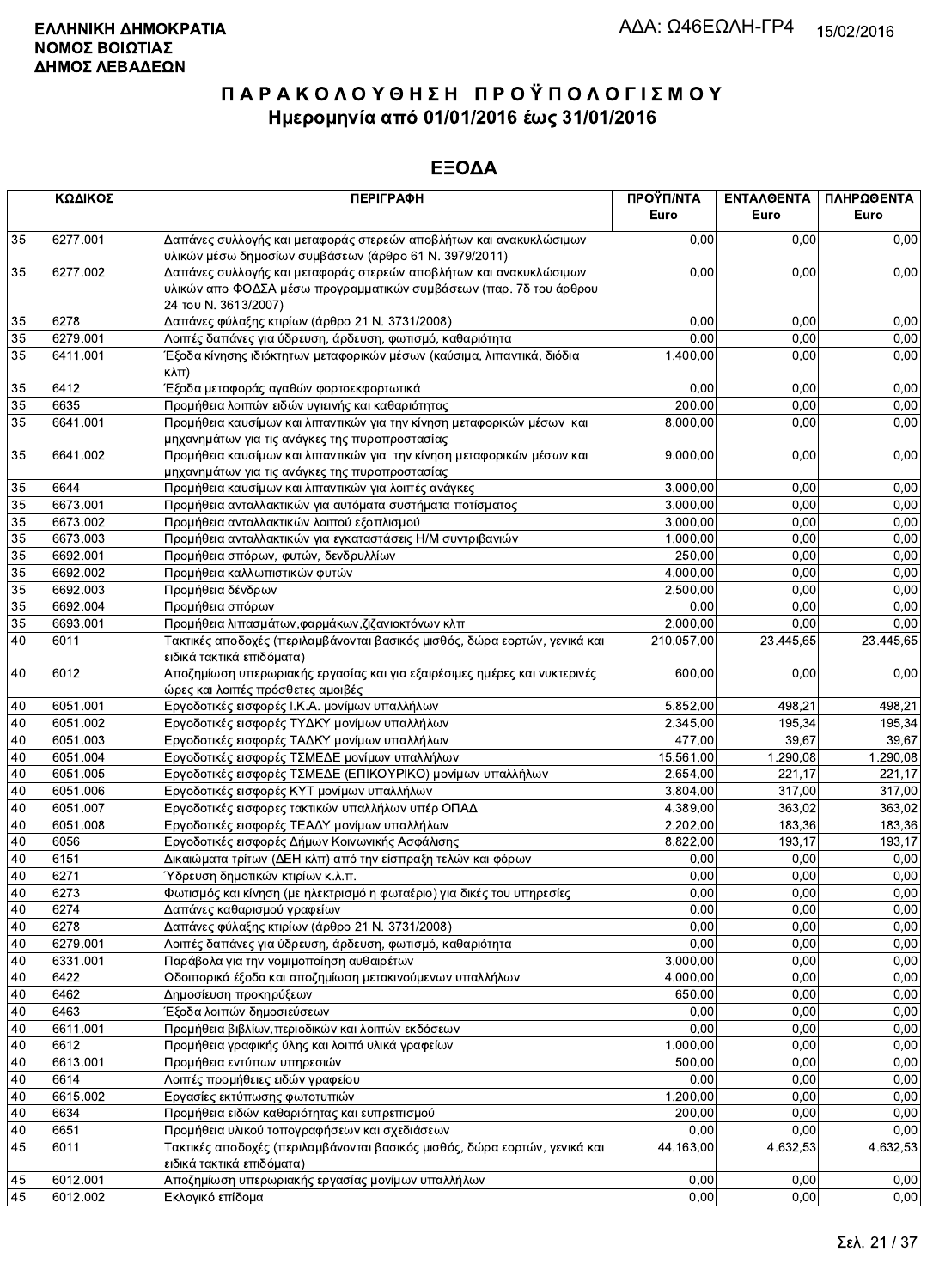|    | ΚΩΔΙΚΟΣ  | <b>ПЕРІГРАФН</b>                                                                                                                                                 | ΠΡΟΫΠ/ΝΤΑ<br>Euro | ΕΝΤΑΛΘΕΝΤΑ<br>Euro | ΠΛΗΡΩΘΕΝΤΑ<br>Euro |
|----|----------|------------------------------------------------------------------------------------------------------------------------------------------------------------------|-------------------|--------------------|--------------------|
| 35 | 6277.001 | Δαπάνες συλλογής και μεταφοράς στερεών αποβλήτων και ανακυκλώσιμων<br>υλικών μέσω δημοσίων συμβάσεων (άρθρο 61 Ν. 3979/2011)                                     | 0,00              | 0,00               | 0,00               |
| 35 | 6277.002 | Δαπάνες συλλογής και μεταφοράς στερεών αποβλήτων και ανακυκλώσιμων<br>υλικών απο ΦΟΔΣΑ μέσω προγραμματικών συμβάσεων (παρ. 7δ του άρθρου<br>24 του Ν. 3613/2007) | 0,00              | 0,00               | 0,00               |
| 35 | 6278     | Δαπάνες φύλαξης κτιρίων (άρθρο 21 Ν. 3731/2008)                                                                                                                  | 0,00              | 0,00               | 0,00               |
| 35 | 6279.001 | Λοιπές δαπάνες για ύδρευση, άρδευση, φωτισμό, καθαριότητα                                                                                                        | 0,00              | 0,00               | 0,00               |
| 35 | 6411.001 | Έξοδα κίνησης ιδιόκτητων μεταφορικών μέσων (καύσιμα, λιπαντικά, διόδια<br>κλπ)                                                                                   | 1.400,00          | 0,00               | 0,00               |
| 35 | 6412     | Έξοδα μεταφοράς αγαθών φορτοεκφορτωτικά                                                                                                                          | 0,00              | 0,00               | 0,00               |
| 35 | 6635     | Προμήθεια λοιπών ειδών υγιεινής και καθαριότητας                                                                                                                 | 200,00            | 0,00               | 0,00               |
| 35 | 6641.001 | Προμήθεια καυσίμων και λιπαντικών για την κίνηση μεταφορικών μέσων και<br>μηχανημάτων για τις ανάγκες της πυροπροστασίας                                         | 8.000,00          | 0,00               | 0,00               |
| 35 | 6641.002 | Προμήθεια καυσίμων και λιπαντικών για την κίνηση μεταφορικών μέσων και<br>μηχανημάτων για τις ανάγκες της πυροπροστασίας                                         | 9.000,00          | 0,00               | 0,00               |
| 35 | 6644     | Προμήθεια καυσίμων και λιπαντικών για λοιπές ανάγκες                                                                                                             | 3.000,00          | 0,00               | 0,00               |
| 35 | 6673.001 | Προμήθεια ανταλλακτικών για αυτόματα συστήματα ποτίσματος                                                                                                        | 3.000,00          | 0,00               | 0,00               |
| 35 | 6673.002 | Προμήθεια ανταλλακτικών λοιπού εξοπλισμού                                                                                                                        | 3.000,00          | 0.00               | 0,00               |
| 35 | 6673.003 | Προμήθεια ανταλλακτικών για εγκαταστάσεις Η/Μ συντριβανιών                                                                                                       | 1.000,00          | 0,00               | 0,00               |
| 35 | 6692.001 | Προμήθεια σπόρων, φυτών, δενδρυλλίων                                                                                                                             | 250,00            | 0,00               | 0,00               |
| 35 | 6692.002 | Προμήθεια καλλωπιστικών φυτών                                                                                                                                    | 4.000,00          | 0,00               | 0,00               |
| 35 | 6692.003 | Προμήθεια δένδρων                                                                                                                                                | 2.500,00          | 0,00               | 0,00               |
| 35 | 6692.004 | Προμήθεια σπόρων                                                                                                                                                 | 0.00              | 0.00               | 0.00               |
| 35 | 6693.001 | Προμήθεια λιπασμάτων, φαρμάκων, ζιζανιοκτόνων κλπ                                                                                                                | 2.000,00          | 0,00               | 0,00               |
| 40 | 6011     | Τακτικές αποδοχές (περιλαμβάνονται βασικός μισθός, δώρα εορτών, γενικά και<br>ειδικά τακτικά επιδόματα)                                                          | 210.057,00        | 23.445,65          | 23.445,65          |
| 40 | 6012     | Αποζημίωση υπερωριακής εργασίας και για εξαιρέσιμες ημέρες και νυκτερινές<br>ώρες και λοιπές πρόσθετες αμοιβές                                                   | 600,00            | 0.00               | 0,00               |
| 40 | 6051.001 | Εργοδοτικές εισφορές Ι.Κ.Α. μονίμων υπαλλήλων                                                                                                                    | 5.852,00          | 498,21             | 498,21             |
| 40 | 6051.002 | Εργοδοτικές εισφορές ΤΥΔΚΥ μονίμων υπαλλήλων                                                                                                                     | 2.345,00          | 195.34             | 195,34             |
| 40 | 6051.003 | Εργοδοτικές εισφορές ΤΑΔΚΥ μονίμων υπαλλήλων                                                                                                                     | 477,00            | 39,67              | 39,67              |
| 40 | 6051.004 | Εργοδοτικές εισφορές ΤΣΜΕΔΕ μονίμων υπαλλήλων                                                                                                                    | 15.561,00         | 1.290,08           | 1.290,08           |
| 40 | 6051.005 | Εργοδοτικές εισφορές ΤΣΜΕΔΕ (ΕΠΙΚΟΥΡΙΚΟ) μονίμων υπαλλήλων                                                                                                       | 2.654,00          | 221,17             | 221,17             |
| 40 | 6051.006 | Εργοδοτικές εισφορές ΚΥΤ μονίμων υπαλλήλων                                                                                                                       | 3.804,00          | 317,00             | 317,00             |
| 40 | 6051.007 | Εργοδοτικές εισφορες τακτικών υπαλλήλων υπέρ ΟΠΑΔ                                                                                                                | 4.389,00          | 363,02             | 363,02             |
| 40 | 6051.008 | Εργοδοτικές εισφορές ΤΕΑΔΥ μονίμων υπαλλήλων                                                                                                                     | 2.202,00          | 183,36             | 183,36             |
| 40 | 6056     | Εργοδοτικές εισφορές Δήμων Κοινωνικής Ασφάλισης                                                                                                                  | 8.822,00          | 193,17             | 193,17             |
| 40 | 6151     | Δικαιώματα τρίτων (ΔΕΗ κλπ) από την είσπραξη τελών και φόρων                                                                                                     | 0,00              | 0,00               | 0,00               |
| 40 | 6271     | Ύδρευση δημοτικών κτιρίων κ.λ.π.                                                                                                                                 | 0,00              | 0,00               | 0,00               |
| 40 | 6273     | Φωτισμός και κίνηση (με ηλεκτρισμό η φωταέριο) για δικές του υπηρεσίες                                                                                           | 0,00              | 0,00               | 0,00               |
| 40 | 6274     | Δαπάνες καθαρισμού γραφείων                                                                                                                                      | 0,00              | 0,00               | 0,00               |
| 40 | 6278     | Δαπάνες φύλαξης κτιρίων (άρθρο 21 Ν. 3731/2008)                                                                                                                  | 0,00              | 0,00               | 0,00               |
| 40 | 6279.001 | Λοιπές δαπάνες για ύδρευση, άρδευση, φωτισμό, καθαριότητα                                                                                                        | 0,00              | 0,00               | 0,00               |
| 40 | 6331.001 | Παράβολα για την νομιμοποίηση αυθαιρέτων                                                                                                                         | 3.000,00          | 0,00               | 0,00               |
| 40 | 6422     | Οδοιπορικά έξοδα και αποζημίωση μετακινούμενων υπαλλήλων                                                                                                         | 4.000,00          | 0,00               | 0,00               |
| 40 | 6462     | Δημοσίευση προκηρύξεων                                                                                                                                           | 650,00            | 0,00               | 0,00               |
| 40 | 6463     | Έξοδα λοιπών δημοσιεύσεων                                                                                                                                        | 0,00              | 0,00               | 0,00               |
| 40 | 6611.001 | Προμήθεια βιβλίων, περιοδικών και λοιπών εκδόσεων                                                                                                                | 0,00              | 0,00               | 0,00               |
| 40 | 6612     | Προμήθεια γραφικής ύλης και λοιπά υλικά γραφείων                                                                                                                 | 1.000,00          | 0,00               | 0,00               |
| 40 | 6613.001 | Προμήθεια εντύπων υπηρεσιών                                                                                                                                      | 500,00            | 0,00               | 0,00               |
| 40 | 6614     | Λοιπές προμήθειες ειδών γραφείου                                                                                                                                 | 0,00              | 0,00               | 0,00               |
| 40 | 6615.002 | Εργασίες εκτύπωσης φωτοτυπιών                                                                                                                                    | 1.200,00          | 0,00               | 0,00               |
| 40 | 6634     | Προμήθεια ειδών καθαριότητας και ευπρεπισμού                                                                                                                     | 200,00            | 0,00               | 0,00               |
| 40 | 6651     | Προμήθεια υλικού τοπογραφήσεων και σχεδιάσεων                                                                                                                    | 0,00              | 0,00               | 0,00               |
| 45 | 6011     | Τακτικές αποδοχές (περιλαμβάνονται βασικός μισθός, δώρα εορτών, γενικά και<br>ειδικά τακτικά επιδόματα)                                                          | 44.163,00         | 4.632,53           | 4.632,53           |
| 45 | 6012.001 | Αποζημίωση υπερωριακής εργασίας μονίμων υπαλλήλων                                                                                                                | 0,00              | 0.00               | 0,00               |
| 45 | 6012.002 | Εκλογικό επίδομα                                                                                                                                                 | 0,00              | 0,00               | 0,00               |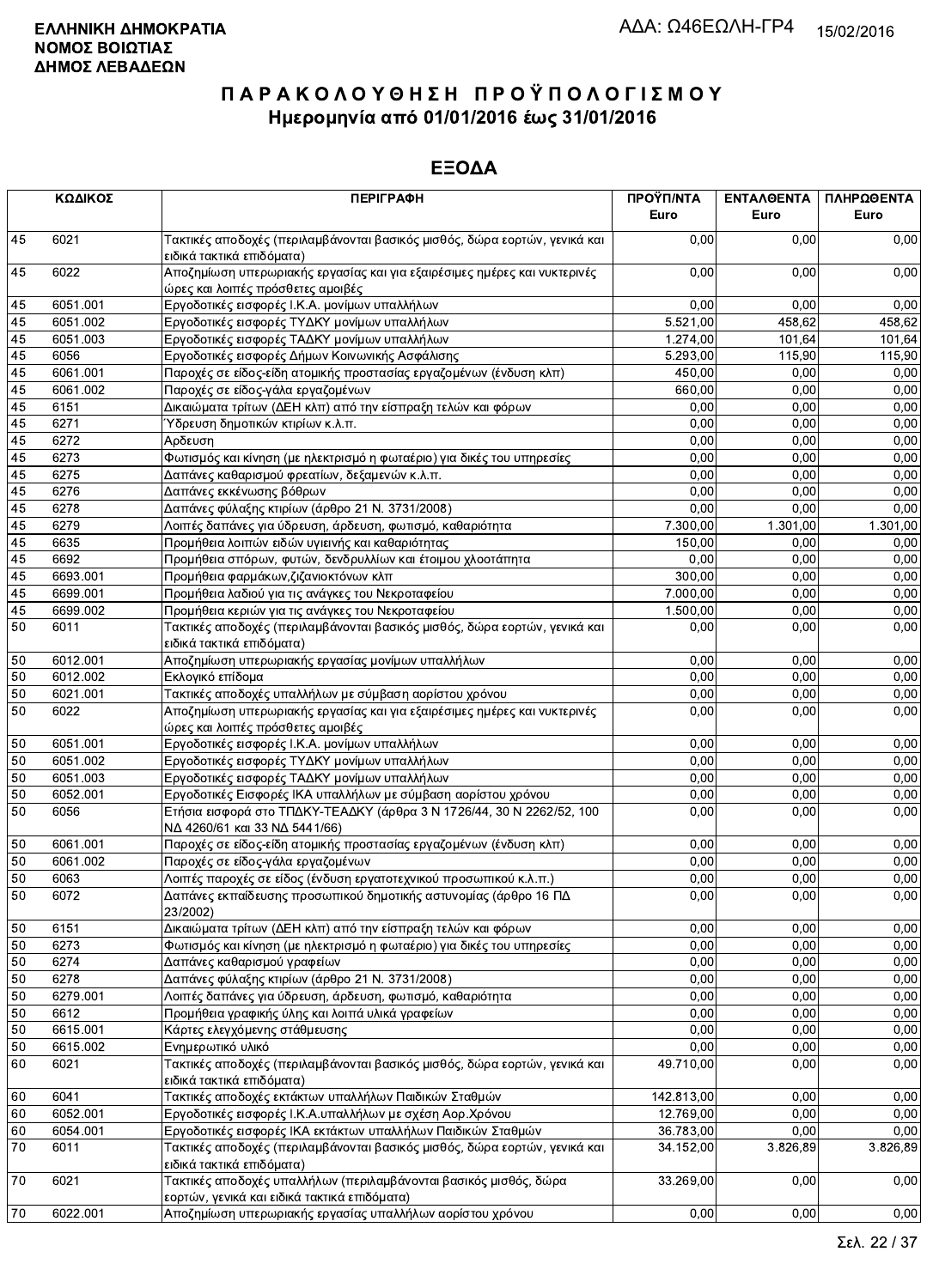|                 | ΚΩΔΙΚΟΣ  | <b>ПЕРІГРАФН</b>                                                                                                  | ΠΡΟΫΠ/ΝΤΑ<br>Euro | ΕΝΤΑΛΘΕΝΤΑ<br>Euro | ΠΛΗΡΩΘΕΝΤΑ<br>Euro |
|-----------------|----------|-------------------------------------------------------------------------------------------------------------------|-------------------|--------------------|--------------------|
| 45              | 6021     | Τακτικές αποδοχές (περιλαμβάνονται βασικός μισθός, δώρα εορτών, γενικά και<br>ειδικά τακτικά επιδόματα)           | 0,00              | 0.00               | 0,00               |
| 45              | 6022     | Αποζημίωση υπερωριακής εργασίας και για εξαιρέσιμες ημέρες και νυκτερινές<br>ώρες και λοιπές πρόσθετες αμοιβές    | 0,00              | 0,00               | 0,00               |
| 45              | 6051.001 | Εργοδοτικές εισφορές Ι.Κ.Α. μονίμων υπαλλήλων                                                                     | 0,00              | 0.00               | 0,00               |
| 45              | 6051.002 | Εργοδοτικές εισφορές ΤΥΔΚΥ μονίμων υπαλλήλων                                                                      | 5.521,00          | 458,62             | 458,62             |
| 45              | 6051.003 | Εργοδοτικές εισφορές ΤΑΔΚΥ μονίμων υπαλλήλων                                                                      | 1.274,00          | 101,64             | 101,64             |
| 45              | 6056     | Εργοδοτικές εισφορές Δήμων Κοινωνικής Ασφάλισης                                                                   | 5.293,00          | 115,90             | 115,90             |
| 45              | 6061.001 | Παροχές σε είδος-είδη ατομικής προστασίας εργαζομένων (ένδυση κλπ)                                                | 450,00            | 0,00               | 0,00               |
| 45              | 6061.002 | Παροχές σε είδος-γάλα εργαζομένων                                                                                 | 660,00            | 0,00               | 0,00               |
| 45              | 6151     | Δικαιώματα τρίτων (ΔΕΗ κλπ) από την είσπραξη τελών και φόρων                                                      | 0,00              | 0,00               | 0,00               |
| 45              | 6271     | Ύδρευση δημοτικών κτιρίων κ.λ.π.                                                                                  | 0,00              | 0,00               | 0,00               |
| 45              | 6272     | Αρδευση                                                                                                           | 0,00              | 0,00               | 0,00               |
| 45              | 6273     | Φωτισμός και κίνηση (με ηλεκτρισμό η φωταέριο) για δικές του υπηρεσίες                                            | 0,00              | 0,00               | 0,00               |
| 45              | 6275     | Δαπάνες καθαρισμού φρεατίων, δεξαμενών κ.λ.π.                                                                     | 0,00              | 0,00               | 0,00               |
| 45              | 6276     | Δαπάνες εκκένωσης βόθρων                                                                                          | 0,00              | 0,00               | 0,00               |
| 45              | 6278     | Δαπάνες φύλαξης κτιρίων (άρθρο 21 Ν. 3731/2008)                                                                   | 0,00              | 0,00               | 0,00               |
| $\overline{45}$ | 6279     | Λοιπές δαπάνες για ύδρευση, άρδευση, φωτισμό, καθαριότητα                                                         | 7.300,00          | 1.301,00           | 1.301,00           |
| 45              | 6635     | Προμήθεια λοιπών ειδών υγιεινής και καθαριότητας                                                                  | 150,00            | 0,00               | 0,00               |
| 45              | 6692     | Προμήθεια σπόρων, φυτών, δενδρυλλίων και έτοιμου χλοοτάπητα                                                       | 0,00              | 0,00               | 0,00               |
| 45              | 6693.001 | Προμήθεια φαρμάκων, ζιζανιοκτόνων κλπ                                                                             | 300,00            | 0,00               | 0,00               |
| 45              | 6699.001 | Προμήθεια λαδιού για τις ανάγκες του Νεκροταφείου                                                                 | 7.000,00          | 0,00               | 0,00               |
| 45              | 6699.002 | Προμήθεια κεριών για τις ανάγκες του Νεκροταφείου                                                                 | 1.500,00          | 0,00               | 0,00               |
| 50              | 6011     | Τακτικές αποδοχές (περιλαμβάνονται βασικός μισθός, δώρα εορτών, γενικά και<br>ειδικά τακτικά επιδόματα)           | 0.00              | 0,00               | 0,00               |
| 50              | 6012.001 | Αποζημίωση υπερωριακής εργασίας μονίμων υπαλλήλων                                                                 | 0,00              | 0,00               | 0,00               |
| 50              | 6012.002 | Εκλογικό επίδομα                                                                                                  | 0,00              | 0,00               | 0,00               |
| 50              | 6021.001 | Τακτικές αποδοχές υπαλλήλων με σύμβαση αορίστου χρόνου                                                            | 0,00              | 0,00               | 0,00               |
| 50              | 6022     | Αποζημίωση υπερωριακής εργασίας και για εξαιρέσιμες ημέρες και νυκτερινές<br>ώρες και λοιπές πρόσθετες αμοιβές    | 0,00              | 0,00               | 0,00               |
| 50              | 6051.001 | Εργοδοτικές εισφορές Ι.Κ.Α. μονίμων υπαλλήλων                                                                     | 0,00              | 0,00               | 0,00               |
| 50              | 6051.002 | Εργοδοτικές εισφορές ΤΥΔΚΥ μονίμων υπαλλήλων                                                                      | 0,00              | 0,00               | 0,00               |
| 50              | 6051.003 | Εργοδοτικές εισφορές ΤΑΔΚΥ μονίμων υπαλλήλων                                                                      | 0,00              | 0,00               | 0,00               |
| 50              | 6052.001 | Εργοδοτικές Εισφορές ΙΚΑ υπαλλήλων με σύμβαση αορίστου χρόνου                                                     | 0,00              | 0,00               | 0,00               |
| 50              | 6056     | Ετήσια εισφορά στο ΤΠΔΚΥ-ΤΕΑΔΚΥ (άρθρα 3 Ν 1726/44, 30 Ν 2262/52, 100<br>ΝΔ 4260/61 και 33 ΝΔ 5441/66)            | 0,00              | 0,00               | 0,00               |
| 50              | 6061.001 | Παροχές σε είδος-είδη ατομικής προστασίας εργαζομένων (ένδυση κλπ)                                                | 0,00              | 0,00               | 0,00               |
| 50              | 6061.002 | Παροχές σε είδος-γάλα εργαζομένων                                                                                 | 0,00              | 0,00               | 0,00               |
| 50              | 6063     | Λοιπές παροχές σε είδος (ένδυση εργατοτεχνικού προσωπικού κ.λ.π.)                                                 | 0,00              | 0,00               | 0,00               |
| 50              | 6072     | Δαπάνες εκπαίδευσης προσωπικού δημοτικής αστυνομίας (άρθρο 16 ΠΔ<br>23/2002)                                      | 0,00              | 0,00               | 0,00               |
| 50              | 6151     | Δικαιώματα τρίτων (ΔΕΗ κλπ) από την είσπραξη τελών και φόρων                                                      | 0,00              | 0,00               | 0,00               |
| 50              | 6273     | Φωτισμός και κίνηση (με ηλεκτρισμό η φωταέριο) για δικές του υπηρεσίες                                            | 0,00              | 0,00               | 0,00               |
| 50              | 6274     | Δαπάνες καθαρισμού γραφείων                                                                                       | 0,00              | 0,00               | 0,00               |
| 50              | 6278     | Δαπάνες φύλαξης κτιρίων (άρθρο 21 Ν. 3731/2008)                                                                   | 0,00              | 0,00               | 0,00               |
| 50              | 6279.001 | Λοιπές δαπάνες για ύδρευση, άρδευση, φωτισμό, καθαριότητα                                                         | 0,00              | 0,00               | 0,00               |
| 50              | 6612     | Προμήθεια γραφικής ύλης και λοιπά υλικά γραφείων                                                                  | 0,00              | 0,00               | 0,00               |
| 50              | 6615.001 | Κάρτες ελεγχόμενης στάθμευσης                                                                                     | 0,00              | 0,00               | 0,00               |
| 50              | 6615.002 | Ενημερωτικό υλικό                                                                                                 | 0,00              | 0,00               | 0,00               |
| 60              | 6021     | Τακτικές αποδοχές (περιλαμβάνονται βασικός μισθός, δώρα εορτών, γενικά και<br>ειδικά τακτικά επιδόματα)           | 49.710,00         | 0,00               | 0,00               |
| 60              | 6041     | Τακτικές αποδοχές εκτάκτων υπαλλήλων Παιδικών Σταθμών                                                             | 142.813,00        | 0,00               | 0,00               |
| 60              | 6052.001 | Εργοδοτικές εισφορές Ι.Κ.Α.υπαλλήλων με σχέση Αορ.Χρόνου                                                          | 12.769,00         | 0,00               | 0,00               |
| 60              | 6054.001 | Εργοδοτικές εισφορές ΙΚΑ εκτάκτων υπαλλήλων Παιδικών Σταθμών                                                      | 36.783,00         | 0,00               | 0,00               |
| 70              | 6011     | Τακτικές αποδοχές (περιλαμβάνονται βασικός μισθός, δώρα εορτών, γενικά και<br>ειδικά τακτικά επιδόματα)           | 34.152,00         | 3.826,89           | 3.826,89           |
| 70              | 6021     | Τακτικές αποδοχές υπαλλήλων (περιλαμβάνονται βασικός μισθός, δώρα<br>εορτών, γενικά και ειδικά τακτικά επιδόματα) | 33.269,00         | 0,00               | 0,00               |
| 70              | 6022.001 | Αποζημίωση υπερωριακής εργασίας υπαλλήλων αορίστου χρόνου                                                         | 0,00              | 0,00               | 0,00               |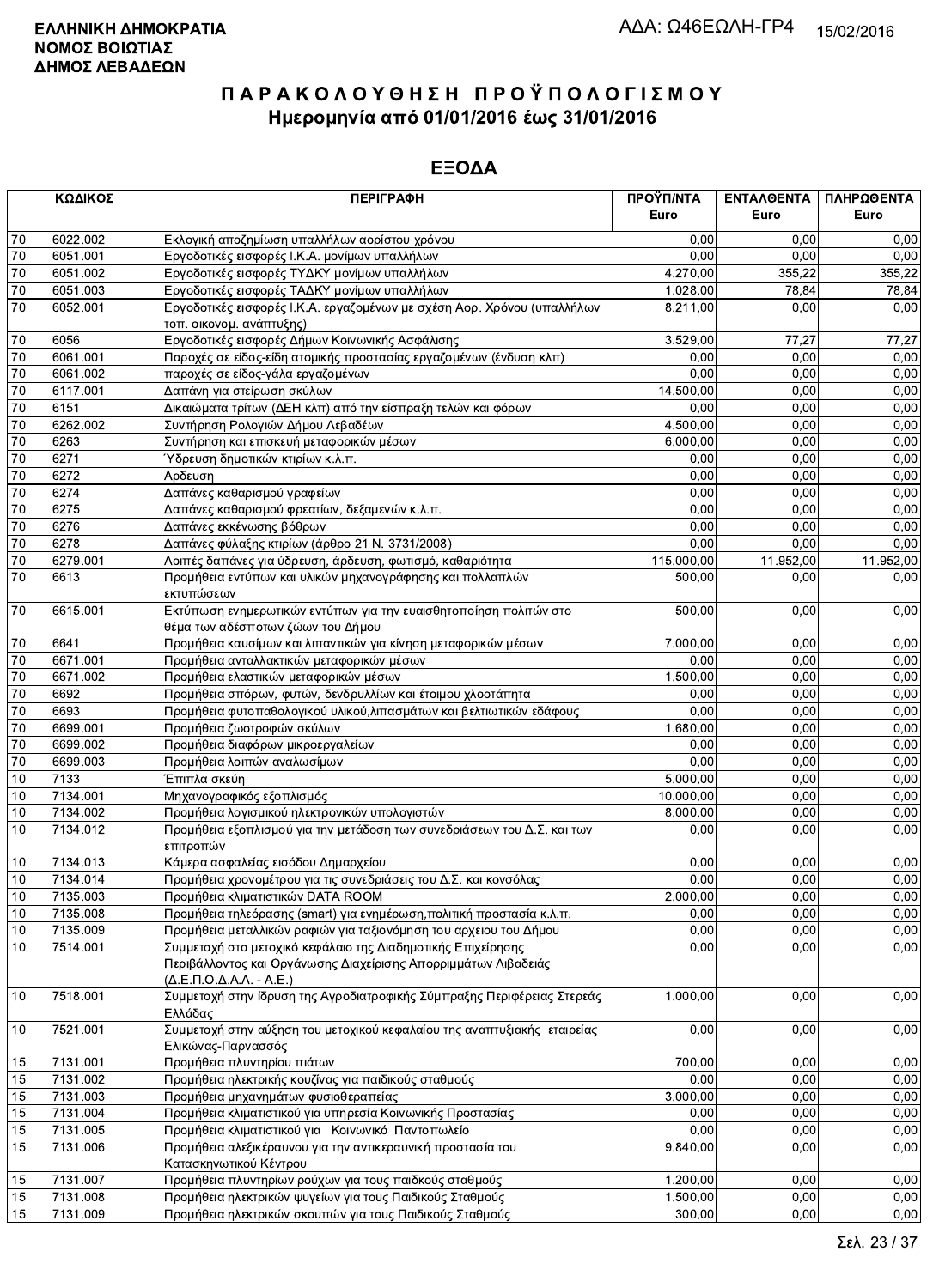|    | ΚΩΔΙΚΟΣ  | <b>ПЕРІГРАФН</b>                                                                                                                                          | ΠΡΟΫΠ/ΝΤΑ  | ΕΝΤΑΛΘΕΝΤΑ | ΠΛΗΡΩΘΕΝΤΑ |
|----|----------|-----------------------------------------------------------------------------------------------------------------------------------------------------------|------------|------------|------------|
|    |          |                                                                                                                                                           | Euro       | Euro       | Euro       |
| 70 | 6022.002 | Εκλογική αποζημίωση υπαλλήλων αορίστου χρόνου                                                                                                             | 0.00       | 0.00       | 0,00       |
| 70 | 6051.001 | Εργοδοτικές εισφορές Ι.Κ.Α. μονίμων υπαλλήλων                                                                                                             | 0,00       | 0.00       | 0,00       |
| 70 | 6051.002 | Εργοδοτικές εισφορές ΤΥΔΚΥ μονίμων υπαλλήλων                                                                                                              | 4.270,00   | 355.22     | 355,22     |
| 70 | 6051.003 | Εργοδοτικές εισφορές ΤΑΔΚΥ μονίμων υπαλλήλων                                                                                                              | 1.028,00   | 78,84      | 78,84      |
| 70 | 6052.001 | Εργοδοτικές εισφορές Ι.Κ.Α. εργαζομένων με σχέση Αορ. Χρόνου (υπαλλήλων<br>τοπ. οικονομ. ανάπτυξης)                                                       | 8.211,00   | 0,00       | 0,00       |
| 70 | 6056     | Εργοδοτικές εισφορές Δήμων Κοινωνικής Ασφάλισης                                                                                                           | 3.529,00   | 77,27      | 77,27      |
| 70 | 6061.001 | Παροχές σε είδος-είδη ατομικής προστασίας εργαζομένων (ένδυση κλπ)                                                                                        | 0,00       | 0,00       | 0,00       |
| 70 | 6061.002 | παροχές σε είδος-γάλα εργαζομένων                                                                                                                         | 0,00       | 0,00       | 0,00       |
| 70 | 6117.001 | Δαπάνη για στείρωση σκύλων                                                                                                                                | 14.500,00  | 0,00       | 0,00       |
| 70 | 6151     | Δικαιώματα τρίτων (ΔΕΗ κλπ) από την είσπραξη τελών και φόρων                                                                                              | 0,00       | 0,00       | 0,00       |
| 70 | 6262.002 | Συντήρηση Ρολογιών Δήμου Λεβαδέων                                                                                                                         | 4.500,00   | 0,00       | 0,00       |
| 70 | 6263     | Συντήρηση και επισκευή μεταφορικών μέσων                                                                                                                  | 6.000,00   | 0,00       | 0,00       |
| 70 | 6271     | Ύδρευση δημοτικών κτιρίων κ.λ.π.                                                                                                                          | 0,00       | 0,00       | 0,00       |
| 70 | 6272     | Αρδευση                                                                                                                                                   | 0,00       | 0,00       | 0,00       |
| 70 | 6274     | Δαπάνες καθαρισμού γραφείων                                                                                                                               | 0,00       | 0.00       | 0,00       |
| 70 | 6275     | Δαπάνες καθαρισμού φρεατίων, δεξαμενών κ.λ.π.                                                                                                             | 0,00       | 0,00       | 0,00       |
| 70 | 6276     | Δαπάνες εκκένωσης βόθρων                                                                                                                                  | 0,00       | 0,00       | 0,00       |
| 70 | 6278     | Δαπάνες φύλαξης κτιρίων (άρθρο 21 Ν. 3731/2008)                                                                                                           | 0,00       | 0,00       | 0,00       |
| 70 | 6279.001 | Λοιπές δαπάνες για ύδρευση, άρδευση, φωτισμό, καθαριότητα                                                                                                 | 115.000,00 | 11.952,00  | 11.952,00  |
| 70 | 6613     | Προμήθεια εντύπων και υλικών μηχανογράφησης και πολλαπλών<br>εκτυπώσεων                                                                                   | 500,00     | 0,00       | 0,00       |
| 70 | 6615.001 | Εκτύπωση ενημερωτικών εντύπων για την ευαισθητοποίηση πολιτών στο<br>θέμα των αδέσποτων ζώων του Δήμου                                                    | 500,00     | 0,00       | 0,00       |
| 70 | 6641     | Προμήθεια καυσίμων και λιπαντικών για κίνηση μεταφορικών μέσων                                                                                            | 7.000,00   | 0.00       | 0,00       |
| 70 | 6671.001 | Προμήθεια ανταλλακτικών μεταφορικών μέσων                                                                                                                 | 0,00       | 0,00       | 0,00       |
| 70 | 6671.002 | Προμήθεια ελαστικών μεταφορικών μέσων                                                                                                                     | 1.500,00   | 0,00       | 0,00       |
| 70 | 6692     | Προμήθεια σπόρων, φυτών, δενδρυλλίων και έτοιμου χλοοτάπητα                                                                                               | 0,00       | 0,00       | 0,00       |
| 70 | 6693     | Προμήθεια φυτοπαθολογικού υλικού, λιπασμάτων και βελτιωτικών εδάφους                                                                                      | 0,00       | 0,00       | 0,00       |
| 70 | 6699.001 | Προμήθεια ζωοτροφών σκύλων                                                                                                                                | 1.680,00   | 0,00       | 0,00       |
| 70 | 6699.002 | Προμήθεια διαφόρων μικροεργαλείων                                                                                                                         | 0,00       | 0,00       | 0,00       |
| 70 | 6699.003 | Προμήθεια λοιπών αναλωσίμων                                                                                                                               | 0,00       | 0,00       | 0,00       |
| 10 | 7133     | Έπιπλα σκεύη                                                                                                                                              | 5.000,00   | 0,00       | 0,00       |
| 10 | 7134.001 | Μηχανογραφικός εξοπλισμός                                                                                                                                 | 10.000,00  | 0,00       | 0,00       |
| 10 | 7134.002 | Προμήθεια λογισμικού ηλεκτρονικών υπολογιστών                                                                                                             | 8.000,00   | 0,00       | 0,00       |
| 10 | 7134.012 | Προμήθεια εξοπλισμού για την μετάδοση των συνεδριάσεων του Δ.Σ. και των<br>επιτροπών                                                                      | 0,00       | 0,00       | 0,00       |
| 10 | 7134.013 | Κάμερα ασφαλείας εισόδου Δημαρχείου                                                                                                                       | 0,00       | 0,00       | 0,00       |
| 10 | 7134.014 | Προμήθεια χρονομέτρου για τις συνεδριάσεις του Δ.Σ. και κονσόλας                                                                                          | 0,00       | 0,00       | 0,00       |
| 10 | 7135.003 | Προμήθεια κλιματιστικών DATA ROOM                                                                                                                         | 2.000,00   | 0,00       | 0,00       |
| 10 | 7135.008 | Προμήθεια τηλεόρασης (smart) για ενημέρωση, πολιτική προστασία κ.λ.π.                                                                                     | 0,00       | 0,00       | 0,00       |
| 10 | 7135.009 | Προμήθεια μεταλλικών ραφιών για ταξιονόμηση του αρχειου του Δήμου                                                                                         | 0,00       | 0,00       | 0,00       |
| 10 | 7514.001 | Συμμετοχή στο μετοχικό κεφάλαιο της Διαδημοτικής Επιχείρησης<br>Περιβάλλοντος και Οργάνωσης Διαχείρισης Απορριμμάτων Λιβαδειάς<br>(Δ.Ε.Π.Ο.Δ.Α.Λ. - Α.Ε.) | 0,00       | 0,00       | 0,00       |
| 10 | 7518.001 | Συμμετοχή στην ίδρυση της Αγροδιατροφικής Σύμπραξης Περιφέρειας Στερεάς<br>Ελλάδας                                                                        | 1.000,00   | 0,00       | 0,00       |
| 10 | 7521.001 | Συμμετοχή στην αύξηση του μετοχικού κεφαλαίου της αναπτυξιακής εταιρείας<br>Ελικώνας-Παρνασσός                                                            | 0,00       | 0,00       | 0,00       |
| 15 | 7131.001 | Προμήθεια πλυντηρίου πιάτων                                                                                                                               | 700,00     | 0,00       | 0,00       |
| 15 | 7131.002 | Προμήθεια ηλεκτρικής κουζίνας για παιδικούς σταθμούς                                                                                                      | 0,00       | 0,00       | 0,00       |
| 15 | 7131.003 | Προμήθεια μηχανημάτων φυσιοθεραπείας                                                                                                                      | 3.000,00   | 0,00       | 0,00       |
| 15 | 7131.004 | Προμήθεια κλιματιστικού για υπηρεσία Κοινωνικής Προστασίας                                                                                                | 0,00       | 0,00       | 0,00       |
| 15 | 7131.005 | Προμήθεια κλιματιστικού για Κοινωνικό Παντοπωλείο                                                                                                         | 0,00       | 0,00       | 0,00       |
| 15 | 7131.006 | Προμήθεια αλεξικέραυνου για την αντικεραυνική προστασία του<br>Κατασκηνωτικού Κέντρου                                                                     | 9.840,00   | 0,00       | 0,00       |
| 15 | 7131.007 | Προμήθεια πλυντηρίων ρούχων για τους παιδκούς σταθμούς                                                                                                    | 1.200,00   | 0,00       | 0,00       |
| 15 | 7131.008 | Προμήθεια ηλεκτρικών ψυγείων για τους Παιδικούς Σταθμούς                                                                                                  | 1.500,00   | 0,00       | 0,00       |
| 15 | 7131.009 | Προμήθεια ηλεκτρικών σκουπών για τους Παιδικούς Σταθμούς                                                                                                  | 300,00     | 0,00       | 0,00       |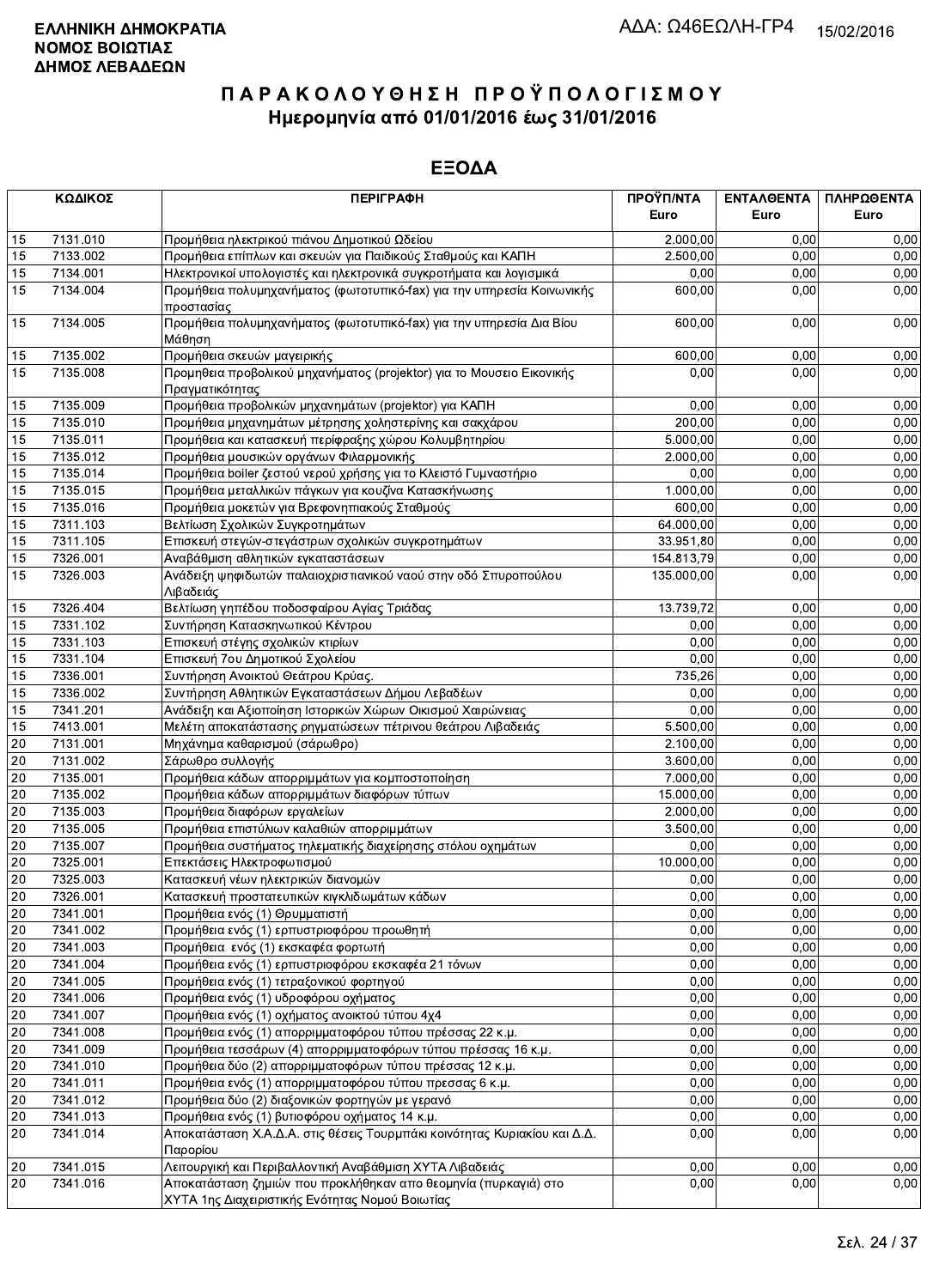| ΚΩΔΙΚΟΣ |          | <b>ПЕРІГРАФН</b>                                                                         | ΠΡΟΫΠ/ΝΤΑ  | ΕΝΤΑΛΘΕΝΤΑ | ΠΛΗΡΩΘΕΝΤΑ |
|---------|----------|------------------------------------------------------------------------------------------|------------|------------|------------|
|         |          |                                                                                          | Euro       | Euro       | Euro       |
| 15      | 7131.010 | Προμήθεια ηλεκτρικού πιάνου Δημοτικού Ωδείου                                             | 2.000,00   | 0.00       | 0,00       |
| 15      | 7133.002 | Προμήθεια επίπλων και σκευών για Παιδικούς Σταθμούς και ΚΑΠΗ                             | 2.500,00   | 0,00       | 0,00       |
| 15      | 7134.001 | Ηλεκτρονικοί υπολογιστές και ηλεκτρονικά συγκροτήματα και λογισμικά                      | 0,00       | 0,00       | 0,00       |
| 15      | 7134.004 | Προμήθεια πολυμηχανήματος (φωτοτυπικό-fax) για την υπηρεσία Κοινωνικής<br>προστασίας     | 600,00     | 0,00       | 0,00       |
| 15      | 7134.005 | Προμήθεια πολυμηχανήματος (φωτοτυπικό-fax) για την υπηρεσία Δια Βίου<br>Μάθηση           | 600,00     | 0,00       | 0,00       |
| 15      | 7135.002 | Προμήθεια σκευών μαγειρικής                                                              | 600,00     | 0,00       | 0,00       |
| 15      | 7135.008 | Προμηθεια προβολικού μηχανήματος (projektor) για το Μουσειο Εικονικής<br>Πραγματικότητας | 0,00       | 0,00       | 0,00       |
| 15      | 7135.009 | Προμήθεια προβολικών μηχανημάτων (projektor) για ΚΑΠΗ                                    | 0,00       | 0,00       | 0,00       |
| 15      | 7135.010 | Προμήθεια μηχανημάτων μέτρησης χοληστερίνης και σακχάρου                                 | 200,00     | 0,00       | 0,00       |
| 15      | 7135.011 | Προμήθεια και κατασκευή περίφραξης χώρου Κολυμβητηρίου                                   | 5.000,00   | 0,00       | 0,00       |
| 15      | 7135.012 | Προμήθεια μουσικών οργάνων Φιλαρμονικής                                                  | 2.000,00   | 0,00       | 0,00       |
| 15      | 7135.014 | Προμήθεια boiler ζεστού νερού χρήσης για το Κλειστό Γυμναστήριο                          | 0,00       | 0,00       | 0,00       |
| 15      | 7135.015 | Προμήθεια μεταλλικών πάγκων για κουζίνα Κατασκήνωσης                                     | 1.000,00   | 0,00       | 0,00       |
| 15      | 7135.016 | Προμήθεια μοκετών για Βρεφονηπιακούς Σταθμούς                                            | 600,00     | 0,00       | 0,00       |
| 15      | 7311.103 | Βελτίωση Σχολικών Συγκροτημάτων                                                          | 64.000,00  | 0,00       | 0,00       |
| 15      | 7311.105 | Επισκευή στεγών-στεγάστρων σχολικών συγκροτημάτων                                        | 33.951,80  | 0,00       | 0,00       |
| 15      | 7326.001 | Αναβάθμιση αθλητικών εγκαταστάσεων                                                       | 154.813,79 | 0.00       | 0,00       |
| 15      | 7326.003 | Ανάδειξη ψηφιδωτών παλαιοχριστιανικού ναού στην οδό Σπυροπούλου<br>Λιβαδειάς             | 135.000,00 | 0,00       | 0,00       |
| 15      | 7326.404 | Βελτίωση γηπέδου ποδοσφαίρου Αγίας Τριάδας                                               | 13.739,72  | 0,00       | 0,00       |
| 15      | 7331.102 | Συντήρηση Κατασκηνωτικού Κέντρου                                                         | 0,00       | 0,00       | 0,00       |
| 15      | 7331.103 | Επισκευή στέγης σχολικών κτιρίων                                                         | 0,00       | 0,00       | 0,00       |
| 15      | 7331.104 | Επισκευή 7ου Δημοτικού Σχολείου                                                          | 0,00       | 0,00       | 0,00       |
| 15      | 7336.001 | Συντήρηση Ανοικτού Θεάτρου Κρύας.                                                        | 735,26     | 0,00       | 0,00       |
| 15      | 7336.002 | Συντήρηση Αθλητικών Εγκαταστάσεων Δήμου Λεβαδέων                                         | 0,00       | 0,00       | 0,00       |
| 15      | 7341.201 | Ανάδειξη και Αξιοποίηση Ιστορικών Χώρων Οικισμού Χαιρώνειας                              | 0,00       | 0,00       | 0,00       |
| 15      | 7413.001 | Μελέτη αποκατάστασης ρηγματώσεων πέτρινου θεάτρου Λιβαδειάς                              | 5.500,00   | 0,00       | 0,00       |
| 20      | 7131.001 | Μηχάνημα καθαρισμού (σάρωθρο)                                                            | 2.100,00   | 0,00       | 0,00       |
| 20      | 7131.002 | Σάρωθρο συλλογής                                                                         | 3.600,00   | 0,00       | 0,00       |
| 20      | 7135.001 | Προμήθεια κάδων απορριμμάτων για κομποστοποίηση                                          | 7.000,00   | 0,00       | 0,00       |
| 20      | 7135.002 | Προμήθεια κάδων απορριμμάτων διαφόρων τύπων                                              | 15.000,00  | 0,00       | 0,00       |
| 20      | 7135.003 | Προμήθεια διαφόρων εργαλείων                                                             | 2.000,00   | 0,00       | 0,00       |
| 20      | 7135.005 | Προμήθεια επιστύλιων καλαθιών απορριμμάτων                                               | 3.500,00   | 0,00       | 0,00       |
| 20      | 7135.007 | Προμήθεια συστήματος τηλεματικής διαχείρησης στόλου οχημάτων                             | 0,00       | 0,00       | 0,00       |
| 20      | 7325.001 | Επεκτάσεις Ηλεκτροφωτισμού                                                               | 10.000,00  | 0,00       | 0,00       |
| 20      | 7325.003 | Κατασκευή νέων ηλεκτρικών διανομών                                                       | 0,00       | 0,00       | 0,00       |
| 20      | 7326.001 | Κατασκευή προστατευτικών κιγκλιδωμάτων κάδων                                             | 0,00       | 0,00       | 0,00       |
| 20      | 7341.001 | Προμήθεια ενός (1) Θρυμματιστή                                                           | 0,00       | 0,00       | 0,00       |
| 20      | 7341.002 | Προμήθεια ενός (1) ερπυστριοφόρου προωθητή                                               | 0,00       | 0,00       | 0,00       |
| 20      | 7341.003 | Προμήθεια ενός (1) εκσκαφέα φορτωτή                                                      | 0,00       | 0,00       | 0,00       |
| 20      | 7341.004 | Προμήθεια ενός (1) ερπυστριοφόρου εκσκαφέα 21 τόνων                                      | 0,00       | 0,00       | 0,00       |
| 20      | 7341.005 | Προμήθεια ενός (1) τετραξονικού φορτηγού                                                 | 0,00       | 0,00       | 0,00       |
| 20      | 7341.006 | Προμήθεια ενός (1) υδροφόρου οχήματος                                                    | 0,00       | 0,00       | 0,00       |
| 20      | 7341.007 | Προμήθεια ενός (1) οχήματος ανοικτού τύπου 4χ4                                           | 0,00       | 0,00       | 0,00       |
| 20      | 7341.008 | Προμήθεια ενός (1) απορριμματοφόρου τύπου πρέσσας 22 κ.μ.                                | 0,00       | 0,00       | 0,00       |
| 20      | 7341.009 | Προμήθεια τεσσάρων (4) απορριμματοφόρων τύπου πρέσσας 16 κ.μ.                            | 0,00       | 0,00       | 0,00       |
| 20      | 7341.010 | Προμήθεια δύο (2) απορριμματοφόρων τύπου πρέσσας 12 κ.μ.                                 | 0,00       | 0,00       | 0,00       |
| 20      | 7341.011 | Προμήθεια ενός (1) απορριμματοφόρου τύπου πρεσσας 6 κ.μ.                                 | 0,00       | 0,00       | 0,00       |
| 20      | 7341.012 | Προμήθεια δύο (2) διαξονικών φορτηγών με γερανό                                          | 0,00       | 0,00       | 0,00       |
| 20      | 7341.013 | Προμήθεια ενός (1) βυτιοφόρου οχήματος 14 κ.μ.                                           | 0,00       | 0,00       | 0,00       |
| 20      | 7341.014 | Αποκατάσταση Χ.Α.Δ.Α. στις θέσεις Τουρμπάκι κοινότητας Κυριακίου και Δ.Δ.<br>Παρορίου    | 0,00       | 0,00       | 0,00       |
| 20      | 7341.015 | Λειτουργική και Περιβαλλοντική Αναβάθμιση ΧΥΤΑ Λιβαδειάς                                 | 0,00       | 0,00       | 0,00       |
| 20      | 7341.016 | Αποκατάσταση ζημιών που προκλήθηκαν απο θεομηνία (πυρκαγιά) στο                          | 0,00       | 0,00       | 0,00       |
|         |          | ΧΥΤΑ 1ης Διαχειριστικής Ενότητας Νομού Βοιωτίας                                          |            |            |            |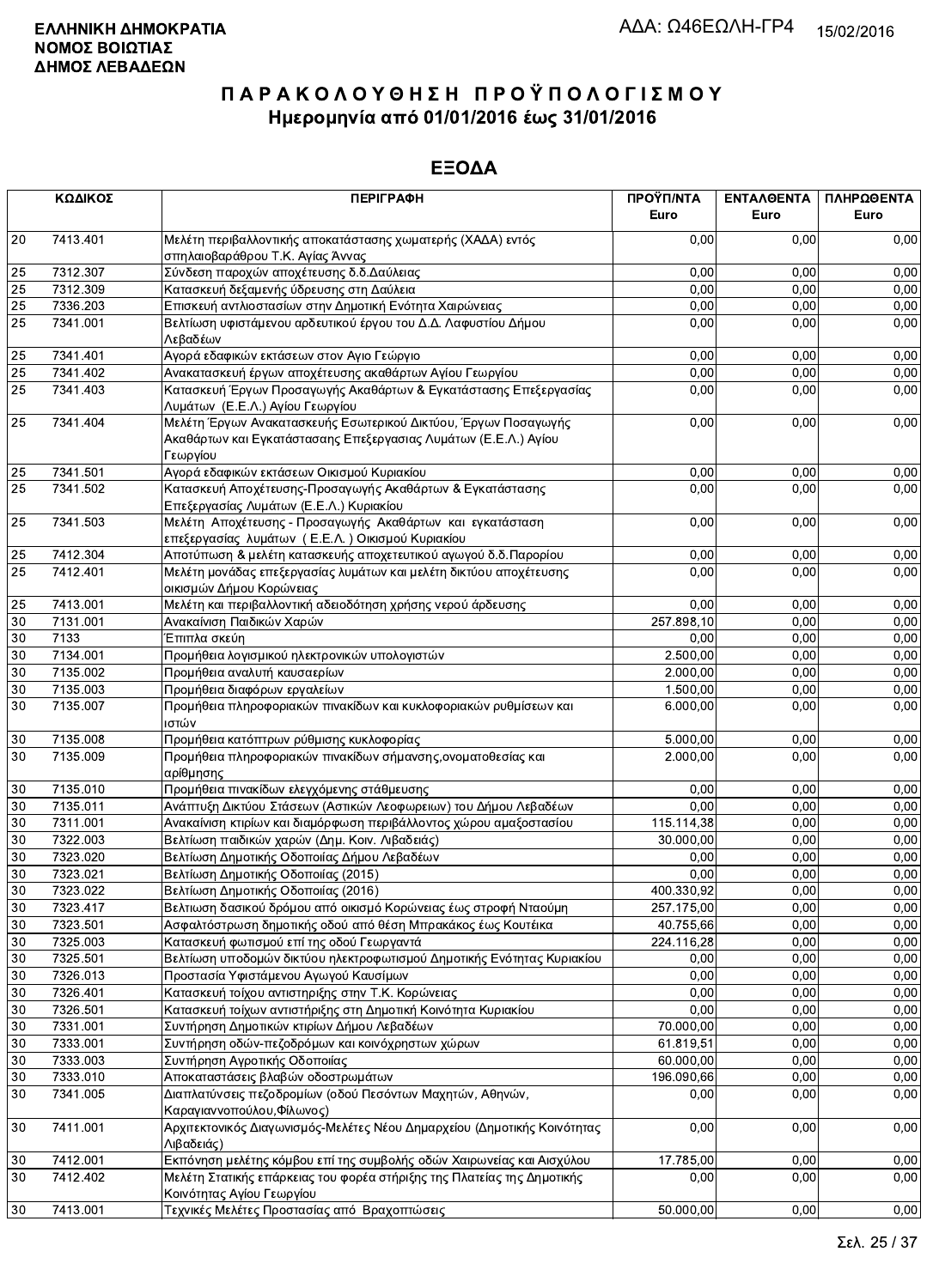|                 | ΚΩΔΙΚΟΣ  | <b>ПЕРІГРАФН</b>                                                                                     | ΠΡΟΫΠ/ΝΤΑ<br>Euro | ΕΝΤΑΛΘΕΝΤΑ<br>Euro | ΠΛΗΡΩΘΕΝΤΑ<br>Euro |
|-----------------|----------|------------------------------------------------------------------------------------------------------|-------------------|--------------------|--------------------|
| 20              | 7413.401 | Μελέτη περιβαλλοντικής αποκατάστασης χωματερής (ΧΑΔΑ) εντός<br>σπηλαιοβαράθρου Τ.Κ. Αγίας Άννας      | 0,00              | 0.00               | 0,00               |
| 25              | 7312.307 | Σύνδεση παροχών αποχέτευσης δ.δ. Δαύλειας                                                            | 0,00              | 0,00               | 0,00               |
| $\overline{25}$ | 7312.309 | Κατασκευή δεξαμενής ύδρευσης στη Δαύλεια                                                             | 0,00              | 0,00               | 0,00               |
| 25              | 7336.203 | Επισκευή αντλιοστασίων στην Δημοτική Ενότητα Χαιρώνειας                                              | 0,00              | 0,00               | 0,00               |
| 25              | 7341.001 | Βελτίωση υφιστάμενου αρδευτικού έργου του Δ.Δ. Λαφυστίου Δήμου                                       | 0,00              | 0,00               | 0,00               |
|                 |          | Λεβαδέων                                                                                             |                   |                    |                    |
| 25              | 7341.401 | Αγορά εδαφικών εκτάσεων στον Αγιο Γεώργιο                                                            | 0.00              | 0,00               | 0,00               |
| 25              | 7341.402 | Ανακατασκευή έργων αποχέτευσης ακαθάρτων Αγίου Γεωργίου                                              | 0,00              | 0,00               | 0,00               |
| 25              | 7341.403 | Κατασκευή Έργων Προσαγωγής Ακαθάρτων & Εγκατάστασης Επεξεργασίας                                     | 0,00              | 0,00               | 0,00               |
|                 |          | Λυμάτων (Ε.Ε.Λ.) Αγίου Γεωργίου                                                                      |                   |                    |                    |
| 25              | 7341.404 | Μελέτη Έργων Ανακατασκευής Εσωτερικού Δικτύου, Έργων Ποσαγωγής                                       | 0,00              | 0,00               | 0,00               |
|                 |          | Ακαθάρτων και Εγκατάστασαης Επεξεργασιας Λυμάτων (Ε.Ε.Λ.) Αγίου                                      |                   |                    |                    |
|                 |          | Γεωργίου                                                                                             |                   |                    |                    |
| 25              | 7341.501 | Αγορά εδαφικών εκτάσεων Οικισμού Κυριακίου                                                           | 0,00              | 0,00               | 0,00               |
| 25              | 7341.502 | Κατασκευή Αποχέτευσης-Προσαγωγής Ακαθάρτων & Εγκατάστασης                                            | 0,00              | 0,00               | 0,00               |
|                 |          | Επεξεργασίας Λυμάτων (Ε.Ε.Λ.) Κυριακίου                                                              |                   |                    |                    |
| 25              | 7341.503 | Μελέτη Αποχέτευσης - Προσαγωγής Ακαθάρτων και εγκατάσταση                                            | 0,00              | 0,00               | 0,00               |
|                 |          | επεξεργασίας λυμάτων (Ε.Ε.Λ.) Οικισμού Κυριακίου                                                     |                   |                    |                    |
| 25              | 7412.304 | Αποτύπωση & μελέτη κατασκευής αποχετευτικού αγωγού δ.δ.Παρορίου                                      | 0,00              | 0,00               | 0,00               |
| 25              | 7412.401 | Μελέτη μονάδας επεξεργασίας λυμάτων και μελέτη δικτύου αποχέτευσης                                   | 0,00              | 0,00               | 0,00               |
|                 |          | οικισμών Δήμου Κορώνειας                                                                             |                   |                    |                    |
| 25              | 7413.001 | Μελέτη και περιβαλλοντική αδειοδότηση χρήσης νερού άρδευσης                                          | 0.00              | 0,00               | 0,00               |
| 30              | 7131.001 | Ανακαίνιση Παιδικών Χαρών                                                                            | 257.898,10        | 0,00               | 0,00               |
| $30\,$          | 7133     | Έπιπλα σκεύη                                                                                         | 0,00              | 0,00               | 0,00               |
| 30              | 7134.001 | Προμήθεια λογισμικού ηλεκτρονικών υπολογιστών                                                        | 2.500,00          | 0,00               | 0,00               |
| 30              | 7135.002 | Προμήθεια αναλυτή καυσαερίων                                                                         | 2.000,00          | 0,00               | 0,00               |
| 30              | 7135.003 | Προμήθεια διαφόρων εργαλείων                                                                         | 1.500,00          | 0.00               | 0,00               |
| 30              | 7135.007 | Προμήθεια πληροφοριακών πινακίδων και κυκλοφοριακών ρυθμίσεων και<br>ιστών                           | 6.000,00          | 0,00               | 0,00               |
| 30              | 7135.008 | Προμήθεια κατόπτρων ρύθμισης κυκλοφορίας                                                             | 5.000,00          | 0,00               | 0,00               |
| 30              | 7135.009 | Προμήθεια πληροφοριακών πινακίδων σήμανσης, ονοματοθεσίας και                                        | 2.000,00          | 0,00               | 0,00               |
|                 |          | αρίθμησης                                                                                            |                   |                    |                    |
| $30\,$          | 7135.010 | Προμήθεια πινακίδων ελεγχόμενης στάθμευσης                                                           | 0,00              | 0,00               | 0,00               |
| 30              | 7135.011 | Ανάπτυξη Δικτύου Στάσεων (Αστικών Λεοφωρειων) του Δήμου Λεβαδέων                                     | 0,00              | 0,00               | 0,00               |
| 30              | 7311.001 | Ανακαίνιση κτιρίων και διαμόρφωση περιβάλλοντος χώρου αμαξοστασίου                                   | 115.114,38        | 0,00               | 0,00               |
| $30\,$          | 7322.003 | Βελτίωση παιδικών χαρών (Δημ. Κοιν. Λιβαδειάς)                                                       | 30.000,00         | 0.00               | 0,00               |
| 30              | 7323.020 | Βελτίωση Δημοτικής Οδοποιίας Δήμου Λεβαδέων                                                          | 0,00              | 0,00               | 0,00               |
| 30              | 7323.021 | Βελτίωση Δημοτικής Οδοποιίας (2015)                                                                  | 0,00              | 0,00               | 0,00               |
| $\overline{30}$ | 7323.022 | Βελτίωση Δημοτικής Οδοποιίας (2016)                                                                  | 400.330,92        | 0,00               | 0,00               |
| 30              | 7323.417 | Βελτιωση δασικού δρόμου από οικισμό Κορώνειας έως στροφή Νταούμη                                     | 257.175,00        | 0,00               | 0,00               |
| 30              | 7323.501 | Ασφαλτόστρωση δημοτικής οδού από θέση Μπρακάκος έως Κουτέικα                                         | 40.755,66         | 0,00               | 0,00               |
| 30              | 7325.003 | Κατασκευή φωτισμού επί της οδού Γεωργαντά                                                            | 224.116,28        | 0,00               | 0,00               |
| $30\,$          | 7325.501 | Βελτίωση υποδομών δικτύου ηλεκτροφωτισμού Δημοτικής Ενότητας Κυριακίου                               | 0,00              | 0,00               | 0,00               |
| 30              | 7326.013 | Προστασία Υφιστάμενου Αγωγού Καυσίμων                                                                | 0,00              | 0,00               | 0,00               |
| 30              | 7326.401 | Κατασκευή τοίχου αντιστηριξης στην Τ.Κ. Κορώνειας                                                    | 0,00              | 0,00               | 0,00               |
| 30              | 7326.501 | Κατασκευή τοίχων αντιστήριξης στη Δημοτική Κοινότητα Κυριακίου                                       | 0,00              | 0,00               | 0,00               |
| 30              | 7331.001 | Συντήρηση Δημοτικών κτιρίων Δήμου Λεβαδέων                                                           | 70.000,00         | 0,00               | 0,00               |
| 30              | 7333.001 | Συντήρηση οδών-πεζοδρόμων και κοινόχρηστων χώρων                                                     | 61.819,51         | 0,00               | 0,00               |
| $30\,$          | 7333.003 | Συντήρηση Αγροτικής Οδοποιίας                                                                        | 60.000,00         | 0,00               | 0,00               |
| 30              | 7333.010 | Αποκαταστάσεις βλαβών οδοστρωμάτων                                                                   | 196.090,66        | 0,00               | 0,00               |
| 30              | 7341.005 | Διαπλατύνσεις πεζοδρομίων (οδού Πεσόντων Μαχητών, Αθηνών,<br>Καραγιαννοπούλου, Φίλωνος)              | 0,00              | 0,00               | 0,00               |
| 30              | 7411.001 | Αρχιτεκτονικός Διαγωνισμός-Μελέτες Νέου Δημαρχείου (Δημοτικής Κοινότητας<br>Λιβαδειάς)               | 0,00              | 0,00               | 0,00               |
| 30              | 7412.001 | Εκπόνηση μελέτης κόμβου επί της συμβολής οδών Χαιρωνείας και Αισχύλου                                | 17.785,00         | 0.00               | 0,00               |
| 30              | 7412.402 | Μελέτη Στατικής επάρκειας του φορέα στήριξης της Πλατείας της Δημοτικής<br>Κοινότητας Αγίου Γεωργίου | 0,00              | 0,00               | 0,00               |
| 30              | 7413.001 | Τεχνικές Μελέτες Προστασίας από Βραχοπτώσεις                                                         | 50.000,00         | 0,00               | 0,00               |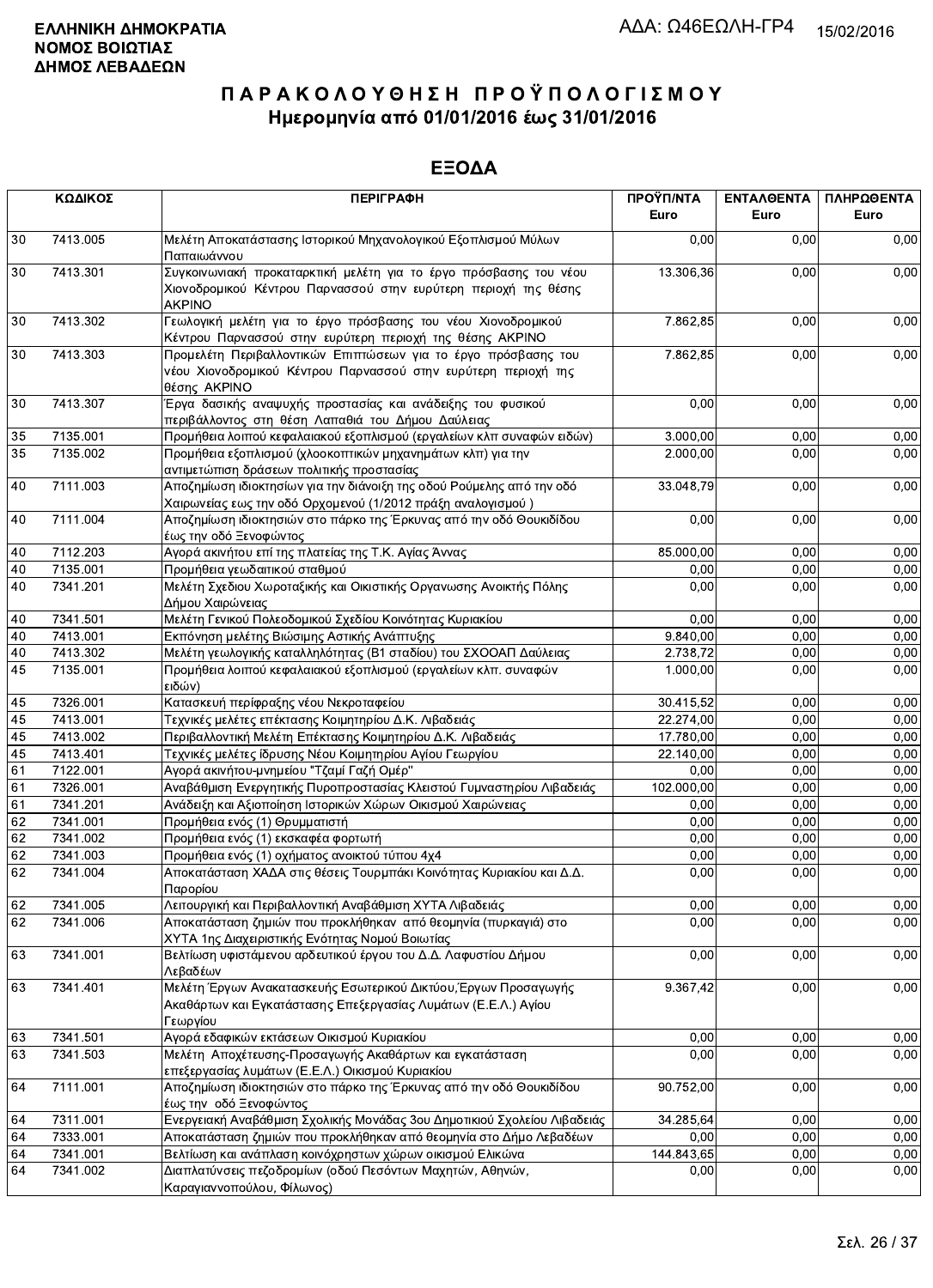|    | ΚΩΔΙΚΟΣ  | <b>ПЕРІГРАФН</b>                                                                                                                                      | ΠΡΟΫΠ/ΝΤΑ<br>Euro | <b>ENTAAGENTA</b><br>Euro | ΠΛΗΡΩΘΕΝΤΑ<br>Euro |
|----|----------|-------------------------------------------------------------------------------------------------------------------------------------------------------|-------------------|---------------------------|--------------------|
| 30 | 7413.005 | Μελέτη Αποκατάστασης Ιστορικού Μηχανολογικού Εξοπλισμού Μύλων<br>Παπαιωάννου                                                                          | 0,00              | 0,00                      | 0,00               |
| 30 | 7413.301 | Συγκοινωνιακή προκαταρκτική μελέτη για το έργο πρόσβασης του νέου<br>Χιονοδρομικού Κέντρου Παρνασσού στην ευρύτερη περιοχή της θέσης<br><b>AKPINO</b> | 13.306,36         | 0,00                      | 0,00               |
| 30 | 7413.302 | Γεωλογική μελέτη για το έργο πρόσβασης του νέου Χιονοδρομικού<br>Κέντρου Παρνασσού στην ευρύτερη περιοχή της θέσης ΑΚΡΙΝΟ                             | 7.862,85          | 0,00                      | 0,00               |
| 30 | 7413.303 | Προμελέτη Περιβαλλοντικών Επιπτώσεων για το έργο πρόσβασης του<br>νέου Χιονοδρομικού Κέντρου Παρνασσού στην ευρύτερη περιοχή της<br>θέσης AKPINO      |                   | 7.862,85<br>0,00          | 0,00               |
| 30 | 7413.307 | Έργα δασικής αναψυχής προστασίας και ανάδειξης του φυσικού<br>περιβάλλοντος στη θέση Λαπαθιά του Δήμου Δαύλειας                                       | 0,00              | 0,00                      | 0,00               |
| 35 | 7135.001 | Προμήθεια λοιπού κεφαλαιακού εξοπλισμού (εργαλείων κλπ συναφών ειδών)                                                                                 | 3.000,00          | 0,00                      | 0,00               |
| 35 | 7135.002 | Προμήθεια εξοπλισμού (χλοοκοπτικών μηχανημάτων κλπ) για την<br>αντιμετώπιση δράσεων πολιτικής προστασίας                                              | 2.000,00          | 0,00                      | 0,00               |
| 40 | 7111.003 | Αποζημίωση ιδιοκτησίων για την διάνοιξη της οδού Ρούμελης από την οδό<br>Χαιρωνείας εως την οδό Ορχομενού (1/2012 πράξη αναλογισμού)                  | 33.048,79         | 0,00                      | 0,00               |
| 40 | 7111.004 | Αποζημίωση ιδιοκτησιών στο πάρκο της Έρκυνας από την οδό Θουκιδίδου<br>έως την οδό Ξενοφώντος                                                         | 0,00              | 0,00                      | 0,00               |
| 40 | 7112.203 | Αγορά ακινήτου επί της πλατείας της Τ.Κ. Αγίας Άννας                                                                                                  | 85.000,00         | 0,00                      | 0,00               |
| 40 | 7135.001 | Προμήθεια γεωδαιτικού σταθμού                                                                                                                         | 0,00              | 0.00                      | 0,00               |
| 40 | 7341.201 | Μελέτη Σχεδιου Χωροταξικής και Οικιστικής Οργανωσης Ανοικτής Πόλης<br>Δήμου Χαιρώνειας                                                                | 0,00              | 0,00                      | 0,00               |
| 40 | 7341.501 | Μελέτη Γενικού Πολεοδομικού Σχεδίου Κοινότητας Κυριακίου                                                                                              | 0,00              | 0,00                      | 0,00               |
| 40 | 7413.001 | Εκπόνηση μελέτης Βιώσιμης Αστικής Ανάπτυξης                                                                                                           | 9.840,00          | 0,00                      | 0,00               |
| 40 | 7413.302 | Μελέτη γεωλογικής καταλληλότητας (Β1 σταδίου) του ΣΧΟΟΑΠ Δαύλειας                                                                                     | 2.738,72          | 0,00                      | 0,00               |
| 45 | 7135.001 | Προμήθεια λοιπού κεφαλαιακού εξοπλισμού (εργαλείων κλπ. συναφών<br> ειδών)                                                                            | 1.000,00          | 0,00                      | 0,00               |
| 45 | 7326.001 | Κατασκευή περίφραξης νέου Νεκροταφείου                                                                                                                | 30.415,52         | 0,00                      | 0,00               |
| 45 | 7413.001 | Τεχνικές μελέτες επέκτασης Κοιμητηρίου Δ.Κ. Λιβαδειάς                                                                                                 | 22.274,00         | 0,00                      | 0,00               |
| 45 | 7413.002 | Περιβαλλοντική Μελέτη Επέκτασης Κοιμητηρίου Δ.Κ. Λιβαδειάς                                                                                            | 17.780,00         | 0,00                      | 0,00               |
| 45 | 7413.401 | Τεχνικές μελέτες ίδρυσης Νέου Κοιμητηρίου Αγίου Γεωργίου                                                                                              | 22.140,00         | 0,00                      | 0,00               |
| 61 | 7122.001 | Αγορά ακινήτου-μνημείου "Τζαμί Γαζή Ομέρ"                                                                                                             | 0,00              | 0,00                      | 0,00               |
| 61 | 7326.001 | Αναβάθμιση Ενεργητικής Πυροπροστασίας Κλειστού Γυμναστηρίου Λιβαδειάς                                                                                 | 102.000,00        | 0.00                      | 0,00               |
| 61 | 7341.201 | Ανάδειξη και Αξιοποίηση Ιστορικών Χώρων Οικισμού Χαιρώνειας                                                                                           | 0,00              | 0.00                      | 0,00               |
| 62 | 7341.001 | Προμήθεια ενός (1) Θρυμματιστή                                                                                                                        | 0,00              | 0,00                      | 0,00               |
| 62 | 7341.002 | Προμήθεια ενός (1) εκσκαφέα φορτωτή                                                                                                                   | 0,00              | 0,00                      | 0,00               |
| 62 | 7341.003 | Προμήθεια ενός (1) οχήματος ανοικτού τύπου 4χ4                                                                                                        | 0,00              | 0,00                      | 0,00               |
| 62 | 7341.004 | Αποκατάσταση ΧΑΔΑ στις θέσεις Τουρμπάκι Κοινότητας Κυριακίου και Δ.Δ.<br>Παρορίου                                                                     | 0,00              | 0,00                      | 0,00               |
| 62 | 7341.005 | Λειτουργική και Περιβαλλοντική Αναβάθμιση ΧΥΤΑ Λιβαδειάς                                                                                              | 0,00              | 0,00                      | 0,00               |
| 62 | 7341.006 | Αποκατάσταση ζημιών που προκλήθηκαν από θεομηνία (πυρκαγιά) στο<br>ΧΥΤΑ 1ης Διαχειριστικής Ενότητας Νομού Βοιωτίας                                    | 0,00              | 0,00                      | 0,00               |
| 63 | 7341.001 | Βελτίωση υφιστάμενου αρδευτικού έργου του Δ.Δ. Λαφυστίου Δήμου<br>Λεβαδέων                                                                            | 0,00              | 0,00                      | 0,00               |
| 63 | 7341.401 | Μελέτη Έργων Ανακατασκευής Εσωτερικού Δικτύου, Έργων Προσαγωγής<br>Ακαθάρτων και Εγκατάστασης Επεξεργασίας Λυμάτων (Ε.Ε.Λ.) Αγίου<br>Γεωργίου         | 9.367,42          | 0,00                      | 0,00               |
| 63 | 7341.501 | Αγορά εδαφικών εκτάσεων Οικισμού Κυριακίου                                                                                                            | 0,00              | 0,00                      | 0,00               |
| 63 | 7341.503 | Μελέτη Αποχέτευσης-Προσαγωγής Ακαθάρτων και εγκατάσταση<br>επεξεργασίας λυμάτων (Ε.Ε.Λ.) Οικισμού Κυριακίου                                           | 0,00              | 0,00                      | 0,00               |
| 64 | 7111.001 | Αποζημίωση ιδιοκτησιών στο πάρκο της Έρκυνας από την οδό Θουκιδίδου<br>έως την οδό Ξενοφώντος                                                         | 90.752,00         | 0,00                      | 0,00               |
| 64 | 7311.001 | Ενεργειακή Αναβάθμιση Σχολικής Μονάδας 3ου Δημοτικιού Σχολείου Λιβαδειάς                                                                              | 34.285,64         | 0,00                      | 0,00               |
| 64 | 7333.001 | Αποκατάσταση ζημιών που προκλήθηκαν από θεομηνία στο Δήμο Λεβαδέων                                                                                    | 0,00              | 0,00                      | 0,00               |
| 64 | 7341.001 | Βελτίωση και ανάπλαση κοινόχρηστων χώρων οικισμού Ελικώνα                                                                                             | 144.843,65        | 0,00                      | 0,00               |
| 64 | 7341.002 | Διαπλατύνσεις πεζοδρομίων (οδού Πεσόντων Μαχητών, Αθηνών,<br>Καραγιαννοπούλου, Φίλωνος)                                                               | 0,00              | 0,00                      | 0,00               |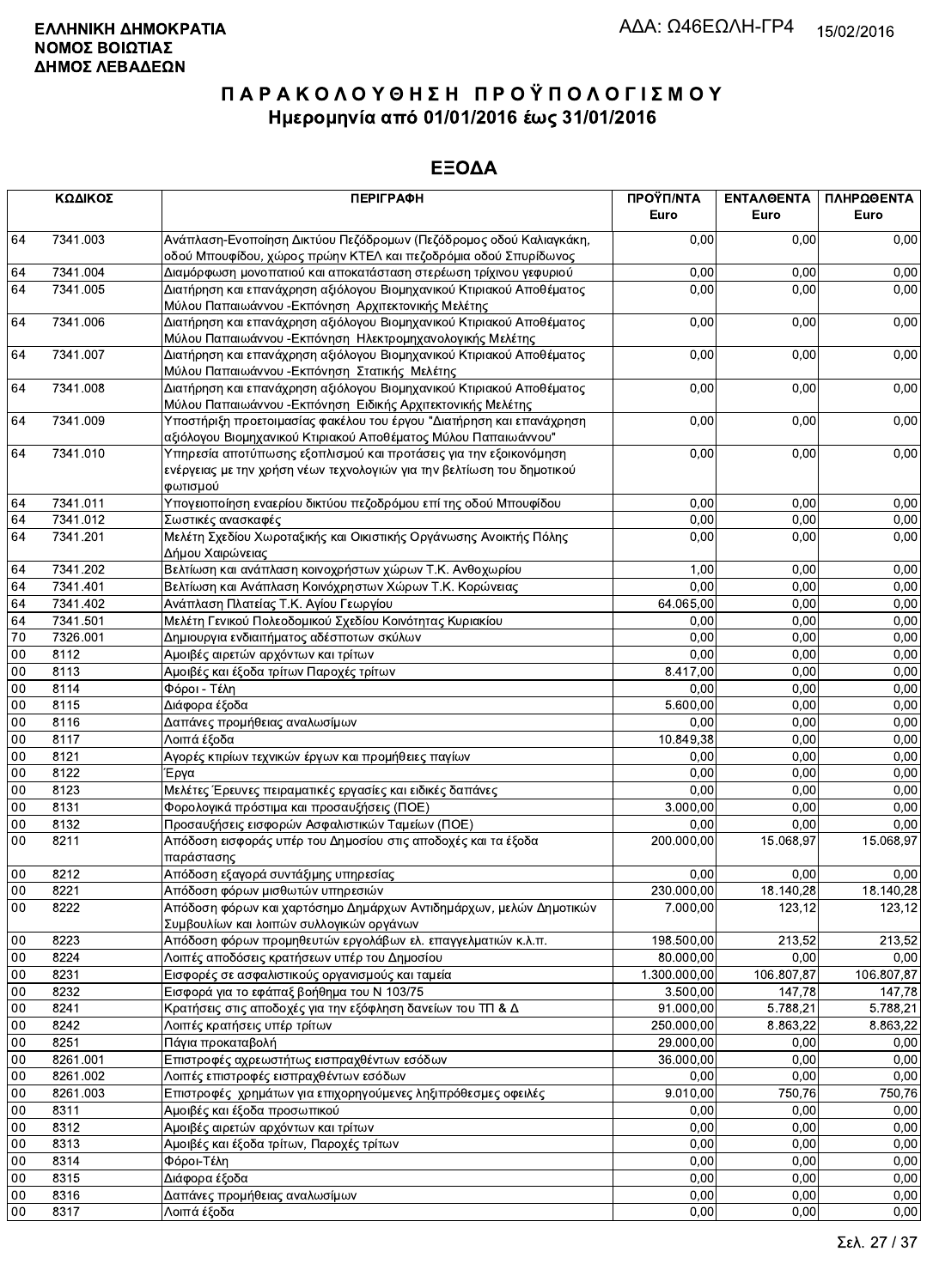|                 | ΚΩΔΙΚΟΣ  | <b>ПЕРІГРАФН</b>                                                                                                                                        | ΠΡΟΫΠ/ΝΤΑ<br>Euro | <b>ENTAAGENTA</b><br>Euro | ΠΛΗΡΩΘΕΝΤΑ<br>Euro |
|-----------------|----------|---------------------------------------------------------------------------------------------------------------------------------------------------------|-------------------|---------------------------|--------------------|
| 64              | 7341.003 | Ανάπλαση-Ενοποίηση Δικτύου Πεζόδρομων (Πεζόδρομος οδού Καλιαγκάκη,<br>οδού Μπουφίδου, χώρος πρώην ΚΤΕΛ και πεζοδρόμια οδού Σπυρίδωνος                   | 0,00              | 0,00                      | 0,00               |
| 64              | 7341.004 | Διαμόρφωση μονοπατιού και αποκατάσταση στερέωση τρίχινου γεφυριού                                                                                       | 0,00              | 0,00                      | 0,00               |
| 64              | 7341.005 | Διατήρηση και επανάχρηση αξιόλογου Βιομηχανικού Κτιριακού Αποθέματος<br>Μύλου Παπαιωάννου - Εκπόνηση Αρχιτεκτονικής Μελέτης                             | 0,00              | 0,00                      | 0,00               |
| 64              | 7341.006 | Διατήρηση και επανάχρηση αξιόλογου Βιομηχανικού Κτιριακού Αποθέματος<br>Μύλου Παπαιωάννου - Εκπόνηση Ηλεκτρομηχανολογικής Μελέτης                       | 0,00              | 0,00                      | 0,00               |
| 64              | 7341.007 | Διατήρηση και επανάχρηση αξιόλογου Βιομηχανικού Κτιριακού Αποθέματος<br>Μύλου Παπαιωάννου - Εκπόνηση Στατικής Μελέτης                                   | 0,00              | 0,00                      | 0,00               |
| 64              | 7341.008 | Διατήρηση και επανάχρηση αξιόλογου Βιομηχανικού Κτιριακού Αποθέματος<br>Μύλου Παπαιωάννου - Εκπόνηση Ειδικής Αρχιτεκτονικής Μελέτης                     | 0,00              | 0,00                      | 0,00               |
| 64              | 7341.009 | Υποστήριξη προετοιμασίας φακέλου του έργου "Διατήρηση και επανάχρηση<br>αξιόλογου Βιομηχανικού Κτιριακού Αποθέματος Μύλου Παπαιωάννου"                  | 0,00              | 0,00                      | 0,00               |
| 64              | 7341.010 | Υπηρεσία αποτύπωσης εξοπλισμού και προτάσεις για την εξοικονόμηση<br>ενέργειας με την χρήση νέων τεχνολογιών για την βελτίωση του δημοτικού<br>φωτισμού | 0,00              | 0,00                      | 0,00               |
| 64              | 7341.011 | Υπογειοποίηση εναερίου δικτύου πεζοδρόμου επί της οδού Μπουφίδου                                                                                        | 0,00              | 0,00                      | 0,00               |
| 64              | 7341.012 | Σωστικές ανασκαφές                                                                                                                                      | 0,00              | 0,00                      | 0,00               |
| 64              | 7341.201 | Μελέτη Σχεδίου Χωροταξικής και Οικιστικής Οργάνωσης Ανοικτής Πόλης<br>Δήμου Χαιρώνειας                                                                  | 0,00              | 0,00                      | 0,00               |
| 64              | 7341.202 | Βελτίωση και ανάπλαση κοινοχρήστων χώρων Τ.Κ. Ανθοχωρίου                                                                                                | 1,00              | 0,00                      | 0,00               |
| 64              | 7341.401 | Βελτίωση και Ανάπλαση Κοινόχρηστων Χώρων Τ.Κ. Κορώνειας                                                                                                 | 0,00              | 0,00                      | 0,00               |
| 64              | 7341.402 | Ανάπλαση Πλατείας Τ.Κ. Αγίου Γεωργίου                                                                                                                   | 64.065,00         | 0,00                      | 0,00               |
| 64              | 7341.501 | Μελέτη Γενικού Πολεοδομικού Σχεδίου Κοινότητας Κυριακίου                                                                                                | 0,00              | 0.00                      | 0,00               |
| $\overline{70}$ | 7326.001 | Δημιουργια ενδιαιτήματος αδέσποτων σκύλων                                                                                                               | 0,00              | 0,00                      | 0,00               |
| 00              | 8112     | Αμοιβές αιρετών αρχόντων και τρίτων                                                                                                                     | 0,00              | 0,00                      | 0,00               |
| 00              | 8113     | Αμοιβές και έξοδα τρίτων Παροχές τρίτων                                                                                                                 | 8.417,00          | 0,00                      | 0,00               |
| 00              | 8114     | Φόροι - Τέλη                                                                                                                                            | 0,00              | 0,00                      | 0,00               |
| $00\,$          | 8115     | Διάφορα έξοδα                                                                                                                                           | 5.600,00          | 0,00                      | 0,00               |
| 00              | 8116     | Δαπάνες προμήθειας αναλωσίμων                                                                                                                           | 0,00              | 0,00                      | 0,00               |
| 00              | 8117     | Λοιπά έξοδα                                                                                                                                             | 10.849,38         | 0,00                      | 0,00               |
| 00              | 8121     | Αγορές κτιρίων τεχνικών έργων και προμήθειες παγίων                                                                                                     | 0,00              | 0,00                      | 0,00               |
| 00              | 8122     | Έργα                                                                                                                                                    | 0,00              | 0,00                      | 0,00               |
| 00              | 8123     | Μελέτες Έρευνες πειραματικές εργασίες και ειδικές δαπάνες                                                                                               | 0,00              | 0,00                      | 0,00               |
| 00              | 8131     | Φορολογικά πρόστιμα και προσαυξήσεις (ΠΟΕ)                                                                                                              | 3.000,00          | 0,00                      | 0,00               |
| 00              | 8132     | Προσαυξήσεις εισφορών Ασφαλιστικών Ταμείων (ΠΟΕ)                                                                                                        | 0,00              | 0,00                      | 0,00               |
| 00              | 8211     | Απόδοση εισφοράς υπέρ του Δημοσίου στις αποδοχές και τα έξοδα                                                                                           | 200.000,00        | 15.068,97                 | 15.068,97          |
|                 |          | παράστασης                                                                                                                                              |                   |                           |                    |
| $00\,$          | 8212     | Απόδοση εξαγορά συντάξιμης υπηρεσίας                                                                                                                    | 0,00              | 0,00                      | 0,00               |
| $\overline{00}$ | 8221     | Απόδοση φόρων μισθωτών υπηρεσιών                                                                                                                        | 230.000,00        | 18.140,28                 | 18.140,28          |
| 00              | 8222     | Απόδοση φόρων και χαρτόσημο Δημάρχων Αντιδημάρχων, μελών Δημοτικών<br>Συμβουλίων και λοιπών συλλογικών οργάνων                                          | 7.000,00          | 123,12                    | 123,12             |
| 00              | 8223     | Απόδοση φόρων προμηθευτών εργολάβων ελ. επαγγελματιών κ.λ.π.                                                                                            | 198.500,00        | 213,52                    | 213,52             |
| 00              | 8224     | Λοιπές αποδόσεις κρατήσεων υπέρ του Δημοσίου                                                                                                            | 80.000,00         | 0,00                      | 0,00               |
| 00              | 8231     | Εισφορές σε ασφαλιστικούς οργανισμούς και ταμεία                                                                                                        | 1.300.000,00      | 106.807,87                | 106.807,87         |
| 00              | 8232     | Εισφορά για το εφάπαξ βοήθημα του Ν 103/75                                                                                                              | 3.500,00          | 147,78                    | 147,78             |
| $00\,$          | 8241     | Κρατήσεις στις αποδοχές για την εξόφληση δανείων του ΤΠ & Δ                                                                                             | 91.000,00         | 5.788,21                  | 5.788,21           |
| $00\,$          | 8242     | Λοιπές κρατήσεις υπέρ τρίτων                                                                                                                            | 250.000,00        | 8.863,22                  | 8.863,22           |
| 00              | 8251     | Πάγια προκαταβολή                                                                                                                                       | 29.000,00         | 0,00                      | 0,00               |
| 00              | 8261.001 | Επιστροφές αχρεωστήτως εισπραχθέντων εσόδων                                                                                                             | 36.000,00         | 0,00                      | 0,00               |
| 00              | 8261.002 | Λοιπές επιστροφές εισπραχθέντων εσόδων                                                                                                                  | 0,00              | 0,00                      | 0,00               |
| 00              | 8261.003 | Επιστροφές χρημάτων για επιχορηγούμενες ληξιπρόθεσμες οφειλές                                                                                           | 9.010,00          | 750,76                    | 750,76             |
| 00              | 8311     | Αμοιβές και έξοδα προσωπικού                                                                                                                            | 0,00              | 0,00                      | 0,00               |
| 00              | 8312     | Αμοιβές αιρετών αρχόντων και τρίτων                                                                                                                     | 0,00              | 0,00                      | 0,00               |
| 00              | 8313     | Αμοιβές και έξοδα τρίτων, Παροχές τρίτων                                                                                                                | 0,00              | 0,00                      | 0,00               |
| 00              | 8314     | Φόροι-Τέλη                                                                                                                                              | 0,00              | 0,00                      | 0,00               |
| 00              | 8315     | Διάφορα έξοδα                                                                                                                                           | 0,00              | 0,00                      | 0,00               |
| 00              | 8316     | Δαπάνες προμήθειας αναλωσίμων                                                                                                                           | 0,00              | 0,00                      | 0,00               |
| 00              | 8317     | Λοιπά έξοδα                                                                                                                                             | 0,00              | 0,00                      | 0,00               |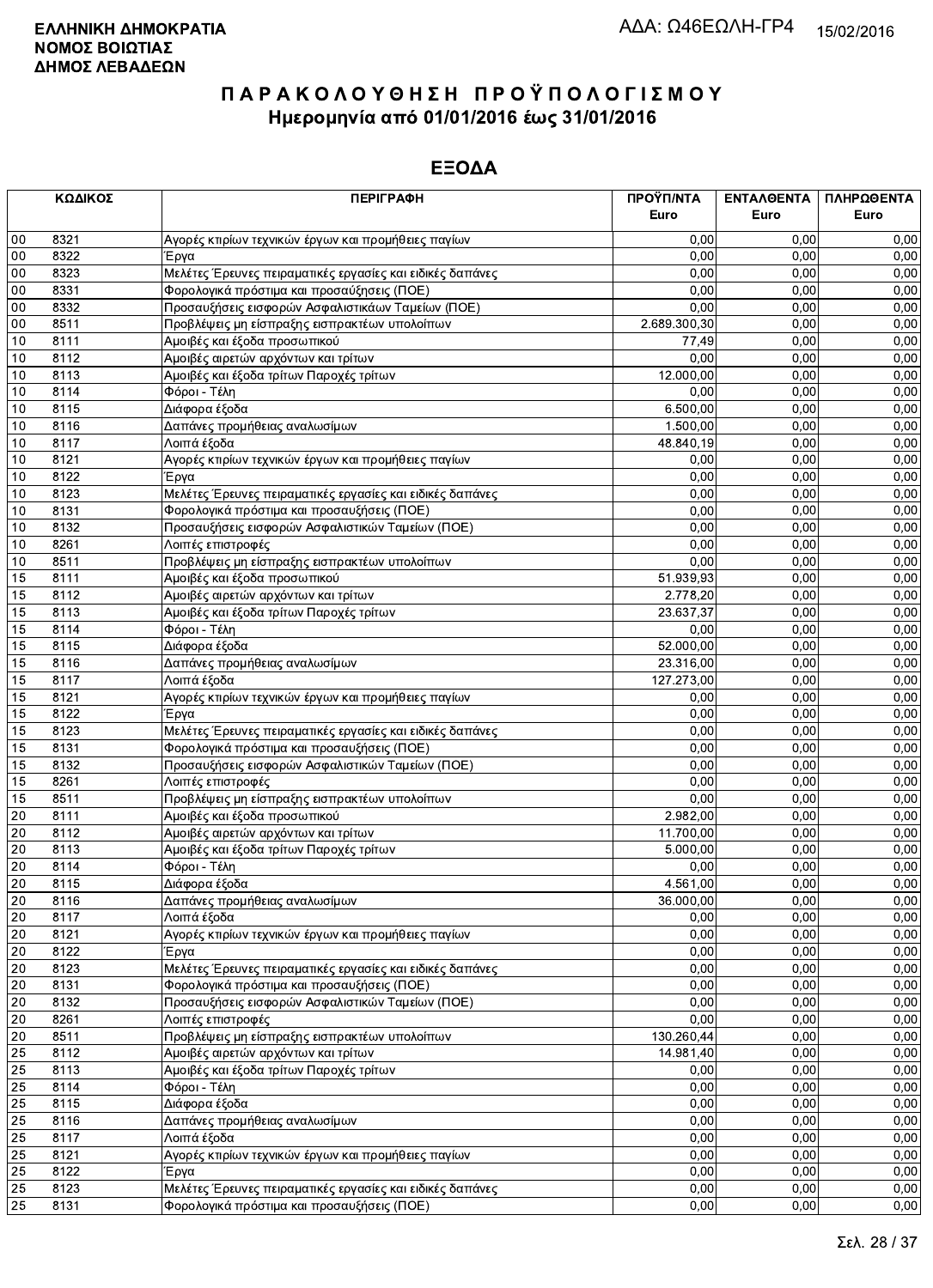|    | ΚΩΔΙΚΟΣ | <b>ПЕРІГРАФН</b>                                          | ΠΡΟΫΠ/ΝΤΑ<br>Euro | ΕΝΤΑΛΘΕΝΤΑ<br>Euro | ΠΛΗΡΩΘΕΝΤΑ<br>Euro |
|----|---------|-----------------------------------------------------------|-------------------|--------------------|--------------------|
|    |         |                                                           |                   |                    |                    |
| 00 | 8321    | Αγορές κτιρίων τεχνικών έργων και προμήθειες παγίων       | 0,00              | 0.00               | 0,00               |
| 00 | 8322    | Έργα                                                      | 0,00              | 0,00               | 0,00               |
| 00 | 8323    | Μελέτες Έρευνες πειραματικές εργασίες και ειδικές δαπάνες | 0,00              | 0,00               | 0,00               |
| 00 | 8331    | Φορολογικά πρόστιμα και προσαύξησεις (ΠΟΕ)                | 0,00              | 0,00               | 0,00               |
| 00 | 8332    | Προσαυξήσεις εισφορών Ασφαλιστικάων Ταμείων (ΠΟΕ)         | 0,00              | 0,00               | 0,00               |
| 00 | 8511    | Προβλέψεις μη είσπραξης εισπρακτέων υπολοίπων             | 2.689.300,30      | 0.00               | 0,00               |
| 10 | 8111    | Αμοιβές και έξοδα προσωπικού                              | 77,49             | 0,00               | 0,00               |
| 10 | 8112    | Αμοιβές αιρετών αρχόντων και τρίτων                       | 0,00              | 0,00               | 0,00               |
| 10 | 8113    | Αμοιβές και έξοδα τρίτων Παροχές τρίτων                   | 12.000,00         | 0,00               | 0,00               |
| 10 | 8114    | Φόροι - Τέλη                                              | 0,00              | 0,00               | 0,00               |
| 10 | 8115    | Διάφορα έξοδα                                             | 6.500.00          | 0,00               | 0,00               |
| 10 | 8116    | Δαπάνες προμήθειας αναλωσίμων                             | 1.500,00          | 0,00               | 0,00               |
| 10 | 8117    | Λοιπά έξοδα                                               | 48.840,19         | 0,00               | 0,00               |
| 10 | 8121    | Αγορές κτιρίων τεχνικών έργων και προμήθειες παγίων       | 0,00              | 0,00               | 0,00               |
| 10 | 8122    | Έργα                                                      | 0,00              | 0,00               | 0,00               |
| 10 | 8123    | Μελέτες Έρευνες πειραματικές εργασίες και ειδικές δαπάνες | 0,00              | 0,00               | 0,00               |
| 10 | 8131    | Φορολογικά πρόστιμα και προσαυξήσεις (ΠΟΕ)                | 0,00              | 0,00               | 0,00               |
| 10 | 8132    | Προσαυξήσεις εισφορών Ασφαλιστικών Ταμείων (ΠΟΕ)          | 0,00              | 0,00               | 0,00               |
| 10 | 8261    | Λοιπές επιστροφές                                         | 0.00              | 0,00               | 0,00               |
| 10 | 8511    | Προβλέψεις μη είσπραξης εισπρακτέων υπολοίπων             | 0,00              | 0,00               | 0,00               |
| 15 | 8111    | Αμοιβές και έξοδα προσωπικού                              | 51.939,93         | 0.00               | 0,00               |
| 15 | 8112    | Αμοιβές αιρετών αρχόντων και τρίτων                       | 2.778,20          | 0,00               | 0,00               |
| 15 | 8113    | Αμοιβές και έξοδα τρίτων Παροχές τρίτων                   | 23.637,37         | 0,00               | 0,00               |
| 15 | 8114    | Φόροι - Τέλη                                              | 0,00              | 0,00               | 0,00               |
| 15 | 8115    | Διάφορα έξοδα                                             | 52.000,00         | 0,00               | 0,00               |
| 15 | 8116    | Δαπάνες προμήθειας αναλωσίμων                             | 23.316,00         | 0,00               | 0,00               |
| 15 | 8117    | Λοιπά έξοδα                                               | 127.273,00        | 0,00               | 0,00               |
| 15 | 8121    | Αγορές κτιρίων τεχνικών έργων και προμήθειες παγίων       | 0,00              | 0,00               | 0,00               |
| 15 | 8122    | Έργα                                                      | 0,00              | 0,00               | 0,00               |
| 15 | 8123    | Μελέτες Έρευνες πειραματικές εργασίες και ειδικές δαπάνες | 0,00              | 0,00               | 0,00               |
| 15 | 8131    | Φορολογικά πρόστιμα και προσαυξήσεις (ΠΟΕ)                | 0,00              | 0,00               | 0,00               |
| 15 | 8132    | Προσαυξήσεις εισφορών Ασφαλιστικών Ταμείων (ΠΟΕ)          | 0,00              | 0,00               | 0,00               |
| 15 | 8261    | Λοιπές επιστροφές                                         | 0,00              | 0,00               | 0,00               |
| 15 | 8511    | Προβλέψεις μη είσπραξης εισπρακτέων υπολοίπων             | 0,00              | 0,00               | 0,00               |
| 20 | 8111    | Αμοιβές και έξοδα προσωπικού                              | 2.982,00          | 0,00               | 0,00               |
| 20 | 8112    | Αμοιβές αιρετών αρχόντων και τρίτων                       | 11.700,00         | 0,00               | 0,00               |
| 20 | 8113    | Αμοιβές και έξοδα τρίτων Παροχές τρίτων                   | 5.000,00          | 0,00               | 0,00               |
| 20 | 8114    | Φόροι - Τέλη                                              | 0,00              | 0,00               | 0,00               |
| 20 | 8115    | Διάφορα έξοδα                                             | 4.561,00          | 0,00               | 0,00               |
| 20 | 8116    | Δαπάνες προμήθειας αναλωσίμων                             | 36.000,00         | 0,00               | 0,00               |
| 20 | 8117    | Λοιπά έξοδα                                               | 0,00              | 0,00               | 0,00               |
| 20 | 8121    | Αγορές κτιρίων τεχνικών έργων και προμήθειες παγίων       | 0,00              | 0,00               | 0,00               |
| 20 | 8122    | Έργα                                                      | 0,00              | 0,00               | 0,00               |
| 20 | 8123    | Μελέτες Έρευνες πειραματικές εργασίες και ειδικές δαπάνες | 0,00              | 0,00               | 0,00               |
| 20 | 8131    | Φορολογικά πρόστιμα και προσαυξήσεις (ΠΟΕ)                | 0,00              | 0,00               | 0,00               |
| 20 | 8132    | Προσαυξήσεις εισφορών Ασφαλιστικών Ταμείων (ΠΟΕ)          | 0,00              | 0,00               | 0,00               |
| 20 | 8261    | Λοιπές επιστροφές                                         | 0,00              | 0,00               | 0,00               |
| 20 | 8511    | Προβλέψεις μη είσπραξης εισπρακτέων υπολοίπων             | 130.260,44        | 0,00               | 0,00               |
| 25 | 8112    | Αμοιβές αιρετών αρχόντων και τρίτων                       | 14.981,40         | 0,00               | 0,00               |
| 25 | 8113    | Αμοιβές και έξοδα τρίτων Παροχές τρίτων                   | 0,00              | 0,00               | 0,00               |
| 25 | 8114    | Φόροι - Τέλη                                              | 0,00              | 0,00               | 0,00               |
| 25 | 8115    | Διάφορα έξοδα                                             | 0,00              | 0,00               | 0,00               |
| 25 | 8116    | Δαπάνες προμήθειας αναλωσίμων                             | 0,00              | 0,00               | 0,00               |
| 25 | 8117    | Λοιπά έξοδα                                               | 0,00              | 0,00               | 0,00               |
| 25 | 8121    | Αγορές κτιρίων τεχνικών έργων και προμήθειες παγίων       | 0,00              | 0,00               | 0,00               |
| 25 | 8122    | Έργα                                                      | 0,00              | 0,00               | 0,00               |
| 25 | 8123    | Μελέτες Έρευνες πειραματικές εργασίες και ειδικές δαπάνες | 0,00              | 0,00               | 0,00               |
| 25 | 8131    | Φορολογικά πρόστιμα και προσαυξήσεις (ΠΟΕ)                | 0,00              | 0,00               | 0,00               |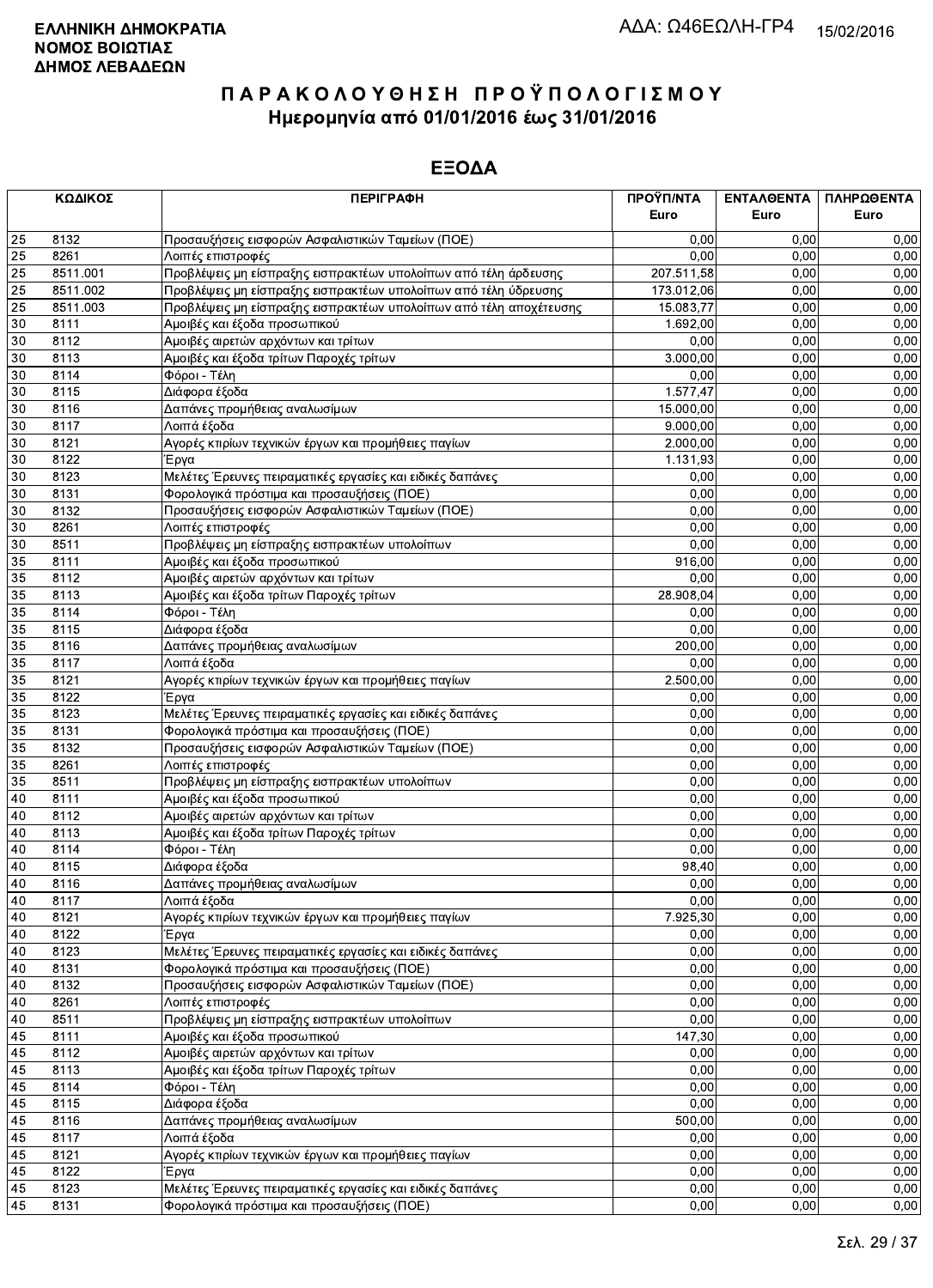|    | ΚΩΔΙΚΟΣ  | <b>ПЕРІГРАФН</b>                                                   | ΠΡΟΫΠ/ΝΤΑ  | ΕΝΤΑΛΘΕΝΤΑ | ΠΛΗΡΩΘΕΝΤΑ |
|----|----------|--------------------------------------------------------------------|------------|------------|------------|
|    |          |                                                                    | Euro       | Euro       | Euro       |
| 25 | 8132     | Προσαυξήσεις εισφορών Ασφαλιστικών Ταμείων (ΠΟΕ)                   | 0,00       | 0.00       | 0,00       |
| 25 | 8261     | Λοιπές επιστροφές                                                  | 0,00       | 0.00       | 0,00       |
| 25 | 8511.001 | Προβλέψεις μη είσπραξης εισπρακτέων υπολοίπων από τέλη άρδευσης    | 207.511,58 | 0,00       | 0,00       |
| 25 | 8511.002 | Προβλέψεις μη είσπραξης εισπρακτέων υπολοίπων από τέλη ύδρευσης    | 173.012,06 | 0,00       | 0,00       |
| 25 | 8511.003 | Προβλέψεις μη είσπραξης εισπρακτέων υπολοίπων από τέλη αποχέτευσης | 15.083,77  | 0,00       | 0,00       |
| 30 | 8111     | Αμοιβές και έξοδα προσωπικού                                       | 1.692,00   | 0,00       | 0,00       |
| 30 | 8112     | Αμοιβές αιρετών αρχόντων και τρίτων                                | 0,00       | 0,00       | 0,00       |
| 30 | 8113     | Αμοιβές και έξοδα τρίτων Παροχές τρίτων                            | 3.000,00   | 0.00       | 0,00       |
| 30 | 8114     | Φόροι - Τέλη                                                       | 0,00       | 0,00       | 0,00       |
| 30 | 8115     | Διάφορα έξοδα                                                      | 1.577,47   | 0,00       | 0,00       |
| 30 | 8116     | Δαπάνες προμήθειας αναλωσίμων                                      | 15.000,00  | 0,00       | 0,00       |
| 30 | 8117     | Λοιπά έξοδα                                                        | 9.000,00   | 0,00       | 0,00       |
| 30 | 8121     | Αγορές κτιρίων τεχνικών έργων και προμήθειες παγίων                | 2.000,00   | 0,00       | 0,00       |
| 30 | 8122     | Έργα                                                               | 1.131,93   | 0,00       | 0,00       |
| 30 | 8123     | Μελέτες Έρευνες πειραματικές εργασίες και ειδικές δαπάνες          | 0,00       | 0,00       | 0,00       |
| 30 | 8131     | Φορολογικά πρόστιμα και προσαυξήσεις (ΠΟΕ)                         | 0,00       | 0,00       | 0,00       |
| 30 | 8132     | Προσαυξήσεις εισφορών Ασφαλιστικών Ταμείων (ΠΟΕ)                   | 0,00       | 0,00       | 0,00       |
| 30 | 8261     | Λοιπές επιστροφές                                                  | 0,00       | 0,00       | 0,00       |
| 30 | 8511     | Προβλέψεις μη είσπραξης εισπρακτέων υπολοίπων                      | 0,00       | 0,00       | 0,00       |
| 35 | 8111     | Αμοιβές και έξοδα προσωπικού                                       | 916,00     | 0,00       | 0,00       |
| 35 | 8112     | Αμοιβές αιρετών αρχόντων και τρίτων                                | 0,00       | 0.00       | 0,00       |
| 35 | 8113     | Αμοιβές και έξοδα τρίτων Παροχές τρίτων                            | 28.908,04  | 0,00       | 0,00       |
| 35 | 8114     | Φόροι - Τέλη                                                       | 0,00       | 0,00       | 0,00       |
| 35 | 8115     | Διάφορα έξοδα                                                      | 0,00       | 0,00       | 0,00       |
| 35 | 8116     | Δαπάνες προμήθειας αναλωσίμων                                      | 200,00     | 0,00       | 0,00       |
| 35 | 8117     | Λοιπά έξοδα                                                        | 0.00       | 0.00       | 0,00       |
| 35 | 8121     | Αγορές κτιρίων τεχνικών έργων και προμήθειες παγίων                | 2.500,00   | 0,00       | 0,00       |
| 35 | 8122     | Έργα                                                               | 0,00       | 0,00       | 0,00       |
| 35 | 8123     | Μελέτες Έρευνες πειραματικές εργασίες και ειδικές δαπάνες          | 0,00       | 0,00       | 0,00       |
| 35 | 8131     | Φορολογικά πρόστιμα και προσαυξήσεις (ΠΟΕ)                         | 0,00       | 0,00       | 0,00       |
| 35 | 8132     | Προσαυξήσεις εισφορών Ασφαλιστικών Ταμείων (ΠΟΕ)                   | 0,00       | 0,00       | 0,00       |
| 35 | 8261     | Λοιπές επιστροφές                                                  | 0,00       | 0,00       | 0,00       |
| 35 | 8511     | Προβλέψεις μη είσπραξης εισπρακτέων υπολοίπων                      | 0,00       | 0,00       | 0,00       |
| 40 | 8111     | Αμοιβές και έξοδα προσωπικού                                       | 0,00       | 0,00       | 0,00       |
| 40 | 8112     | Αμοιβές αιρετών αρχόντων και τρίτων                                | 0,00       | 0,00       | 0,00       |
| 40 | 8113     | Αμοιβές και έξοδα τρίτων Παροχές τρίτων                            | 0,00       | 0.00       | 0,00       |
| 40 | 8114     | Φόροι - Τέλη                                                       | 0,00       | 0,00       | 0,00       |
| 40 | 8115     | Διάφορα έξοδα                                                      | 98,40      | 0,00       | 0,00       |
| 40 | 8116     | Δαπάνες προμήθειας αναλωσίμων                                      | 0,00       | 0,00       | 0,00       |
| 40 | 8117     | Λοιπά έξοδα                                                        | 0,00       | 0,00       | 0,00       |
| 40 | 8121     | Αγορές κτιρίων τεχνικών έργων και προμήθειες παγίων                | 7.925,30   | 0,00       | 0,00       |
| 40 | 8122     | Έργα                                                               | 0,00       | 0,00       | 0,00       |
| 40 | 8123     | Μελέτες Έρευνες πειραματικές εργασίες και ειδικές δαπάνες          | 0,00       | 0,00       | 0,00       |
| 40 | 8131     | Φορολογικά πρόστιμα και προσαυξήσεις (ΠΟΕ)                         | 0,00       | 0,00       | 0,00       |
| 40 | 8132     | Προσαυξήσεις εισφορών Ασφαλιστικών Ταμείων (ΠΟΕ)                   | 0,00       | 0,00       | 0,00       |
| 40 | 8261     | Λοιπές επιστροφές                                                  | 0,00       | 0,00       | 0,00       |
| 40 | 8511     | Προβλέψεις μη είσπραξης εισπρακτέων υπολοίπων                      | 0,00       | 0,00       | 0,00       |
| 45 | 8111     | Αμοιβές και έξοδα προσωπικού                                       | 147,30     | 0,00       | 0,00       |
| 45 | 8112     | Αμοιβές αιρετών αρχόντων και τρίτων                                | 0,00       | 0,00       | 0,00       |
| 45 | 8113     | Αμοιβές και έξοδα τρίτων Παροχές τρίτων                            | 0,00       | 0,00       | 0,00       |
| 45 | 8114     | Φόροι - Τέλη                                                       | 0,00       | 0,00       | 0,00       |
| 45 | 8115     | Διάφορα έξοδα                                                      | 0,00       | 0,00       | 0,00       |
| 45 | 8116     | Δαπάνες προμήθειας αναλωσίμων                                      | 500,00     | 0,00       | 0,00       |
| 45 | 8117     | Λοιπά έξοδα                                                        | 0,00       | 0,00       | 0,00       |
| 45 | 8121     | Αγορές κτιρίων τεχνικών έργων και προμήθειες παγίων                | 0,00       | 0,00       | 0,00       |
| 45 | 8122     | Έργα                                                               | 0,00       | 0,00       | 0,00       |
| 45 | 8123     | Μελέτες Έρευνες πειραματικές εργασίες και ειδικές δαπάνες          | 0,00       | 0,00       | 0,00       |
| 45 | 8131     | Φορολογικά πρόστιμα και προσαυξήσεις (ΠΟΕ)                         | 0,00       | 0,00       | 0,00       |
|    |          |                                                                    |            |            |            |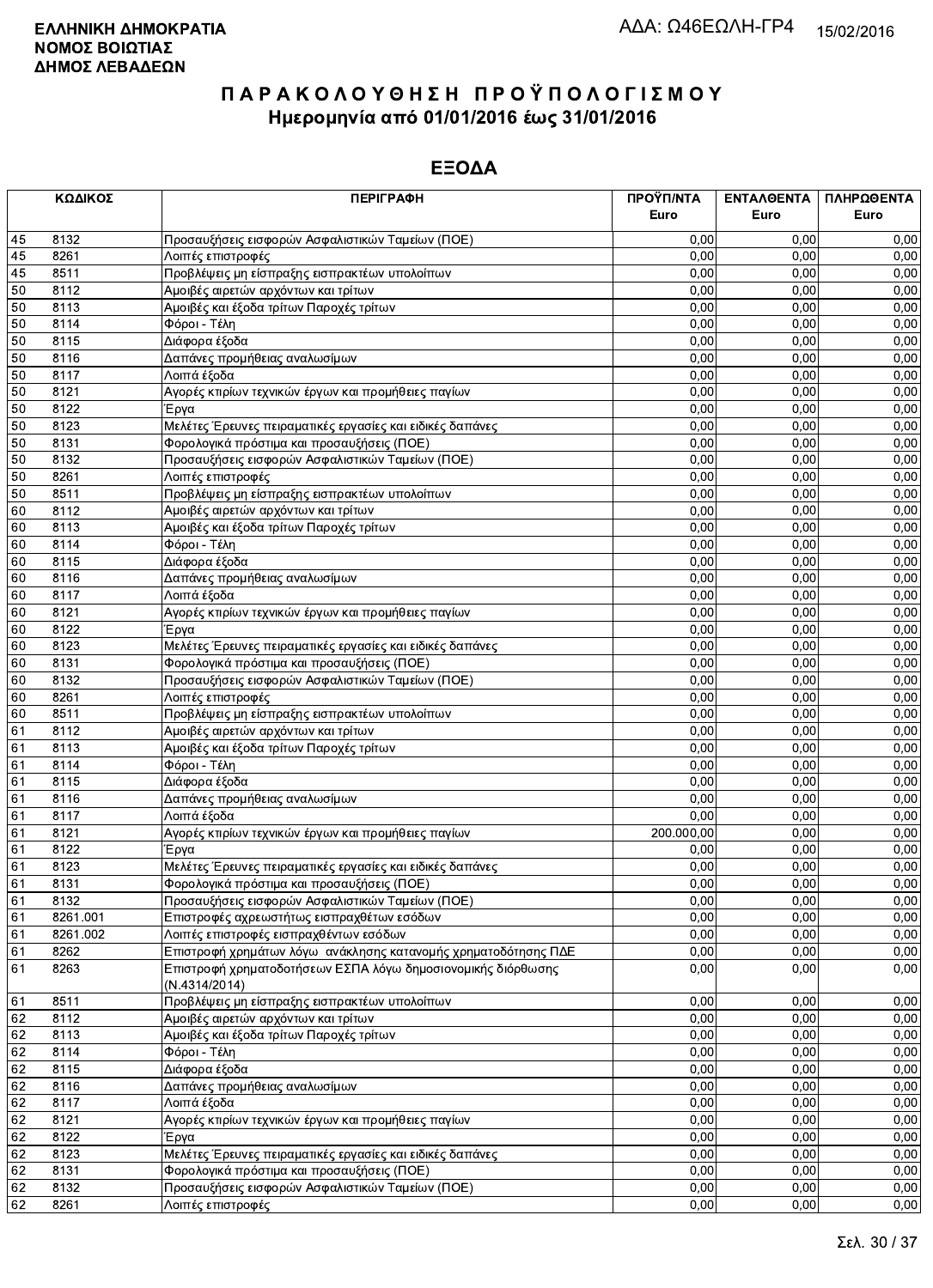|    | ΚΩΔΙΚΟΣ  | <b>ПЕРІГРАФН</b>                                               | ΠΡΟΫΠ/ΝΤΑ<br>Euro | ΕΝΤΑΛΘΕΝΤΑ<br>Euro | ΠΛΗΡΩΘΕΝΤΑ<br>Euro |
|----|----------|----------------------------------------------------------------|-------------------|--------------------|--------------------|
|    |          |                                                                |                   |                    |                    |
| 45 | 8132     | Προσαυξήσεις εισφορών Ασφαλιστικών Ταμείων (ΠΟΕ)               | 0,00              | 0.00               | 0,00               |
| 45 | 8261     | Λοιπές επιστροφές                                              | 0,00              | 0,00               | 0,00               |
| 45 | 8511     | Προβλέψεις μη είσπραξης εισπρακτέων υπολοίπων                  | 0,00              | 0.00               | 0,00               |
| 50 | 8112     | Αμοιβές αιρετών αρχόντων και τρίτων                            | 0,00              | 0,00               | 0,00               |
| 50 | 8113     | Αμοιβές και έξοδα τρίτων Παροχές τρίτων                        | 0,00              | 0,00               | 0,00               |
| 50 | 8114     | Φόροι - Τέλη                                                   | 0,00              | 0,00               | 0,00               |
| 50 | 8115     | Διάφορα έξοδα                                                  | 0,00              | 0,00               | 0,00               |
| 50 | 8116     | Δαπάνες προμήθειας αναλωσίμων                                  | 0,00              | 0.00               | 0,00               |
| 50 | 8117     | Λοιπά έξοδα                                                    | 0,00              | 0,00               | 0,00               |
| 50 | 8121     | Αγορές κτιρίων τεχνικών έργων και προμήθειες παγίων            | 0,00              | 0,00               | 0,00               |
| 50 | 8122     | Έργα                                                           | 0,00              | 0,00               | 0,00               |
| 50 | 8123     | Μελέτες Έρευνες πειραματικές εργασίες και ειδικές δαπάνες      | 0,00              | 0,00               | 0,00               |
| 50 | 8131     | Φορολογικά πρόστιμα και προσαυξήσεις (ΠΟΕ)                     | 0,00              | 0,00               | 0,00               |
| 50 | 8132     | Προσαυξήσεις εισφορών Ασφαλιστικών Ταμείων (ΠΟΕ)               | 0,00              | 0,00               | 0,00               |
| 50 | 8261     | Λοιπές επιστροφές                                              | 0,00              | 0,00               | 0,00               |
| 50 | 8511     | Προβλέψεις μη είσπραξης εισπρακτέων υπολοίπων                  | 0,00              | 0,00               | 0,00               |
| 60 | 8112     | Αμοιβές αιρετών αρχόντων και τρίτων                            | 0,00              | 0,00               | 0,00               |
| 60 | 8113     | Αμοιβές και έξοδα τρίτων Παροχές τρίτων                        | 0,00              | 0,00               | 0,00               |
| 60 | 8114     | Φόροι - Τέλη                                                   | 0,00              | 0,00               | 0,00               |
| 60 | 8115     | Διάφορα έξοδα                                                  | 0,00              | 0,00               | 0,00               |
| 60 | 8116     | Δαπάνες προμήθειας αναλωσίμων                                  | 0,00              | 0.00               | 0,00               |
| 60 | 8117     | Λοιπά έξοδα                                                    | 0,00              | 0.00               | 0,00               |
| 60 | 8121     | Αγορές κτιρίων τεχνικών έργων και προμήθειες παγίων            | 0,00              | 0,00               | 0,00               |
| 60 | 8122     | Έργα                                                           | 0,00              | 0,00               | 0,00               |
| 60 | 8123     | Μελέτες Έρευνες πειραματικές εργασίες και ειδικές δαπάνες      | 0,00              | 0,00               | 0,00               |
| 60 | 8131     | Φορολογικά πρόστιμα και προσαυξήσεις (ΠΟΕ)                     | 0,00              | 0,00               | 0,00               |
| 60 | 8132     | Προσαυξήσεις εισφορών Ασφαλιστικών Ταμείων (ΠΟΕ)               | 0,00              | 0,00               | 0,00               |
| 60 | 8261     | Λοιπές επιστροφές                                              | 0,00              | 0,00               | 0,00               |
| 60 | 8511     | Προβλέψεις μη είσπραξης εισπρακτέων υπολοίπων                  | 0,00              | 0,00               | 0,00               |
| 61 | 8112     | Αμοιβές αιρετών αρχόντων και τρίτων                            | 0,00              | 0,00               | 0,00               |
| 61 | 8113     | Αμοιβές και έξοδα τρίτων Παροχές τρίτων                        | 0,00              | 0,00               | 0,00               |
| 61 | 8114     | Φόροι - Τέλη                                                   | 0,00              | 0,00               | 0,00               |
| 61 | 8115     | Διάφορα έξοδα                                                  | 0,00              | 0,00               | 0,00               |
| 61 | 8116     | Δαπάνες προμήθειας αναλωσίμων                                  | 0,00              | 0,00               | 0,00               |
| 61 | 8117     | Λοιπά έξοδα                                                    | 0,00              | 0,00               | 0,00               |
| 61 | 8121     | Αγορές κτιρίων τεχνικών έργων και προμήθειες παγίων            | 200.000,00        | 0,00               | 0,00               |
| 61 | 8122     | Έργα                                                           | 0,00              | 0,00               | 0,00               |
| 61 | 8123     | Μελέτες Έρευνες πειραματικές εργασίες και ειδικές δαπάνες      | 0,00              | 0,00               | 0,00               |
| 61 | 8131     | Φορολογικά πρόστιμα και προσαυξήσεις (ΠΟΕ)                     | 0,00              | 0.00               | 0,00               |
| 61 | 8132     | Προσαυξήσεις εισφορών Ασφαλιστικών Ταμείων (ΠΟΕ)               | 0,00              | 0,00               | 0,00               |
| 61 | 8261.001 | Επιστροφές αχρεωστήτως εισπραχθέτων εσόδων                     | 0,00              | 0.00               | 0,00               |
| 61 | 8261.002 | Λοιπές επιστροφές εισπραχθέντων εσόδων                         | 0,00              | 0,00               | 0,00               |
| 61 | 8262     | Επιστροφή χρημάτων λόγω ανάκλησης κατανομής χρηματοδότησης ΠΔΕ | 0,00              | 0,00               | 0,00               |
| 61 | 8263     | Επιστροφή χρηματοδοτήσεων ΕΣΠΑ λόγω δημοσιονομικής διόρθωσης   | 0,00              | 0,00               | 0,00               |
|    |          | (N.4314/2014)                                                  |                   |                    |                    |
| 61 | 8511     | Προβλέψεις μη είσπραξης εισπρακτέων υπολοίπων                  | 0,00              | 0,00               | 0,00               |
| 62 | 8112     | Αμοιβές αιρετών αρχόντων και τρίτων                            | 0,00              | 0,00               | 0,00               |
| 62 | 8113     | Αμοιβές και έξοδα τρίτων Παροχές τρίτων                        | 0,00              | 0,00               | 0,00               |
| 62 | 8114     | Φόροι - Τέλη                                                   | 0,00              | 0,00               | 0,00               |
| 62 | 8115     | Διάφορα έξοδα                                                  | 0,00              | 0,00               | 0,00               |
| 62 | 8116     | Δαπάνες προμήθειας αναλωσίμων                                  | 0,00              | 0.00               | 0,00               |
| 62 | 8117     | Λοιπά έξοδα                                                    | 0,00              | 0,00               | 0,00               |
| 62 | 8121     | Αγορές κτιρίων τεχνικών έργων και προμήθειες παγίων            | 0,00              | 0,00               | 0,00               |
| 62 | 8122     | Έργα                                                           | 0,00              | 0,00               | 0,00               |
| 62 | 8123     | Μελέτες Έρευνες πειραματικές εργασίες και ειδικές δαπάνες      | 0,00              | 0,00               | 0,00               |
| 62 | 8131     | Φορολογικά πρόστιμα και προσαυξήσεις (ΠΟΕ)                     | 0,00              | 0,00               | 0,00               |
| 62 | 8132     | Προσαυξήσεις εισφορών Ασφαλιστικών Ταμείων (ΠΟΕ)               | 0,00              | 0,00               | 0,00               |
| 62 | 8261     | Λοιπές επιστροφές                                              | 0,00              | 0,00               | 0,00               |
|    |          |                                                                |                   |                    |                    |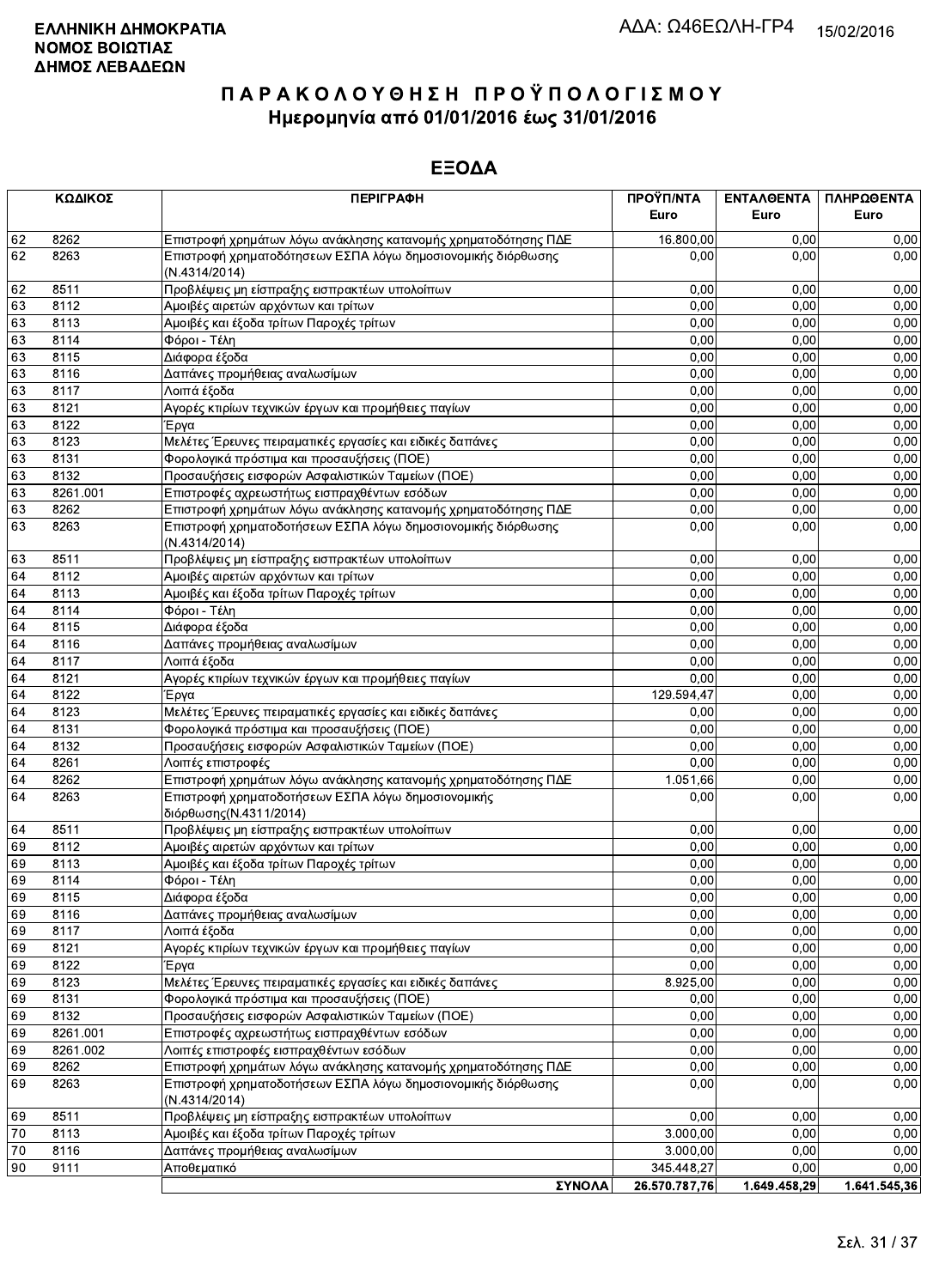|          | ΚΩΔΙΚΟΣ      | <b>ПЕРІГРАФН</b>                                                                                                                                | ΠΡΟΫΠ/ΝΤΑ        | ΕΝΤΑΛΘΕΝΤΑ   | ΠΛΗΡΩΘΕΝΤΑ   |
|----------|--------------|-------------------------------------------------------------------------------------------------------------------------------------------------|------------------|--------------|--------------|
|          |              |                                                                                                                                                 | Euro             | Euro         | Euro         |
| 62       | 8262         | Επιστροφή χρημάτων λόγω ανάκλησης κατανομής χρηματοδότησης ΠΔΕ                                                                                  | 16.800,00        | 0.00         | 0,00         |
| 62       | 8263         | Επιστροφή χρηματοδότησεων ΕΣΠΑ λόγω δημοσιονομικής διόρθωσης<br>(N.4314/2014)                                                                   | 0,00             | 0,00         | 0,00         |
| 62       | 8511         | Προβλέψεις μη είσπραξης εισπρακτέων υπολοίπων                                                                                                   | 0,00             | 0,00         | 0,00         |
| 63       | 8112         | Αμοιβές αιρετών αρχόντων και τρίτων                                                                                                             | 0,00             | 0,00         | 0,00         |
| 63       | 8113         | Αμοιβές και έξοδα τρίτων Παροχές τρίτων                                                                                                         | 0,00             | 0,00         | 0,00         |
| 63       | 8114         | Φόροι - Τέλη                                                                                                                                    | 0,00             | 0,00         | 0,00         |
| 63       | 8115         | Διάφορα έξοδα                                                                                                                                   | 0,00             | 0,00         | 0,00         |
| 63       | 8116         | Δαπάνες προμήθειας αναλωσίμων                                                                                                                   | 0,00             | 0,00         | 0,00         |
| 63       | 8117         | Λοιπά έξοδα                                                                                                                                     | 0,00             | 0,00         | 0,00         |
| 63       | 8121         | Αγορές κτιρίων τεχνικών έργων και προμήθειες παγίων                                                                                             | 0,00             | 0,00         | 0,00         |
| 63       | 8122         | Έργα                                                                                                                                            | 0,00             | 0,00         | 0,00         |
| 63       | 8123         | Μελέτες Έρευνες πειραματικές εργασίες και ειδικές δαπάνες                                                                                       | 0,00             | 0,00         | 0,00         |
| 63       | 8131         | Φορολογικά πρόστιμα και προσαυξήσεις (ΠΟΕ)                                                                                                      | 0,00             | 0,00         | 0,00         |
| 63       | 8132         | Προσαυξήσεις εισφορών Ασφαλιστικών Ταμείων (ΠΟΕ)                                                                                                | 0,00             | 0,00         | 0,00         |
| 63       | 8261.001     | Επιστροφές αχρεωστήτως εισπραχθέντων εσόδων                                                                                                     | 0,00             | 0,00         | 0,00         |
| 63       | 8262         | Επιστροφή χρημάτων λόγω ανάκλησης κατανομής χρηματοδότησης ΠΔΕ                                                                                  | 0,00             | 0,00         | 0,00         |
| 63       | 8263         | Επιστροφή χρηματοδοτήσεων ΕΣΠΑ λόγω δημοσιονομικής διόρθωσης<br>(N.4314/2014)                                                                   | 0,00             | 0,00         | 0,00         |
| 63       | 8511         | Προβλέψεις μη είσπραξης εισπρακτέων υπολοίπων                                                                                                   | 0,00             | 0,00         | 0,00         |
| 64       | 8112         | Αμοιβές αιρετών αρχόντων και τρίτων                                                                                                             | 0,00             | 0,00         | 0,00         |
| 64       | 8113         | Αμοιβές και έξοδα τρίτων Παροχές τρίτων                                                                                                         | 0,00             | 0,00         | 0,00         |
| 64       | 8114         | Φόροι - Τέλη                                                                                                                                    | 0,00             | 0,00         | 0,00         |
| 64       | 8115         | Διάφορα έξοδα                                                                                                                                   | 0,00             | 0,00         | 0,00         |
| 64       | 8116         | Δαπάνες προμήθειας αναλωσίμων                                                                                                                   | 0,00             | 0.00         | 0,00         |
| 64       | 8117         | Λοιπά έξοδα                                                                                                                                     | 0,00             | 0,00         | 0,00         |
| 64       | 8121         | Αγορές κτιρίων τεχνικών έργων και προμήθειες παγίων                                                                                             | 0,00             | 0,00         | 0,00         |
| 64       | 8122         | Έργα                                                                                                                                            | 129.594,47       | 0,00         | 0,00         |
| 64       | 8123         | Μελέτες Έρευνες πειραματικές εργασίες και ειδικές δαπάνες                                                                                       | 0,00             | 0,00         | 0,00         |
| 64       | 8131         | Φορολογικά πρόστιμα και προσαυξήσεις (ΠΟΕ)                                                                                                      | 0,00             | 0,00         | 0,00         |
| 64       | 8132         | Προσαυξήσεις εισφορών Ασφαλιστικών Ταμείων (ΠΟΕ)                                                                                                | 0,00             | 0,00         | 0,00         |
| 64       | 8261         | Λοιπές επιστροφές                                                                                                                               | 0,00             | 0,00         | 0,00         |
| 64<br>64 | 8262<br>8263 | Επιστροφή χρημάτων λόγω ανάκλησης κατανομής χρηματοδότησης ΠΔΕ<br>Επιστροφή χρηματοδοτήσεων ΕΣΠΑ λόγω δημοσιονομικής<br>διόρθωσης (Ν.4311/2014) | 1.051,66<br>0,00 | 0,00<br>0,00 | 0,00<br>0,00 |
| 64       | 8511         | Προβλέψεις μη είσπραξης εισπρακτέων υπολοίπων                                                                                                   | 0,00             | 0,00         | 0,00         |
| 69       | 8112         | Αμοιβές αιρετών αρχόντων και τρίτων                                                                                                             | 0,00             | 0,00         | 0,00         |
| 69       | 8113         | Αμοιβές και έξοδα τρίτων Παροχές τρίτων                                                                                                         | 0,00             | 0,00         | 0,00         |
| 69       | 8114         | Φόροι - Τέλη                                                                                                                                    | 0,00             | 0,00         | 0,00         |
| 69       | 8115         | Διάφορα έξοδα                                                                                                                                   | 0,00             | 0,00         | 0,00         |
| 69       | 8116         | Δαπάνες προμήθειας αναλωσίμων                                                                                                                   | 0,00             | 0,00         | 0,00         |
| 69       | 8117         | Λοιπά έξοδα                                                                                                                                     | 0,00             | 0,00         | 0,00         |
| 69       | 8121         | Αγορές κτιρίων τεχνικών έργων και προμήθειες παγίων                                                                                             | 0,00             | 0,00         | 0,00         |
| 69       | 8122         | Έργα                                                                                                                                            | 0,00             | 0,00         | 0,00         |
| 69       | 8123         | Μελέτες Έρευνες πειραματικές εργασίες και ειδικές δαπάνες                                                                                       | 8.925,00         | 0,00         | 0,00         |
| 69       | 8131         | Φορολογικά πρόστιμα και προσαυξήσεις (ΠΟΕ)                                                                                                      | 0,00             | 0,00         | 0,00         |
| 69       | 8132         | Προσαυξήσεις εισφορών Ασφαλιστικών Ταμείων (ΠΟΕ)                                                                                                | 0,00             | 0,00         | 0,00         |
| 69       | 8261.001     | Επιστροφές αχρεωστήτως εισπραχθέντων εσόδων                                                                                                     | 0,00             | 0,00         | 0,00         |
| 69       | 8261.002     | Λοιπές επιστροφές εισπραχθέντων εσόδων                                                                                                          | 0,00             | 0,00         | 0,00         |
| 69       | 8262         | Επιστροφή χρημάτων λόγω ανάκλησης κατανομής χρηματοδότησης ΠΔΕ                                                                                  | 0,00             | 0,00         | 0,00         |
| 69       | 8263         | Επιστροφή χρηματοδοτήσεων ΕΣΠΑ λόγω δημοσιονομικής διόρθωσης<br>(N.4314/2014)                                                                   | 0,00             | 0,00         | 0,00         |
| 69       | 8511         | Προβλέψεις μη είσπραξης εισπρακτέων υπολοίπων                                                                                                   | 0,00             | 0,00         | 0,00         |
| 70       | 8113         | Αμοιβές και έξοδα τρίτων Παροχές τρίτων                                                                                                         | 3.000,00         | 0,00         | 0,00         |
| 70       | 8116         | Δαπάνες προμήθειας αναλωσίμων                                                                                                                   | 3.000,00         | 0,00         | 0,00         |
| 90       | 9111         | Αποθεματικό                                                                                                                                     | 345.448,27       | 0.00         | 0,00         |
|          |              | <b>ΣΥΝΟΛΑ</b>                                                                                                                                   | 26.570.787.76    | 1.649.458.29 | 1.641.545.36 |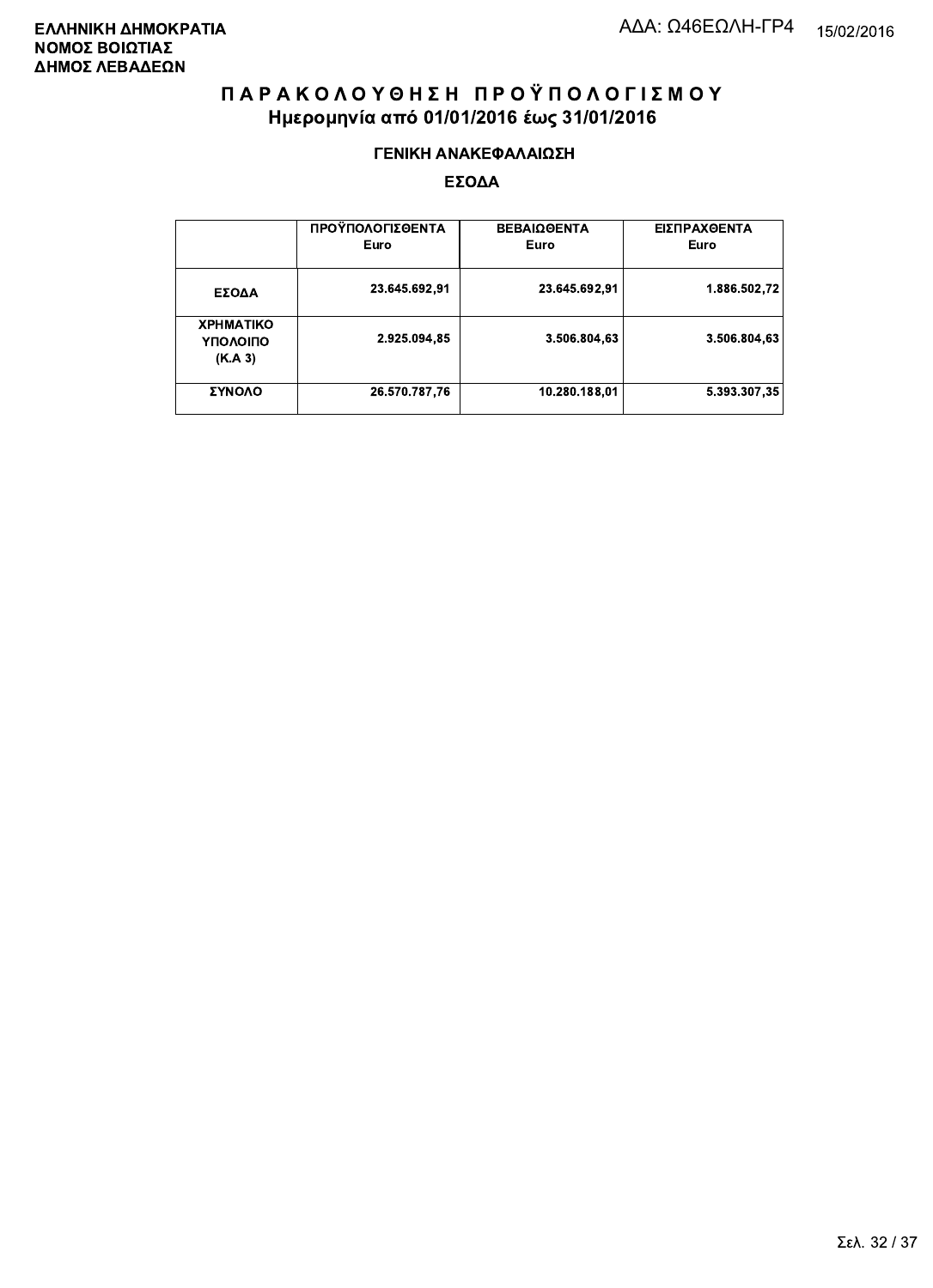#### ΓΕΝΙΚΗ ΑΝΑΚΕΦΑΛΑΙΩΣΗ

|                                         | ΠΡΟΫΠΟΛΟΓΙΣΘΕΝΤΑ<br>Euro | <b>ΒΕΒΑΙΩΘΕΝΤΑ</b><br>Euro | ΕΙΣΠΡΑΧΘΕΝΤΑ<br>Euro |
|-----------------------------------------|--------------------------|----------------------------|----------------------|
| ΕΣΟΔΑ                                   | 23.645.692,91            | 23.645.692.91              | 1.886.502,72         |
| <b>XPHMATIKO</b><br>ΥΠΟΛΟΙΠΟ<br>(K.A.3) | 2.925.094,85             | 3.506.804.63               | 3.506.804,63         |
| ΣΥΝΟΛΟ                                  | 26.570.787,76            | 10.280.188,01              | 5.393.307.35         |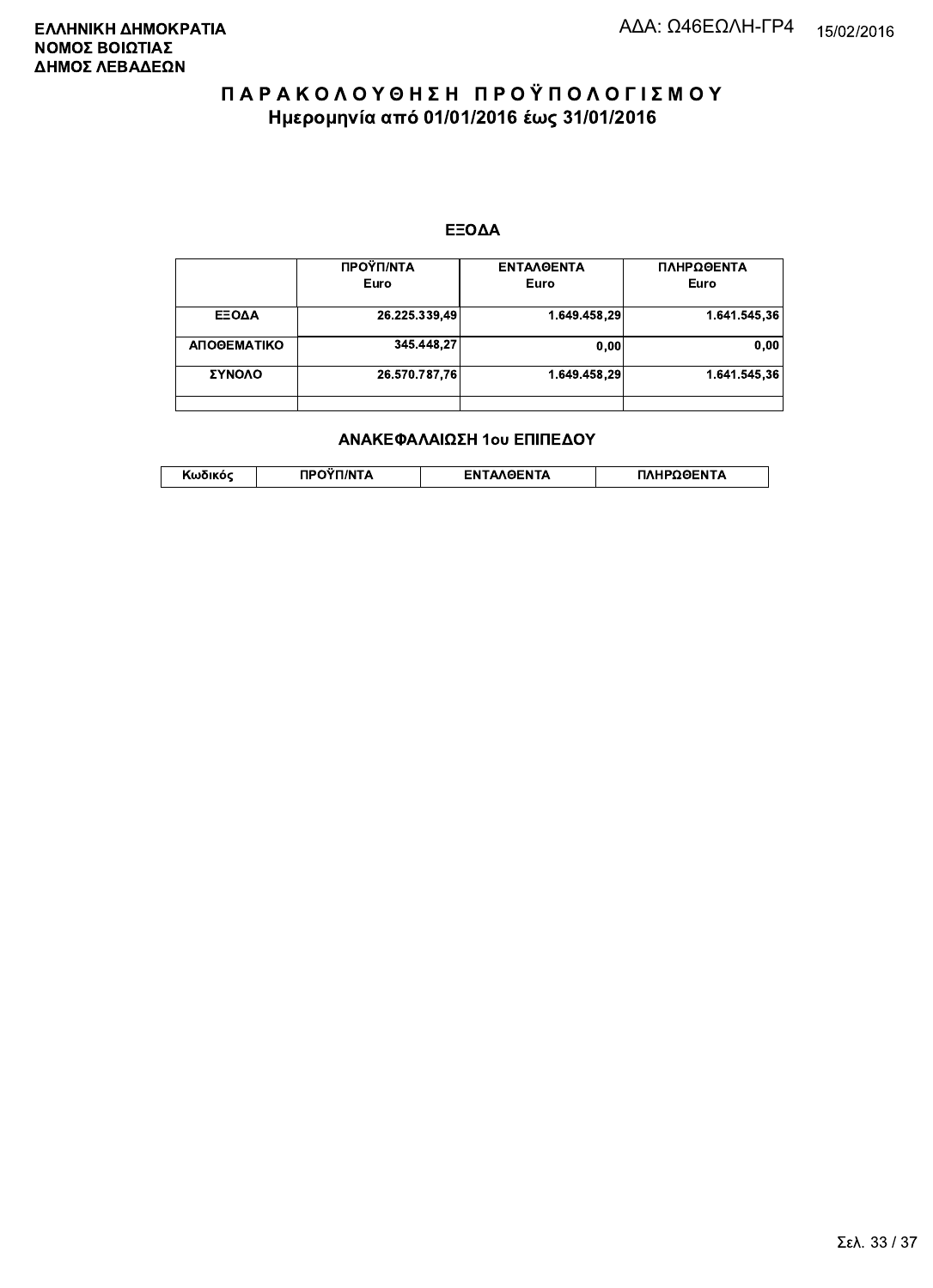#### ΕΞΟΔΑ

|             | ΠΡΟΫΠ/ΝΤΑ<br>Euro | <b>ENTAAGENTA</b><br>Euro | ΠΛΗΡΩΘΕΝΤΑ<br>Euro |
|-------------|-------------------|---------------------------|--------------------|
|             |                   |                           |                    |
| ΕΞΟΔΑ       | 26.225.339,49     | 1.649.458.29              | 1.641.545,36       |
| ΑΠΟΘΕΜΑΤΙΚΟ | 345.448,27        | 0,00                      | 0,00               |
| ΣΥΝΟΛΟ      | 26.570.787,76     | 1.649.458.29              | 1.641.545.36       |
|             |                   |                           |                    |

#### ΑΝΑΚΕΦΑΛΑΙΩΣΗ 1ου ΕΠΙΠΕΔΟΥ

|  | . | <b>TINTA</b> | ົ° PENTA | ΗΡΩΘΕΝΤΔ |
|--|---|--------------|----------|----------|
|--|---|--------------|----------|----------|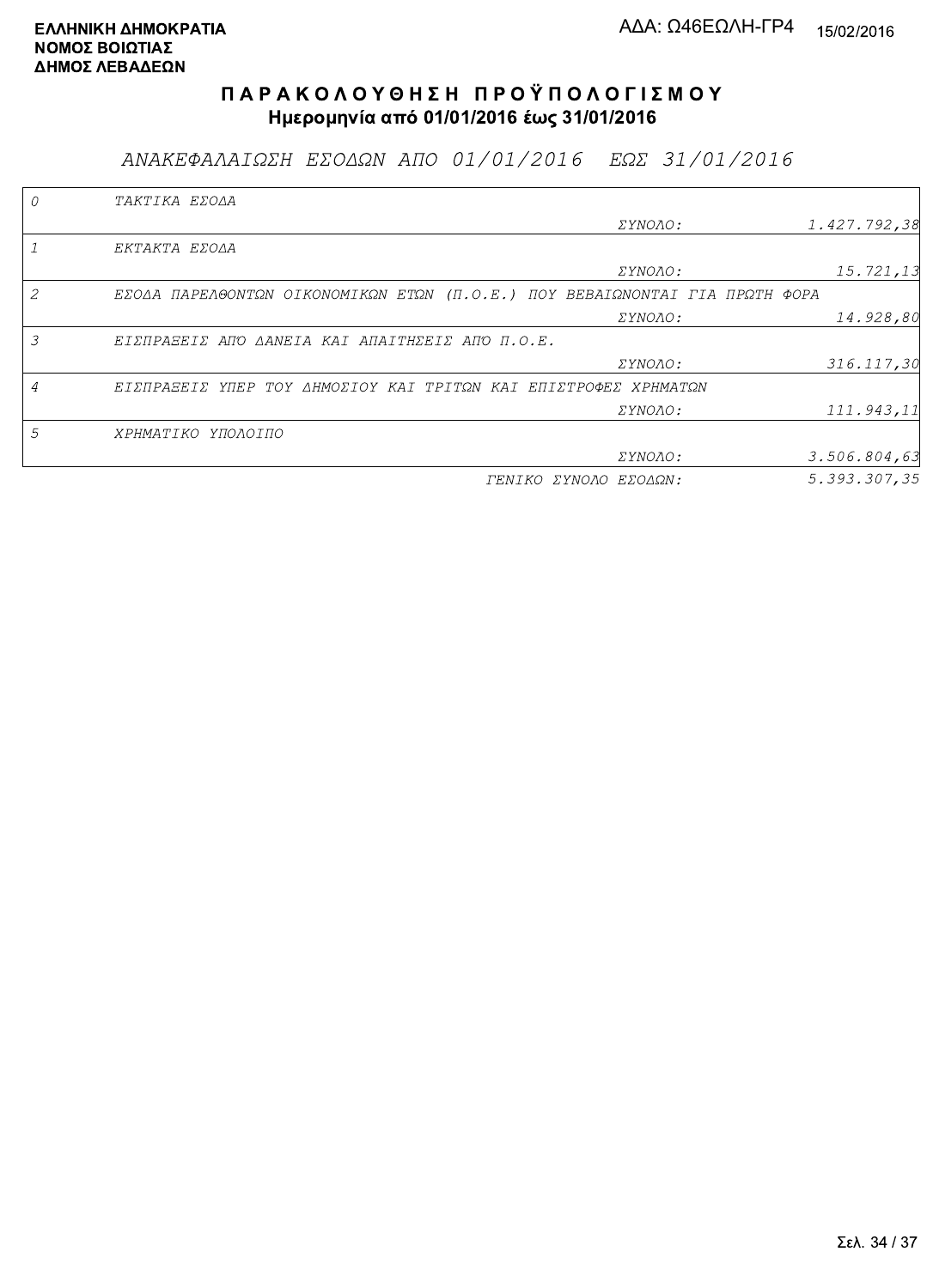ΑΝΑΚΕΦΑΛΑΙΩΣΗ ΕΣΟΔΩΝ ΑΠΟ 01/01/2016 ΕΩΣ 31/01/2016

|   | TAKTIKA EZOAA                                                               |                       |              |
|---|-----------------------------------------------------------------------------|-----------------------|--------------|
|   |                                                                             | <i>EYNOAO:</i>        | 1.427.792,38 |
|   | EKTAKTA EZOAA                                                               |                       |              |
|   |                                                                             | ΣΥΝΟΛΟ:               | 15.721,13    |
|   | EZOAA ΠΑΡΕΛΘΟΝΤΩΝ ΟΙΚΟΝΟΜΙΚΩΝ ΕΤΩΝ (Π.Ο.Ε.) ΠΟΥ ΒΕΒΑΙΩΝΟΝΤΑΙ ΓΙΑ ΠΡΩΤΗ ΦΟΡΑ |                       |              |
|   |                                                                             | <i>EYNOAO:</i>        | 14.928,80    |
| 3 | ΕΙΣΠΡΑΞΕΙΣ ΑΠΌ ΔΑΝΕΙΑ ΚΑΙ ΑΠΑΙΤΗΣΕΙΣ ΑΠΌ Π.Ο.Ε.                             |                       |              |
|   |                                                                             | <i>EYNOAO:</i>        | 316.117,30   |
| 4 | ΕΙΣΠΡΑΞΕΙΣ ΥΠΕΡ ΤΟΥ ΔΗΜΟΣΙΟΥ ΚΑΙ ΤΡΙΤΩΝ ΚΑΙ ΕΠΙΣΤΡΟΦΕΣ ΧΡΗΜΑΤΩΝ             |                       |              |
|   |                                                                             | <i>EYNOAO:</i>        | 111.943,11   |
| 5 | ΧΡΗΜΑΤΙΚΟ ΥΠΟΛΟΙΠΟ                                                          |                       |              |
|   |                                                                             | ΣΥΝΟΛΟ:               | 3.506.804,63 |
|   |                                                                             | ΓΕΝΙΚΟ ΣΥΝΟΛΟ ΕΣΟΔΩΝ: | 5.393.307.35 |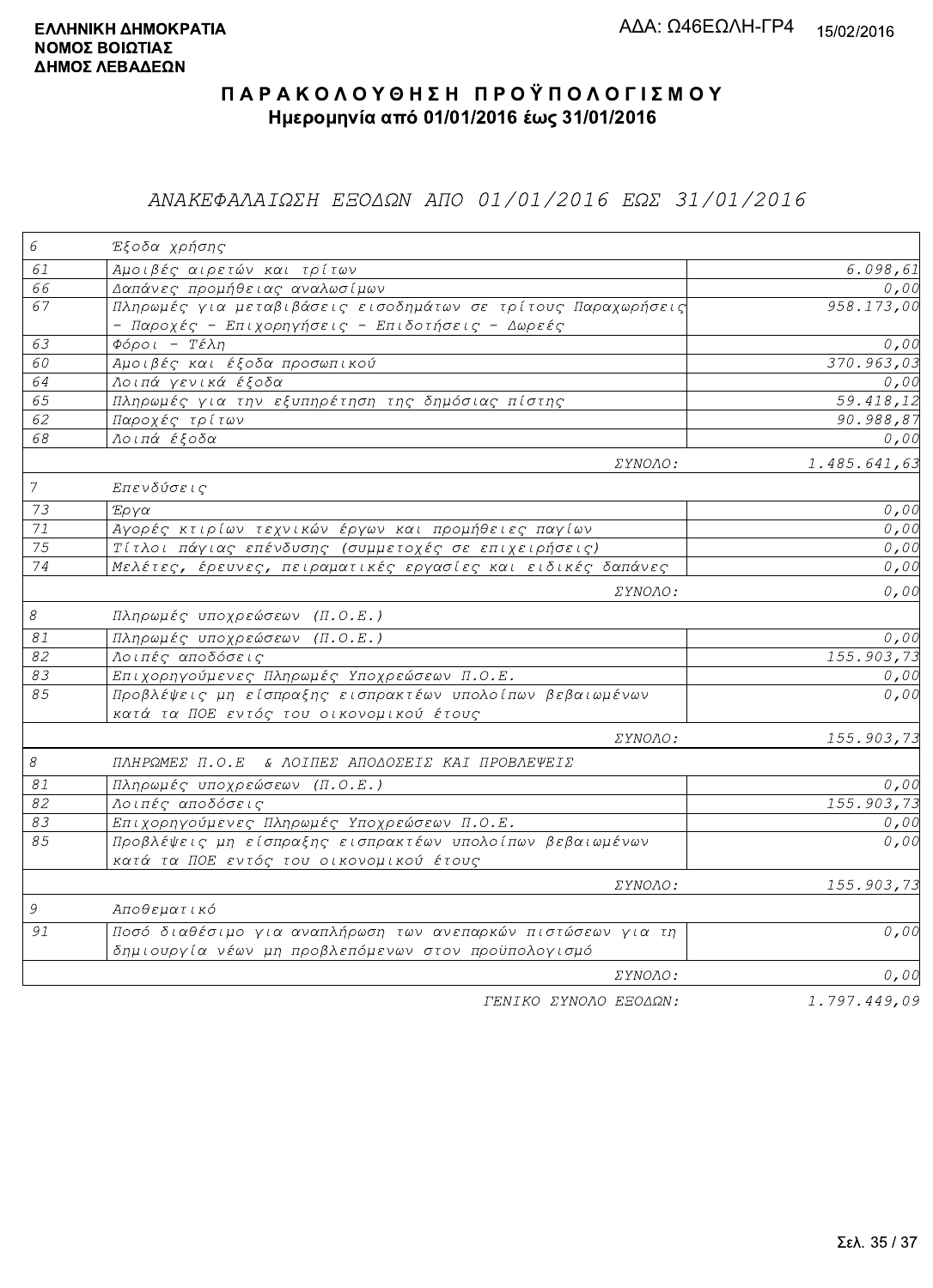### ΑΝΑΚΕΦΑΛΑΙΩΣΗ ΕΞΟΔΩΝ ΑΠΟ 01/01/2016 ΕΩΣ 31/01/2016

| 6                          | Έξοδα χρήσης                                                                                                        |              |
|----------------------------|---------------------------------------------------------------------------------------------------------------------|--------------|
| 61                         | Αμοιβές αιρετών και τρίτων                                                                                          | 6.098, 61    |
| 66                         | Δαπάνες προμήθειας αναλωσίμων                                                                                       | 0,00         |
| 67                         | Πληρωμές για μεταβιβάσεις εισοδημάτων σε τρίτους Παραχωρήσεις<br>- Παροχές - Επιχορηγήσεις - Επιδοτήσεις - Δωρεές   | 958.173,00   |
| 63                         | $\Phi$ όροι - Τέλη                                                                                                  | 0,00         |
| 60                         | Αμοιβές και έξοδα προσωπικού                                                                                        | 370.963,03   |
| 64                         | Λοιπά γενικά έξοδα                                                                                                  | 0,00         |
| 65                         | Πληρωμές για την εξυπηρέτηση της δημόσιας πίστης                                                                    | 59.418,12    |
| 62                         | Παροχές τρίτων                                                                                                      | 90.988,87    |
| 68                         | Λοιπά έξοδα                                                                                                         | 0,00         |
|                            | ΣΥΝΟΛΟ:                                                                                                             | 1.485.641,63 |
| $\overline{7}$             | Επενδύσεις                                                                                                          |              |
| 73                         | Έργα                                                                                                                | 0,00         |
| $\overline{71}$            | Αγορές κτιρίων τεχνικών έργων και προμήθειες παγίων                                                                 | 0,00         |
| 75                         | Τίτλοι πάγιας επένδυσης (συμμετοχές σε επιχειρήσεις)                                                                | 0,00         |
| $\overline{74}$            | Μελέτες, έρευνες, πειραματικές εργασίες και ειδικές δαπάνες                                                         | 0,00         |
|                            | ΣΥΝΟΛΟ:                                                                                                             | 0,00         |
| $\mathcal S$               | Πληρωμές υποχρεώσεων (Π.Ο.Ε.)                                                                                       |              |
| $\mathcal{S} \mathcal{I}$  | Πληρωμές υποχρεώσεων (Π.Ο.Ε.)                                                                                       | 0,00         |
| 82                         | Λοιπές αποδόσεις                                                                                                    | 155.903,73   |
| 83                         | Επιχορηγούμενες Πληρωμές Υποχρεώσεων Π.Ο.Ε.                                                                         | 0,00         |
| 85                         | Προβλέψεις μη είσπραξης εισπρακτέων υπολοίπων βεβαιωμένων<br>κατά τα ΠΟΕ εντός του οικονομικού έτους                | 0,00         |
|                            | ΣΥΝΟΛΟ:                                                                                                             | 155.903,73   |
| $\boldsymbol{\mathcal{S}}$ | ΠΛΗΡΩΜΕΣ Π.Ο.Ε & ΛΟΙΠΕΣ ΑΠΟΔΟΣΕΙΣ ΚΑΙ ΠΡΟΒΛΕΨΕΙΣ                                                                    |              |
| $\mathcal{S} \mathcal{I}$  | Πληρωμές υποχρεώσεων (Π.Ο.Ε.)                                                                                       | 0,00         |
| 82                         | Λοιπές αποδόσεις                                                                                                    | 155.903, 73  |
| 83                         | Επιχορηγούμενες Πληρωμές Υποχρεώσεων Π.Ο.Ε.                                                                         | 0,00         |
| 85                         | Προβλέψεις μη είσπραξης εισπρακτέων υπολοίπων βεβαιωμένων<br>κατά τα ΠΟΕ εντός του οικονομικού έτους                | 0,00         |
|                            | ΣΥΝΟΛΟ:                                                                                                             | 155.903,73   |
| 9                          | Αποθεματικό                                                                                                         |              |
| 91                         | Ποσό διαθέσιμο για αναπλήρωση των ανεπαρκών πιστώσεων για τη<br>δημιουργία νέων μη προβλεπόμενων στον προϋπολογισμό | 0,00         |
|                            | ΣΥΝΟΛΟ:                                                                                                             | 0,00         |
|                            | ΓΕΝΙΚΟ ΣΥΝΟΛΟ ΕΞΟΔΩΝ:                                                                                               | 1.797.449,09 |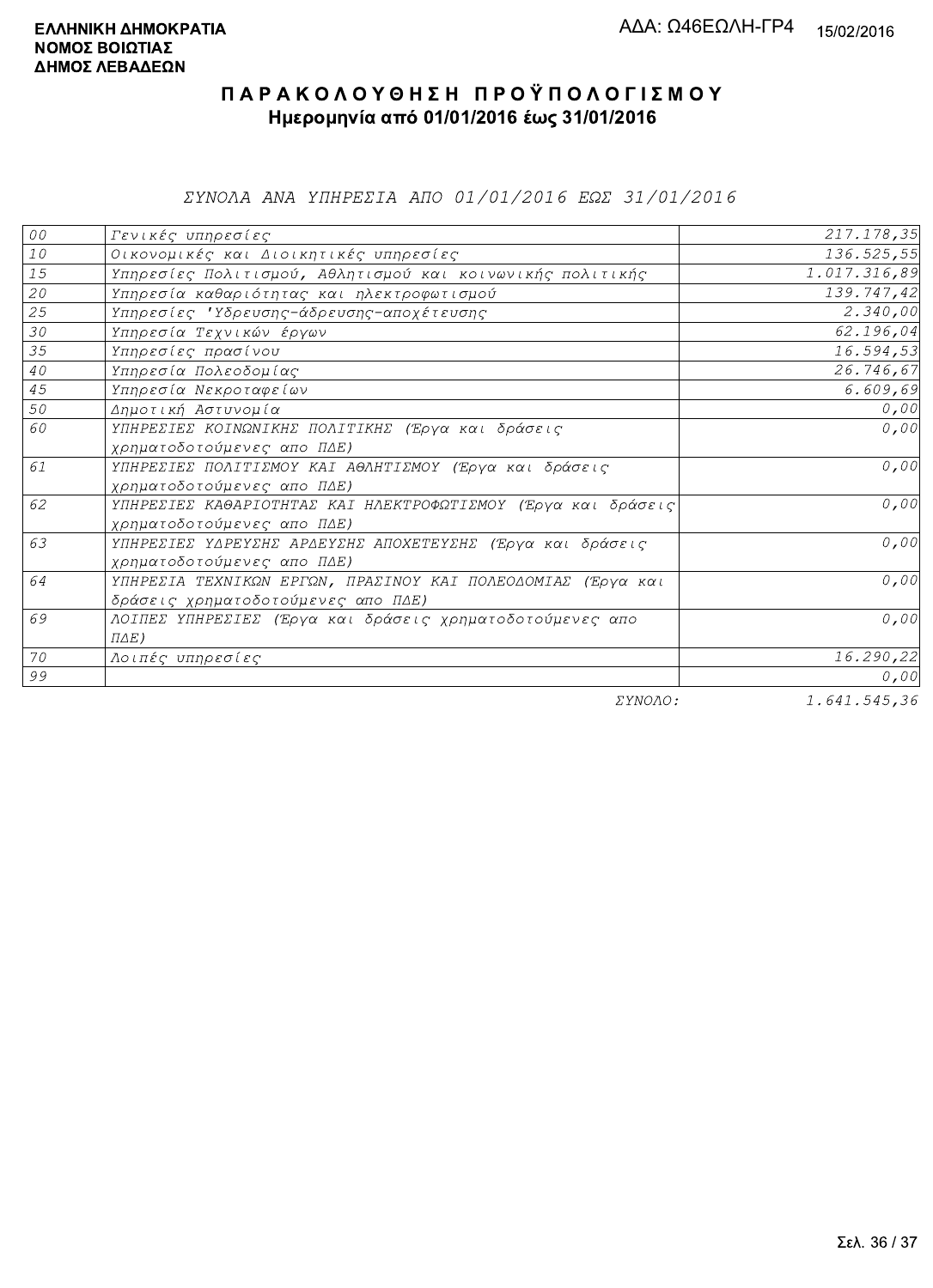ΣΥΝΟΛΑ ΑΝΑ ΥΠΗΡΕΣΙΑ ΑΠΟ 01/01/2016 ΕΩΣ 31/01/2016

| ${\cal O} \, {\cal O}$ | Γενικές υπηρεσίες                                             | 217.178,35               |
|------------------------|---------------------------------------------------------------|--------------------------|
| $1\,0$                 | Οικονομικές και Διοικητικές υπηρεσίες                         | 136.525,55               |
| 15                     | Υπηρεσίες Πολιτισμού, Αθλητισμού και κοινωνικής πολιτικής     | 1.017.316,89             |
| 20                     | Υπηρεσία καθαριότητας και ηλεκτροφωτισμού                     | 139.747,42               |
| 25                     | Υπηρεσίες 'Υδρευσης-άδρευσης-αποχέτευσης                      | 2.340,00                 |
| 30                     | Υπηρεσία Τεχνικών έργων                                       | 62.196,04                |
| 35                     | Υπηρεσίες πρασίνου                                            | 16.594,53                |
| $4\,0$                 | Υπηρεσία Πολεοδομίας                                          | 26.746,67                |
| 45                     | Υπηρεσία Νεκροταφείων                                         | 6.609,69                 |
| 50                     | Δημοτική Αστυνομία                                            | 0,00                     |
| 60                     | ΥΠΗΡΕΣΙΕΣ ΚΟΙΝΩΝΙΚΗΣ ΠΟΛΙΤΙΚΗΣ (Έργα και δράσεις              | 0,00                     |
|                        | χρηματοδοτούμενες απο ΠΔΕ)                                    |                          |
| 61                     | ΥΠΗΡΕΣΙΕΣ ΠΟΛΙΤΙΣΜΟΥ ΚΑΙ ΑΘΛΗΤΙΣΜΟΥ (Έργα και δράσεις         | 0,00                     |
|                        | χρηματοδοτούμενες απο ΠΔΕ)                                    |                          |
| 62                     | ΥΠΗΡΕΣΙΕΣ ΚΑΘΑΡΙΟΤΗΤΑΣ ΚΑΙ ΗΛΕΚΤΡΟΦΩΤΙΣΜΟΥ (Έργα και δράσεις) | 0,00                     |
|                        | χρηματοδοτούμενες απο ΠΔΕ)                                    |                          |
| 63                     | ΥΠΗΡΕΣΙΕΣ ΥΔΡΕΥΣΗΣ ΑΡΔΕΥΣΗΣ ΑΠΟΧΕΤΕΥΣΗΣ (Έργα και δράσεις     | 0,00                     |
|                        | χρηματοδοτούμενες απο ΠΔΕ)                                    |                          |
| 64                     | ΥΠΗΡΕΣΙΑ ΤΕΧΝΙΚΩΝ ΕΡΓΩΝ, ΠΡΑΣΙΝΟΥ ΚΑΙ ΠΟΛΕΟΔΟΜΙΑΣ (Έργα και   | 0,00                     |
|                        | δράσεις χρηματοδοτούμενες απο ΠΔΕ)                            |                          |
| 69                     | ΛΟΙΠΕΣ ΥΠΗΡΕΣΙΕΣ (Έργα και δράσεις χρηματοδοτούμενες απο      | 0,00                     |
|                        | $\Pi\Delta E$ )                                               |                          |
| 70                     | Λοιπές υπηρεσίες                                              | 16.290,22                |
| 99                     |                                                               | 0,00                     |
|                        | $\Box$                                                        | $1$ $C A1$ $E A E$ $D C$ |

ΣΥΝΟΛΟ:

1.641.545,36